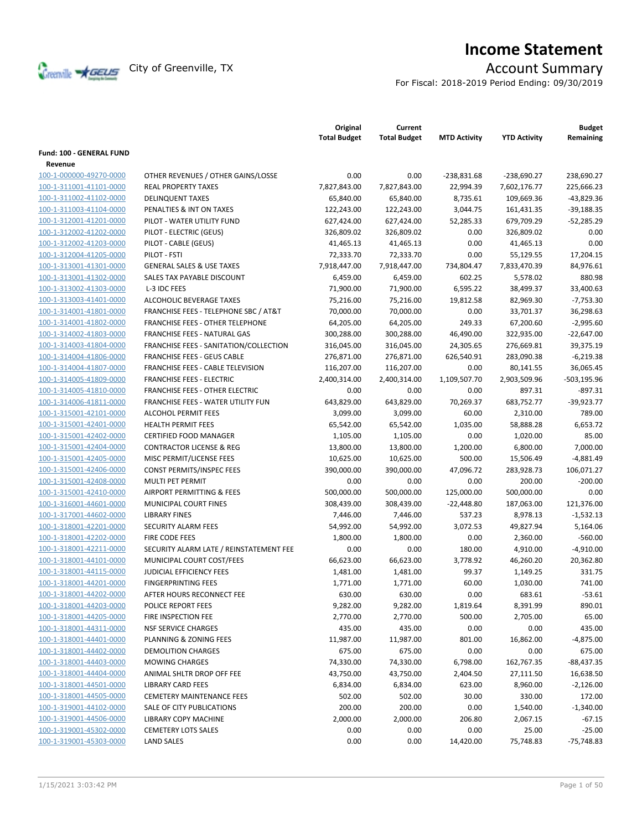

# **Income Statement**

For Fiscal: 2018-2019 Period Ending: 09/30/2019

|                                 |                                          | Original<br><b>Total Budget</b> | Current<br><b>Total Budget</b> | <b>MTD Activity</b> | <b>YTD Activity</b>       | <b>Budget</b><br>Remaining |
|---------------------------------|------------------------------------------|---------------------------------|--------------------------------|---------------------|---------------------------|----------------------------|
| <b>Fund: 100 - GENERAL FUND</b> |                                          |                                 |                                |                     |                           |                            |
| Revenue                         |                                          |                                 |                                |                     |                           |                            |
| 100-1-000000-49270-0000         | OTHER REVENUES / OTHER GAINS/LOSSE       | 0.00                            | 0.00                           | $-238,831.68$       | -238,690.27               | 238,690.27                 |
| 100-1-311001-41101-0000         | <b>REAL PROPERTY TAXES</b>               | 7,827,843.00                    | 7,827,843.00                   | 22,994.39           | 7,602,176.77              | 225,666.23                 |
| 100-1-311002-41102-0000         | <b>DELINQUENT TAXES</b>                  | 65,840.00                       | 65,840.00                      | 8,735.61            | 109,669.36                | $-43,829.36$               |
| 100-1-311003-41104-0000         | PENALTIES & INT ON TAXES                 | 122,243.00                      |                                | 3,044.75            | 161,431.35                | $-39,188.35$               |
| 100-1-312001-41201-0000         | PILOT - WATER UTILITY FUND               | 627,424.00                      | 122,243.00<br>627,424.00       | 52,285.33           | 679,709.29                | $-52,285.29$               |
| 100-1-312002-41202-0000         | PILOT - ELECTRIC (GEUS)                  | 326.809.02                      |                                | 0.00                |                           | 0.00                       |
| 100-1-312002-41203-0000         |                                          |                                 | 326,809.02<br>41,465.13        | 0.00                | 326,809.02                | 0.00                       |
|                                 | PILOT - CABLE (GEUS)<br>PILOT - FSTI     | 41,465.13                       |                                |                     | 41,465.13                 |                            |
| 100-1-312004-41205-0000         |                                          | 72,333.70                       | 72,333.70<br>7,918,447.00      | 0.00                | 55,129.55<br>7,833,470.39 | 17,204.15                  |
| 100-1-313001-41301-0000         | <b>GENERAL SALES &amp; USE TAXES</b>     | 7,918,447.00                    |                                | 734,804.47          |                           | 84,976.61                  |
| 100-1-313001-41302-0000         | SALES TAX PAYABLE DISCOUNT               | 6,459.00                        | 6,459.00                       | 602.25              | 5,578.02                  | 880.98                     |
| 100-1-313002-41303-0000         | L-3 IDC FEES                             | 71,900.00                       | 71,900.00                      | 6,595.22            | 38,499.37                 | 33,400.63                  |
| 100-1-313003-41401-0000         | ALCOHOLIC BEVERAGE TAXES                 | 75,216.00                       | 75,216.00                      | 19,812.58           | 82,969.30                 | $-7,753.30$                |
| 100-1-314001-41801-0000         | FRANCHISE FEES - TELEPHONE SBC / AT&T    | 70,000.00                       | 70,000.00                      | 0.00                | 33,701.37                 | 36,298.63                  |
| 100-1-314001-41802-0000         | <b>FRANCHISE FEES - OTHER TELEPHONE</b>  | 64,205.00                       | 64,205.00                      | 249.33              | 67,200.60                 | $-2,995.60$                |
| 100-1-314002-41803-0000         | FRANCHISE FEES - NATURAL GAS             | 300,288.00                      | 300,288.00                     | 46,490.00           | 322,935.00                | $-22,647.00$               |
| 100-1-314003-41804-0000         | FRANCHISE FEES - SANITATION/COLLECTION   | 316,045.00                      | 316,045.00                     | 24,305.65           | 276,669.81                | 39,375.19                  |
| 100-1-314004-41806-0000         | <b>FRANCHISE FEES - GEUS CABLE</b>       | 276,871.00                      | 276,871.00                     | 626,540.91          | 283,090.38                | $-6,219.38$                |
| 100-1-314004-41807-0000         | <b>FRANCHISE FEES - CABLE TELEVISION</b> | 116,207.00                      | 116,207.00                     | 0.00                | 80,141.55                 | 36,065.45                  |
| 100-1-314005-41809-0000         | <b>FRANCHISE FEES - ELECTRIC</b>         | 2,400,314.00                    | 2,400,314.00                   | 1,109,507.70        | 2,903,509.96              | $-503, 195.96$             |
| 100-1-314005-41810-0000         | FRANCHISE FEES - OTHER ELECTRIC          | 0.00                            | 0.00                           | 0.00                | 897.31                    | $-897.31$                  |
| 100-1-314006-41811-0000         | FRANCHISE FEES - WATER UTILITY FUN       | 643,829.00                      | 643,829.00                     | 70,269.37           | 683,752.77                | $-39,923.77$               |
| 100-1-315001-42101-0000         | <b>ALCOHOL PERMIT FEES</b>               | 3,099.00                        | 3,099.00                       | 60.00               | 2,310.00                  | 789.00                     |
| 100-1-315001-42401-0000         | <b>HEALTH PERMIT FEES</b>                | 65,542.00                       | 65,542.00                      | 1,035.00            | 58,888.28                 | 6,653.72                   |
| 100-1-315001-42402-0000         | CERTIFIED FOOD MANAGER                   | 1,105.00                        | 1,105.00                       | 0.00                | 1,020.00                  | 85.00                      |
| 100-1-315001-42404-0000         | <b>CONTRACTOR LICENSE &amp; REG</b>      | 13,800.00                       | 13,800.00                      | 1,200.00            | 6,800.00                  | 7,000.00                   |
| 100-1-315001-42405-0000         | MISC PERMIT/LICENSE FEES                 | 10,625.00                       | 10,625.00                      | 500.00              | 15,506.49                 | $-4,881.49$                |
| 100-1-315001-42406-0000         | CONST PERMITS/INSPEC FEES                | 390,000.00                      | 390,000.00                     | 47,096.72           | 283,928.73                | 106,071.27                 |
| 100-1-315001-42408-0000         | MULTI PET PERMIT                         | 0.00                            | 0.00                           | 0.00                | 200.00                    | $-200.00$                  |
| 100-1-315001-42410-0000         | AIRPORT PERMITTING & FEES                | 500,000.00                      | 500,000.00                     | 125,000.00          | 500,000.00                | 0.00                       |
| 100-1-316001-44601-0000         | MUNICIPAL COURT FINES                    | 308,439.00                      | 308,439.00                     | $-22,448.80$        | 187,063.00                | 121,376.00                 |
| 100-1-317001-44602-0000         | <b>LIBRARY FINES</b>                     | 7,446.00                        | 7,446.00                       | 537.23              | 8,978.13                  | $-1,532.13$                |
| 100-1-318001-42201-0000         | SECURITY ALARM FEES                      | 54,992.00                       | 54,992.00                      | 3,072.53            | 49,827.94                 | 5,164.06                   |
| 100-1-318001-42202-0000         | FIRE CODE FEES                           | 1,800.00                        | 1,800.00                       | 0.00                | 2,360.00                  | $-560.00$                  |
| 100-1-318001-42211-0000         | SECURITY ALARM LATE / REINSTATEMENT FEE  | 0.00                            | 0.00                           | 180.00              | 4,910.00                  | $-4,910.00$                |
| 100-1-318001-44101-0000         | MUNICIPAL COURT COST/FEES                | 66,623.00                       | 66,623.00                      | 3,778.92            | 46,260.20                 | 20,362.80                  |
| 100-1-318001-44115-0000         | <b>JUDICIAL EFFICIENCY FEES</b>          | 1,481.00                        | 1,481.00                       | 99.37               | 1,149.25                  | 331.75                     |
| 100-1-318001-44201-0000         | <b>FINGERPRINTING FEES</b>               | 1,771.00                        | 1,771.00                       | 60.00               | 1,030.00                  | 741.00                     |
| 100-1-318001-44202-0000         | AFTER HOURS RECONNECT FEE                | 630.00                          | 630.00                         | 0.00                | 683.61                    | $-53.61$                   |
| 100-1-318001-44203-0000         | POLICE REPORT FEES                       | 9,282.00                        | 9,282.00                       | 1,819.64            | 8,391.99                  | 890.01                     |
| 100-1-318001-44205-0000         | FIRE INSPECTION FEE                      | 2,770.00                        | 2,770.00                       | 500.00              | 2,705.00                  | 65.00                      |
| 100-1-318001-44311-0000         | <b>NSF SERVICE CHARGES</b>               | 435.00                          | 435.00                         | 0.00                | 0.00                      | 435.00                     |
| 100-1-318001-44401-0000         | PLANNING & ZONING FEES                   | 11,987.00                       | 11,987.00                      | 801.00              | 16,862.00                 | $-4,875.00$                |
| 100-1-318001-44402-0000         | <b>DEMOLITION CHARGES</b>                | 675.00                          | 675.00                         | 0.00                | 0.00                      | 675.00                     |
| 100-1-318001-44403-0000         | <b>MOWING CHARGES</b>                    | 74,330.00                       | 74,330.00                      | 6,798.00            | 162,767.35                | -88,437.35                 |
| 100-1-318001-44404-0000         | ANIMAL SHLTR DROP OFF FEE                | 43,750.00                       | 43,750.00                      | 2,404.50            | 27,111.50                 | 16,638.50                  |
| 100-1-318001-44501-0000         | <b>LIBRARY CARD FEES</b>                 | 6,834.00                        | 6,834.00                       | 623.00              | 8,960.00                  | $-2,126.00$                |
| 100-1-318001-44505-0000         | <b>CEMETERY MAINTENANCE FEES</b>         | 502.00                          | 502.00                         | 30.00               | 330.00                    | 172.00                     |
| 100-1-319001-44102-0000         | SALE OF CITY PUBLICATIONS                | 200.00                          | 200.00                         | 0.00                | 1,540.00                  | $-1,340.00$                |
| 100-1-319001-44506-0000         | LIBRARY COPY MACHINE                     | 2,000.00                        | 2,000.00                       | 206.80              | 2,067.15                  | $-67.15$                   |
| 100-1-319001-45302-0000         | <b>CEMETERY LOTS SALES</b>               | 0.00                            | 0.00                           | 0.00                | 25.00                     | $-25.00$                   |
| 100-1-319001-45303-0000         | <b>LAND SALES</b>                        | 0.00                            | 0.00                           | 14,420.00           | 75,748.83                 | $-75,748.83$               |
|                                 |                                          |                                 |                                |                     |                           |                            |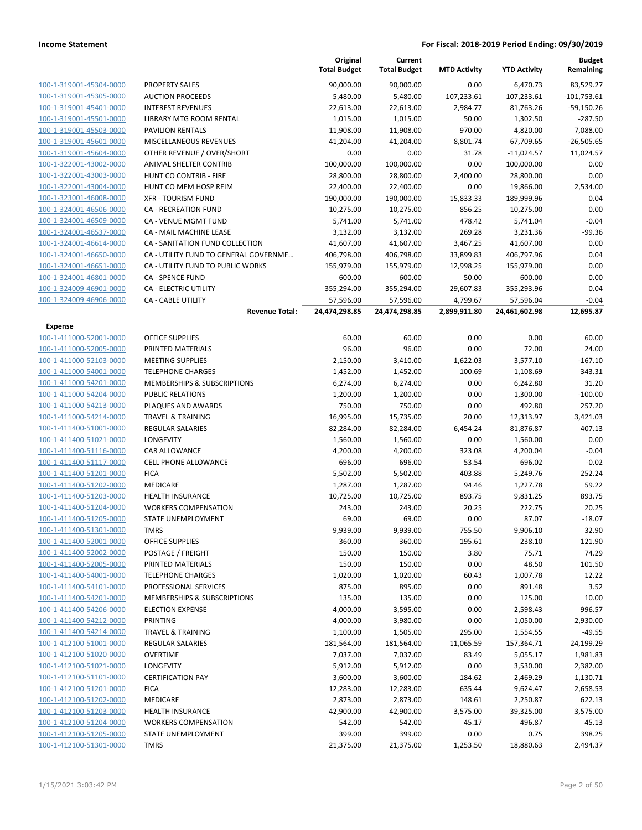|                         |                                       | Original<br><b>Total Budget</b> | Current<br><b>Total Budget</b> | <b>MTD Activity</b> | <b>YTD Activity</b> | <b>Budget</b><br>Remaining |
|-------------------------|---------------------------------------|---------------------------------|--------------------------------|---------------------|---------------------|----------------------------|
| 100-1-319001-45304-0000 | <b>PROPERTY SALES</b>                 | 90,000.00                       | 90,000.00                      | 0.00                | 6,470.73            | 83,529.27                  |
| 100-1-319001-45305-0000 | <b>AUCTION PROCEEDS</b>               | 5,480.00                        | 5,480.00                       | 107,233.61          | 107,233.61          | $-101,753.61$              |
| 100-1-319001-45401-0000 | <b>INTEREST REVENUES</b>              | 22,613.00                       | 22,613.00                      | 2,984.77            | 81,763.26           | $-59,150.26$               |
| 100-1-319001-45501-0000 | LIBRARY MTG ROOM RENTAL               | 1,015.00                        | 1,015.00                       | 50.00               | 1,302.50            | $-287.50$                  |
| 100-1-319001-45503-0000 | <b>PAVILION RENTALS</b>               | 11,908.00                       | 11,908.00                      | 970.00              | 4,820.00            | 7,088.00                   |
| 100-1-319001-45601-0000 | MISCELLANEOUS REVENUES                | 41,204.00                       | 41,204.00                      | 8,801.74            | 67,709.65           | $-26,505.65$               |
| 100-1-319001-45604-0000 | OTHER REVENUE / OVER/SHORT            | 0.00                            | 0.00                           | 31.78               | $-11,024.57$        | 11,024.57                  |
| 100-1-322001-43002-0000 | ANIMAL SHELTER CONTRIB                | 100,000.00                      | 100,000.00                     | 0.00                | 100,000.00          | 0.00                       |
| 100-1-322001-43003-0000 | HUNT CO CONTRIB - FIRE                | 28,800.00                       | 28,800.00                      | 2,400.00            | 28,800.00           | 0.00                       |
| 100-1-322001-43004-0000 | HUNT CO MEM HOSP REIM                 | 22,400.00                       | 22,400.00                      | 0.00                | 19,866.00           | 2,534.00                   |
| 100-1-323001-46008-0000 | <b>XFR - TOURISM FUND</b>             | 190,000.00                      | 190,000.00                     | 15,833.33           | 189,999.96          | 0.04                       |
| 100-1-324001-46506-0000 | <b>CA - RECREATION FUND</b>           | 10,275.00                       | 10,275.00                      | 856.25              | 10,275.00           | 0.00                       |
| 100-1-324001-46509-0000 | CA - VENUE MGMT FUND                  | 5,741.00                        | 5,741.00                       | 478.42              | 5,741.04            | $-0.04$                    |
| 100-1-324001-46537-0000 | CA - MAIL MACHINE LEASE               | 3,132.00                        | 3,132.00                       | 269.28              | 3,231.36            | $-99.36$                   |
| 100-1-324001-46614-0000 | CA - SANITATION FUND COLLECTION       | 41,607.00                       | 41,607.00                      | 3,467.25            | 41,607.00           | 0.00                       |
| 100-1-324001-46650-0000 | CA - UTILITY FUND TO GENERAL GOVERNME | 406,798.00                      | 406,798.00                     | 33,899.83           | 406,797.96          | 0.04                       |
| 100-1-324001-46651-0000 | CA - UTILITY FUND TO PUBLIC WORKS     | 155,979.00                      | 155,979.00                     | 12,998.25           | 155,979.00          | 0.00                       |
| 100-1-324001-46801-0000 | <b>CA - SPENCE FUND</b>               | 600.00                          | 600.00                         | 50.00               | 600.00              | 0.00                       |
| 100-1-324009-46901-0000 | <b>CA - ELECTRIC UTILITY</b>          | 355,294.00                      | 355,294.00                     | 29,607.83           | 355,293.96          | 0.04                       |
| 100-1-324009-46906-0000 | <b>CA - CABLE UTILITY</b>             | 57,596.00                       | 57,596.00                      | 4,799.67            | 57,596.04           | $-0.04$                    |
|                         | <b>Revenue Total:</b>                 | 24,474,298.85                   | 24,474,298.85                  | 2,899,911.80        | 24,461,602.98       | 12,695.87                  |
| <b>Expense</b>          |                                       |                                 |                                |                     |                     |                            |
| 100-1-411000-52001-0000 | <b>OFFICE SUPPLIES</b>                | 60.00                           | 60.00                          | 0.00                | 0.00                | 60.00                      |
| 100-1-411000-52005-0000 | PRINTED MATERIALS                     | 96.00                           | 96.00                          | 0.00                | 72.00               | 24.00                      |
| 100-1-411000-52103-0000 | <b>MEETING SUPPLIES</b>               | 2,150.00                        | 3,410.00                       | 1,622.03            | 3,577.10            | $-167.10$                  |
| 100-1-411000-54001-0000 | <b>TELEPHONE CHARGES</b>              | 1,452.00                        | 1,452.00                       | 100.69              | 1,108.69            | 343.31                     |
| 100-1-411000-54201-0000 | MEMBERSHIPS & SUBSCRIPTIONS           | 6,274.00                        | 6,274.00                       | 0.00                | 6,242.80            | 31.20                      |
| 100-1-411000-54204-0000 | PUBLIC RELATIONS                      | 1,200.00                        | 1,200.00                       | 0.00                | 1,300.00            | $-100.00$                  |
| 100-1-411000-54213-0000 | PLAQUES AND AWARDS                    | 750.00                          | 750.00                         | 0.00                | 492.80              | 257.20                     |
| 100-1-411000-54214-0000 | <b>TRAVEL &amp; TRAINING</b>          | 16,995.00                       | 15,735.00                      | 20.00               | 12,313.97           | 3,421.03                   |
| 100-1-411400-51001-0000 | <b>REGULAR SALARIES</b>               | 82,284.00                       | 82,284.00                      | 6,454.24            | 81,876.87           | 407.13                     |
| 100-1-411400-51021-0000 | LONGEVITY                             | 1,560.00                        | 1,560.00                       | 0.00                | 1,560.00            | 0.00                       |
| 100-1-411400-51116-0000 | CAR ALLOWANCE                         | 4,200.00                        | 4,200.00                       | 323.08              | 4,200.04            | $-0.04$                    |
| 100-1-411400-51117-0000 | <b>CELL PHONE ALLOWANCE</b>           | 696.00                          | 696.00                         | 53.54               | 696.02              | $-0.02$                    |
| 100-1-411400-51201-0000 | <b>FICA</b>                           | 5,502.00                        | 5,502.00                       | 403.88              | 5,249.76            | 252.24                     |
| 100-1-411400-51202-0000 | MEDICARE                              | 1,287.00                        | 1,287.00                       | 94.46               | 1,227.78            | 59.22                      |
| 100-1-411400-51203-0000 | <b>HEALTH INSURANCE</b>               | 10,725.00                       | 10,725.00                      | 893.75              | 9,831.25            | 893.75                     |
| 100-1-411400-51204-0000 | <b>WORKERS COMPENSATION</b>           | 243.00                          | 243.00                         | 20.25               | 222.75              | 20.25                      |
| 100-1-411400-51205-0000 | <b>STATE UNEMPLOYMENT</b>             | 69.00                           | 69.00                          | 0.00                | 87.07               | $-18.07$                   |
| 100-1-411400-51301-0000 | TMRS                                  | 9,939.00                        | 9,939.00                       | 755.50              | 9,906.10            | 32.90                      |
| 100-1-411400-52001-0000 | <b>OFFICE SUPPLIES</b>                | 360.00                          | 360.00                         | 195.61              | 238.10              | 121.90                     |
| 100-1-411400-52002-0000 | POSTAGE / FREIGHT                     | 150.00                          | 150.00                         | 3.80                | 75.71               | 74.29                      |
| 100-1-411400-52005-0000 | PRINTED MATERIALS                     | 150.00                          | 150.00                         | 0.00                | 48.50               | 101.50                     |
| 100-1-411400-54001-0000 | <b>TELEPHONE CHARGES</b>              | 1,020.00                        | 1,020.00                       | 60.43               | 1,007.78            | 12.22                      |
| 100-1-411400-54101-0000 | PROFESSIONAL SERVICES                 | 875.00                          | 895.00                         | 0.00                | 891.48              | 3.52                       |
| 100-1-411400-54201-0000 | MEMBERSHIPS & SUBSCRIPTIONS           | 135.00                          | 135.00                         | 0.00                | 125.00              | 10.00                      |
| 100-1-411400-54206-0000 | <b>ELECTION EXPENSE</b>               | 4,000.00                        | 3,595.00                       | 0.00                | 2,598.43            | 996.57                     |
| 100-1-411400-54212-0000 | PRINTING                              | 4,000.00                        | 3,980.00                       | 0.00                | 1,050.00            | 2,930.00                   |
| 100-1-411400-54214-0000 | <b>TRAVEL &amp; TRAINING</b>          | 1,100.00                        | 1,505.00                       | 295.00              | 1,554.55            | $-49.55$                   |
| 100-1-412100-51001-0000 | <b>REGULAR SALARIES</b>               | 181,564.00                      | 181,564.00                     | 11,065.59           | 157,364.71          | 24,199.29                  |
| 100-1-412100-51020-0000 | <b>OVERTIME</b>                       | 7,037.00                        | 7,037.00                       | 83.49               | 5,055.17            | 1,981.83                   |
| 100-1-412100-51021-0000 | LONGEVITY                             | 5,912.00                        | 5,912.00                       | 0.00                | 3,530.00            | 2,382.00                   |
| 100-1-412100-51101-0000 | <b>CERTIFICATION PAY</b>              | 3,600.00                        | 3,600.00                       | 184.62              | 2,469.29            | 1,130.71                   |
| 100-1-412100-51201-0000 | <b>FICA</b>                           | 12,283.00                       | 12,283.00                      | 635.44              | 9,624.47            | 2,658.53                   |
| 100-1-412100-51202-0000 | MEDICARE                              | 2,873.00                        | 2,873.00                       | 148.61              | 2,250.87            | 622.13                     |
| 100-1-412100-51203-0000 | <b>HEALTH INSURANCE</b>               | 42,900.00                       | 42,900.00                      | 3,575.00            | 39,325.00           | 3,575.00                   |
| 100-1-412100-51204-0000 | <b>WORKERS COMPENSATION</b>           | 542.00                          | 542.00                         | 45.17               | 496.87              | 45.13                      |
| 100-1-412100-51205-0000 | STATE UNEMPLOYMENT                    | 399.00                          | 399.00                         | 0.00                | 0.75                | 398.25                     |
| 100-1-412100-51301-0000 | <b>TMRS</b>                           | 21,375.00                       | 21,375.00                      | 1,253.50            | 18,880.63           | 2,494.37                   |
|                         |                                       |                                 |                                |                     |                     |                            |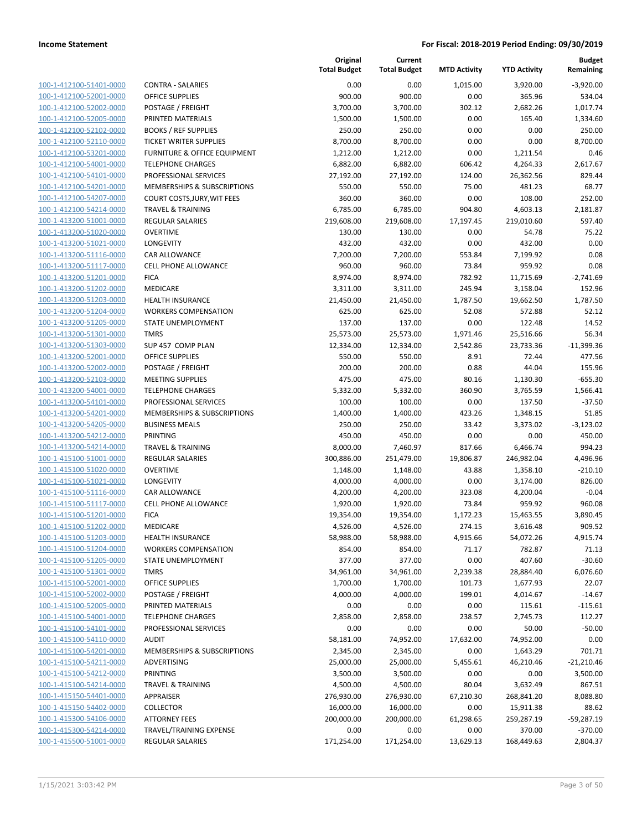| 100-1-412100-51401-0000                            |
|----------------------------------------------------|
| 100-1-412100-52001-0000                            |
| 100-1-412100-52002-0000                            |
| 100-1-412100-52005-0000                            |
| 100-1-412100-52102-0000                            |
| 100-1-412100-52110-0000                            |
| 100-1-412100-53201-0000                            |
| 100-1-412100-54001-0000                            |
| <u>100-1-412100-54101-0000</u>                     |
| 100-1-412100-54201-0000                            |
| 100-1-412100-54207-0000                            |
| 100-1-412100-54214-0000                            |
| 100-1-413200-51001-0000                            |
| 100-1-413200-51020-0000                            |
| 100-1-413200-51021-0000                            |
| 100-1-413200-51116-0000                            |
| 100-1-413200-51117-0000                            |
| 100-1-413200-51201-0000                            |
| <u>100-1-413200-51202-0000</u>                     |
| 100-1-413200-51203-0000                            |
| 100-1-413200-51204-0000                            |
| 100-1-413200-51205-0000                            |
| 100-1-413200-51301-0000                            |
| 100-1-413200-51303-0000                            |
| 100-1-413200-52001-0000                            |
| 100-1-413200-52002-0000<br>100-1-413200-52103-0000 |
| 100-1-413200-54001-0000                            |
|                                                    |
| <u>100-1-413200-54101-0000</u>                     |
| 100-1-413200-54201-0000<br>100-1-413200-54205-0000 |
| 100-1-413200-54212-0000                            |
| 100-1-413200-54214-0000                            |
| <u>100-1-415100-51001-0000</u>                     |
| 100-1-415100-51020-0000                            |
| 100-1-415100-51021-0000                            |
| 100-1-415100-51116-0000                            |
| 100-1-415100-51117-0000                            |
| <u>100-1-415100-51201-0000</u>                     |
| 100-1-415100-51202-0000                            |
| 100-1-415100-51203-0000                            |
| <u>100-1-415100-51204-0000</u>                     |
| 100-1-415100-51205-0000                            |
| 100-1-415100-51301-0000                            |
| <u>100-1-415100-52001-0000</u>                     |
| 100-1-415100-52002-0000                            |
| <u>100-1-415100-52005-0000</u>                     |
| 100-1-415100-54001-0000                            |
| 100-1-415100-54101-0000                            |
| <u>100-1-415100-54110-0000</u>                     |
| 100-1-415100-54201-0000                            |
| 100-1-415100-54211-0000                            |
| 100-1-415100-54212-0000                            |
| 100-1-415100-54214-0000                            |
| <u>100-1-415150-54401-0000</u>                     |
| <u>100-1-415150-54402-0000</u>                     |
| <u>100-1-415300-54106-0000</u>                     |
| 100-1-415300-54214-0000                            |
| <u>100-1-415500-51001-0000</u>                     |
|                                                    |

|                                                    |                                             | Original<br><b>Total Budget</b> | Current<br><b>Total Budget</b> | <b>MTD Activity</b>  | <b>YTD Activity</b> | <b>Budget</b><br>Remaining |
|----------------------------------------------------|---------------------------------------------|---------------------------------|--------------------------------|----------------------|---------------------|----------------------------|
| 100-1-412100-51401-0000                            | <b>CONTRA - SALARIES</b>                    | 0.00                            | 0.00                           | 1.015.00             | 3,920.00            | $-3,920.00$                |
| 100-1-412100-52001-0000                            | <b>OFFICE SUPPLIES</b>                      | 900.00                          | 900.00                         | 0.00                 | 365.96              | 534.04                     |
| 100-1-412100-52002-0000                            | POSTAGE / FREIGHT                           | 3,700.00                        | 3,700.00                       | 302.12               | 2,682.26            | 1,017.74                   |
| 100-1-412100-52005-0000                            | PRINTED MATERIALS                           | 1,500.00                        | 1,500.00                       | 0.00                 | 165.40              | 1,334.60                   |
| 100-1-412100-52102-0000                            | <b>BOOKS / REF SUPPLIES</b>                 | 250.00                          | 250.00                         | 0.00                 | 0.00                | 250.00                     |
| 100-1-412100-52110-0000                            | <b>TICKET WRITER SUPPLIES</b>               | 8,700.00                        | 8,700.00                       | 0.00                 | 0.00                | 8,700.00                   |
| 100-1-412100-53201-0000                            | FURNITURE & OFFICE EQUIPMENT                | 1,212.00                        | 1,212.00                       | 0.00                 | 1,211.54            | 0.46                       |
| 100-1-412100-54001-0000                            | <b>TELEPHONE CHARGES</b>                    | 6,882.00                        | 6,882.00                       | 606.42               | 4,264.33            | 2,617.67                   |
| 100-1-412100-54101-0000                            | PROFESSIONAL SERVICES                       | 27,192.00                       | 27,192.00                      | 124.00               | 26,362.56           | 829.44                     |
| 100-1-412100-54201-0000                            | MEMBERSHIPS & SUBSCRIPTIONS                 | 550.00                          | 550.00                         | 75.00                | 481.23              | 68.77                      |
| 100-1-412100-54207-0000                            | <b>COURT COSTS, JURY, WIT FEES</b>          | 360.00                          | 360.00                         | 0.00                 | 108.00              | 252.00                     |
| 100-1-412100-54214-0000                            | <b>TRAVEL &amp; TRAINING</b>                | 6,785.00                        | 6,785.00                       | 904.80               | 4,603.13            | 2,181.87                   |
| 100-1-413200-51001-0000                            | <b>REGULAR SALARIES</b>                     | 219,608.00                      | 219,608.00                     | 17,197.45            | 219,010.60          | 597.40                     |
| 100-1-413200-51020-0000                            | <b>OVERTIME</b>                             | 130.00                          | 130.00                         | 0.00                 | 54.78               | 75.22                      |
| 100-1-413200-51021-0000                            | LONGEVITY                                   | 432.00                          | 432.00                         | 0.00                 | 432.00              | 0.00                       |
| 100-1-413200-51116-0000                            | CAR ALLOWANCE                               | 7,200.00                        | 7,200.00                       | 553.84               | 7,199.92            | 0.08                       |
| 100-1-413200-51117-0000                            | <b>CELL PHONE ALLOWANCE</b>                 | 960.00                          | 960.00                         | 73.84                | 959.92              | 0.08                       |
| 100-1-413200-51201-0000                            | <b>FICA</b>                                 | 8,974.00                        | 8,974.00                       | 782.92               | 11,715.69           | $-2,741.69$                |
| 100-1-413200-51202-0000                            | MEDICARE                                    | 3,311.00                        | 3,311.00                       | 245.94               | 3,158.04            | 152.96                     |
| 100-1-413200-51203-0000                            | <b>HEALTH INSURANCE</b>                     | 21,450.00                       | 21,450.00                      | 1,787.50             | 19,662.50           | 1,787.50                   |
| 100-1-413200-51204-0000                            | <b>WORKERS COMPENSATION</b>                 | 625.00                          | 625.00                         | 52.08                | 572.88              | 52.12                      |
| 100-1-413200-51205-0000<br>100-1-413200-51301-0000 | <b>STATE UNEMPLOYMENT</b><br><b>TMRS</b>    | 137.00                          | 137.00                         | 0.00                 | 122.48              | 14.52                      |
| 100-1-413200-51303-0000                            |                                             | 25,573.00                       | 25,573.00                      | 1,971.46<br>2,542.86 | 25,516.66           | 56.34                      |
| 100-1-413200-52001-0000                            | SUP 457 COMP PLAN<br><b>OFFICE SUPPLIES</b> | 12,334.00<br>550.00             | 12,334.00<br>550.00            | 8.91                 | 23,733.36<br>72.44  | $-11,399.36$<br>477.56     |
| 100-1-413200-52002-0000                            | POSTAGE / FREIGHT                           | 200.00                          | 200.00                         | 0.88                 | 44.04               | 155.96                     |
| 100-1-413200-52103-0000                            | <b>MEETING SUPPLIES</b>                     | 475.00                          | 475.00                         | 80.16                | 1,130.30            | $-655.30$                  |
| 100-1-413200-54001-0000                            | <b>TELEPHONE CHARGES</b>                    | 5,332.00                        | 5,332.00                       | 360.90               | 3,765.59            | 1,566.41                   |
| 100-1-413200-54101-0000                            | PROFESSIONAL SERVICES                       | 100.00                          | 100.00                         | 0.00                 | 137.50              | $-37.50$                   |
| 100-1-413200-54201-0000                            | MEMBERSHIPS & SUBSCRIPTIONS                 | 1,400.00                        | 1,400.00                       | 423.26               | 1,348.15            | 51.85                      |
| 100-1-413200-54205-0000                            | <b>BUSINESS MEALS</b>                       | 250.00                          | 250.00                         | 33.42                | 3,373.02            | $-3,123.02$                |
| 100-1-413200-54212-0000                            | <b>PRINTING</b>                             | 450.00                          | 450.00                         | 0.00                 | 0.00                | 450.00                     |
| 100-1-413200-54214-0000                            | <b>TRAVEL &amp; TRAINING</b>                | 8,000.00                        | 7,460.97                       | 817.66               | 6,466.74            | 994.23                     |
| 100-1-415100-51001-0000                            | <b>REGULAR SALARIES</b>                     | 300,886.00                      | 251,479.00                     | 19,806.87            | 246,982.04          | 4,496.96                   |
| 100-1-415100-51020-0000                            | <b>OVERTIME</b>                             | 1,148.00                        | 1,148.00                       | 43.88                | 1,358.10            | $-210.10$                  |
| 100-1-415100-51021-0000                            | <b>LONGEVITY</b>                            | 4,000.00                        | 4,000.00                       | 0.00                 | 3,174.00            | 826.00                     |
| 100-1-415100-51116-0000                            | CAR ALLOWANCE                               | 4,200.00                        | 4,200.00                       | 323.08               | 4,200.04            | $-0.04$                    |
| 100-1-415100-51117-0000                            | <b>CELL PHONE ALLOWANCE</b>                 | 1,920.00                        | 1,920.00                       | 73.84                | 959.92              | 960.08                     |
| 100-1-415100-51201-0000                            | <b>FICA</b>                                 | 19,354.00                       | 19,354.00                      | 1,172.23             | 15,463.55           | 3,890.45                   |
| 100-1-415100-51202-0000                            | MEDICARE                                    | 4,526.00                        | 4,526.00                       | 274.15               | 3,616.48            | 909.52                     |
| 100-1-415100-51203-0000                            | HEALTH INSURANCE                            | 58,988.00                       | 58,988.00                      | 4,915.66             | 54,072.26           | 4,915.74                   |
| 100-1-415100-51204-0000                            | <b>WORKERS COMPENSATION</b>                 | 854.00                          | 854.00                         | 71.17                | 782.87              | 71.13                      |
| 100-1-415100-51205-0000                            | <b>STATE UNEMPLOYMENT</b>                   | 377.00                          | 377.00                         | 0.00                 | 407.60              | $-30.60$                   |
| 100-1-415100-51301-0000                            | <b>TMRS</b>                                 | 34,961.00                       | 34,961.00                      | 2,239.38             | 28,884.40           | 6,076.60                   |
| 100-1-415100-52001-0000                            | OFFICE SUPPLIES                             | 1,700.00                        | 1,700.00                       | 101.73               | 1,677.93            | 22.07                      |
| 100-1-415100-52002-0000                            | POSTAGE / FREIGHT                           | 4,000.00                        | 4,000.00                       | 199.01               | 4,014.67            | $-14.67$                   |
| 100-1-415100-52005-0000                            | PRINTED MATERIALS                           | 0.00                            | 0.00                           | 0.00                 | 115.61              | $-115.61$                  |
| 100-1-415100-54001-0000                            | <b>TELEPHONE CHARGES</b>                    | 2,858.00                        | 2,858.00                       | 238.57               | 2,745.73            | 112.27                     |
| 100-1-415100-54101-0000                            | PROFESSIONAL SERVICES                       | 0.00                            | 0.00                           | 0.00                 | 50.00               | $-50.00$                   |
| 100-1-415100-54110-0000                            | <b>AUDIT</b>                                | 58,181.00                       | 74,952.00                      | 17,632.00            | 74,952.00           | 0.00                       |
| 100-1-415100-54201-0000                            | MEMBERSHIPS & SUBSCRIPTIONS                 | 2,345.00                        | 2,345.00                       | 0.00                 | 1,643.29            | 701.71                     |
| 100-1-415100-54211-0000                            | ADVERTISING                                 | 25,000.00                       | 25,000.00                      | 5,455.61             | 46,210.46           | $-21,210.46$               |
| 100-1-415100-54212-0000                            | PRINTING                                    | 3,500.00                        | 3,500.00                       | 0.00                 | 0.00                | 3,500.00                   |
| 100-1-415100-54214-0000                            | <b>TRAVEL &amp; TRAINING</b>                | 4,500.00                        | 4,500.00                       | 80.04                | 3,632.49            | 867.51                     |
| 100-1-415150-54401-0000                            | <b>APPRAISER</b>                            | 276,930.00                      | 276,930.00                     | 67,210.30            | 268,841.20          | 8,088.80                   |
| 100-1-415150-54402-0000                            | <b>COLLECTOR</b>                            | 16,000.00                       | 16,000.00                      | 0.00                 | 15,911.38           | 88.62                      |
| 100-1-415300-54106-0000                            | <b>ATTORNEY FEES</b>                        | 200,000.00                      | 200,000.00                     | 61,298.65            | 259,287.19          | -59,287.19                 |
| 100-1-415300-54214-0000                            | TRAVEL/TRAINING EXPENSE                     | 0.00                            | 0.00                           | 0.00                 | 370.00              | $-370.00$                  |
| 100-1-415500-51001-0000                            | <b>REGULAR SALARIES</b>                     | 171,254.00                      | 171,254.00                     | 13,629.13            | 168,449.63          | 2,804.37                   |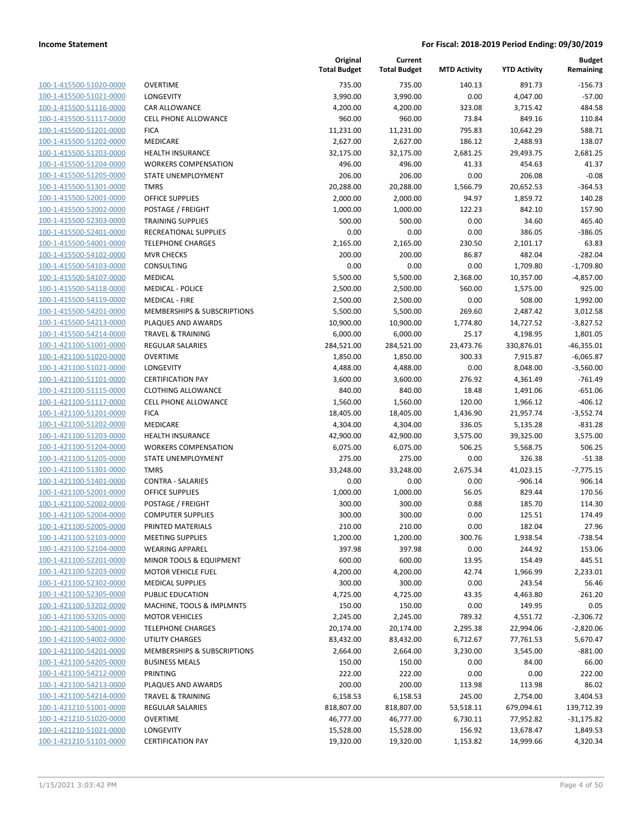| 100-1-415500-51020-0000                            |
|----------------------------------------------------|
| 100-1-415500-51021-0000                            |
| 100-1-415500-51116-0000                            |
| 100-1-415500-51117-0000                            |
| 100-1-415500-51201-0000                            |
| 100-1-415500-51202-0000                            |
| 100-1-415500-51203-0000                            |
| 100-1-415500-51204-0000                            |
| 100-1-415500-51205-0000                            |
| 100-1-415500-51301-0000                            |
| 100-1-415500-52001-0000                            |
| 100-1-415500-52002-0000                            |
| 100-1-415500-52303-0000                            |
| <u>100-1-415500-52401-0000</u>                     |
| 100-1-415500-54001-0000                            |
| 100-1-415500-54102-0000                            |
| 100-1-415500-54103-0000                            |
| 100-1-415500-54107-0000                            |
| 100-1-415500-54118-0000                            |
| 100-1-415500-54119-0000                            |
| 100-1-415500-54201-0000                            |
| 100-1-415500-54213-0000                            |
| 100-1-415500-54214-0000                            |
| <u>100-1-421100-51001-0000</u>                     |
| 100-1-421100-51020-0000                            |
| 100-1-421100-51021-0000                            |
| 100-1-421100-51101-0000                            |
| 100-1-421100-51115-0000                            |
| 100-1-421100-51117-0000                            |
| 100-1-421100-51201-0000                            |
| 100-1-421100-51202-0000                            |
| 100-1-421100-51203-0000                            |
| 100-1-421100-51204-0000                            |
| <u>100-1-421100-51205-0000</u>                     |
| 100-1-421100-51301-0000<br>100-1-421100-51401-0000 |
|                                                    |
| 100-1-421100-52001-0000                            |
| 100-1-421100-52002-0000                            |
| 100-1-421100-52004-0000                            |
| 100-1-421100-52005-0000                            |
| 100-1-421100-52103-0000                            |
| <u>100-1-421100-52104-0000</u>                     |
| 100-1-421100-52201-0000                            |
| 100-1-421100-52203-0000                            |
| <u>100-1-421100-52302-0000</u>                     |
| 100-1-421100-52305-0000                            |
| 100-1-421100-53202-0000                            |
| <u>100-1-421100-53205-0000</u>                     |
| <u>100-1-421100-54001-0000</u>                     |
| 100-1-421100-54002-0000                            |
| 100-1-421100-54201-0000                            |
| 100-1-421100-54205-0000                            |
| <u>100-1-421100-54212-0000</u>                     |
| <u>100-1-421100-54213-0000</u>                     |
| <u>100-1-421100-54214-0000</u>                     |
| <u>100-1-421210-51001-0000</u>                     |
| 100-1-421210-51020-0000                            |
| <u>100-1-421210-51021-0000</u>                     |
| <u>100-1-421210-51101-0000</u>                     |

| )VERTIME                                                |
|---------------------------------------------------------|
| ONGEVITY                                                |
| AR ALLOWANCE                                            |
| <b>ELL PHONE ALLOWANCE</b>                              |
| ICA                                                     |
| <b><i>AEDICARE</i></b>                                  |
| IEALTH INSURANCE                                        |
| <b>VORKERS COMPENSATION</b>                             |
| TATE UNEMPLOYMENT                                       |
| <b>MRS</b>                                              |
| <b>DEFICE SUPPLIES</b>                                  |
| 'OSTAGE / FREIGHT                                       |
| <b>RAINING SUPPLIES</b>                                 |
| ECREATIONAL SUPPLIES                                    |
| <b>ELEPHONE CHARGES</b>                                 |
| AVR CHECKS                                              |
| :ONSULTING                                              |
| <i><b>AEDICAL</b></i>                                   |
| AEDICAL - POLICE                                        |
| AEDICAL - FIRE                                          |
| <i><b>ЛЕМВЕRSHIPS &amp; SUBSCRIPTIONS</b></i>           |
| 'LAQUES AND AWARDS                                      |
| <b>RAVEL &amp; TRAINING</b>                             |
| <b>EGULAR SALARIES</b>                                  |
| <b>OVERTIME</b>                                         |
| ONGEVITY                                                |
| <b>ERTIFICATION PAY</b>                                 |
| LOTHING ALLOWANCE                                       |
| <b>ELL PHONE ALLOWANCE</b>                              |
| ICA                                                     |
| <i><b>AEDICARE</b></i>                                  |
| IEALTH INSURANCE                                        |
| <b>VORKERS COMPENSATION</b>                             |
| TATE UNEMPLOYMENT                                       |
| <b>MRS</b>                                              |
| <b>CONTRA - SALARIES</b>                                |
| <b>DEFICE SUPPLIES</b>                                  |
| 'OSTAGE / FREIGHT                                       |
| OMPUTER SUPPLIES                                        |
| RINTED MATERIALS                                        |
| <b>AEETING SUPPLIES</b>                                 |
| <b>VEARING APPAREL</b>                                  |
| AINOR TOOLS & EQUIPMENT                                 |
| <b><i>AOTOR VEHICLE FUEL</i></b>                        |
| <b><i>AEDICAL SUPPLIES</i></b>                          |
| UBLIC EDUCATION<br><b>AACHINE, TOOLS &amp; IMPLMNTS</b> |
|                                                         |
| <b><i>AOTOR VEHICLES</i></b>                            |
| <b>ELEPHONE CHARGES</b><br><b>JTILITY CHARGES</b>       |
| <i><b>ЛЕМBERSHIPS &amp; SUBSCRIPTIONS</b></i>           |
| USINESS MEALS                                           |
| <b>RINTING</b>                                          |
| LAQUES AND AWARDS                                       |
| <b>RAVEL &amp; TRAINING</b>                             |
| EGULAR SALARIES                                         |
| <b>OVERTIME</b>                                         |
| ONGEVITY                                                |
|                                                         |

|                                                    |                                                   | Original<br><b>Total Budget</b> | Current<br><b>Total Budget</b> | <b>MTD Activity</b> | <b>YTD Activity</b> | <b>Budget</b><br>Remaining |
|----------------------------------------------------|---------------------------------------------------|---------------------------------|--------------------------------|---------------------|---------------------|----------------------------|
| 100-1-415500-51020-0000                            | <b>OVERTIME</b>                                   | 735.00                          | 735.00                         | 140.13              | 891.73              | $-156.73$                  |
| 100-1-415500-51021-0000                            | LONGEVITY                                         | 3,990.00                        | 3,990.00                       | 0.00                | 4,047.00            | $-57.00$                   |
| 100-1-415500-51116-0000                            | CAR ALLOWANCE                                     | 4,200.00                        | 4,200.00                       | 323.08              | 3,715.42            | 484.58                     |
| 100-1-415500-51117-0000                            | <b>CELL PHONE ALLOWANCE</b>                       | 960.00                          | 960.00                         | 73.84               | 849.16              | 110.84                     |
| 100-1-415500-51201-0000                            | <b>FICA</b>                                       | 11,231.00                       | 11,231.00                      | 795.83              | 10,642.29           | 588.71                     |
| 100-1-415500-51202-0000                            | MEDICARE                                          | 2,627.00                        | 2,627.00                       | 186.12              | 2,488.93            | 138.07                     |
| 100-1-415500-51203-0000                            | HEALTH INSURANCE                                  | 32,175.00                       | 32,175.00                      | 2,681.25            | 29,493.75           | 2,681.25                   |
| 100-1-415500-51204-0000                            | <b>WORKERS COMPENSATION</b>                       | 496.00                          | 496.00                         | 41.33               | 454.63              | 41.37                      |
| 100-1-415500-51205-0000                            | STATE UNEMPLOYMENT                                | 206.00                          | 206.00                         | 0.00                | 206.08              | $-0.08$                    |
| 100-1-415500-51301-0000                            | <b>TMRS</b>                                       | 20,288.00                       | 20,288.00                      | 1,566.79            | 20,652.53           | $-364.53$                  |
| 100-1-415500-52001-0000                            | <b>OFFICE SUPPLIES</b>                            | 2,000.00                        | 2,000.00                       | 94.97               | 1,859.72            | 140.28                     |
| 100-1-415500-52002-0000                            | POSTAGE / FREIGHT                                 | 1,000.00                        | 1,000.00                       | 122.23              | 842.10              | 157.90                     |
| 100-1-415500-52303-0000                            | <b>TRAINING SUPPLIES</b>                          | 500.00                          | 500.00                         | 0.00                | 34.60               | 465.40                     |
| 100-1-415500-52401-0000                            | RECREATIONAL SUPPLIES                             | 0.00                            | 0.00                           | 0.00                | 386.05              | $-386.05$                  |
| 100-1-415500-54001-0000                            | <b>TELEPHONE CHARGES</b>                          | 2,165.00                        | 2,165.00                       | 230.50              | 2,101.17            | 63.83                      |
| 100-1-415500-54102-0000                            | <b>MVR CHECKS</b>                                 | 200.00                          | 200.00                         | 86.87               | 482.04              | $-282.04$                  |
| 100-1-415500-54103-0000                            | CONSULTING                                        | 0.00                            | 0.00                           | 0.00                | 1,709.80            | $-1,709.80$                |
| 100-1-415500-54107-0000                            | <b>MEDICAL</b>                                    | 5,500.00                        | 5,500.00                       | 2,368.00            | 10,357.00           | $-4,857.00$                |
| 100-1-415500-54118-0000                            | <b>MEDICAL - POLICE</b>                           | 2,500.00                        | 2,500.00                       | 560.00              | 1,575.00            | 925.00                     |
| 100-1-415500-54119-0000                            | <b>MEDICAL - FIRE</b>                             | 2,500.00                        | 2,500.00                       | 0.00                | 508.00              | 1,992.00                   |
| 100-1-415500-54201-0000                            | MEMBERSHIPS & SUBSCRIPTIONS                       | 5,500.00                        | 5,500.00                       | 269.60              | 2,487.42            | 3,012.58                   |
| 100-1-415500-54213-0000                            | PLAQUES AND AWARDS                                | 10,900.00                       | 10,900.00                      | 1,774.80            | 14,727.52           | $-3,827.52$                |
| 100-1-415500-54214-0000                            | <b>TRAVEL &amp; TRAINING</b>                      | 6,000.00                        | 6,000.00                       | 25.17               | 4,198.95            | 1,801.05                   |
| 100-1-421100-51001-0000                            | <b>REGULAR SALARIES</b>                           | 284,521.00                      | 284,521.00                     | 23,473.76           | 330,876.01          | $-46,355.01$               |
| 100-1-421100-51020-0000                            | <b>OVERTIME</b>                                   | 1,850.00                        | 1,850.00                       | 300.33              | 7,915.87            | $-6,065.87$                |
| 100-1-421100-51021-0000                            | LONGEVITY                                         | 4,488.00                        | 4,488.00                       | 0.00                | 8,048.00            | $-3,560.00$                |
| 100-1-421100-51101-0000                            | <b>CERTIFICATION PAY</b>                          | 3,600.00                        | 3,600.00                       | 276.92              | 4,361.49            | $-761.49$                  |
| 100-1-421100-51115-0000                            | <b>CLOTHING ALLOWANCE</b>                         | 840.00                          | 840.00                         | 18.48               | 1,491.06            | $-651.06$                  |
| 100-1-421100-51117-0000                            | <b>CELL PHONE ALLOWANCE</b>                       | 1,560.00                        | 1,560.00                       | 120.00              | 1,966.12            | $-406.12$                  |
| 100-1-421100-51201-0000                            | <b>FICA</b>                                       | 18,405.00                       | 18,405.00                      | 1,436.90            | 21,957.74           | $-3,552.74$                |
| 100-1-421100-51202-0000                            | MEDICARE                                          | 4,304.00                        | 4,304.00                       | 336.05              | 5,135.28            | $-831.28$                  |
| 100-1-421100-51203-0000                            | <b>HEALTH INSURANCE</b>                           | 42,900.00                       | 42,900.00                      | 3,575.00            | 39,325.00           | 3,575.00                   |
| 100-1-421100-51204-0000                            | <b>WORKERS COMPENSATION</b>                       | 6,075.00                        | 6,075.00                       | 506.25              | 5,568.75            | 506.25                     |
| 100-1-421100-51205-0000                            | STATE UNEMPLOYMENT                                | 275.00                          | 275.00                         | 0.00                | 326.38              | $-51.38$                   |
| 100-1-421100-51301-0000                            | <b>TMRS</b>                                       | 33,248.00                       | 33,248.00                      | 2,675.34            | 41,023.15           | $-7,775.15$                |
| 100-1-421100-51401-0000                            | <b>CONTRA - SALARIES</b>                          | 0.00                            | 0.00                           | 0.00                | $-906.14$           | 906.14                     |
| 100-1-421100-52001-0000                            | <b>OFFICE SUPPLIES</b>                            | 1,000.00                        | 1,000.00                       | 56.05               | 829.44              | 170.56                     |
| 100-1-421100-52002-0000                            | POSTAGE / FREIGHT                                 | 300.00                          | 300.00                         | 0.88                | 185.70              | 114.30                     |
| 100-1-421100-52004-0000<br>100-1-421100-52005-0000 | <b>COMPUTER SUPPLIES</b>                          | 300.00                          | 300.00                         | 0.00                | 125.51              | 174.49                     |
|                                                    | PRINTED MATERIALS                                 | 210.00                          | 210.00                         | 0.00                | 182.04              | 27.96<br>$-738.54$         |
| 100-1-421100-52103-0000<br>100-1-421100-52104-0000 | <b>MEETING SUPPLIES</b>                           | 1,200.00                        | 1,200.00                       | 300.76              | 1,938.54            |                            |
| 100-1-421100-52201-0000                            | <b>WEARING APPAREL</b><br>MINOR TOOLS & EQUIPMENT | 397.98<br>600.00                | 397.98<br>600.00               | 0.00<br>13.95       | 244.92<br>154.49    | 153.06<br>445.51           |
| 100-1-421100-52203-0000                            | <b>MOTOR VEHICLE FUEL</b>                         | 4,200.00                        | 4,200.00                       | 42.74               | 1,966.99            | 2,233.01                   |
| 100-1-421100-52302-0000                            | <b>MEDICAL SUPPLIES</b>                           | 300.00                          | 300.00                         | 0.00                | 243.54              | 56.46                      |
| 100-1-421100-52305-0000                            | PUBLIC EDUCATION                                  | 4,725.00                        | 4,725.00                       | 43.35               | 4,463.80            | 261.20                     |
| 100-1-421100-53202-0000                            | MACHINE, TOOLS & IMPLMNTS                         | 150.00                          | 150.00                         | 0.00                | 149.95              | 0.05                       |
| 100-1-421100-53205-0000                            | <b>MOTOR VEHICLES</b>                             | 2,245.00                        | 2,245.00                       | 789.32              | 4,551.72            | $-2,306.72$                |
| 100-1-421100-54001-0000                            | <b>TELEPHONE CHARGES</b>                          | 20,174.00                       | 20,174.00                      | 2,295.38            | 22,994.06           | $-2,820.06$                |
| 100-1-421100-54002-0000                            | UTILITY CHARGES                                   | 83,432.00                       | 83,432.00                      | 6,712.67            | 77,761.53           | 5,670.47                   |
| 100-1-421100-54201-0000                            | MEMBERSHIPS & SUBSCRIPTIONS                       | 2,664.00                        | 2,664.00                       | 3,230.00            | 3,545.00            | $-881.00$                  |
|                                                    | <b>BUSINESS MEALS</b>                             |                                 |                                |                     |                     |                            |
| 100-1-421100-54205-0000<br>100-1-421100-54212-0000 | PRINTING                                          | 150.00<br>222.00                | 150.00<br>222.00               | 0.00                | 84.00<br>0.00       | 66.00<br>222.00            |
| 100-1-421100-54213-0000                            |                                                   | 200.00                          | 200.00                         | 0.00                |                     | 86.02                      |
| 100-1-421100-54214-0000                            | PLAQUES AND AWARDS                                |                                 |                                | 113.98<br>245.00    | 113.98              | 3,404.53                   |
|                                                    | <b>TRAVEL &amp; TRAINING</b>                      | 6,158.53                        | 6,158.53                       |                     | 2,754.00            |                            |
| 100-1-421210-51001-0000                            | REGULAR SALARIES                                  | 818,807.00                      | 818,807.00                     | 53,518.11           | 679,094.61          | 139,712.39                 |
| 100-1-421210-51020-0000                            | <b>OVERTIME</b>                                   | 46,777.00                       | 46,777.00                      | 6,730.11            | 77,952.82           | $-31,175.82$               |
| 100-1-421210-51021-0000                            | LONGEVITY                                         | 15,528.00                       | 15,528.00                      | 156.92              | 13,678.47           | 1,849.53                   |
| 100-1-421210-51101-0000                            | <b>CERTIFICATION PAY</b>                          | 19,320.00                       | 19,320.00                      | 1,153.82            | 14,999.66           | 4,320.34                   |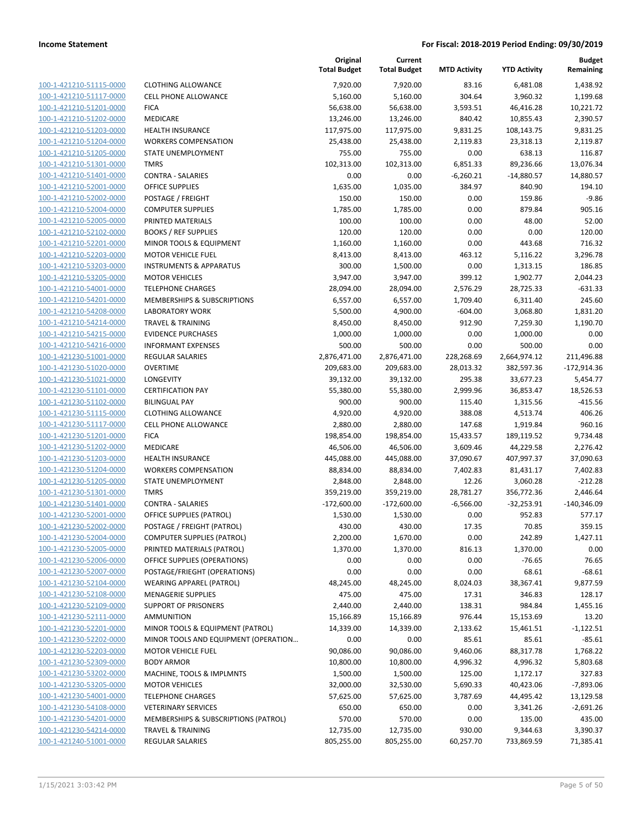| 100-1-421210-51115-0000        |
|--------------------------------|
| 100-1-421210-51117-0000        |
| 100-1-421210-51201-0000        |
| <u>100-1-421210-51202-0000</u> |
| 100-1-421210-51203-0000        |
| 100-1-421210-51204-0000        |
| 100-1-421210-51205-0000        |
| 100-1-421210-51301-0000        |
| 100-1-421210-51401-0000        |
| 100-1-421210-52001-0000        |
| 100-1-421210-52002-0000        |
|                                |
| 100-1-421210-52004-0000        |
| 100-1-421210-52005-0000        |
| <u>100-1-421210-52102-0000</u> |
| 100-1-421210-52201-0000        |
| 100-1-421210-52203-0000        |
| 100-1-421210-53203-0000        |
| 100-1-421210-53205-0000        |
| 100-1-421210-54001-0000        |
| 100-1-421210-54201-0000        |
| 100-1-421210-54208-0000        |
| 100-1-421210-54214-0000        |
| 100-1-421210-54215-0000        |
| <u>100-1-421210-54216-0000</u> |
| 100-1-421230-51001-0000        |
|                                |
| 100-1-421230-51020-0000        |
| 100-1-421230-51021-0000        |
| 100-1-421230-51101-0000        |
| 100-1-421230-51102-0000        |
| 100-1-421230-51115-0000        |
| 100-1-421230-51117-0000        |
| 100-1-421230-51201-0000        |
| 100-1-421230-51202-0000        |
| 100-1-421230-51203-0000        |
| 100-1-421230-51204-0000        |
| 100-1-421230-51205-0000        |
| 100-1-421230-51301-0000        |
| 100-1-421230-51401-0000        |
| 100-1-421230-52001-0000        |
| 100-1-421230-52002-0000        |
| 100-1-421230-52004-0000        |
| 100-1-421230-52005-0000        |
| 100-1-421230-52006-0000        |
|                                |
| 100-1-421230-52007-0000        |
| <u>100-1-421230-52104-0000</u> |
| 100-1-421230-52108-0000        |
| 100-1-421230-52109-0000        |
| 100-1-421230-52111-0000        |
| 100-1-421230-52201-0000        |
| <u>100-1-421230-52202-0000</u> |
| 100-1-421230-52203-0000        |
| 100-1-421230-52309-0000        |
| 100-1-421230-53202-0000        |
| 100-1-421230-53205-0000        |
| <u>100-1-421230-54001-0000</u> |
| <u>100-1-421230-54108-0000</u> |
| <u>100-1-421230-54201-0000</u> |
| 100-1-421230-54214-0000        |
|                                |
| <u>100-1-421240-51001-0000</u> |

|                                                                          | TULAI DUU    |
|--------------------------------------------------------------------------|--------------|
| CLOTHING ALLOWANCE                                                       | 7,920        |
| <b>CELL PHONE ALLOWANCE</b>                                              | 5,160        |
| FICA                                                                     | 56,638       |
| MEDICARE                                                                 | 13,246       |
| <b>HEALTH INSURANCE</b>                                                  | 117,975      |
| <b>WORKERS COMPENSATION</b>                                              | 25,438       |
| STATE UNEMPLOYMENT                                                       | 755          |
| <b>TMRS</b>                                                              | 102,313      |
| CONTRA - SALARIES                                                        | 0            |
| OFFICE SUPPLIES                                                          | 1,635        |
| POSTAGE / FREIGHT                                                        | 150          |
| <b>COMPUTER SUPPLIES</b>                                                 | 1,785        |
| PRINTED MATERIALS                                                        | 100          |
| <b>BOOKS / REF SUPPLIES</b>                                              | 120          |
| MINOR TOOLS & EQUIPMENT<br>MOTOR VEHICLE FUEL                            | 1,160        |
| <b>INSTRUMENTS &amp; APPARATUS</b>                                       | 8,413<br>300 |
| <b>MOTOR VEHICLES</b>                                                    | 3.947        |
| <b>TELEPHONE CHARGES</b>                                                 | 28,094       |
| <b>MEMBERSHIPS &amp; SUBSCRIPTIONS</b>                                   | 6,557        |
| LABORATORY WORK                                                          | 5,500        |
| TRAVEL & TRAINING                                                        | 8,450        |
| <b>EVIDENCE PURCHASES</b>                                                | 1,000        |
| <b>INFORMANT EXPENSES</b>                                                | 500          |
| REGULAR SALARIES                                                         | 2,876,471    |
| OVERTIME                                                                 | 209,683      |
| LONGEVITY                                                                | 39,132       |
| <b>CERTIFICATION PAY</b>                                                 | 55,380       |
| <b>BILINGUAL PAY</b>                                                     | 900          |
| <b>CLOTHING ALLOWANCE</b>                                                | 4,920        |
| <b>CELL PHONE ALLOWANCE</b>                                              | 2,880        |
| FICA                                                                     | 198,854      |
| MEDICARE                                                                 | 46,506       |
| HEALTH INSURANCE                                                         | 445,088      |
| <b>WORKERS COMPENSATION</b>                                              | 88,834       |
| STATE UNEMPLOYMENT                                                       | 2,848        |
| <b>TMRS</b>                                                              | 359,219      |
| CONTRA - SALARIES                                                        | $-172,600$   |
| OFFICE SUPPLIES (PATROL)                                                 | 1,530        |
| POSTAGE / FREIGHT (PATROL)                                               | 430          |
| COMPUTER SUPPLIES (PATROL)                                               | 2,200        |
| PRINTED MATERIALS (PATROL)                                               | 1,370        |
| OFFICE SUPPLIES (OPERATIONS)                                             | 0            |
| POSTAGE/FRIEGHT (OPERATIONS)                                             | 0            |
| WEARING APPAREL (PATROL)                                                 | 48,245       |
| <b>MENAGERIE SUPPLIES</b>                                                | 475          |
| <b>SUPPORT OF PRISONERS</b>                                              | 2,440        |
| AMMUNITION                                                               | 15,166       |
| MINOR TOOLS & EQUIPMENT (PATROL)<br>MINOR TOOLS AND EQUIPMENT (OPERATION | 14,339<br>0  |
| MOTOR VEHICLE FUEL                                                       | 90,086       |
| <b>BODY ARMOR</b>                                                        | 10,800       |
| MACHINE, TOOLS & IMPLMNTS                                                | 1,500        |
| <b>MOTOR VEHICLES</b>                                                    | 32,000       |
| <b>TELEPHONE CHARGES</b>                                                 | 57,625       |
| <b>VETERINARY SERVICES</b>                                               | 650          |
| MEMBERSHIPS & SUBSCRIPTIONS (PATROL)                                     | 570          |
| TRAVEL & TRAINING                                                        | 12,735       |

|                                                    |                                                            | Original<br><b>Total Budget</b> | Current<br><b>Total Budget</b> | <b>MTD Activity</b> | <b>YTD Activity</b>   | <b>Budget</b><br>Remaining |
|----------------------------------------------------|------------------------------------------------------------|---------------------------------|--------------------------------|---------------------|-----------------------|----------------------------|
| 100-1-421210-51115-0000                            | <b>CLOTHING ALLOWANCE</b>                                  | 7,920.00                        | 7,920.00                       | 83.16               | 6,481.08              | 1,438.92                   |
| 100-1-421210-51117-0000                            | <b>CELL PHONE ALLOWANCE</b>                                | 5,160.00                        | 5,160.00                       | 304.64              | 3,960.32              | 1,199.68                   |
| 100-1-421210-51201-0000                            | <b>FICA</b>                                                | 56,638.00                       | 56,638.00                      | 3,593.51            | 46,416.28             | 10,221.72                  |
| 100-1-421210-51202-0000                            | MEDICARE                                                   | 13,246.00                       | 13,246.00                      | 840.42              | 10,855.43             | 2,390.57                   |
| 100-1-421210-51203-0000                            | <b>HEALTH INSURANCE</b>                                    | 117,975.00                      | 117,975.00                     | 9,831.25            | 108,143.75            | 9,831.25                   |
| 100-1-421210-51204-0000                            | <b>WORKERS COMPENSATION</b>                                | 25,438.00                       | 25,438.00                      | 2,119.83            | 23,318.13             | 2,119.87                   |
| 100-1-421210-51205-0000                            | STATE UNEMPLOYMENT                                         | 755.00                          | 755.00                         | 0.00                | 638.13                | 116.87                     |
| 100-1-421210-51301-0000                            | <b>TMRS</b>                                                | 102,313.00                      | 102,313.00                     | 6,851.33            | 89,236.66             | 13,076.34                  |
| 100-1-421210-51401-0000                            | <b>CONTRA - SALARIES</b>                                   | 0.00                            | 0.00                           | $-6,260.21$         | $-14,880.57$          | 14,880.57                  |
| 100-1-421210-52001-0000                            | <b>OFFICE SUPPLIES</b>                                     | 1,635.00                        | 1,035.00                       | 384.97              | 840.90                | 194.10                     |
| 100-1-421210-52002-0000                            | POSTAGE / FREIGHT                                          | 150.00                          | 150.00                         | 0.00                | 159.86                | $-9.86$                    |
| 100-1-421210-52004-0000                            | <b>COMPUTER SUPPLIES</b>                                   | 1,785.00                        | 1,785.00                       | 0.00                | 879.84                | 905.16                     |
| 100-1-421210-52005-0000                            | PRINTED MATERIALS                                          | 100.00                          | 100.00                         | 0.00                | 48.00                 | 52.00                      |
| 100-1-421210-52102-0000                            | <b>BOOKS / REF SUPPLIES</b>                                | 120.00                          | 120.00                         | 0.00                | 0.00                  | 120.00                     |
| 100-1-421210-52201-0000                            | MINOR TOOLS & EQUIPMENT                                    | 1,160.00                        | 1,160.00                       | 0.00                | 443.68                | 716.32                     |
| 100-1-421210-52203-0000                            | <b>MOTOR VEHICLE FUEL</b>                                  | 8,413.00                        | 8,413.00                       | 463.12              | 5,116.22              | 3,296.78                   |
| 100-1-421210-53203-0000                            | <b>INSTRUMENTS &amp; APPARATUS</b>                         | 300.00                          | 1,500.00                       | 0.00                | 1,313.15              | 186.85                     |
| 100-1-421210-53205-0000                            | <b>MOTOR VEHICLES</b>                                      | 3,947.00                        | 3,947.00                       | 399.12              | 1,902.77              | 2,044.23                   |
| 100-1-421210-54001-0000                            | <b>TELEPHONE CHARGES</b>                                   | 28,094.00                       | 28,094.00                      | 2,576.29            | 28,725.33             | $-631.33$                  |
| 100-1-421210-54201-0000                            | MEMBERSHIPS & SUBSCRIPTIONS                                | 6,557.00                        | 6,557.00                       | 1,709.40            | 6,311.40              | 245.60                     |
| 100-1-421210-54208-0000                            | <b>LABORATORY WORK</b>                                     | 5,500.00                        | 4,900.00                       | $-604.00$           | 3,068.80              | 1,831.20                   |
| 100-1-421210-54214-0000                            | <b>TRAVEL &amp; TRAINING</b>                               | 8,450.00                        | 8,450.00                       | 912.90              | 7,259.30              | 1,190.70                   |
| 100-1-421210-54215-0000                            | <b>EVIDENCE PURCHASES</b>                                  | 1,000.00                        | 1,000.00                       | 0.00                | 1,000.00              | 0.00                       |
| 100-1-421210-54216-0000                            | <b>INFORMANT EXPENSES</b>                                  | 500.00                          | 500.00                         | 0.00                | 500.00                | 0.00                       |
| 100-1-421230-51001-0000                            | <b>REGULAR SALARIES</b>                                    | 2,876,471.00                    | 2,876,471.00                   | 228,268.69          | 2,664,974.12          | 211,496.88                 |
| 100-1-421230-51020-0000                            | <b>OVERTIME</b>                                            | 209,683.00                      | 209,683.00                     | 28,013.32           | 382,597.36            | $-172,914.36$              |
| 100-1-421230-51021-0000                            | LONGEVITY                                                  | 39,132.00                       | 39,132.00                      | 295.38              | 33,677.23             | 5,454.77                   |
| 100-1-421230-51101-0000                            | <b>CERTIFICATION PAY</b>                                   | 55,380.00                       | 55,380.00                      | 2,999.96            | 36,853.47             | 18,526.53                  |
| 100-1-421230-51102-0000                            | <b>BILINGUAL PAY</b>                                       | 900.00                          | 900.00                         | 115.40              | 1,315.56              | $-415.56$                  |
| 100-1-421230-51115-0000                            | <b>CLOTHING ALLOWANCE</b>                                  | 4,920.00                        | 4,920.00                       | 388.08              | 4,513.74              | 406.26                     |
| 100-1-421230-51117-0000                            | CELL PHONE ALLOWANCE                                       | 2,880.00                        | 2,880.00                       | 147.68              | 1,919.84              | 960.16                     |
| 100-1-421230-51201-0000                            | <b>FICA</b>                                                | 198,854.00                      | 198,854.00                     | 15,433.57           | 189,119.52            | 9,734.48                   |
| 100-1-421230-51202-0000                            | MEDICARE                                                   | 46,506.00                       | 46,506.00                      | 3,609.46            | 44,229.58             | 2,276.42                   |
| 100-1-421230-51203-0000                            | <b>HEALTH INSURANCE</b>                                    | 445,088.00                      | 445,088.00                     | 37,090.67           | 407,997.37            | 37,090.63                  |
| 100-1-421230-51204-0000                            | <b>WORKERS COMPENSATION</b>                                | 88,834.00                       | 88,834.00                      | 7,402.83            | 81,431.17             | 7,402.83                   |
| 100-1-421230-51205-0000                            | STATE UNEMPLOYMENT                                         | 2,848.00                        | 2,848.00                       | 12.26               | 3,060.28              | $-212.28$                  |
| 100-1-421230-51301-0000                            | <b>TMRS</b>                                                | 359,219.00                      | 359,219.00                     | 28,781.27           | 356,772.36            | 2,446.64                   |
| 100-1-421230-51401-0000                            | <b>CONTRA - SALARIES</b>                                   | $-172,600.00$                   | $-172,600.00$                  | $-6,566.00$         | $-32,253.91$          | $-140,346.09$              |
| 100-1-421230-52001-0000                            | OFFICE SUPPLIES (PATROL)                                   | 1,530.00                        | 1,530.00                       | 0.00                | 952.83                | 577.17                     |
| 100-1-421230-52002-0000                            | POSTAGE / FREIGHT (PATROL)                                 | 430.00                          | 430.00                         | 17.35               | 70.85                 | 359.15                     |
| 100-1-421230-52004-0000                            | <b>COMPUTER SUPPLIES (PATROL)</b>                          | 2,200.00                        | 1,670.00                       | 0.00                | 242.89                | 1,427.11                   |
| 100-1-421230-52005-0000<br>100-1-421230-52006-0000 | PRINTED MATERIALS (PATROL)<br>OFFICE SUPPLIES (OPERATIONS) | 1,370.00                        | 1,370.00                       | 816.13              | 1,370.00              | 0.00                       |
| 100-1-421230-52007-0000                            | POSTAGE/FRIEGHT (OPERATIONS)                               | 0.00                            | 0.00                           | 0.00                | $-76.65$<br>68.61     | 76.65                      |
| 100-1-421230-52104-0000                            | <b>WEARING APPAREL (PATROL)</b>                            | 0.00<br>48,245.00               | 0.00<br>48,245.00              | 0.00<br>8,024.03    | 38,367.41             | $-68.61$<br>9,877.59       |
| 100-1-421230-52108-0000                            | <b>MENAGERIE SUPPLIES</b>                                  | 475.00                          | 475.00                         | 17.31               | 346.83                | 128.17                     |
| 100-1-421230-52109-0000                            | <b>SUPPORT OF PRISONERS</b>                                | 2,440.00                        | 2,440.00                       | 138.31              | 984.84                | 1,455.16                   |
| 100-1-421230-52111-0000                            | <b>AMMUNITION</b>                                          | 15,166.89                       | 15,166.89                      | 976.44              | 15,153.69             | 13.20                      |
| 100-1-421230-52201-0000                            | MINOR TOOLS & EQUIPMENT (PATROL)                           | 14,339.00                       | 14,339.00                      | 2,133.62            | 15,461.51             | $-1,122.51$                |
| 100-1-421230-52202-0000                            | MINOR TOOLS AND EQUIPMENT (OPERATION                       | 0.00                            | 0.00                           | 85.61               | 85.61                 | $-85.61$                   |
| 100-1-421230-52203-0000                            | <b>MOTOR VEHICLE FUEL</b>                                  | 90,086.00                       | 90,086.00                      | 9,460.06            |                       | 1,768.22                   |
| 100-1-421230-52309-0000                            | <b>BODY ARMOR</b>                                          | 10,800.00                       | 10,800.00                      | 4,996.32            | 88,317.78<br>4,996.32 | 5,803.68                   |
| 100-1-421230-53202-0000                            | MACHINE, TOOLS & IMPLMNTS                                  | 1,500.00                        | 1,500.00                       | 125.00              | 1,172.17              | 327.83                     |
| 100-1-421230-53205-0000                            | <b>MOTOR VEHICLES</b>                                      | 32,000.00                       | 32,530.00                      | 5,690.33            | 40,423.06             | $-7,893.06$                |
| 100-1-421230-54001-0000                            | <b>TELEPHONE CHARGES</b>                                   | 57,625.00                       | 57,625.00                      | 3,787.69            | 44,495.42             | 13,129.58                  |
| 100-1-421230-54108-0000                            | <b>VETERINARY SERVICES</b>                                 | 650.00                          | 650.00                         | 0.00                | 3,341.26              | $-2,691.26$                |
| 100-1-421230-54201-0000                            | MEMBERSHIPS & SUBSCRIPTIONS (PATROL)                       | 570.00                          | 570.00                         | 0.00                | 135.00                | 435.00                     |
| 100-1-421230-54214-0000                            | <b>TRAVEL &amp; TRAINING</b>                               | 12,735.00                       | 12,735.00                      | 930.00              | 9,344.63              | 3,390.37                   |
| 100-1-421240-51001-0000                            | REGULAR SALARIES                                           | 805,255.00                      | 805,255.00                     | 60,257.70           | 733,869.59            | 71,385.41                  |
|                                                    |                                                            |                                 |                                |                     |                       |                            |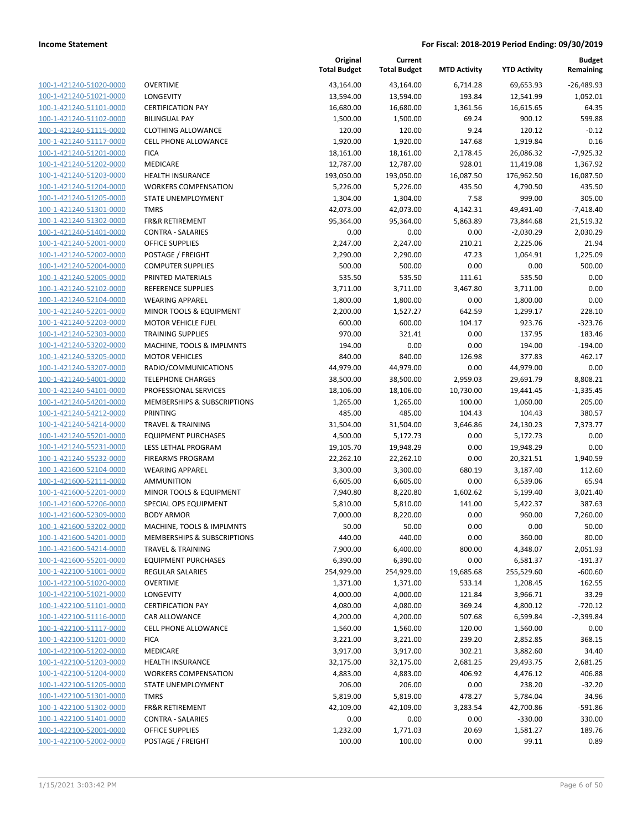| 100-1-421240-51020-0000        |
|--------------------------------|
| 100-1-421240-51021-0000        |
| 100-1-421240-51101-0000        |
| 100-1-421240-51102-0000        |
| 100-1-421240-51115-0000        |
| 100-1-421240-51117-0000        |
| 100-1-421240-51201-0000        |
| 100-1-421240-51202-0000        |
| 100-1-421240-51203-0000        |
| 100-1-421240-51204-0000        |
| 100-1-421240-51205-0000        |
| 100-1-421240-51301-0000        |
| 100-1-421240-51302-0000        |
| 100-1-421240-51401-0000        |
| 100-1-421240-52001-0000        |
| 100-1-421240-52002-0000        |
| 100-1-421240-52004-0000        |
| 100-1-421240-52005-0000        |
| 100-1-421240-52102-0000        |
| 100-1-421240-52104-0000        |
| 100-1-421240-52201-0000        |
|                                |
| 100-1-421240-52203-0000        |
| 100-1-421240-52303-0000        |
| 100-1-421240-53202-0000        |
| 100-1-421240-53205-0000        |
| 100-1-421240-53207-0000        |
| 100-1-421240-54001-0000        |
| 100-1-421240-54101-0000        |
| 100-1-421240-54201-0000        |
| 100-1-421240-54212-0000        |
| 100-1-421240-54214-0000        |
| 100-1-421240-55201-0000        |
| 100-1-421240-55231-0000        |
| 100-1-421240-55232-0000        |
| 100-1-421600-52104-0000        |
| 100-1-421600-52111-0000        |
| <u>100-1-421600-52201-0000</u> |
| 100-1-421600-52206-0000        |
| 100-1-421600-52309-0000        |
| 100-1-421600-53202-0000        |
| 100-1-421600-54201-0000        |
| <u>100-1-421600-54214-0000</u> |
| <u>100-1-421600-55201-0000</u> |
| 100-1-422100-51001-0000        |
| 100-1-422100-51020-0000        |
| 100-1-422100-51021-0000        |
| <u>100-1-422100-51101-0000</u> |
| 100-1-422100-51116-0000        |
| 100-1-422100-51117-0000        |
| <u>100-1-422100-51201-0000</u> |
|                                |
| <u>100-1-422100-51202-0000</u> |
| <u>100-1-422100-51203-0000</u> |
| 100-1-422100-51204-0000        |
| 100-1-422100-51205-0000        |
| 100-1-422100-51301-0000        |
| <u>100-1-422100-51302-0000</u> |
| <u>100-1-422100-51401-0000</u> |
| <u>100-1-422100-52001-0000</u> |
| 100-1-422100-52002-0000        |

|                                                    |                                                | Original<br><b>Total Budget</b> | Current<br><b>Total Budget</b> | <b>MTD Activity</b> | <b>YTD Activity</b> | <b>Budget</b><br>Remaining |
|----------------------------------------------------|------------------------------------------------|---------------------------------|--------------------------------|---------------------|---------------------|----------------------------|
| 100-1-421240-51020-0000                            | <b>OVERTIME</b>                                | 43,164.00                       | 43,164.00                      | 6,714.28            | 69,653.93           | $-26,489.93$               |
| 100-1-421240-51021-0000                            | LONGEVITY                                      | 13,594.00                       | 13,594.00                      | 193.84              | 12,541.99           | 1,052.01                   |
| 100-1-421240-51101-0000                            | <b>CERTIFICATION PAY</b>                       | 16,680.00                       | 16,680.00                      | 1,361.56            | 16,615.65           | 64.35                      |
| 100-1-421240-51102-0000                            | <b>BILINGUAL PAY</b>                           | 1,500.00                        | 1,500.00                       | 69.24               | 900.12              | 599.88                     |
| 100-1-421240-51115-0000                            | <b>CLOTHING ALLOWANCE</b>                      | 120.00                          | 120.00                         | 9.24                | 120.12              | $-0.12$                    |
| 100-1-421240-51117-0000                            | <b>CELL PHONE ALLOWANCE</b>                    | 1,920.00                        | 1,920.00                       | 147.68              | 1,919.84            | 0.16                       |
| 100-1-421240-51201-0000                            | <b>FICA</b>                                    | 18,161.00                       | 18,161.00                      | 2,178.45            | 26,086.32           | $-7,925.32$                |
| 100-1-421240-51202-0000                            | MEDICARE                                       | 12,787.00                       | 12,787.00                      | 928.01              | 11,419.08           | 1,367.92                   |
| 100-1-421240-51203-0000                            | <b>HEALTH INSURANCE</b>                        | 193,050.00                      | 193,050.00                     | 16,087.50           | 176,962.50          | 16,087.50                  |
| 100-1-421240-51204-0000                            | <b>WORKERS COMPENSATION</b>                    | 5,226.00                        | 5,226.00                       | 435.50              | 4,790.50            | 435.50                     |
| 100-1-421240-51205-0000                            | STATE UNEMPLOYMENT                             | 1,304.00                        | 1,304.00                       | 7.58                | 999.00              | 305.00                     |
| 100-1-421240-51301-0000                            | <b>TMRS</b>                                    | 42,073.00                       | 42,073.00                      | 4,142.31            | 49,491.40           | $-7,418.40$                |
| 100-1-421240-51302-0000                            | <b>FR&amp;R RETIREMENT</b>                     | 95,364.00                       | 95,364.00                      | 5,863.89            | 73,844.68           | 21,519.32                  |
| 100-1-421240-51401-0000                            | <b>CONTRA - SALARIES</b>                       | 0.00                            | 0.00                           | 0.00                | $-2,030.29$         | 2,030.29                   |
| 100-1-421240-52001-0000                            | <b>OFFICE SUPPLIES</b>                         | 2,247.00                        | 2,247.00                       | 210.21              | 2,225.06            | 21.94                      |
| 100-1-421240-52002-0000                            | POSTAGE / FREIGHT                              | 2,290.00                        | 2,290.00                       | 47.23               | 1,064.91            | 1,225.09                   |
| 100-1-421240-52004-0000                            | <b>COMPUTER SUPPLIES</b>                       | 500.00                          | 500.00                         | 0.00                | 0.00                | 500.00                     |
| 100-1-421240-52005-0000                            | PRINTED MATERIALS                              | 535.50                          | 535.50                         | 111.61              | 535.50              | 0.00                       |
| 100-1-421240-52102-0000                            | REFERENCE SUPPLIES                             | 3,711.00                        | 3,711.00                       | 3,467.80            | 3,711.00            | 0.00                       |
| 100-1-421240-52104-0000                            | <b>WEARING APPAREL</b>                         | 1,800.00                        | 1,800.00                       | 0.00                | 1,800.00            | 0.00                       |
| 100-1-421240-52201-0000                            | MINOR TOOLS & EQUIPMENT                        | 2,200.00                        | 1,527.27                       | 642.59              | 1,299.17            | 228.10                     |
| 100-1-421240-52203-0000                            | <b>MOTOR VEHICLE FUEL</b>                      | 600.00                          | 600.00                         | 104.17              | 923.76              | $-323.76$                  |
| 100-1-421240-52303-0000                            | <b>TRAINING SUPPLIES</b>                       | 970.00                          | 321.41                         | 0.00                | 137.95              | 183.46                     |
| 100-1-421240-53202-0000                            | MACHINE, TOOLS & IMPLMNTS                      | 194.00                          | 0.00                           | 0.00                | 194.00              | $-194.00$                  |
| 100-1-421240-53205-0000                            | <b>MOTOR VEHICLES</b>                          | 840.00                          | 840.00                         | 126.98              | 377.83              | 462.17                     |
| 100-1-421240-53207-0000                            | RADIO/COMMUNICATIONS                           | 44,979.00                       | 44,979.00                      | 0.00                | 44,979.00           | 0.00                       |
| 100-1-421240-54001-0000                            | <b>TELEPHONE CHARGES</b>                       | 38,500.00                       | 38,500.00                      | 2,959.03            | 29,691.79           | 8,808.21                   |
| 100-1-421240-54101-0000                            | PROFESSIONAL SERVICES                          | 18,106.00                       | 18,106.00                      | 10,730.00           | 19,441.45           | $-1,335.45$                |
| 100-1-421240-54201-0000                            | MEMBERSHIPS & SUBSCRIPTIONS                    | 1,265.00                        | 1,265.00                       | 100.00              | 1,060.00            | 205.00                     |
| 100-1-421240-54212-0000                            | <b>PRINTING</b>                                | 485.00                          | 485.00                         | 104.43              | 104.43              | 380.57                     |
| 100-1-421240-54214-0000                            | <b>TRAVEL &amp; TRAINING</b>                   | 31,504.00                       | 31,504.00                      | 3,646.86            | 24,130.23           | 7,373.77                   |
| 100-1-421240-55201-0000                            | <b>EQUIPMENT PURCHASES</b>                     | 4,500.00                        | 5,172.73                       | 0.00                | 5,172.73            | 0.00                       |
| 100-1-421240-55231-0000                            | LESS LETHAL PROGRAM                            | 19,105.70                       | 19,948.29                      | 0.00                | 19,948.29           | 0.00                       |
| 100-1-421240-55232-0000                            | <b>FIREARMS PROGRAM</b>                        | 22,262.10                       | 22,262.10                      | 0.00                | 20,321.51           | 1,940.59                   |
| 100-1-421600-52104-0000                            | <b>WEARING APPAREL</b>                         | 3,300.00                        | 3,300.00                       | 680.19              | 3,187.40            | 112.60                     |
| 100-1-421600-52111-0000                            | AMMUNITION                                     | 6,605.00                        | 6,605.00                       | 0.00                | 6,539.06            | 65.94                      |
| 100-1-421600-52201-0000                            | MINOR TOOLS & EQUIPMENT                        | 7,940.80<br>5,810.00            | 8,220.80                       | 1,602.62            | 5,199.40            | 3,021.40                   |
| 100-1-421600-52206-0000<br>100-1-421600-52309-0000 | SPECIAL OPS EQUIPMENT                          |                                 | 5,810.00                       | 141.00              | 5,422.37            | 387.63                     |
| 100-1-421600-53202-0000                            | <b>BODY ARMOR</b><br>MACHINE, TOOLS & IMPLMNTS | 7,000.00<br>50.00               | 8,220.00<br>50.00              | 0.00<br>0.00        | 960.00<br>0.00      | 7,260.00<br>50.00          |
| 100-1-421600-54201-0000                            | MEMBERSHIPS & SUBSCRIPTIONS                    | 440.00                          | 440.00                         | 0.00                | 360.00              | 80.00                      |
| 100-1-421600-54214-0000                            | <b>TRAVEL &amp; TRAINING</b>                   | 7,900.00                        | 6,400.00                       | 800.00              | 4,348.07            | 2,051.93                   |
| 100-1-421600-55201-0000                            | <b>EQUIPMENT PURCHASES</b>                     | 6,390.00                        | 6,390.00                       | 0.00                | 6,581.37            | $-191.37$                  |
| 100-1-422100-51001-0000                            | <b>REGULAR SALARIES</b>                        | 254,929.00                      | 254,929.00                     | 19,685.68           | 255,529.60          | $-600.60$                  |
| 100-1-422100-51020-0000                            | <b>OVERTIME</b>                                | 1,371.00                        | 1,371.00                       | 533.14              | 1,208.45            | 162.55                     |
| 100-1-422100-51021-0000                            | LONGEVITY                                      | 4,000.00                        | 4,000.00                       | 121.84              | 3,966.71            | 33.29                      |
| 100-1-422100-51101-0000                            | <b>CERTIFICATION PAY</b>                       | 4,080.00                        | 4,080.00                       | 369.24              | 4,800.12            | $-720.12$                  |
| 100-1-422100-51116-0000                            | CAR ALLOWANCE                                  | 4,200.00                        | 4,200.00                       | 507.68              | 6,599.84            | $-2,399.84$                |
| 100-1-422100-51117-0000                            | <b>CELL PHONE ALLOWANCE</b>                    | 1,560.00                        | 1,560.00                       | 120.00              | 1,560.00            | 0.00                       |
| 100-1-422100-51201-0000                            | <b>FICA</b>                                    | 3,221.00                        | 3,221.00                       | 239.20              | 2,852.85            | 368.15                     |
| 100-1-422100-51202-0000                            | MEDICARE                                       | 3,917.00                        | 3,917.00                       | 302.21              | 3,882.60            | 34.40                      |
| 100-1-422100-51203-0000                            | <b>HEALTH INSURANCE</b>                        | 32,175.00                       | 32,175.00                      | 2,681.25            | 29,493.75           | 2,681.25                   |
| 100-1-422100-51204-0000                            | <b>WORKERS COMPENSATION</b>                    | 4,883.00                        | 4,883.00                       | 406.92              | 4,476.12            | 406.88                     |
| 100-1-422100-51205-0000                            | STATE UNEMPLOYMENT                             | 206.00                          | 206.00                         | 0.00                | 238.20              | $-32.20$                   |
| 100-1-422100-51301-0000                            | <b>TMRS</b>                                    | 5,819.00                        | 5,819.00                       | 478.27              | 5,784.04            | 34.96                      |
| 100-1-422100-51302-0000                            | <b>FR&amp;R RETIREMENT</b>                     | 42,109.00                       | 42,109.00                      | 3,283.54            | 42,700.86           | -591.86                    |
| 100-1-422100-51401-0000                            | <b>CONTRA - SALARIES</b>                       | 0.00                            | 0.00                           | 0.00                | $-330.00$           | 330.00                     |
| 100-1-422100-52001-0000                            | <b>OFFICE SUPPLIES</b>                         | 1,232.00                        | 1,771.03                       | 20.69               | 1,581.27            | 189.76                     |
| 100-1-422100-52002-0000                            | POSTAGE / FREIGHT                              | 100.00                          | 100.00                         | 0.00                | 99.11               | 0.89                       |
|                                                    |                                                |                                 |                                |                     |                     |                            |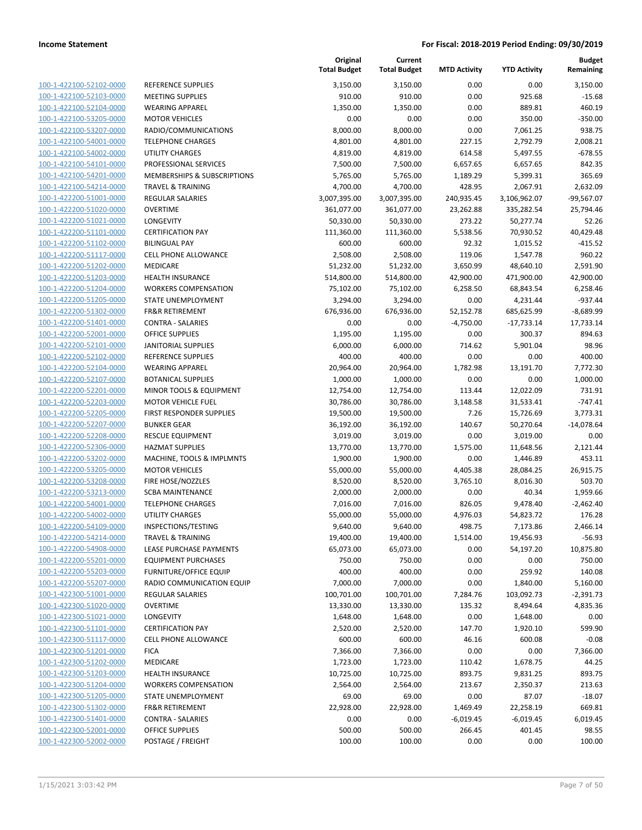**Current**

**Original**

**Budget Remaining**

| 100-1-422100-52102-0000        |
|--------------------------------|
| 100-1-422100-52103-0000        |
| 100-1-422100-52104-0000        |
| 100-1-422100-53205-0000        |
| 100-1-422100-53207-0000        |
| 100-1-422100-54001-0000        |
| 100-1-422100-54002-0000        |
| 100-1-422100-54101-0000        |
|                                |
| 100-1-422100-54201-0000        |
| 100-1-422100-54214-0000        |
| 100-1-422200-51001-0000        |
| 100-1-422200-51020-0000        |
| 100-1-422200-51021-0000        |
| 100-1-422200-51101-0000        |
| 100-1-422200-51102-0000        |
| 100-1-422200-51117-0000        |
| 100-1-422200-51202-0000        |
| 100-1-422200-51203-0000        |
| 100-1-422200-51204-0000        |
| 100-1-422200-51205-0000        |
| 100-1-422200-51302-0000        |
|                                |
| 100-1-422200-51401-0000        |
| 100-1-422200-52001-0000        |
| 100-1-422200-52101-0000        |
| 100-1-422200-52102-0000        |
| 100-1-422200-52104-0000        |
| 100-1-422200-52107-0000        |
| 100-1-422200-52201-0000        |
| 100-1-422200-52203-0000        |
| 100-1-422200-52205-0000        |
| 100-1-422200-52207-0000        |
| 100-1-422200-52208-0000        |
| 100-1-422200-52306-0000        |
| 100-1-422200-53202-0000        |
| 100-1-422200-53205-0000        |
| 100-1-422200-53208-0000        |
| 100-1-422200-53213-0000        |
|                                |
| 100-1-422200-54001-0000        |
| 100-1-422200-54002-0000        |
| 100-1-422200-54109-0000        |
| 100-1-422200-54214-0000        |
| 100-1-422200-54908-0000        |
| <u>100-1-422200-55201-0000</u> |
| 100-1-422200-55203-0000        |
| 100-1-422200-55207-0000        |
| 100-1-422300-51001-0000        |
| 100-1-422300-51020-0000        |
| <u>100-1-422300-51021-0000</u> |
| 100-1-422300-51101-0000        |
| 100-1-422300-51117-0000        |
| 100-1-422300-51201-0000        |
|                                |
| 100-1-422300-51202-0000        |
| <u>100-1-422300-51203-0000</u> |
| 100-1-422300-51204-0000        |
| 100-1-422300-51205-0000        |
| <u>100-1-422300-51302-0000</u> |
| 100-1-422300-51401-0000        |
| <u>100-1-422300-52001-0000</u> |
| <u>100-1-422300-52002-0000</u> |
|                                |

|                         |                               | <b>Total Budget</b> | <b>Total Budget</b> | <b>MTD Activity</b> | <b>YTD Activity</b> | Remaining    |
|-------------------------|-------------------------------|---------------------|---------------------|---------------------|---------------------|--------------|
| 100-1-422100-52102-0000 | REFERENCE SUPPLIES            | 3,150.00            | 3,150.00            | 0.00                | 0.00                | 3,150.00     |
| 100-1-422100-52103-0000 | MEETING SUPPLIES              | 910.00              | 910.00              | 0.00                | 925.68              | $-15.68$     |
| 100-1-422100-52104-0000 | <b>WEARING APPAREL</b>        | 1,350.00            | 1,350.00            | 0.00                | 889.81              | 460.19       |
| 100-1-422100-53205-0000 | <b>MOTOR VEHICLES</b>         | 0.00                | 0.00                | 0.00                | 350.00              | $-350.00$    |
| 100-1-422100-53207-0000 | RADIO/COMMUNICATIONS          | 8,000.00            | 8,000.00            | 0.00                | 7,061.25            | 938.75       |
| 100-1-422100-54001-0000 | <b>TELEPHONE CHARGES</b>      | 4,801.00            | 4,801.00            | 227.15              | 2,792.79            | 2,008.21     |
| 100-1-422100-54002-0000 | UTILITY CHARGES               | 4,819.00            | 4,819.00            | 614.58              | 5,497.55            | $-678.55$    |
| 100-1-422100-54101-0000 | PROFESSIONAL SERVICES         | 7,500.00            | 7,500.00            | 6,657.65            | 6,657.65            | 842.35       |
| 100-1-422100-54201-0000 | MEMBERSHIPS & SUBSCRIPTIONS   | 5,765.00            | 5,765.00            | 1,189.29            | 5,399.31            | 365.69       |
| 100-1-422100-54214-0000 | <b>TRAVEL &amp; TRAINING</b>  | 4,700.00            | 4,700.00            | 428.95              | 2,067.91            | 2,632.09     |
| 100-1-422200-51001-0000 | <b>REGULAR SALARIES</b>       | 3,007,395.00        | 3,007,395.00        | 240,935.45          | 3,106,962.07        | -99,567.07   |
| 100-1-422200-51020-0000 | <b>OVERTIME</b>               | 361,077.00          | 361,077.00          | 23,262.88           | 335,282.54          | 25,794.46    |
| 100-1-422200-51021-0000 | LONGEVITY                     | 50,330.00           | 50,330.00           | 273.22              | 50,277.74           | 52.26        |
| 100-1-422200-51101-0000 | <b>CERTIFICATION PAY</b>      | 111,360.00          | 111,360.00          | 5,538.56            | 70,930.52           | 40,429.48    |
| 100-1-422200-51102-0000 | <b>BILINGUAL PAY</b>          | 600.00              | 600.00              | 92.32               | 1,015.52            | $-415.52$    |
| 100-1-422200-51117-0000 | CELL PHONE ALLOWANCE          | 2,508.00            | 2,508.00            | 119.06              | 1,547.78            | 960.22       |
| 100-1-422200-51202-0000 | MEDICARE                      | 51,232.00           | 51,232.00           | 3,650.99            | 48,640.10           | 2,591.90     |
| 100-1-422200-51203-0000 | <b>HEALTH INSURANCE</b>       | 514,800.00          | 514,800.00          | 42,900.00           | 471,900.00          | 42,900.00    |
| 100-1-422200-51204-0000 | <b>WORKERS COMPENSATION</b>   | 75,102.00           | 75,102.00           | 6,258.50            | 68,843.54           | 6,258.46     |
| 100-1-422200-51205-0000 | STATE UNEMPLOYMENT            | 3,294.00            | 3,294.00            | 0.00                | 4,231.44            | $-937.44$    |
| 100-1-422200-51302-0000 | <b>FR&amp;R RETIREMENT</b>    | 676,936.00          | 676,936.00          | 52,152.78           | 685,625.99          | $-8,689.99$  |
| 100-1-422200-51401-0000 | <b>CONTRA - SALARIES</b>      | 0.00                | 0.00                | $-4,750.00$         | $-17,733.14$        | 17,733.14    |
| 100-1-422200-52001-0000 | <b>OFFICE SUPPLIES</b>        | 1,195.00            | 1,195.00            | 0.00                | 300.37              | 894.63       |
| 100-1-422200-52101-0000 | <b>JANITORIAL SUPPLIES</b>    | 6,000.00            | 6,000.00            | 714.62              | 5,901.04            | 98.96        |
| 100-1-422200-52102-0000 | REFERENCE SUPPLIES            | 400.00              | 400.00              | 0.00                | 0.00                | 400.00       |
| 100-1-422200-52104-0000 | <b>WEARING APPAREL</b>        | 20,964.00           | 20,964.00           | 1,782.98            | 13,191.70           | 7,772.30     |
| 100-1-422200-52107-0000 | <b>BOTANICAL SUPPLIES</b>     | 1,000.00            | 1,000.00            | 0.00                | 0.00                | 1,000.00     |
| 100-1-422200-52201-0000 | MINOR TOOLS & EQUIPMENT       | 12,754.00           | 12,754.00           | 113.44              | 12,022.09           | 731.91       |
| 100-1-422200-52203-0000 | <b>MOTOR VEHICLE FUEL</b>     | 30,786.00           | 30,786.00           | 3,148.58            | 31,533.41           | $-747.41$    |
| 100-1-422200-52205-0000 | FIRST RESPONDER SUPPLIES      | 19,500.00           | 19,500.00           | 7.26                | 15,726.69           | 3,773.31     |
| 100-1-422200-52207-0000 | <b>BUNKER GEAR</b>            | 36,192.00           | 36,192.00           | 140.67              | 50,270.64           | $-14,078.64$ |
| 100-1-422200-52208-0000 | <b>RESCUE EQUIPMENT</b>       | 3,019.00            | 3,019.00            | 0.00                | 3,019.00            | 0.00         |
| 100-1-422200-52306-0000 | <b>HAZMAT SUPPLIES</b>        | 13,770.00           | 13,770.00           | 1,575.00            | 11,648.56           | 2,121.44     |
| 100-1-422200-53202-0000 | MACHINE, TOOLS & IMPLMNTS     | 1,900.00            | 1,900.00            | 0.00                | 1,446.89            | 453.11       |
| 100-1-422200-53205-0000 | <b>MOTOR VEHICLES</b>         | 55,000.00           | 55,000.00           | 4,405.38            | 28,084.25           | 26,915.75    |
| 100-1-422200-53208-0000 | FIRE HOSE/NOZZLES             | 8,520.00            | 8,520.00            | 3,765.10            | 8,016.30            | 503.70       |
| 100-1-422200-53213-0000 | <b>SCBA MAINTENANCE</b>       | 2,000.00            | 2,000.00            | 0.00                | 40.34               | 1,959.66     |
| 100-1-422200-54001-0000 | <b>TELEPHONE CHARGES</b>      | 7,016.00            | 7,016.00            | 826.05              | 9,478.40            | $-2,462.40$  |
| 100-1-422200-54002-0000 | UTILITY CHARGES               | 55,000.00           | 55,000.00           | 4,976.03            | 54,823.72           | 176.28       |
| 100-1-422200-54109-0000 | INSPECTIONS/TESTING           | 9,640.00            | 9,640.00            | 498.75              | 7,173.86            | 2,466.14     |
| 100-1-422200-54214-0000 | <b>TRAVEL &amp; TRAINING</b>  | 19,400.00           | 19,400.00           | 1,514.00            | 19,456.93           | $-56.93$     |
| 100-1-422200-54908-0000 | LEASE PURCHASE PAYMENTS       | 65,073.00           | 65,073.00           | 0.00                | 54,197.20           | 10,875.80    |
| 100-1-422200-55201-0000 | <b>EQUIPMENT PURCHASES</b>    | 750.00              | 750.00              | 0.00                | 0.00                | 750.00       |
| 100-1-422200-55203-0000 | <b>FURNITURE/OFFICE EQUIP</b> | 400.00              | 400.00              | 0.00                | 259.92              | 140.08       |
| 100-1-422200-55207-0000 | RADIO COMMUNICATION EQUIP     | 7,000.00            | 7,000.00            | 0.00                | 1,840.00            | 5,160.00     |
| 100-1-422300-51001-0000 | <b>REGULAR SALARIES</b>       | 100,701.00          | 100,701.00          | 7,284.76            | 103,092.73          | $-2,391.73$  |
| 100-1-422300-51020-0000 | <b>OVERTIME</b>               | 13,330.00           | 13,330.00           | 135.32              | 8,494.64            | 4,835.36     |
| 100-1-422300-51021-0000 | LONGEVITY                     | 1,648.00            | 1,648.00            | 0.00                | 1,648.00            | 0.00         |
| 100-1-422300-51101-0000 | <b>CERTIFICATION PAY</b>      | 2,520.00            | 2,520.00            | 147.70              | 1,920.10            | 599.90       |
| 100-1-422300-51117-0000 | CELL PHONE ALLOWANCE          | 600.00              | 600.00              | 46.16               | 600.08              | $-0.08$      |
| 100-1-422300-51201-0000 | <b>FICA</b>                   | 7,366.00            | 7,366.00            | 0.00                | 0.00                | 7,366.00     |
| 100-1-422300-51202-0000 | MEDICARE                      | 1,723.00            | 1,723.00            | 110.42              | 1,678.75            | 44.25        |
| 100-1-422300-51203-0000 | HEALTH INSURANCE              | 10,725.00           | 10,725.00           | 893.75              | 9,831.25            | 893.75       |
| 100-1-422300-51204-0000 | <b>WORKERS COMPENSATION</b>   | 2,564.00            | 2,564.00            | 213.67              | 2,350.37            | 213.63       |
| 100-1-422300-51205-0000 | STATE UNEMPLOYMENT            | 69.00               | 69.00               | 0.00                | 87.07               | $-18.07$     |
| 100-1-422300-51302-0000 | <b>FR&amp;R RETIREMENT</b>    | 22,928.00           | 22,928.00           | 1,469.49            | 22,258.19           | 669.81       |
| 100-1-422300-51401-0000 | <b>CONTRA - SALARIES</b>      | 0.00                | 0.00                | $-6,019.45$         | $-6,019.45$         | 6,019.45     |
| 100-1-422300-52001-0000 | <b>OFFICE SUPPLIES</b>        | 500.00              | 500.00              | 266.45              | 401.45              | 98.55        |
| 100-1-422300-52002-0000 | POSTAGE / FREIGHT             | 100.00              | 100.00              | 0.00                | 0.00                | 100.00       |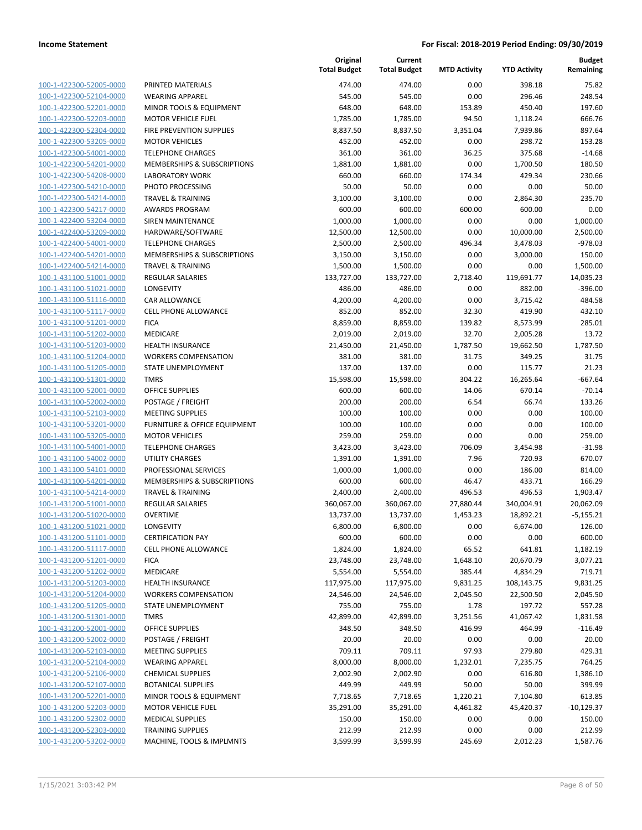| 100-1-422300-52005-0000        |
|--------------------------------|
| 100-1-422300-52104-0000        |
| 100-1-422300-52201-0000        |
| 100-1-422300-52203-0000        |
| 100-1-422300-52304-0000        |
|                                |
| 100-1-422300-53205-0000        |
| 100-1-422300-54001-0000        |
| 100-1-422300-54201-0000        |
| 100-1-422300-54208-0000        |
| 100-1-422300-54210-0000        |
| 100-1-422300-54214-0000        |
| 100-1-422300-54217-0000        |
| 100-1-422400-53204-0000        |
| 100-1-422400-53209-0000        |
|                                |
| 100-1-422400-54001-0000        |
| 100-1-422400-54201-0000        |
| 100-1-422400-54214-0000        |
| 100-1-431100-51001-0000        |
| 100-1-431100-51021-0000        |
| 100-1-431100-51116-0000        |
| 100-1-431100-51117-0000        |
| 100-1-431100-51201-0000        |
| 100-1-431100-51202-0000        |
|                                |
| 100-1-431100-51203-0000        |
| 100-1-431100-51204-0000        |
| 100-1-431100-51205-0000        |
| 100-1-431100-51301-0000        |
| 100-1-431100-52001-0000        |
| 100-1-431100-52002-0000        |
| 100-1-431100-52103-0000        |
| 100-1-431100-53201-0000        |
| 100-1-431100-53205-0000        |
| 100-1-431100-54001-0000        |
| 100-1-431100-54002-0000        |
|                                |
| 100-1-431100-54101-0000        |
| 100-1-431100-54201-0000        |
| 100-1-431100-54214-0000        |
| 100-1-431200-51001-0000        |
| 100-1-431200-51020-0000        |
| 100-1-431200-51021-0000        |
| 100-1-431200-51101-0000        |
| 100-1-431200-51117-0000        |
| <u>100-1-431200-51201-0000</u> |
| <u>100-1-431200-51202-0000</u> |
|                                |
| 100-1-431200-51203-0000        |
| 100-1-431200-51204-0000        |
| 100-1-431200-51205-0000        |
| <u>100-1-431200-51301-0000</u> |
| 100-1-431200-52001-0000        |
| 100-1-431200-52002-0000        |
| 100-1-431200-52103-0000        |
| 100-1-431200-52104-0000        |
| 100-1-431200-52106-0000        |
|                                |
| <u>100-1-431200-52107-0000</u> |
| 100-1-431200-52201-0000        |
| 100-1-431200-52203-0000        |
| <u>100-1-431200-52302-0000</u> |
| <u>100-1-431200-52303-0000</u> |
| <u>100-1-431200-53202-0000</u> |
|                                |

|                                                    |                                                      | Original<br><b>Total Budget</b> | Current<br><b>Total Budget</b> | <b>MTD Activity</b>  | <b>YTD Activity</b>   | <b>Budget</b><br>Remaining |
|----------------------------------------------------|------------------------------------------------------|---------------------------------|--------------------------------|----------------------|-----------------------|----------------------------|
| 100-1-422300-52005-0000                            | PRINTED MATERIALS                                    | 474.00                          | 474.00                         | 0.00                 | 398.18                | 75.82                      |
| 100-1-422300-52104-0000                            | <b>WEARING APPAREL</b>                               | 545.00                          | 545.00                         | 0.00                 | 296.46                | 248.54                     |
| 100-1-422300-52201-0000                            | MINOR TOOLS & EQUIPMENT                              | 648.00                          | 648.00                         | 153.89               | 450.40                | 197.60                     |
| 100-1-422300-52203-0000                            | <b>MOTOR VEHICLE FUEL</b>                            | 1,785.00                        | 1,785.00                       | 94.50                | 1,118.24              | 666.76                     |
| 100-1-422300-52304-0000                            | FIRE PREVENTION SUPPLIES                             | 8,837.50                        | 8,837.50                       | 3,351.04             | 7,939.86              | 897.64                     |
| 100-1-422300-53205-0000                            | <b>MOTOR VEHICLES</b>                                | 452.00                          | 452.00                         | 0.00                 | 298.72                | 153.28                     |
| 100-1-422300-54001-0000                            | <b>TELEPHONE CHARGES</b>                             | 361.00                          | 361.00                         | 36.25                | 375.68                | $-14.68$                   |
| 100-1-422300-54201-0000                            | MEMBERSHIPS & SUBSCRIPTIONS                          | 1,881.00                        | 1,881.00                       | 0.00                 | 1,700.50              | 180.50                     |
| 100-1-422300-54208-0000                            | <b>LABORATORY WORK</b>                               | 660.00                          | 660.00                         | 174.34               | 429.34                | 230.66                     |
| 100-1-422300-54210-0000                            | PHOTO PROCESSING                                     | 50.00                           | 50.00                          | 0.00                 | 0.00                  | 50.00                      |
| 100-1-422300-54214-0000                            | <b>TRAVEL &amp; TRAINING</b>                         | 3,100.00                        | 3,100.00                       | 0.00                 | 2,864.30              | 235.70                     |
| 100-1-422300-54217-0000                            | <b>AWARDS PROGRAM</b>                                | 600.00                          | 600.00                         | 600.00               | 600.00                | 0.00                       |
| 100-1-422400-53204-0000                            | <b>SIREN MAINTENANCE</b>                             | 1,000.00                        | 1,000.00                       | 0.00                 | 0.00                  | 1,000.00                   |
| 100-1-422400-53209-0000<br>100-1-422400-54001-0000 | HARDWARE/SOFTWARE<br><b>TELEPHONE CHARGES</b>        | 12,500.00                       | 12,500.00                      | 0.00<br>496.34       | 10,000.00             | 2,500.00<br>$-978.03$      |
| 100-1-422400-54201-0000                            | MEMBERSHIPS & SUBSCRIPTIONS                          | 2,500.00<br>3,150.00            | 2,500.00<br>3,150.00           | 0.00                 | 3,478.03<br>3,000.00  | 150.00                     |
| 100-1-422400-54214-0000                            | <b>TRAVEL &amp; TRAINING</b>                         | 1,500.00                        | 1,500.00                       | 0.00                 | 0.00                  | 1,500.00                   |
| 100-1-431100-51001-0000                            | REGULAR SALARIES                                     | 133,727.00                      | 133,727.00                     | 2,718.40             | 119,691.77            | 14,035.23                  |
| 100-1-431100-51021-0000                            | LONGEVITY                                            | 486.00                          | 486.00                         | 0.00                 | 882.00                | $-396.00$                  |
| 100-1-431100-51116-0000                            | CAR ALLOWANCE                                        | 4,200.00                        | 4,200.00                       | 0.00                 | 3,715.42              | 484.58                     |
| 100-1-431100-51117-0000                            | <b>CELL PHONE ALLOWANCE</b>                          | 852.00                          | 852.00                         | 32.30                | 419.90                | 432.10                     |
| 100-1-431100-51201-0000                            | <b>FICA</b>                                          | 8,859.00                        | 8,859.00                       | 139.82               | 8,573.99              | 285.01                     |
| 100-1-431100-51202-0000                            | MEDICARE                                             | 2,019.00                        | 2,019.00                       | 32.70                | 2,005.28              | 13.72                      |
| 100-1-431100-51203-0000                            | <b>HEALTH INSURANCE</b>                              | 21,450.00                       | 21,450.00                      | 1,787.50             | 19,662.50             | 1,787.50                   |
| 100-1-431100-51204-0000                            | <b>WORKERS COMPENSATION</b>                          | 381.00                          | 381.00                         | 31.75                | 349.25                | 31.75                      |
| 100-1-431100-51205-0000                            | STATE UNEMPLOYMENT                                   | 137.00                          | 137.00                         | 0.00                 | 115.77                | 21.23                      |
| 100-1-431100-51301-0000                            | <b>TMRS</b>                                          | 15,598.00                       | 15,598.00                      | 304.22               | 16,265.64             | $-667.64$                  |
| 100-1-431100-52001-0000                            | <b>OFFICE SUPPLIES</b>                               | 600.00                          | 600.00                         | 14.06                | 670.14                | $-70.14$                   |
| 100-1-431100-52002-0000                            | POSTAGE / FREIGHT                                    | 200.00                          | 200.00                         | 6.54                 | 66.74                 | 133.26                     |
| 100-1-431100-52103-0000                            | <b>MEETING SUPPLIES</b>                              | 100.00                          | 100.00                         | 0.00                 | 0.00                  | 100.00                     |
| 100-1-431100-53201-0000                            | FURNITURE & OFFICE EQUIPMENT                         | 100.00                          | 100.00                         | 0.00                 | 0.00                  | 100.00                     |
| 100-1-431100-53205-0000                            | <b>MOTOR VEHICLES</b>                                | 259.00                          | 259.00                         | 0.00                 | 0.00                  | 259.00                     |
| 100-1-431100-54001-0000                            | <b>TELEPHONE CHARGES</b>                             | 3,423.00                        | 3,423.00                       | 706.09               | 3,454.98              | $-31.98$                   |
| 100-1-431100-54002-0000                            | <b>UTILITY CHARGES</b>                               | 1,391.00                        | 1,391.00                       | 7.96                 | 720.93                | 670.07                     |
| 100-1-431100-54101-0000                            | PROFESSIONAL SERVICES                                | 1,000.00                        | 1,000.00                       | 0.00                 | 186.00                | 814.00                     |
| 100-1-431100-54201-0000                            | MEMBERSHIPS & SUBSCRIPTIONS                          | 600.00                          | 600.00                         | 46.47                | 433.71                | 166.29                     |
| 100-1-431100-54214-0000                            | <b>TRAVEL &amp; TRAINING</b>                         | 2,400.00                        | 2,400.00                       | 496.53               | 496.53                | 1,903.47                   |
| 100-1-431200-51001-0000                            | REGULAR SALARIES                                     | 360,067.00                      | 360,067.00                     | 27,880.44            | 340,004.91            | 20,062.09                  |
| 100-1-431200-51020-0000                            | <b>OVERTIME</b>                                      | 13,737.00                       | 13,737.00                      | 1,453.23             | 18,892.21             | $-5,155.21$                |
| 100-1-431200-51021-0000                            | LONGEVITY                                            | 6,800.00                        | 6,800.00                       | 0.00                 | 6,674.00              | 126.00                     |
| 100-1-431200-51101-0000                            | <b>CERTIFICATION PAY</b>                             | 600.00                          | 600.00                         | 0.00                 | 0.00                  | 600.00                     |
| 100-1-431200-51117-0000                            | CELL PHONE ALLOWANCE                                 | 1,824.00                        | 1,824.00                       | 65.52                | 641.81                | 1,182.19                   |
| 100-1-431200-51201-0000                            | <b>FICA</b>                                          | 23,748.00                       | 23,748.00                      | 1,648.10             | 20,670.79             | 3,077.21                   |
| 100-1-431200-51202-0000                            | MEDICARE                                             | 5,554.00                        | 5,554.00                       | 385.44               | 4,834.29              | 719.71                     |
| 100-1-431200-51203-0000                            | <b>HEALTH INSURANCE</b>                              | 117,975.00                      | 117,975.00                     | 9,831.25             | 108,143.75            | 9,831.25                   |
| 100-1-431200-51204-0000                            | <b>WORKERS COMPENSATION</b>                          | 24,546.00                       | 24,546.00                      | 2,045.50             | 22,500.50             | 2,045.50                   |
| 100-1-431200-51205-0000                            | STATE UNEMPLOYMENT                                   | 755.00                          | 755.00                         | 1.78                 | 197.72                | 557.28                     |
| 100-1-431200-51301-0000                            | <b>TMRS</b>                                          | 42,899.00                       | 42,899.00                      | 3,251.56             | 41,067.42             | 1,831.58                   |
| 100-1-431200-52001-0000                            | <b>OFFICE SUPPLIES</b>                               | 348.50                          | 348.50                         | 416.99               | 464.99                | $-116.49$                  |
| 100-1-431200-52002-0000                            | POSTAGE / FREIGHT                                    | 20.00                           | 20.00                          | 0.00                 | 0.00                  | 20.00                      |
| 100-1-431200-52103-0000                            | <b>MEETING SUPPLIES</b>                              | 709.11                          | 709.11                         | 97.93                | 279.80                | 429.31                     |
| 100-1-431200-52104-0000                            | <b>WEARING APPAREL</b>                               | 8,000.00                        | 8,000.00                       | 1,232.01             | 7,235.75              | 764.25                     |
| 100-1-431200-52106-0000                            | <b>CHEMICAL SUPPLIES</b>                             | 2,002.90                        | 2,002.90                       | 0.00                 | 616.80                | 1,386.10                   |
| 100-1-431200-52107-0000<br>100-1-431200-52201-0000 | <b>BOTANICAL SUPPLIES</b>                            | 449.99                          | 449.99                         | 50.00                | 50.00                 | 399.99<br>613.85           |
| 100-1-431200-52203-0000                            | MINOR TOOLS & EQUIPMENT<br><b>MOTOR VEHICLE FUEL</b> | 7,718.65<br>35,291.00           | 7,718.65<br>35,291.00          | 1,220.21<br>4,461.82 | 7,104.80<br>45,420.37 | $-10,129.37$               |
| 100-1-431200-52302-0000                            | <b>MEDICAL SUPPLIES</b>                              | 150.00                          | 150.00                         | 0.00                 | 0.00                  | 150.00                     |
| 100-1-431200-52303-0000                            | <b>TRAINING SUPPLIES</b>                             | 212.99                          | 212.99                         | 0.00                 | 0.00                  | 212.99                     |
| 100-1-431200-53202-0000                            | MACHINE, TOOLS & IMPLMNTS                            | 3,599.99                        | 3,599.99                       | 245.69               | 2,012.23              | 1,587.76                   |
|                                                    |                                                      |                                 |                                |                      |                       |                            |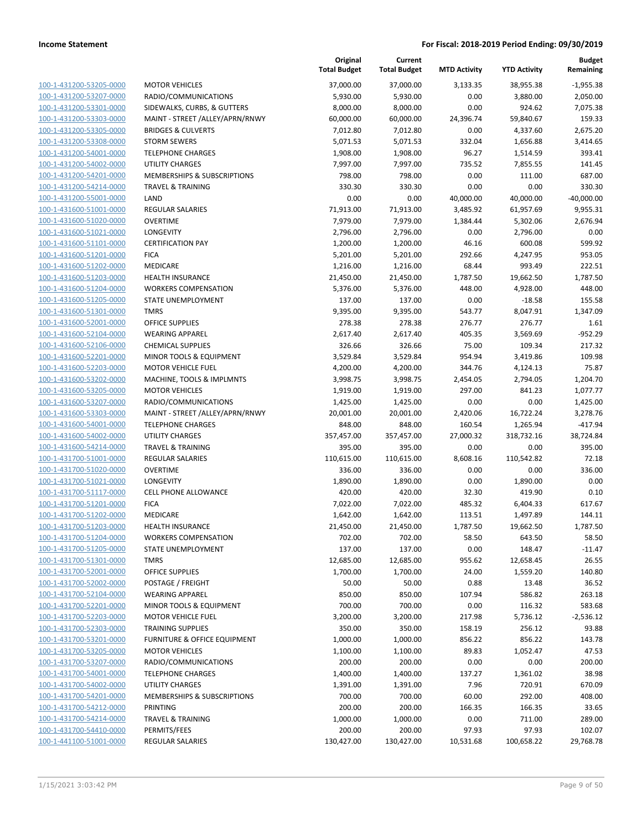|                                                    |                                    | Original<br><b>Total Budget</b> | Current<br><b>Total Budget</b> | <b>MTD Activity</b> | <b>YTD Activity</b> | <b>Budget</b><br>Remaining |
|----------------------------------------------------|------------------------------------|---------------------------------|--------------------------------|---------------------|---------------------|----------------------------|
| 100-1-431200-53205-0000                            | <b>MOTOR VEHICLES</b>              | 37,000.00                       | 37,000.00                      | 3.133.35            | 38,955.38           | $-1,955.38$                |
| 100-1-431200-53207-0000                            | RADIO/COMMUNICATIONS               | 5,930.00                        | 5,930.00                       | 0.00                | 3,880.00            | 2,050.00                   |
| 100-1-431200-53301-0000                            | SIDEWALKS, CURBS, & GUTTERS        | 8,000.00                        | 8,000.00                       | 0.00                | 924.62              | 7,075.38                   |
| 100-1-431200-53303-0000                            | MAINT - STREET /ALLEY/APRN/RNWY    | 60,000.00                       | 60,000.00                      | 24,396.74           | 59,840.67           | 159.33                     |
| 100-1-431200-53305-0000                            | <b>BRIDGES &amp; CULVERTS</b>      | 7,012.80                        | 7,012.80                       | 0.00                | 4,337.60            | 2,675.20                   |
| 100-1-431200-53308-0000                            | <b>STORM SEWERS</b>                | 5,071.53                        | 5,071.53                       | 332.04              | 1,656.88            | 3,414.65                   |
| 100-1-431200-54001-0000                            | <b>TELEPHONE CHARGES</b>           | 1,908.00                        | 1,908.00                       | 96.27               | 1,514.59            | 393.41                     |
| 100-1-431200-54002-0000                            | <b>UTILITY CHARGES</b>             | 7,997.00                        | 7,997.00                       | 735.52              | 7,855.55            | 141.45                     |
| 100-1-431200-54201-0000                            | MEMBERSHIPS & SUBSCRIPTIONS        | 798.00                          | 798.00                         | 0.00                | 111.00              | 687.00                     |
| 100-1-431200-54214-0000                            | <b>TRAVEL &amp; TRAINING</b>       | 330.30                          | 330.30                         | 0.00                | 0.00                | 330.30                     |
| 100-1-431200-55001-0000                            | LAND                               | 0.00                            | 0.00                           | 40,000.00           | 40,000.00           | $-40,000.00$               |
| 100-1-431600-51001-0000                            | REGULAR SALARIES                   | 71,913.00                       | 71,913.00                      | 3,485.92            | 61,957.69           | 9,955.31                   |
| 100-1-431600-51020-0000                            | <b>OVERTIME</b>                    | 7,979.00                        | 7,979.00                       | 1,384.44            | 5,302.06            | 2,676.94                   |
| 100-1-431600-51021-0000                            | LONGEVITY                          | 2,796.00                        | 2,796.00                       | 0.00                | 2,796.00            | 0.00                       |
| 100-1-431600-51101-0000                            | <b>CERTIFICATION PAY</b>           | 1,200.00                        | 1,200.00                       | 46.16               | 600.08              | 599.92                     |
| 100-1-431600-51201-0000                            | <b>FICA</b>                        | 5,201.00                        | 5,201.00                       | 292.66              | 4,247.95            | 953.05                     |
| 100-1-431600-51202-0000                            | <b>MEDICARE</b>                    | 1,216.00                        | 1,216.00                       | 68.44               | 993.49              | 222.51                     |
| 100-1-431600-51203-0000                            | <b>HEALTH INSURANCE</b>            | 21,450.00                       | 21,450.00                      | 1,787.50            | 19,662.50           | 1,787.50                   |
| 100-1-431600-51204-0000                            | <b>WORKERS COMPENSATION</b>        | 5,376.00                        | 5,376.00                       | 448.00              | 4,928.00            | 448.00                     |
| 100-1-431600-51205-0000                            | STATE UNEMPLOYMENT                 | 137.00                          | 137.00                         | 0.00                | $-18.58$            | 155.58                     |
| 100-1-431600-51301-0000                            | <b>TMRS</b>                        | 9,395.00                        | 9,395.00                       | 543.77              | 8,047.91            | 1,347.09                   |
| 100-1-431600-52001-0000                            | <b>OFFICE SUPPLIES</b>             | 278.38                          | 278.38                         | 276.77              | 276.77              | 1.61                       |
| 100-1-431600-52104-0000                            | <b>WEARING APPAREL</b>             | 2,617.40                        | 2,617.40                       | 405.35              | 3,569.69            | $-952.29$                  |
| 100-1-431600-52106-0000                            | <b>CHEMICAL SUPPLIES</b>           | 326.66                          | 326.66                         | 75.00               | 109.34              | 217.32                     |
| 100-1-431600-52201-0000                            | MINOR TOOLS & EQUIPMENT            | 3,529.84                        | 3,529.84                       | 954.94              | 3,419.86            | 109.98                     |
| 100-1-431600-52203-0000                            | <b>MOTOR VEHICLE FUEL</b>          | 4,200.00                        | 4,200.00                       | 344.76              | 4,124.13            | 75.87                      |
| 100-1-431600-53202-0000                            | MACHINE, TOOLS & IMPLMNTS          | 3,998.75                        | 3,998.75                       | 2,454.05            | 2,794.05            | 1,204.70                   |
| 100-1-431600-53205-0000                            | <b>MOTOR VEHICLES</b>              | 1,919.00                        | 1,919.00                       | 297.00              | 841.23              | 1,077.77                   |
| 100-1-431600-53207-0000                            | RADIO/COMMUNICATIONS               | 1,425.00                        | 1,425.00                       | 0.00                | 0.00                | 1,425.00                   |
| 100-1-431600-53303-0000                            | MAINT - STREET /ALLEY/APRN/RNWY    | 20,001.00                       | 20,001.00                      | 2,420.06            | 16,722.24           | 3,278.76                   |
| 100-1-431600-54001-0000                            | <b>TELEPHONE CHARGES</b>           | 848.00                          | 848.00                         | 160.54              | 1,265.94            | $-417.94$                  |
| 100-1-431600-54002-0000                            | UTILITY CHARGES                    | 357,457.00                      | 357,457.00                     | 27,000.32           | 318,732.16          | 38,724.84                  |
| 100-1-431600-54214-0000                            | <b>TRAVEL &amp; TRAINING</b>       | 395.00                          | 395.00                         | 0.00                | 0.00                | 395.00                     |
| 100-1-431700-51001-0000                            | <b>REGULAR SALARIES</b>            | 110,615.00                      | 110,615.00                     | 8,608.16            | 110,542.82          | 72.18                      |
| 100-1-431700-51020-0000                            | <b>OVERTIME</b>                    | 336.00                          | 336.00                         | 0.00                | 0.00                | 336.00                     |
| 100-1-431700-51021-0000                            | LONGEVITY                          | 1,890.00                        | 1,890.00                       | 0.00                | 1,890.00            | 0.00                       |
| 100-1-431700-51117-0000                            | <b>CELL PHONE ALLOWANCE</b>        | 420.00                          | 420.00                         | 32.30               | 419.90              | 0.10                       |
| 100-1-431700-51201-0000                            | <b>FICA</b>                        | 7,022.00                        | 7,022.00                       | 485.32              | 6,404.33            | 617.67                     |
| 100-1-431700-51202-0000                            | MEDICARE                           | 1,642.00                        | 1,642.00                       | 113.51              | 1,497.89            | 144.11                     |
| 100-1-431700-51203-0000                            | <b>HEALTH INSURANCE</b>            | 21,450.00                       | 21,450.00                      | 1,787.50            | 19,662.50           | 1,787.50                   |
| 100-1-431700-51204-0000                            | <b>WORKERS COMPENSATION</b>        | 702.00                          | 702.00                         | 58.50               | 643.50              | 58.50                      |
| 100-1-431700-51205-0000                            | STATE UNEMPLOYMENT                 | 137.00                          | 137.00                         | 0.00                | 148.47              | $-11.47$                   |
| 100-1-431700-51301-0000                            | TMRS                               | 12,685.00                       | 12,685.00                      | 955.62              | 12,658.45           | 26.55                      |
| 100-1-431700-52001-0000                            | <b>OFFICE SUPPLIES</b>             | 1,700.00                        | 1,700.00                       | 24.00               | 1,559.20            | 140.80                     |
| 100-1-431700-52002-0000                            | POSTAGE / FREIGHT                  | 50.00                           | 50.00                          | 0.88                | 13.48               | 36.52                      |
| 100-1-431700-52104-0000                            | <b>WEARING APPAREL</b>             | 850.00                          | 850.00                         | 107.94              | 586.82              | 263.18                     |
| 100-1-431700-52201-0000                            | <b>MINOR TOOLS &amp; EQUIPMENT</b> | 700.00                          | 700.00                         | 0.00                | 116.32              | 583.68                     |
| 100-1-431700-52203-0000                            | <b>MOTOR VEHICLE FUEL</b>          | 3,200.00                        | 3,200.00                       | 217.98              | 5,736.12            | $-2,536.12$                |
| 100-1-431700-52303-0000                            | <b>TRAINING SUPPLIES</b>           | 350.00                          | 350.00                         | 158.19              | 256.12              | 93.88                      |
| 100-1-431700-53201-0000                            | FURNITURE & OFFICE EQUIPMENT       | 1,000.00                        | 1,000.00                       | 856.22              | 856.22              | 143.78                     |
| 100-1-431700-53205-0000                            | <b>MOTOR VEHICLES</b>              | 1,100.00                        | 1,100.00                       | 89.83               | 1,052.47            | 47.53                      |
| 100-1-431700-53207-0000                            | RADIO/COMMUNICATIONS               | 200.00                          | 200.00                         | 0.00                | 0.00                | 200.00                     |
| 100-1-431700-54001-0000                            | <b>TELEPHONE CHARGES</b>           | 1,400.00                        | 1,400.00                       | 137.27              | 1,361.02            | 38.98                      |
| 100-1-431700-54002-0000                            | UTILITY CHARGES                    | 1,391.00                        | 1,391.00                       | 7.96                | 720.91              | 670.09                     |
| 100-1-431700-54201-0000                            | MEMBERSHIPS & SUBSCRIPTIONS        | 700.00                          | 700.00                         | 60.00               | 292.00              | 408.00                     |
| 100-1-431700-54212-0000                            | PRINTING                           | 200.00                          | 200.00                         | 166.35              | 166.35              | 33.65                      |
| 100-1-431700-54214-0000                            | <b>TRAVEL &amp; TRAINING</b>       | 1,000.00                        | 1,000.00                       | 0.00                | 711.00              | 289.00                     |
| 100-1-431700-54410-0000<br>100-1-441100-51001-0000 | PERMITS/FEES                       | 200.00                          | 200.00                         | 97.93               | 97.93               | 102.07                     |
|                                                    | REGULAR SALARIES                   | 130,427.00                      | 130,427.00                     | 10,531.68           | 100,658.22          | 29,768.78                  |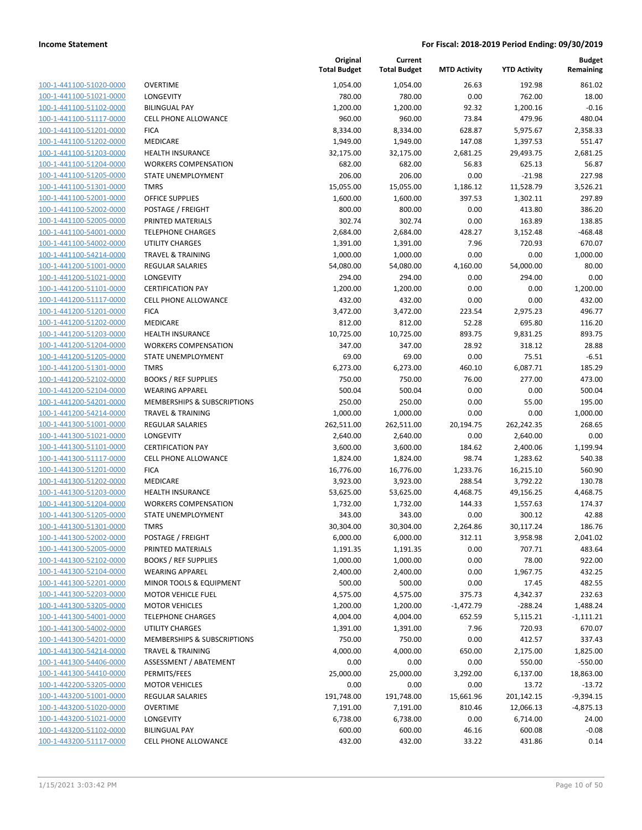| 100-1-441100-51020-0000<br>100-1-441100-51021-0000<br>100-1-441100-51102-0000<br><u>100-1-441100-51117-0000</u><br>100-1-441100-51201-0000<br>-441100-51202-0000<br>$100 - 1$<br>100-1-441100-51203-0000<br>100-1-441100-51204-0000<br><u>100-1-441100-51205-0000</u><br>100-1-441100-51301-0000<br>$100 - 1$<br>-441100-52001-0000<br>100-1-441100-52002-0000<br>100-1-441100-52005-0000<br><u>100-1-441100-54001-0000</u><br>100-1-441100-54002-0000<br>-441100-54214-0000<br>$100 - 1$<br>100-1-441200-51001-0000<br><u>100-1-441200-51021-0000</u><br><u>100-1-441200-51101-0000</u><br>100-1-441200-51117-0000<br>-441200-51201-0000<br>$100 - 1$<br>100-1-441200-51202-0000<br><u>100-1-441200-51203-0000</u><br><u>100-1-441200-51204-0000</u><br>100-1-441200-51205-0000<br>-441200-51301-0000<br>$100 - 1$<br>100-1-441200-52102-0000<br><u>100-1-441200-52104-0000</u><br><u>100-1-441200-54201-0000</u><br>100-1-441200-54214-0000<br>$100 - 1$<br>-441300-51001-0000<br>100-1-441300-51021-0000<br>100-1-441300-51101-0000<br><u>100-1-441300-51117-0000</u><br>100-1-441300-51201-0000<br>-441300-51202-0000<br>$100 - 1$<br>100-1-441300-51203-0000<br>100-1-441300-51204-0000<br><u>100-1-441300-51205-0000</u><br>100-1-441300-51301-0000<br>-441300-52002-0000<br>$100 - 1$<br><u>100-1-441300-52005-0000</u><br><u>100-1-441300-52102-0000</u><br>100-1-441300-52104-0000<br><u>100-1-441300-52201-0000</u><br><u>100-1-441300-52203-0000</u><br>100-1-441300-53205-0000<br><u>100-1-441300-54001-0000</u><br><u>100-1-441300-54002-0000</u><br><u>100-1-441300-54201-0000</u><br><u>100-1-441300-54214-0000</u><br>100-1-441300-54406-0000<br><u>100-1-441300-54410-0000</u><br><u>100-1-442200-53205-0000</u><br><u>100-1-443200-51001-0000</u><br><u>100-1-443200-51020-0000</u><br><u>100-1-443200-51021-0000</u><br><u>100-1-443200-51102-0000</u><br><u>100-1-443200-51117-0000</u> |  |
|-------------------------------------------------------------------------------------------------------------------------------------------------------------------------------------------------------------------------------------------------------------------------------------------------------------------------------------------------------------------------------------------------------------------------------------------------------------------------------------------------------------------------------------------------------------------------------------------------------------------------------------------------------------------------------------------------------------------------------------------------------------------------------------------------------------------------------------------------------------------------------------------------------------------------------------------------------------------------------------------------------------------------------------------------------------------------------------------------------------------------------------------------------------------------------------------------------------------------------------------------------------------------------------------------------------------------------------------------------------------------------------------------------------------------------------------------------------------------------------------------------------------------------------------------------------------------------------------------------------------------------------------------------------------------------------------------------------------------------------------------------------------------------------------------------------------------------------------------------------------------------------------------------------|--|
|                                                                                                                                                                                                                                                                                                                                                                                                                                                                                                                                                                                                                                                                                                                                                                                                                                                                                                                                                                                                                                                                                                                                                                                                                                                                                                                                                                                                                                                                                                                                                                                                                                                                                                                                                                                                                                                                                                             |  |
|                                                                                                                                                                                                                                                                                                                                                                                                                                                                                                                                                                                                                                                                                                                                                                                                                                                                                                                                                                                                                                                                                                                                                                                                                                                                                                                                                                                                                                                                                                                                                                                                                                                                                                                                                                                                                                                                                                             |  |
|                                                                                                                                                                                                                                                                                                                                                                                                                                                                                                                                                                                                                                                                                                                                                                                                                                                                                                                                                                                                                                                                                                                                                                                                                                                                                                                                                                                                                                                                                                                                                                                                                                                                                                                                                                                                                                                                                                             |  |
|                                                                                                                                                                                                                                                                                                                                                                                                                                                                                                                                                                                                                                                                                                                                                                                                                                                                                                                                                                                                                                                                                                                                                                                                                                                                                                                                                                                                                                                                                                                                                                                                                                                                                                                                                                                                                                                                                                             |  |
|                                                                                                                                                                                                                                                                                                                                                                                                                                                                                                                                                                                                                                                                                                                                                                                                                                                                                                                                                                                                                                                                                                                                                                                                                                                                                                                                                                                                                                                                                                                                                                                                                                                                                                                                                                                                                                                                                                             |  |
|                                                                                                                                                                                                                                                                                                                                                                                                                                                                                                                                                                                                                                                                                                                                                                                                                                                                                                                                                                                                                                                                                                                                                                                                                                                                                                                                                                                                                                                                                                                                                                                                                                                                                                                                                                                                                                                                                                             |  |
|                                                                                                                                                                                                                                                                                                                                                                                                                                                                                                                                                                                                                                                                                                                                                                                                                                                                                                                                                                                                                                                                                                                                                                                                                                                                                                                                                                                                                                                                                                                                                                                                                                                                                                                                                                                                                                                                                                             |  |
|                                                                                                                                                                                                                                                                                                                                                                                                                                                                                                                                                                                                                                                                                                                                                                                                                                                                                                                                                                                                                                                                                                                                                                                                                                                                                                                                                                                                                                                                                                                                                                                                                                                                                                                                                                                                                                                                                                             |  |
|                                                                                                                                                                                                                                                                                                                                                                                                                                                                                                                                                                                                                                                                                                                                                                                                                                                                                                                                                                                                                                                                                                                                                                                                                                                                                                                                                                                                                                                                                                                                                                                                                                                                                                                                                                                                                                                                                                             |  |
|                                                                                                                                                                                                                                                                                                                                                                                                                                                                                                                                                                                                                                                                                                                                                                                                                                                                                                                                                                                                                                                                                                                                                                                                                                                                                                                                                                                                                                                                                                                                                                                                                                                                                                                                                                                                                                                                                                             |  |
|                                                                                                                                                                                                                                                                                                                                                                                                                                                                                                                                                                                                                                                                                                                                                                                                                                                                                                                                                                                                                                                                                                                                                                                                                                                                                                                                                                                                                                                                                                                                                                                                                                                                                                                                                                                                                                                                                                             |  |
|                                                                                                                                                                                                                                                                                                                                                                                                                                                                                                                                                                                                                                                                                                                                                                                                                                                                                                                                                                                                                                                                                                                                                                                                                                                                                                                                                                                                                                                                                                                                                                                                                                                                                                                                                                                                                                                                                                             |  |
|                                                                                                                                                                                                                                                                                                                                                                                                                                                                                                                                                                                                                                                                                                                                                                                                                                                                                                                                                                                                                                                                                                                                                                                                                                                                                                                                                                                                                                                                                                                                                                                                                                                                                                                                                                                                                                                                                                             |  |
|                                                                                                                                                                                                                                                                                                                                                                                                                                                                                                                                                                                                                                                                                                                                                                                                                                                                                                                                                                                                                                                                                                                                                                                                                                                                                                                                                                                                                                                                                                                                                                                                                                                                                                                                                                                                                                                                                                             |  |
|                                                                                                                                                                                                                                                                                                                                                                                                                                                                                                                                                                                                                                                                                                                                                                                                                                                                                                                                                                                                                                                                                                                                                                                                                                                                                                                                                                                                                                                                                                                                                                                                                                                                                                                                                                                                                                                                                                             |  |
|                                                                                                                                                                                                                                                                                                                                                                                                                                                                                                                                                                                                                                                                                                                                                                                                                                                                                                                                                                                                                                                                                                                                                                                                                                                                                                                                                                                                                                                                                                                                                                                                                                                                                                                                                                                                                                                                                                             |  |
|                                                                                                                                                                                                                                                                                                                                                                                                                                                                                                                                                                                                                                                                                                                                                                                                                                                                                                                                                                                                                                                                                                                                                                                                                                                                                                                                                                                                                                                                                                                                                                                                                                                                                                                                                                                                                                                                                                             |  |
|                                                                                                                                                                                                                                                                                                                                                                                                                                                                                                                                                                                                                                                                                                                                                                                                                                                                                                                                                                                                                                                                                                                                                                                                                                                                                                                                                                                                                                                                                                                                                                                                                                                                                                                                                                                                                                                                                                             |  |
|                                                                                                                                                                                                                                                                                                                                                                                                                                                                                                                                                                                                                                                                                                                                                                                                                                                                                                                                                                                                                                                                                                                                                                                                                                                                                                                                                                                                                                                                                                                                                                                                                                                                                                                                                                                                                                                                                                             |  |
|                                                                                                                                                                                                                                                                                                                                                                                                                                                                                                                                                                                                                                                                                                                                                                                                                                                                                                                                                                                                                                                                                                                                                                                                                                                                                                                                                                                                                                                                                                                                                                                                                                                                                                                                                                                                                                                                                                             |  |
|                                                                                                                                                                                                                                                                                                                                                                                                                                                                                                                                                                                                                                                                                                                                                                                                                                                                                                                                                                                                                                                                                                                                                                                                                                                                                                                                                                                                                                                                                                                                                                                                                                                                                                                                                                                                                                                                                                             |  |
|                                                                                                                                                                                                                                                                                                                                                                                                                                                                                                                                                                                                                                                                                                                                                                                                                                                                                                                                                                                                                                                                                                                                                                                                                                                                                                                                                                                                                                                                                                                                                                                                                                                                                                                                                                                                                                                                                                             |  |
|                                                                                                                                                                                                                                                                                                                                                                                                                                                                                                                                                                                                                                                                                                                                                                                                                                                                                                                                                                                                                                                                                                                                                                                                                                                                                                                                                                                                                                                                                                                                                                                                                                                                                                                                                                                                                                                                                                             |  |
|                                                                                                                                                                                                                                                                                                                                                                                                                                                                                                                                                                                                                                                                                                                                                                                                                                                                                                                                                                                                                                                                                                                                                                                                                                                                                                                                                                                                                                                                                                                                                                                                                                                                                                                                                                                                                                                                                                             |  |
|                                                                                                                                                                                                                                                                                                                                                                                                                                                                                                                                                                                                                                                                                                                                                                                                                                                                                                                                                                                                                                                                                                                                                                                                                                                                                                                                                                                                                                                                                                                                                                                                                                                                                                                                                                                                                                                                                                             |  |
|                                                                                                                                                                                                                                                                                                                                                                                                                                                                                                                                                                                                                                                                                                                                                                                                                                                                                                                                                                                                                                                                                                                                                                                                                                                                                                                                                                                                                                                                                                                                                                                                                                                                                                                                                                                                                                                                                                             |  |
|                                                                                                                                                                                                                                                                                                                                                                                                                                                                                                                                                                                                                                                                                                                                                                                                                                                                                                                                                                                                                                                                                                                                                                                                                                                                                                                                                                                                                                                                                                                                                                                                                                                                                                                                                                                                                                                                                                             |  |
|                                                                                                                                                                                                                                                                                                                                                                                                                                                                                                                                                                                                                                                                                                                                                                                                                                                                                                                                                                                                                                                                                                                                                                                                                                                                                                                                                                                                                                                                                                                                                                                                                                                                                                                                                                                                                                                                                                             |  |
|                                                                                                                                                                                                                                                                                                                                                                                                                                                                                                                                                                                                                                                                                                                                                                                                                                                                                                                                                                                                                                                                                                                                                                                                                                                                                                                                                                                                                                                                                                                                                                                                                                                                                                                                                                                                                                                                                                             |  |
|                                                                                                                                                                                                                                                                                                                                                                                                                                                                                                                                                                                                                                                                                                                                                                                                                                                                                                                                                                                                                                                                                                                                                                                                                                                                                                                                                                                                                                                                                                                                                                                                                                                                                                                                                                                                                                                                                                             |  |
|                                                                                                                                                                                                                                                                                                                                                                                                                                                                                                                                                                                                                                                                                                                                                                                                                                                                                                                                                                                                                                                                                                                                                                                                                                                                                                                                                                                                                                                                                                                                                                                                                                                                                                                                                                                                                                                                                                             |  |
|                                                                                                                                                                                                                                                                                                                                                                                                                                                                                                                                                                                                                                                                                                                                                                                                                                                                                                                                                                                                                                                                                                                                                                                                                                                                                                                                                                                                                                                                                                                                                                                                                                                                                                                                                                                                                                                                                                             |  |
|                                                                                                                                                                                                                                                                                                                                                                                                                                                                                                                                                                                                                                                                                                                                                                                                                                                                                                                                                                                                                                                                                                                                                                                                                                                                                                                                                                                                                                                                                                                                                                                                                                                                                                                                                                                                                                                                                                             |  |
|                                                                                                                                                                                                                                                                                                                                                                                                                                                                                                                                                                                                                                                                                                                                                                                                                                                                                                                                                                                                                                                                                                                                                                                                                                                                                                                                                                                                                                                                                                                                                                                                                                                                                                                                                                                                                                                                                                             |  |
|                                                                                                                                                                                                                                                                                                                                                                                                                                                                                                                                                                                                                                                                                                                                                                                                                                                                                                                                                                                                                                                                                                                                                                                                                                                                                                                                                                                                                                                                                                                                                                                                                                                                                                                                                                                                                                                                                                             |  |
|                                                                                                                                                                                                                                                                                                                                                                                                                                                                                                                                                                                                                                                                                                                                                                                                                                                                                                                                                                                                                                                                                                                                                                                                                                                                                                                                                                                                                                                                                                                                                                                                                                                                                                                                                                                                                                                                                                             |  |
|                                                                                                                                                                                                                                                                                                                                                                                                                                                                                                                                                                                                                                                                                                                                                                                                                                                                                                                                                                                                                                                                                                                                                                                                                                                                                                                                                                                                                                                                                                                                                                                                                                                                                                                                                                                                                                                                                                             |  |
|                                                                                                                                                                                                                                                                                                                                                                                                                                                                                                                                                                                                                                                                                                                                                                                                                                                                                                                                                                                                                                                                                                                                                                                                                                                                                                                                                                                                                                                                                                                                                                                                                                                                                                                                                                                                                                                                                                             |  |
|                                                                                                                                                                                                                                                                                                                                                                                                                                                                                                                                                                                                                                                                                                                                                                                                                                                                                                                                                                                                                                                                                                                                                                                                                                                                                                                                                                                                                                                                                                                                                                                                                                                                                                                                                                                                                                                                                                             |  |
|                                                                                                                                                                                                                                                                                                                                                                                                                                                                                                                                                                                                                                                                                                                                                                                                                                                                                                                                                                                                                                                                                                                                                                                                                                                                                                                                                                                                                                                                                                                                                                                                                                                                                                                                                                                                                                                                                                             |  |
|                                                                                                                                                                                                                                                                                                                                                                                                                                                                                                                                                                                                                                                                                                                                                                                                                                                                                                                                                                                                                                                                                                                                                                                                                                                                                                                                                                                                                                                                                                                                                                                                                                                                                                                                                                                                                                                                                                             |  |
|                                                                                                                                                                                                                                                                                                                                                                                                                                                                                                                                                                                                                                                                                                                                                                                                                                                                                                                                                                                                                                                                                                                                                                                                                                                                                                                                                                                                                                                                                                                                                                                                                                                                                                                                                                                                                                                                                                             |  |
|                                                                                                                                                                                                                                                                                                                                                                                                                                                                                                                                                                                                                                                                                                                                                                                                                                                                                                                                                                                                                                                                                                                                                                                                                                                                                                                                                                                                                                                                                                                                                                                                                                                                                                                                                                                                                                                                                                             |  |
|                                                                                                                                                                                                                                                                                                                                                                                                                                                                                                                                                                                                                                                                                                                                                                                                                                                                                                                                                                                                                                                                                                                                                                                                                                                                                                                                                                                                                                                                                                                                                                                                                                                                                                                                                                                                                                                                                                             |  |
|                                                                                                                                                                                                                                                                                                                                                                                                                                                                                                                                                                                                                                                                                                                                                                                                                                                                                                                                                                                                                                                                                                                                                                                                                                                                                                                                                                                                                                                                                                                                                                                                                                                                                                                                                                                                                                                                                                             |  |
|                                                                                                                                                                                                                                                                                                                                                                                                                                                                                                                                                                                                                                                                                                                                                                                                                                                                                                                                                                                                                                                                                                                                                                                                                                                                                                                                                                                                                                                                                                                                                                                                                                                                                                                                                                                                                                                                                                             |  |
|                                                                                                                                                                                                                                                                                                                                                                                                                                                                                                                                                                                                                                                                                                                                                                                                                                                                                                                                                                                                                                                                                                                                                                                                                                                                                                                                                                                                                                                                                                                                                                                                                                                                                                                                                                                                                                                                                                             |  |
|                                                                                                                                                                                                                                                                                                                                                                                                                                                                                                                                                                                                                                                                                                                                                                                                                                                                                                                                                                                                                                                                                                                                                                                                                                                                                                                                                                                                                                                                                                                                                                                                                                                                                                                                                                                                                                                                                                             |  |
|                                                                                                                                                                                                                                                                                                                                                                                                                                                                                                                                                                                                                                                                                                                                                                                                                                                                                                                                                                                                                                                                                                                                                                                                                                                                                                                                                                                                                                                                                                                                                                                                                                                                                                                                                                                                                                                                                                             |  |
|                                                                                                                                                                                                                                                                                                                                                                                                                                                                                                                                                                                                                                                                                                                                                                                                                                                                                                                                                                                                                                                                                                                                                                                                                                                                                                                                                                                                                                                                                                                                                                                                                                                                                                                                                                                                                                                                                                             |  |
|                                                                                                                                                                                                                                                                                                                                                                                                                                                                                                                                                                                                                                                                                                                                                                                                                                                                                                                                                                                                                                                                                                                                                                                                                                                                                                                                                                                                                                                                                                                                                                                                                                                                                                                                                                                                                                                                                                             |  |
|                                                                                                                                                                                                                                                                                                                                                                                                                                                                                                                                                                                                                                                                                                                                                                                                                                                                                                                                                                                                                                                                                                                                                                                                                                                                                                                                                                                                                                                                                                                                                                                                                                                                                                                                                                                                                                                                                                             |  |
|                                                                                                                                                                                                                                                                                                                                                                                                                                                                                                                                                                                                                                                                                                                                                                                                                                                                                                                                                                                                                                                                                                                                                                                                                                                                                                                                                                                                                                                                                                                                                                                                                                                                                                                                                                                                                                                                                                             |  |
|                                                                                                                                                                                                                                                                                                                                                                                                                                                                                                                                                                                                                                                                                                                                                                                                                                                                                                                                                                                                                                                                                                                                                                                                                                                                                                                                                                                                                                                                                                                                                                                                                                                                                                                                                                                                                                                                                                             |  |
|                                                                                                                                                                                                                                                                                                                                                                                                                                                                                                                                                                                                                                                                                                                                                                                                                                                                                                                                                                                                                                                                                                                                                                                                                                                                                                                                                                                                                                                                                                                                                                                                                                                                                                                                                                                                                                                                                                             |  |
|                                                                                                                                                                                                                                                                                                                                                                                                                                                                                                                                                                                                                                                                                                                                                                                                                                                                                                                                                                                                                                                                                                                                                                                                                                                                                                                                                                                                                                                                                                                                                                                                                                                                                                                                                                                                                                                                                                             |  |
|                                                                                                                                                                                                                                                                                                                                                                                                                                                                                                                                                                                                                                                                                                                                                                                                                                                                                                                                                                                                                                                                                                                                                                                                                                                                                                                                                                                                                                                                                                                                                                                                                                                                                                                                                                                                                                                                                                             |  |
|                                                                                                                                                                                                                                                                                                                                                                                                                                                                                                                                                                                                                                                                                                                                                                                                                                                                                                                                                                                                                                                                                                                                                                                                                                                                                                                                                                                                                                                                                                                                                                                                                                                                                                                                                                                                                                                                                                             |  |
|                                                                                                                                                                                                                                                                                                                                                                                                                                                                                                                                                                                                                                                                                                                                                                                                                                                                                                                                                                                                                                                                                                                                                                                                                                                                                                                                                                                                                                                                                                                                                                                                                                                                                                                                                                                                                                                                                                             |  |
|                                                                                                                                                                                                                                                                                                                                                                                                                                                                                                                                                                                                                                                                                                                                                                                                                                                                                                                                                                                                                                                                                                                                                                                                                                                                                                                                                                                                                                                                                                                                                                                                                                                                                                                                                                                                                                                                                                             |  |
|                                                                                                                                                                                                                                                                                                                                                                                                                                                                                                                                                                                                                                                                                                                                                                                                                                                                                                                                                                                                                                                                                                                                                                                                                                                                                                                                                                                                                                                                                                                                                                                                                                                                                                                                                                                                                                                                                                             |  |

|                         |                                        | Original<br><b>Total Budget</b> | Current<br><b>Total Budget</b> | <b>MTD Activity</b> | <b>YTD Activity</b> | <b>Budget</b><br>Remaining |
|-------------------------|----------------------------------------|---------------------------------|--------------------------------|---------------------|---------------------|----------------------------|
| 100-1-441100-51020-0000 | <b>OVERTIME</b>                        | 1,054.00                        | 1,054.00                       | 26.63               | 192.98              | 861.02                     |
| 100-1-441100-51021-0000 | LONGEVITY                              | 780.00                          | 780.00                         | 0.00                | 762.00              | 18.00                      |
| 100-1-441100-51102-0000 | <b>BILINGUAL PAY</b>                   | 1,200.00                        | 1,200.00                       | 92.32               | 1,200.16            | $-0.16$                    |
| 100-1-441100-51117-0000 | <b>CELL PHONE ALLOWANCE</b>            | 960.00                          | 960.00                         | 73.84               | 479.96              | 480.04                     |
| 100-1-441100-51201-0000 | <b>FICA</b>                            | 8,334.00                        | 8,334.00                       | 628.87              | 5,975.67            | 2,358.33                   |
| 100-1-441100-51202-0000 | MEDICARE                               | 1,949.00                        | 1,949.00                       | 147.08              | 1,397.53            | 551.47                     |
| 100-1-441100-51203-0000 | <b>HEALTH INSURANCE</b>                | 32,175.00                       | 32,175.00                      | 2,681.25            | 29,493.75           | 2,681.25                   |
| 100-1-441100-51204-0000 | <b>WORKERS COMPENSATION</b>            | 682.00                          | 682.00                         | 56.83               | 625.13              | 56.87                      |
| 100-1-441100-51205-0000 | <b>STATE UNEMPLOYMENT</b>              | 206.00                          | 206.00                         | 0.00                | $-21.98$            | 227.98                     |
| 100-1-441100-51301-0000 | <b>TMRS</b>                            | 15,055.00                       | 15,055.00                      | 1,186.12            | 11,528.79           | 3,526.21                   |
| 100-1-441100-52001-0000 | <b>OFFICE SUPPLIES</b>                 | 1,600.00                        | 1,600.00                       | 397.53              | 1,302.11            | 297.89                     |
| 100-1-441100-52002-0000 | POSTAGE / FREIGHT                      | 800.00                          | 800.00                         | 0.00                | 413.80              | 386.20                     |
| 100-1-441100-52005-0000 | PRINTED MATERIALS                      | 302.74                          | 302.74                         | 0.00                | 163.89              | 138.85                     |
| 100-1-441100-54001-0000 | <b>TELEPHONE CHARGES</b>               | 2,684.00                        | 2,684.00                       | 428.27              | 3,152.48            | $-468.48$                  |
| 100-1-441100-54002-0000 | UTILITY CHARGES                        | 1,391.00                        | 1,391.00                       | 7.96                | 720.93              | 670.07                     |
| 100-1-441100-54214-0000 | <b>TRAVEL &amp; TRAINING</b>           | 1,000.00                        | 1,000.00                       | 0.00                | 0.00                | 1,000.00                   |
| 100-1-441200-51001-0000 | <b>REGULAR SALARIES</b>                | 54,080.00                       | 54,080.00                      | 4,160.00            | 54,000.00           | 80.00                      |
| 100-1-441200-51021-0000 | <b>LONGEVITY</b>                       | 294.00                          | 294.00                         | 0.00                | 294.00              | 0.00                       |
| 100-1-441200-51101-0000 | <b>CERTIFICATION PAY</b>               | 1,200.00                        | 1,200.00                       | 0.00                | 0.00                | 1,200.00                   |
| 100-1-441200-51117-0000 | <b>CELL PHONE ALLOWANCE</b>            | 432.00                          | 432.00                         | 0.00                | 0.00                | 432.00                     |
| 100-1-441200-51201-0000 | <b>FICA</b>                            | 3,472.00                        | 3,472.00                       | 223.54              | 2,975.23            | 496.77                     |
| 100-1-441200-51202-0000 | <b>MEDICARE</b>                        | 812.00                          | 812.00                         | 52.28               | 695.80              | 116.20                     |
| 100-1-441200-51203-0000 | <b>HEALTH INSURANCE</b>                | 10,725.00                       | 10,725.00                      | 893.75              | 9,831.25            | 893.75                     |
| 100-1-441200-51204-0000 | <b>WORKERS COMPENSATION</b>            | 347.00                          | 347.00                         | 28.92               | 318.12              | 28.88                      |
| 100-1-441200-51205-0000 | STATE UNEMPLOYMENT                     | 69.00                           | 69.00                          | 0.00                | 75.51               | $-6.51$                    |
| 100-1-441200-51301-0000 | <b>TMRS</b>                            | 6,273.00                        | 6,273.00                       | 460.10              | 6,087.71            | 185.29                     |
| 100-1-441200-52102-0000 | <b>BOOKS / REF SUPPLIES</b>            | 750.00                          | 750.00                         | 76.00               | 277.00              | 473.00                     |
| 100-1-441200-52104-0000 | <b>WEARING APPAREL</b>                 | 500.04                          | 500.04                         | 0.00                | 0.00                | 500.04                     |
| 100-1-441200-54201-0000 | <b>MEMBERSHIPS &amp; SUBSCRIPTIONS</b> | 250.00                          | 250.00                         | 0.00                | 55.00               | 195.00                     |
| 100-1-441200-54214-0000 | <b>TRAVEL &amp; TRAINING</b>           | 1,000.00                        | 1,000.00                       | 0.00                | 0.00                | 1,000.00                   |
| 100-1-441300-51001-0000 | <b>REGULAR SALARIES</b>                | 262,511.00                      | 262,511.00                     | 20,194.75           | 262,242.35          | 268.65                     |
| 100-1-441300-51021-0000 | LONGEVITY                              | 2,640.00                        | 2,640.00                       | 0.00                | 2,640.00            | 0.00                       |
| 100-1-441300-51101-0000 | <b>CERTIFICATION PAY</b>               | 3,600.00                        | 3,600.00                       | 184.62              | 2,400.06            | 1,199.94                   |
| 100-1-441300-51117-0000 | <b>CELL PHONE ALLOWANCE</b>            | 1,824.00                        | 1,824.00                       | 98.74               | 1,283.62            | 540.38                     |
| 100-1-441300-51201-0000 | <b>FICA</b>                            | 16,776.00                       | 16,776.00                      | 1,233.76            | 16,215.10           | 560.90                     |
| 100-1-441300-51202-0000 | <b>MEDICARE</b>                        | 3,923.00                        | 3,923.00                       | 288.54              | 3,792.22            | 130.78                     |
| 100-1-441300-51203-0000 | <b>HEALTH INSURANCE</b>                | 53,625.00                       | 53,625.00                      | 4,468.75            | 49,156.25           | 4,468.75                   |
| 100-1-441300-51204-0000 | <b>WORKERS COMPENSATION</b>            | 1,732.00                        | 1,732.00                       | 144.33              | 1,557.63            | 174.37                     |
| 100-1-441300-51205-0000 | STATE UNEMPLOYMENT                     | 343.00                          | 343.00                         | 0.00                | 300.12              | 42.88                      |
| 100-1-441300-51301-0000 | <b>TMRS</b>                            | 30,304.00                       | 30,304.00                      | 2,264.86            | 30,117.24           | 186.76                     |
| 100-1-441300-52002-0000 | POSTAGE / FREIGHT                      | 6,000.00                        | 6,000.00                       | 312.11              | 3,958.98            | 2,041.02                   |
| 100-1-441300-52005-0000 | PRINTED MATERIALS                      | 1,191.35                        | 1,191.35                       | 0.00                | 707.71              | 483.64                     |
| 100-1-441300-52102-0000 | <b>BOOKS / REF SUPPLIES</b>            | 1,000.00                        | 1,000.00                       | 0.00                | 78.00               | 922.00                     |
| 100-1-441300-52104-0000 | <b>WEARING APPAREL</b>                 | 2,400.00                        | 2,400.00                       | 0.00                | 1,967.75            | 432.25                     |
| 100-1-441300-52201-0000 | MINOR TOOLS & EQUIPMENT                | 500.00                          | 500.00                         | 0.00                | 17.45               | 482.55                     |
| 100-1-441300-52203-0000 | <b>MOTOR VEHICLE FUEL</b>              | 4,575.00                        | 4,575.00                       | 375.73              | 4,342.37            | 232.63                     |
| 100-1-441300-53205-0000 | <b>MOTOR VEHICLES</b>                  | 1,200.00                        | 1,200.00                       | $-1,472.79$         | $-288.24$           | 1,488.24                   |
| 100-1-441300-54001-0000 | <b>TELEPHONE CHARGES</b>               | 4,004.00                        | 4,004.00                       | 652.59              | 5,115.21            | $-1,111.21$                |
| 100-1-441300-54002-0000 | UTILITY CHARGES                        | 1,391.00                        | 1,391.00                       | 7.96                | 720.93              | 670.07                     |
| 100-1-441300-54201-0000 | MEMBERSHIPS & SUBSCRIPTIONS            | 750.00                          | 750.00                         | 0.00                | 412.57              | 337.43                     |
| 100-1-441300-54214-0000 | <b>TRAVEL &amp; TRAINING</b>           | 4,000.00                        | 4,000.00                       | 650.00              | 2,175.00            | 1,825.00                   |
| 100-1-441300-54406-0000 | ASSESSMENT / ABATEMENT                 | 0.00                            | 0.00                           | 0.00                | 550.00              | $-550.00$                  |
| 100-1-441300-54410-0000 | PERMITS/FEES                           | 25,000.00                       | 25,000.00                      | 3,292.00            | 6,137.00            | 18,863.00                  |
| 100-1-442200-53205-0000 | <b>MOTOR VEHICLES</b>                  | 0.00                            | 0.00                           | 0.00                | 13.72               | $-13.72$                   |
| 100-1-443200-51001-0000 | REGULAR SALARIES                       | 191,748.00                      | 191,748.00                     | 15,661.96           | 201,142.15          | $-9,394.15$                |
| 100-1-443200-51020-0000 | <b>OVERTIME</b>                        | 7,191.00                        | 7,191.00                       | 810.46              | 12,066.13           | $-4,875.13$                |
| 100-1-443200-51021-0000 | LONGEVITY                              | 6,738.00                        | 6,738.00                       | 0.00                | 6,714.00            | 24.00                      |
| 100-1-443200-51102-0000 | <b>BILINGUAL PAY</b>                   | 600.00                          | 600.00                         | 46.16               | 600.08              | $-0.08$                    |
| 100-1-443200-51117-0000 | <b>CELL PHONE ALLOWANCE</b>            | 432.00                          | 432.00                         | 33.22               | 431.86              | 0.14                       |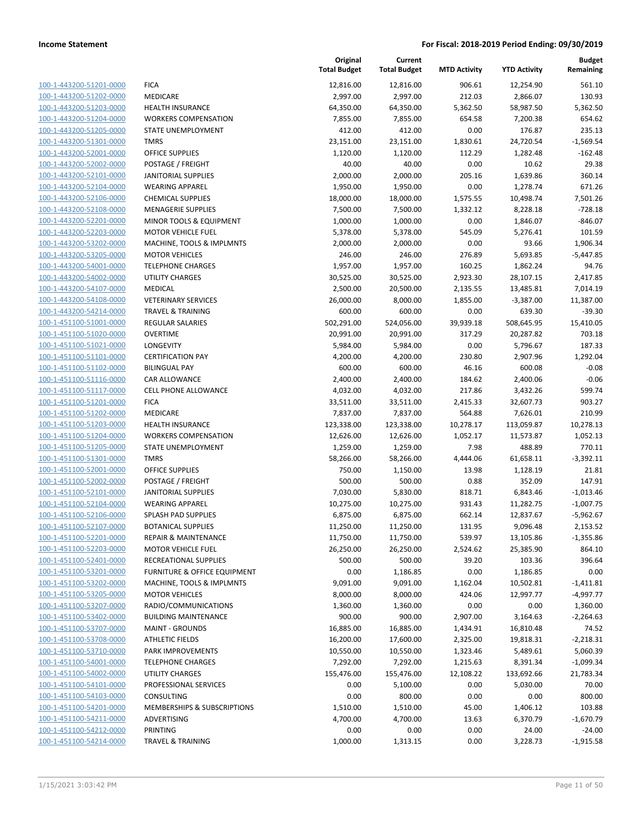**Current**

**Original**

**MTD Activity YTD Activity**

**Budget Remaining**

| 100-1-443200-51201-0000        |
|--------------------------------|
| 100-1-443200-51202-0000        |
| 100-1-443200-51203-0000        |
| 100-1-443200-51204-0000        |
| 100-1-443200-51205-0000        |
| 100-1-443200-51301-0000        |
| <u>100-1-443200-52001-0000</u> |
| 100-1-443200-52002-0000        |
|                                |
| 100-1-443200-52101-0000        |
| 100-1-443200-52104-0000        |
| 100-1-443200-52106-0000        |
| 100-1-443200-52108-0000        |
| 100-1-443200-52201-0000        |
| 100-1-443200-52203-0000        |
| 100-1-443200-53202-0000        |
| 100-1-443200-53205-0000        |
| <u>100-1-443200-54001-0000</u> |
| 100-1-443200-54002-0000        |
| 100-1-443200-54107-0000        |
|                                |
| 100-1-443200-54108-0000        |
| 100-1-443200-54214-0000        |
| 100-1-451100-51001-0000        |
| 100-1-451100-51020-0000        |
| 100-1-451100-51021-0000        |
| 100-1-451100-51101-0000        |
| 100-1-451100-51102-0000        |
| 100-1-451100-51116-0000        |
| 100-1-451100-51117-0000        |
| 100-1-451100-51201-0000        |
| 100-1-451100-51202-0000        |
| 100-1-451100-51203-0000        |
| 100-1-451100-51204-0000        |
| 100-1-451100-51205-0000        |
| 100-1-451100-51301-0000        |
|                                |
| 100-1-451100-52001-0000        |
| <u>100-1-451100-52002-0000</u> |
| 100-1-451100-52101-0000        |
| 100-1-451100-52104-0000        |
| 100-1-451100-52106-0000        |
| 100-1-451100-52107-0000        |
| 100-1-451100-52201-0000        |
| <u>100-1-451100-52203-0000</u> |
| 100-1-451100-52401-0000        |
| 100-1-451100-53201-0000        |
| <u>100-1-451100-53202-0000</u> |
| <u>100-1-451100-53205-0000</u> |
| 100-1-451100-53207-0000        |
|                                |
| 100-1-451100-53402-0000        |
| 100-1-451100-53707-0000        |
| <u>100-1-451100-53708-0000</u> |
| <u>100-1-451100-53710-0000</u> |
| 100-1-451100-54001-0000        |
| 100-1-451100-54002-0000        |
| 100-1-451100-54101-0000        |
| <u>100-1-451100-54103-0000</u> |
| 100-1-451100-54201-0000        |
| <u>100-1-451100-54211-0000</u> |
| 100-1-451100-54212-0000        |
|                                |
| 100-1-451100-54214-0000        |

|                         |                                         | <b>Total Budget</b> | <b>Total Budget</b> | <b>MTD Activity</b> | <b>YTD Activity</b> | Remaining   |
|-------------------------|-----------------------------------------|---------------------|---------------------|---------------------|---------------------|-------------|
| 100-1-443200-51201-0000 | <b>FICA</b>                             | 12,816.00           | 12,816.00           | 906.61              | 12,254.90           | 561.10      |
| 100-1-443200-51202-0000 | MEDICARE                                | 2,997.00            | 2,997.00            | 212.03              | 2,866.07            | 130.93      |
| 100-1-443200-51203-0000 | <b>HEALTH INSURANCE</b>                 | 64,350.00           | 64,350.00           | 5,362.50            | 58,987.50           | 5,362.50    |
| 100-1-443200-51204-0000 | <b>WORKERS COMPENSATION</b>             | 7,855.00            | 7,855.00            | 654.58              | 7,200.38            | 654.62      |
| 100-1-443200-51205-0000 | <b>STATE UNEMPLOYMENT</b>               | 412.00              | 412.00              | 0.00                | 176.87              | 235.13      |
| 100-1-443200-51301-0000 | <b>TMRS</b>                             | 23,151.00           | 23,151.00           | 1,830.61            | 24,720.54           | $-1,569.54$ |
| 100-1-443200-52001-0000 | OFFICE SUPPLIES                         | 1,120.00            | 1,120.00            | 112.29              | 1,282.48            | $-162.48$   |
| 100-1-443200-52002-0000 | POSTAGE / FREIGHT                       | 40.00               | 40.00               | 0.00                | 10.62               | 29.38       |
| 100-1-443200-52101-0000 | <b>JANITORIAL SUPPLIES</b>              | 2,000.00            | 2,000.00            | 205.16              | 1,639.86            | 360.14      |
| 100-1-443200-52104-0000 | <b>WEARING APPAREL</b>                  | 1,950.00            | 1,950.00            | 0.00                | 1,278.74            | 671.26      |
| 100-1-443200-52106-0000 | <b>CHEMICAL SUPPLIES</b>                | 18,000.00           | 18,000.00           | 1,575.55            | 10,498.74           | 7,501.26    |
| 100-1-443200-52108-0000 | <b>MENAGERIE SUPPLIES</b>               | 7,500.00            | 7,500.00            | 1,332.12            | 8,228.18            | $-728.18$   |
| 100-1-443200-52201-0000 | MINOR TOOLS & EQUIPMENT                 | 1,000.00            | 1,000.00            | 0.00                | 1,846.07            | $-846.07$   |
| 100-1-443200-52203-0000 | <b>MOTOR VEHICLE FUEL</b>               | 5,378.00            | 5,378.00            | 545.09              | 5,276.41            | 101.59      |
| 100-1-443200-53202-0000 | MACHINE, TOOLS & IMPLMNTS               | 2,000.00            | 2,000.00            | 0.00                | 93.66               | 1,906.34    |
| 100-1-443200-53205-0000 | <b>MOTOR VEHICLES</b>                   | 246.00              | 246.00              | 276.89              | 5,693.85            | $-5,447.85$ |
| 100-1-443200-54001-0000 | <b>TELEPHONE CHARGES</b>                | 1,957.00            | 1,957.00            | 160.25              | 1,862.24            | 94.76       |
| 100-1-443200-54002-0000 | <b>UTILITY CHARGES</b>                  | 30,525.00           | 30,525.00           | 2,923.30            | 28,107.15           | 2,417.85    |
| 100-1-443200-54107-0000 | <b>MEDICAL</b>                          | 2,500.00            | 20,500.00           | 2,135.55            | 13,485.81           | 7,014.19    |
| 100-1-443200-54108-0000 | <b>VETERINARY SERVICES</b>              | 26,000.00           | 8,000.00            | 1,855.00            | $-3,387.00$         | 11,387.00   |
| 100-1-443200-54214-0000 | <b>TRAVEL &amp; TRAINING</b>            | 600.00              | 600.00              | 0.00                | 639.30              | $-39.30$    |
| 100-1-451100-51001-0000 | <b>REGULAR SALARIES</b>                 | 502,291.00          | 524,056.00          | 39,939.18           | 508,645.95          | 15,410.05   |
| 100-1-451100-51020-0000 | <b>OVERTIME</b>                         | 20,991.00           | 20,991.00           | 317.29              | 20,287.82           | 703.18      |
| 100-1-451100-51021-0000 | <b>LONGEVITY</b>                        | 5,984.00            | 5,984.00            | 0.00                | 5,796.67            | 187.33      |
| 100-1-451100-51101-0000 | <b>CERTIFICATION PAY</b>                | 4,200.00            | 4,200.00            | 230.80              | 2,907.96            | 1,292.04    |
| 100-1-451100-51102-0000 | <b>BILINGUAL PAY</b>                    | 600.00              | 600.00              | 46.16               | 600.08              | $-0.08$     |
| 100-1-451100-51116-0000 | CAR ALLOWANCE                           | 2,400.00            | 2,400.00            | 184.62              | 2,400.06            | $-0.06$     |
| 100-1-451100-51117-0000 | <b>CELL PHONE ALLOWANCE</b>             | 4,032.00            | 4,032.00            | 217.86              | 3,432.26            | 599.74      |
| 100-1-451100-51201-0000 | <b>FICA</b>                             | 33,511.00           | 33,511.00           | 2,415.33            | 32,607.73           | 903.27      |
| 100-1-451100-51202-0000 | MEDICARE                                | 7,837.00            | 7,837.00            | 564.88              | 7,626.01            | 210.99      |
| 100-1-451100-51203-0000 | <b>HEALTH INSURANCE</b>                 | 123,338.00          | 123,338.00          | 10,278.17           | 113,059.87          | 10,278.13   |
| 100-1-451100-51204-0000 | <b>WORKERS COMPENSATION</b>             | 12,626.00           | 12,626.00           | 1,052.17            | 11,573.87           | 1,052.13    |
| 100-1-451100-51205-0000 | STATE UNEMPLOYMENT                      | 1,259.00            | 1,259.00            | 7.98                | 488.89              | 770.11      |
| 100-1-451100-51301-0000 | <b>TMRS</b>                             | 58,266.00           | 58,266.00           | 4,444.06            | 61,658.11           | $-3,392.11$ |
| 100-1-451100-52001-0000 | <b>OFFICE SUPPLIES</b>                  | 750.00              | 1,150.00            | 13.98               | 1,128.19            | 21.81       |
| 100-1-451100-52002-0000 | POSTAGE / FREIGHT                       | 500.00              | 500.00              | 0.88                | 352.09              | 147.91      |
| 100-1-451100-52101-0000 | <b>JANITORIAL SUPPLIES</b>              | 7,030.00            | 5,830.00            | 818.71              | 6,843.46            | $-1,013.46$ |
| 100-1-451100-52104-0000 | <b>WEARING APPAREL</b>                  | 10,275.00           | 10,275.00           | 931.43              | 11,282.75           | $-1,007.75$ |
| 100-1-451100-52106-0000 | SPLASH PAD SUPPLIES                     | 6,875.00            | 6,875.00            | 662.14              | 12,837.67           | $-5,962.67$ |
| 100-1-451100-52107-0000 | <b>BOTANICAL SUPPLIES</b>               | 11,250.00           | 11,250.00           | 131.95              | 9,096.48            | 2,153.52    |
| 100-1-451100-52201-0000 | <b>REPAIR &amp; MAINTENANCE</b>         | 11,750.00           | 11,750.00           | 539.97              | 13,105.86           | $-1,355.86$ |
| 100-1-451100-52203-0000 | <b>MOTOR VEHICLE FUEL</b>               | 26,250.00           | 26,250.00           | 2,524.62            | 25,385.90           | 864.10      |
| 100-1-451100-52401-0000 | <b>RECREATIONAL SUPPLIES</b>            | 500.00              | 500.00              | 39.20               | 103.36              | 396.64      |
| 100-1-451100-53201-0000 | <b>FURNITURE &amp; OFFICE EQUIPMENT</b> | 0.00                | 1,186.85            | 0.00                | 1,186.85            | 0.00        |
| 100-1-451100-53202-0000 | MACHINE, TOOLS & IMPLMNTS               | 9,091.00            | 9,091.00            | 1,162.04            | 10,502.81           | $-1,411.81$ |
| 100-1-451100-53205-0000 | <b>MOTOR VEHICLES</b>                   | 8,000.00            | 8,000.00            | 424.06              | 12,997.77           | $-4,997.77$ |
| 100-1-451100-53207-0000 | RADIO/COMMUNICATIONS                    | 1,360.00            | 1,360.00            | 0.00                | 0.00                | 1,360.00    |
| 100-1-451100-53402-0000 | <b>BUILDING MAINTENANCE</b>             | 900.00              | 900.00              | 2,907.00            | 3,164.63            | $-2,264.63$ |
| 100-1-451100-53707-0000 | <b>MAINT - GROUNDS</b>                  | 16,885.00           | 16,885.00           | 1,434.91            | 16,810.48           | 74.52       |
| 100-1-451100-53708-0000 | <b>ATHLETIC FIELDS</b>                  | 16,200.00           | 17,600.00           | 2,325.00            | 19,818.31           | $-2,218.31$ |
| 100-1-451100-53710-0000 | PARK IMPROVEMENTS                       | 10,550.00           | 10,550.00           | 1,323.46            | 5,489.61            | 5,060.39    |
| 100-1-451100-54001-0000 | <b>TELEPHONE CHARGES</b>                | 7,292.00            | 7,292.00            | 1,215.63            | 8,391.34            | $-1,099.34$ |
| 100-1-451100-54002-0000 | UTILITY CHARGES                         | 155,476.00          | 155,476.00          | 12,108.22           | 133,692.66          | 21,783.34   |
| 100-1-451100-54101-0000 | PROFESSIONAL SERVICES                   | 0.00                | 5,100.00            | 0.00                | 5,030.00            | 70.00       |
| 100-1-451100-54103-0000 | <b>CONSULTING</b>                       | 0.00                | 800.00              | 0.00                | 0.00                | 800.00      |
| 100-1-451100-54201-0000 | MEMBERSHIPS & SUBSCRIPTIONS             | 1,510.00            | 1,510.00            | 45.00               | 1,406.12            | 103.88      |
| 100-1-451100-54211-0000 | ADVERTISING                             | 4,700.00            | 4,700.00            | 13.63               | 6,370.79            | $-1,670.79$ |
| 100-1-451100-54212-0000 | PRINTING                                | 0.00                | 0.00                | 0.00                | 24.00               | $-24.00$    |
| 100-1-451100-54214-0000 | <b>TRAVEL &amp; TRAINING</b>            | 1,000.00            | 1,313.15            | 0.00                | 3,228.73            | $-1,915.58$ |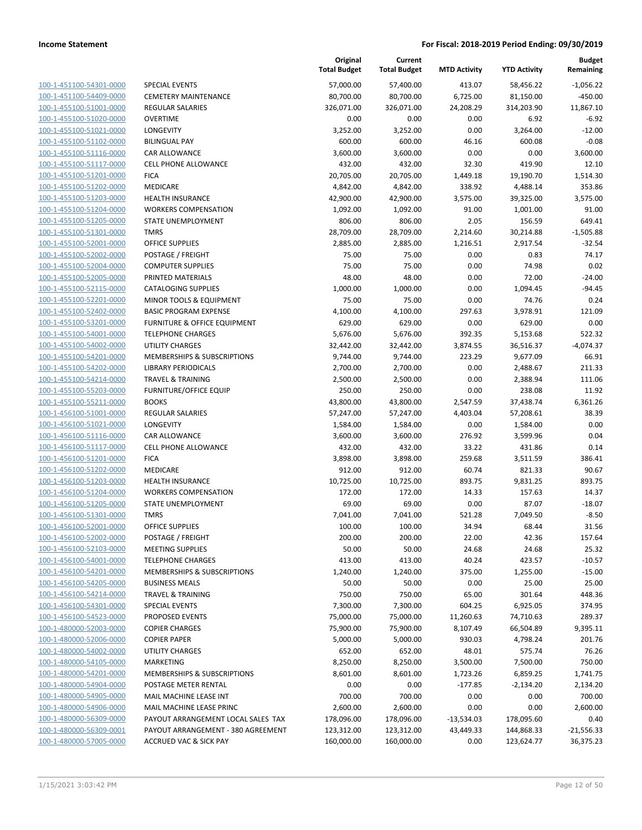| 100-1-451100-54301-0000                                   |
|-----------------------------------------------------------|
| 100-1-451100-54409-0000                                   |
| <u>100-1-455100-51001-0000</u>                            |
| <u>100-1-455100-51020-0000</u>                            |
| <u>100-1-455100-51021-0000</u>                            |
| 100-1-455100-51102-0000                                   |
| 100-1-455100-51116-0000                                   |
| 100-1-455100-51117-0000                                   |
| 100-1-455100-51201-0000                                   |
| <u>100-1-455100-51202-0000</u>                            |
| 100-1-455100-51203-0000                                   |
| 100-1-455100-51204-0000                                   |
| <u>100-1-455100-51205-0000</u>                            |
| <u>100-1-455100-51301-0000</u>                            |
| <u>100-1-455100-52001-0000</u>                            |
| 100-1-455100-52002-0000                                   |
| 100-1-455100-52004-0000                                   |
| 100-1-455100-52005-0000                                   |
| 100-1-455100-52115-0000                                   |
| <u>100-1-455100-52201-0000</u>                            |
| 100-1-455100-52402-0000                                   |
| 100-1-455100-53201-0000                                   |
| 100-1-455100-54001-0000                                   |
| 100-1-455100-54002-0000                                   |
| <u>100-1-455100-54201-0000</u>                            |
| 100-1-455100-54202-0000                                   |
| 100-1-455100-54214-0000                                   |
| 100-1-455100-55203-0000                                   |
| 100-1-455100-55211-0000                                   |
| <u>100-1-456100-51001-0000</u>                            |
| 100-1-456100-51021-0000                                   |
| 100-1-456100-51116-0000                                   |
| <u>100-1-456100-51117-0000</u>                            |
| <u>100-1-456100-51201-0000</u>                            |
| 100-1-456100-51202-0000                                   |
| 100-1-456100-51203-0000                                   |
| 100-1-456100-51204-0000                                   |
| 100-1-456100-51205-0000                                   |
| 100-1-456100-51301-0000                                   |
| 100-1-456100-52001-0000                                   |
| 100-1-456100-52002-0000                                   |
| 100-1-456100-52103-0000                                   |
| <u>100-1-456100-54001-0000</u>                            |
| <u>100-1-456100-54201-0000</u>                            |
| 100-1-456100-54205-0000                                   |
| 100-1-456100-54214-0000                                   |
| 100-1-456100-54301-0000                                   |
| <u>100-1-456100-54523-0000</u>                            |
| <u>100-1-480000-52003-0000</u>                            |
| 100-1-480000-52006-0000                                   |
| 100-1-480000-54002-0000                                   |
| 100-1-480000-54105-0000                                   |
| 100-1-480000-54201-0000                                   |
| <u>100-1-480000-54904-0000</u><br>100-1-480000-54905-0000 |
| 100-1-480000-54906-0000                                   |
| 100-1-480000-56309-0000                                   |
| <u>100-1-480000-56309-0001</u>                            |
| 100-1-480000-57005-0000                                   |
|                                                           |

|                         |                                        | Original<br><b>Total Budget</b> | Current<br><b>Total Budget</b> | <b>MTD Activity</b> | <b>YTD Activity</b> | <b>Budget</b><br>Remaining |
|-------------------------|----------------------------------------|---------------------------------|--------------------------------|---------------------|---------------------|----------------------------|
| 100-1-451100-54301-0000 | <b>SPECIAL EVENTS</b>                  | 57,000.00                       | 57,400.00                      | 413.07              | 58,456.22           | $-1,056.22$                |
| 100-1-451100-54409-0000 | <b>CEMETERY MAINTENANCE</b>            | 80,700.00                       | 80,700.00                      | 6,725.00            | 81,150.00           | $-450.00$                  |
| 100-1-455100-51001-0000 | <b>REGULAR SALARIES</b>                | 326,071.00                      | 326,071.00                     | 24,208.29           | 314,203.90          | 11,867.10                  |
| 100-1-455100-51020-0000 | <b>OVERTIME</b>                        | 0.00                            | 0.00                           | 0.00                | 6.92                | $-6.92$                    |
| 100-1-455100-51021-0000 | LONGEVITY                              | 3,252.00                        | 3,252.00                       | 0.00                | 3,264.00            | $-12.00$                   |
| 100-1-455100-51102-0000 | <b>BILINGUAL PAY</b>                   | 600.00                          | 600.00                         | 46.16               | 600.08              | $-0.08$                    |
| 100-1-455100-51116-0000 | CAR ALLOWANCE                          | 3,600.00                        | 3,600.00                       | 0.00                | 0.00                | 3,600.00                   |
| 100-1-455100-51117-0000 | <b>CELL PHONE ALLOWANCE</b>            | 432.00                          | 432.00                         | 32.30               | 419.90              | 12.10                      |
| 100-1-455100-51201-0000 | <b>FICA</b>                            | 20,705.00                       | 20,705.00                      | 1,449.18            | 19,190.70           | 1,514.30                   |
| 100-1-455100-51202-0000 | MEDICARE                               | 4,842.00                        | 4,842.00                       | 338.92              | 4,488.14            | 353.86                     |
| 100-1-455100-51203-0000 | HEALTH INSURANCE                       | 42,900.00                       | 42,900.00                      | 3,575.00            | 39,325.00           | 3,575.00                   |
| 100-1-455100-51204-0000 | <b>WORKERS COMPENSATION</b>            | 1,092.00                        | 1,092.00                       | 91.00               | 1,001.00            | 91.00                      |
| 100-1-455100-51205-0000 | STATE UNEMPLOYMENT                     | 806.00                          | 806.00                         | 2.05                | 156.59              | 649.41                     |
| 100-1-455100-51301-0000 | <b>TMRS</b>                            | 28,709.00                       | 28,709.00                      | 2,214.60            | 30,214.88           | $-1,505.88$                |
| 100-1-455100-52001-0000 | <b>OFFICE SUPPLIES</b>                 | 2,885.00                        | 2,885.00                       | 1,216.51            | 2,917.54            | $-32.54$                   |
| 100-1-455100-52002-0000 | POSTAGE / FREIGHT                      | 75.00                           | 75.00                          | 0.00                | 0.83                | 74.17                      |
| 100-1-455100-52004-0000 | <b>COMPUTER SUPPLIES</b>               | 75.00                           | 75.00                          | 0.00                | 74.98               | 0.02                       |
| 100-1-455100-52005-0000 | PRINTED MATERIALS                      | 48.00                           | 48.00                          | 0.00                | 72.00               | $-24.00$                   |
| 100-1-455100-52115-0000 | <b>CATALOGING SUPPLIES</b>             | 1,000.00                        | 1,000.00                       | 0.00                | 1,094.45            | $-94.45$                   |
| 100-1-455100-52201-0000 | MINOR TOOLS & EQUIPMENT                | 75.00                           | 75.00                          | 0.00                | 74.76               | 0.24                       |
| 100-1-455100-52402-0000 | <b>BASIC PROGRAM EXPENSE</b>           | 4,100.00                        | 4,100.00                       | 297.63              | 3,978.91            | 121.09                     |
| 100-1-455100-53201-0000 | FURNITURE & OFFICE EQUIPMENT           | 629.00                          | 629.00                         | 0.00                | 629.00              | 0.00                       |
| 100-1-455100-54001-0000 | <b>TELEPHONE CHARGES</b>               | 5,676.00                        | 5,676.00                       | 392.35              | 5,153.68            | 522.32                     |
| 100-1-455100-54002-0000 | <b>UTILITY CHARGES</b>                 | 32,442.00                       | 32,442.00                      | 3,874.55            | 36,516.37           | $-4,074.37$                |
| 100-1-455100-54201-0000 | <b>MEMBERSHIPS &amp; SUBSCRIPTIONS</b> | 9,744.00                        | 9,744.00                       | 223.29              | 9,677.09            | 66.91                      |
| 100-1-455100-54202-0000 | <b>LIBRARY PERIODICALS</b>             | 2,700.00                        | 2,700.00                       | 0.00                | 2,488.67            | 211.33                     |
| 100-1-455100-54214-0000 | <b>TRAVEL &amp; TRAINING</b>           | 2,500.00                        | 2,500.00                       | 0.00                | 2,388.94            | 111.06                     |
| 100-1-455100-55203-0000 | <b>FURNITURE/OFFICE EQUIP</b>          | 250.00                          | 250.00                         | 0.00                | 238.08              | 11.92                      |
| 100-1-455100-55211-0000 | <b>BOOKS</b>                           | 43,800.00                       | 43,800.00                      | 2,547.59            | 37,438.74           | 6,361.26                   |
| 100-1-456100-51001-0000 | REGULAR SALARIES                       | 57,247.00                       | 57,247.00                      | 4,403.04            | 57,208.61           | 38.39                      |
| 100-1-456100-51021-0000 | LONGEVITY                              | 1,584.00                        | 1,584.00                       | 0.00                | 1,584.00            | 0.00                       |
| 100-1-456100-51116-0000 | CAR ALLOWANCE                          | 3,600.00                        | 3,600.00                       | 276.92              | 3,599.96            | 0.04                       |
| 100-1-456100-51117-0000 | <b>CELL PHONE ALLOWANCE</b>            | 432.00                          | 432.00                         | 33.22               | 431.86              | 0.14                       |
| 100-1-456100-51201-0000 | <b>FICA</b>                            | 3,898.00                        | 3,898.00                       | 259.68              | 3,511.59            | 386.41                     |
| 100-1-456100-51202-0000 | MEDICARE                               | 912.00                          | 912.00                         | 60.74               | 821.33              | 90.67                      |
| 100-1-456100-51203-0000 | <b>HEALTH INSURANCE</b>                | 10,725.00                       | 10,725.00                      | 893.75              | 9,831.25            | 893.75                     |
| 100-1-456100-51204-0000 | <b>WORKERS COMPENSATION</b>            | 172.00                          | 172.00                         | 14.33               | 157.63              | 14.37                      |
| 100-1-456100-51205-0000 | STATE UNEMPLOYMENT                     | 69.00                           | 69.00                          | 0.00                | 87.07               | $-18.07$                   |
| 100-1-456100-51301-0000 | <b>TMRS</b>                            | 7,041.00                        | 7,041.00                       | 521.28              | 7,049.50            | $-8.50$                    |
| 100-1-456100-52001-0000 | OFFICE SUPPLIES                        | 100.00                          | 100.00                         | 34.94               | 68.44               | 31.56                      |
| 100-1-456100-52002-0000 | POSTAGE / FREIGHT                      | 200.00                          | 200.00                         | 22.00               | 42.36               | 157.64                     |
| 100-1-456100-52103-0000 | <b>MEETING SUPPLIES</b>                | 50.00                           | 50.00                          | 24.68               | 24.68               | 25.32                      |
| 100-1-456100-54001-0000 | <b>TELEPHONE CHARGES</b>               | 413.00                          | 413.00                         | 40.24               | 423.57              | $-10.57$                   |
| 100-1-456100-54201-0000 | <b>MEMBERSHIPS &amp; SUBSCRIPTIONS</b> | 1,240.00                        | 1,240.00                       | 375.00              | 1,255.00            | $-15.00$                   |
| 100-1-456100-54205-0000 | <b>BUSINESS MEALS</b>                  | 50.00                           | 50.00                          | 0.00                | 25.00               | 25.00                      |
| 100-1-456100-54214-0000 | <b>TRAVEL &amp; TRAINING</b>           | 750.00                          | 750.00                         | 65.00               | 301.64              | 448.36                     |
| 100-1-456100-54301-0000 | <b>SPECIAL EVENTS</b>                  | 7,300.00                        | 7,300.00                       | 604.25              | 6,925.05            | 374.95                     |
| 100-1-456100-54523-0000 | PROPOSED EVENTS                        | 75,000.00                       | 75,000.00                      | 11,260.63           | 74,710.63           | 289.37                     |
| 100-1-480000-52003-0000 | <b>COPIER CHARGES</b>                  | 75,900.00                       | 75,900.00                      | 8,107.49            | 66,504.89           | 9,395.11                   |
| 100-1-480000-52006-0000 | <b>COPIER PAPER</b>                    | 5,000.00                        | 5,000.00                       | 930.03              | 4,798.24            | 201.76                     |
| 100-1-480000-54002-0000 | UTILITY CHARGES                        | 652.00                          | 652.00                         | 48.01               | 575.74              | 76.26                      |
| 100-1-480000-54105-0000 | <b>MARKETING</b>                       | 8,250.00                        | 8,250.00                       | 3,500.00            | 7,500.00            | 750.00                     |
| 100-1-480000-54201-0000 | MEMBERSHIPS & SUBSCRIPTIONS            | 8,601.00                        | 8,601.00                       | 1,723.26            | 6,859.25            | 1,741.75                   |
| 100-1-480000-54904-0000 | POSTAGE METER RENTAL                   | 0.00                            | 0.00                           | $-177.85$           | $-2,134.20$         | 2,134.20                   |
| 100-1-480000-54905-0000 | MAIL MACHINE LEASE INT                 | 700.00                          | 700.00                         | 0.00                | 0.00                | 700.00                     |
| 100-1-480000-54906-0000 | MAIL MACHINE LEASE PRINC               | 2,600.00                        | 2,600.00                       | 0.00                | 0.00                | 2,600.00                   |
| 100-1-480000-56309-0000 | PAYOUT ARRANGEMENT LOCAL SALES TAX     | 178,096.00                      | 178,096.00                     | $-13,534.03$        | 178,095.60          | 0.40                       |
| 100-1-480000-56309-0001 | PAYOUT ARRANGEMENT - 380 AGREEMENT     | 123,312.00                      | 123,312.00                     | 43,449.33           | 144,868.33          | $-21,556.33$               |
| 100-1-480000-57005-0000 | ACCRUED VAC & SICK PAY                 | 160,000.00                      | 160,000.00                     | 0.00                | 123,624.77          | 36,375.23                  |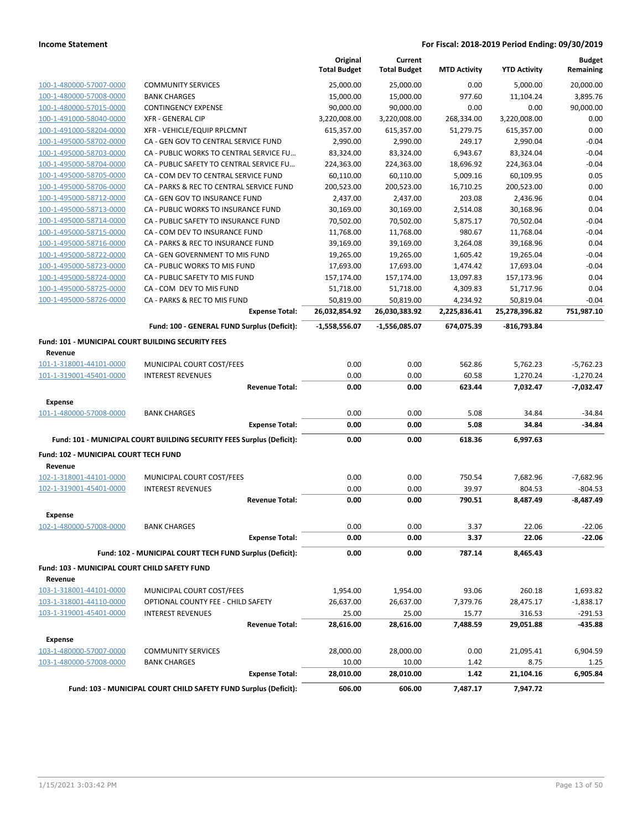|                                                               |                                                                       | Original<br><b>Total Budget</b> | Current<br><b>Total Budget</b> | <b>MTD Activity</b> | <b>YTD Activity</b> | <b>Budget</b><br>Remaining |
|---------------------------------------------------------------|-----------------------------------------------------------------------|---------------------------------|--------------------------------|---------------------|---------------------|----------------------------|
| 100-1-480000-57007-0000                                       | <b>COMMUNITY SERVICES</b>                                             | 25,000.00                       | 25.000.00                      | 0.00                | 5,000.00            | 20,000.00                  |
| 100-1-480000-57008-0000                                       | <b>BANK CHARGES</b>                                                   | 15,000.00                       | 15,000.00                      | 977.60              | 11,104.24           | 3,895.76                   |
| 100-1-480000-57015-0000                                       | <b>CONTINGENCY EXPENSE</b>                                            | 90,000.00                       | 90,000.00                      | 0.00                | 0.00                | 90,000.00                  |
| 100-1-491000-58040-0000                                       | <b>XFR - GENERAL CIP</b>                                              | 3,220,008.00                    | 3,220,008.00                   | 268,334.00          | 3,220,008.00        | 0.00                       |
| 100-1-491000-58204-0000                                       | XFR - VEHICLE/EQUIP RPLCMNT                                           | 615,357.00                      | 615,357.00                     | 51,279.75           | 615,357.00          | 0.00                       |
| 100-1-495000-58702-0000                                       | CA - GEN GOV TO CENTRAL SERVICE FUND                                  | 2,990.00                        | 2,990.00                       | 249.17              | 2,990.04            | $-0.04$                    |
| 100-1-495000-58703-0000                                       | CA - PUBLIC WORKS TO CENTRAL SERVICE FU                               | 83,324.00                       | 83,324.00                      | 6,943.67            | 83,324.04           | $-0.04$                    |
| 100-1-495000-58704-0000                                       | CA - PUBLIC SAFETY TO CENTRAL SERVICE FU                              | 224,363.00                      | 224,363.00                     | 18,696.92           | 224,363.04          | $-0.04$                    |
| 100-1-495000-58705-0000                                       | CA - COM DEV TO CENTRAL SERVICE FUND                                  | 60,110.00                       | 60,110.00                      | 5,009.16            | 60,109.95           | 0.05                       |
| 100-1-495000-58706-0000                                       | CA - PARKS & REC TO CENTRAL SERVICE FUND                              | 200,523.00                      | 200,523.00                     | 16,710.25           | 200,523.00          | 0.00                       |
| 100-1-495000-58712-0000                                       | CA - GEN GOV TO INSURANCE FUND                                        | 2,437.00                        | 2,437.00                       | 203.08              | 2,436.96            | 0.04                       |
| 100-1-495000-58713-0000                                       | CA - PUBLIC WORKS TO INSURANCE FUND                                   | 30,169.00                       | 30,169.00                      | 2,514.08            | 30,168.96           | 0.04                       |
| 100-1-495000-58714-0000                                       | CA - PUBLIC SAFETY TO INSURANCE FUND                                  | 70,502.00                       | 70,502.00                      | 5,875.17            | 70,502.04           | $-0.04$                    |
| 100-1-495000-58715-0000                                       | CA - COM DEV TO INSURANCE FUND                                        | 11,768.00                       | 11,768.00                      | 980.67              | 11,768.04           | $-0.04$                    |
| 100-1-495000-58716-0000                                       | CA - PARKS & REC TO INSURANCE FUND                                    | 39,169.00                       | 39,169.00                      | 3,264.08            | 39,168.96           | 0.04                       |
| 100-1-495000-58722-0000                                       | CA - GEN GOVERNMENT TO MIS FUND                                       | 19,265.00                       | 19,265.00                      | 1,605.42            | 19,265.04           | $-0.04$                    |
| 100-1-495000-58723-0000                                       | CA - PUBLIC WORKS TO MIS FUND                                         | 17,693.00                       | 17,693.00                      | 1,474.42            | 17,693.04           | $-0.04$                    |
| 100-1-495000-58724-0000                                       | CA - PUBLIC SAFETY TO MIS FUND                                        | 157,174.00                      | 157,174.00                     | 13,097.83           | 157,173.96          | 0.04                       |
| 100-1-495000-58725-0000                                       | CA - COM DEV TO MIS FUND                                              | 51,718.00                       | 51,718.00                      | 4,309.83            | 51,717.96           | 0.04                       |
| 100-1-495000-58726-0000                                       | CA - PARKS & REC TO MIS FUND                                          | 50,819.00                       | 50,819.00                      | 4,234.92            | 50,819.04           | $-0.04$                    |
|                                                               | <b>Expense Total:</b>                                                 | 26,032,854.92                   | 26,030,383.92                  | 2,225,836.41        | 25,278,396.82       | 751,987.10                 |
|                                                               | Fund: 100 - GENERAL FUND Surplus (Deficit):                           | $-1,558,556.07$                 | -1,556,085.07                  | 674,075.39          | $-816,793.84$       |                            |
| Fund: 101 - MUNICIPAL COURT BUILDING SECURITY FEES<br>Revenue |                                                                       |                                 |                                |                     |                     |                            |
| 101-1-318001-44101-0000                                       | MUNICIPAL COURT COST/FEES                                             | 0.00                            | 0.00                           |                     | 5,762.23            | $-5,762.23$                |
| 101-1-319001-45401-0000                                       | <b>INTEREST REVENUES</b>                                              | 0.00                            | 0.00                           | 562.86<br>60.58     | 1,270.24            | $-1,270.24$                |
|                                                               | <b>Revenue Total:</b>                                                 | 0.00                            | 0.00                           | 623.44              | 7,032.47            | $-7,032.47$                |
| <b>Expense</b>                                                |                                                                       |                                 |                                |                     |                     |                            |
| 101-1-480000-57008-0000                                       | <b>BANK CHARGES</b>                                                   | 0.00                            | 0.00                           | 5.08                | 34.84               | $-34.84$                   |
|                                                               | <b>Expense Total:</b>                                                 | 0.00                            | 0.00                           | 5.08                | 34.84               | $-34.84$                   |
|                                                               | Fund: 101 - MUNICIPAL COURT BUILDING SECURITY FEES Surplus (Deficit): | 0.00                            | 0.00                           | 618.36              | 6,997.63            |                            |
| Fund: 102 - MUNICIPAL COURT TECH FUND                         |                                                                       |                                 |                                |                     |                     |                            |
| Revenue                                                       |                                                                       |                                 |                                |                     |                     |                            |
| 102-1-318001-44101-0000                                       | MUNICIPAL COURT COST/FEES                                             | 0.00                            | 0.00                           | 750.54              | 7,682.96            | $-7,682.96$                |
| 102-1-319001-45401-0000                                       | <b>INTEREST REVENUES</b>                                              | 0.00                            | 0.00                           | 39.97               | 804.53              | $-804.53$                  |
|                                                               | <b>Revenue Total:</b>                                                 | 0.00                            | 0.00                           | 790.51              | 8,487.49            | $-8,487.49$                |
| Expense                                                       |                                                                       |                                 |                                |                     |                     |                            |
| 102-1-480000-57008-0000                                       | <b>BANK CHARGES</b>                                                   | 0.00                            | 0.00                           | 3.37                | 22.06               | $-22.06$                   |
|                                                               | <b>Expense Total:</b>                                                 | 0.00                            | 0.00                           | 3.37                | 22.06               | $-22.06$                   |
|                                                               | Fund: 102 - MUNICIPAL COURT TECH FUND Surplus (Deficit):              | 0.00                            | 0.00                           | 787.14              | 8,465.43            |                            |
| Fund: 103 - MUNICIPAL COURT CHILD SAFETY FUND<br>Revenue      |                                                                       |                                 |                                |                     |                     |                            |
| 103-1-318001-44101-0000                                       | MUNICIPAL COURT COST/FEES                                             | 1,954.00                        | 1,954.00                       | 93.06               | 260.18              | 1,693.82                   |
| 103-1-318001-44110-0000                                       | OPTIONAL COUNTY FEE - CHILD SAFETY                                    | 26,637.00                       | 26,637.00                      | 7,379.76            | 28,475.17           | $-1,838.17$                |
| 103-1-319001-45401-0000                                       | <b>INTEREST REVENUES</b>                                              | 25.00                           | 25.00                          | 15.77               | 316.53              | $-291.53$                  |
|                                                               | <b>Revenue Total:</b>                                                 | 28,616.00                       | 28,616.00                      | 7,488.59            | 29,051.88           | -435.88                    |
|                                                               |                                                                       |                                 |                                |                     |                     |                            |
| <b>Expense</b><br>103-1-480000-57007-0000                     | <b>COMMUNITY SERVICES</b>                                             | 28,000.00                       | 28,000.00                      | 0.00                | 21,095.41           | 6,904.59                   |
| 103-1-480000-57008-0000                                       | <b>BANK CHARGES</b>                                                   | 10.00                           | 10.00                          | 1.42                | 8.75                |                            |
|                                                               | <b>Expense Total:</b>                                                 | 28,010.00                       | 28,010.00                      | 1.42                | 21,104.16           | 1.25<br>6,905.84           |
|                                                               | Fund: 103 - MUNICIPAL COURT CHILD SAFETY FUND Surplus (Deficit):      | 606.00                          | 606.00                         | 7,487.17            | 7,947.72            |                            |
|                                                               |                                                                       |                                 |                                |                     |                     |                            |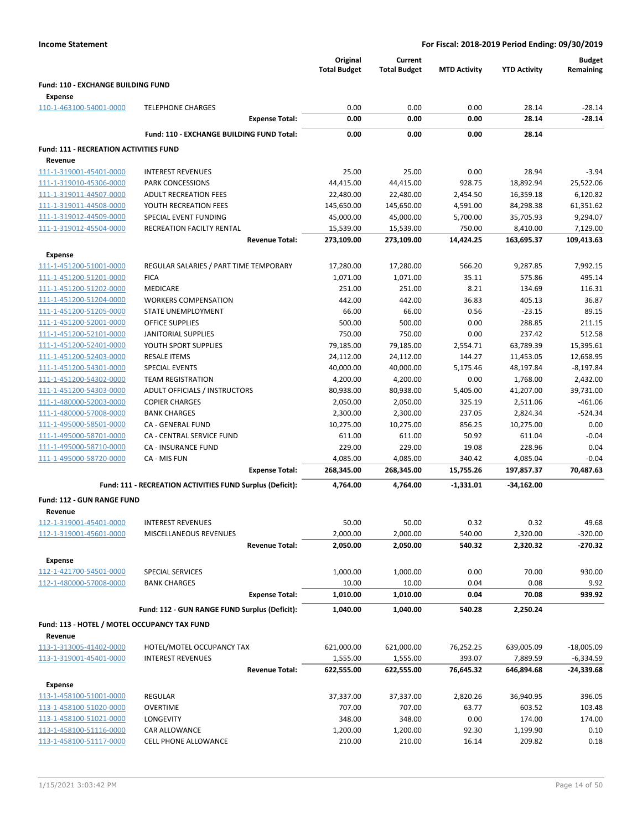|                                                    |                                                           |                       | Original<br><b>Total Budget</b> | Current<br><b>Total Budget</b> | <b>MTD Activity</b>  | <b>YTD Activity</b>    | <b>Budget</b><br>Remaining |
|----------------------------------------------------|-----------------------------------------------------------|-----------------------|---------------------------------|--------------------------------|----------------------|------------------------|----------------------------|
| Fund: 110 - EXCHANGE BUILDING FUND                 |                                                           |                       |                                 |                                |                      |                        |                            |
| <b>Expense</b>                                     |                                                           |                       |                                 |                                |                      |                        |                            |
| 110-1-463100-54001-0000                            | <b>TELEPHONE CHARGES</b>                                  |                       | 0.00                            | 0.00                           | 0.00                 | 28.14                  | $-28.14$                   |
|                                                    |                                                           | <b>Expense Total:</b> | 0.00                            | 0.00                           | 0.00                 | 28.14                  | $-28.14$                   |
|                                                    | Fund: 110 - EXCHANGE BUILDING FUND Total:                 |                       | 0.00                            | 0.00                           | 0.00                 | 28.14                  |                            |
|                                                    |                                                           |                       |                                 |                                |                      |                        |                            |
| <b>Fund: 111 - RECREATION ACTIVITIES FUND</b>      |                                                           |                       |                                 |                                |                      |                        |                            |
| Revenue                                            |                                                           |                       |                                 |                                |                      |                        |                            |
| 111-1-319001-45401-0000                            | <b>INTEREST REVENUES</b>                                  |                       | 25.00                           | 25.00                          | 0.00                 | 28.94                  | $-3.94$                    |
| 111-1-319010-45306-0000<br>111-1-319011-44507-0000 | <b>PARK CONCESSIONS</b>                                   |                       | 44,415.00                       | 44,415.00                      | 928.75               | 18,892.94              | 25,522.06                  |
| 111-1-319011-44508-0000                            | <b>ADULT RECREATION FEES</b><br>YOUTH RECREATION FEES     |                       | 22,480.00                       | 22,480.00                      | 2,454.50             | 16,359.18              | 6,120.82                   |
| 111-1-319012-44509-0000                            | SPECIAL EVENT FUNDING                                     |                       | 145,650.00<br>45,000.00         | 145,650.00<br>45,000.00        | 4,591.00<br>5,700.00 | 84,298.38<br>35,705.93 | 61,351.62<br>9,294.07      |
| 111-1-319012-45504-0000                            | RECREATION FACILTY RENTAL                                 |                       | 15,539.00                       | 15,539.00                      | 750.00               | 8,410.00               | 7,129.00                   |
|                                                    |                                                           | <b>Revenue Total:</b> | 273,109.00                      | 273,109.00                     | 14,424.25            | 163,695.37             | 109,413.63                 |
|                                                    |                                                           |                       |                                 |                                |                      |                        |                            |
| <b>Expense</b>                                     |                                                           |                       |                                 |                                |                      |                        |                            |
| 111-1-451200-51001-0000                            | REGULAR SALARIES / PART TIME TEMPORARY                    |                       | 17,280.00                       | 17,280.00                      | 566.20               | 9,287.85               | 7,992.15                   |
| 111-1-451200-51201-0000                            | <b>FICA</b>                                               |                       | 1,071.00                        | 1,071.00                       | 35.11                | 575.86                 | 495.14                     |
| 111-1-451200-51202-0000                            | <b>MEDICARE</b>                                           |                       | 251.00                          | 251.00                         | 8.21                 | 134.69                 | 116.31                     |
| 111-1-451200-51204-0000<br>111-1-451200-51205-0000 | <b>WORKERS COMPENSATION</b>                               |                       | 442.00                          | 442.00                         | 36.83                | 405.13                 | 36.87                      |
|                                                    | <b>STATE UNEMPLOYMENT</b><br><b>OFFICE SUPPLIES</b>       |                       | 66.00<br>500.00                 | 66.00<br>500.00                | 0.56<br>0.00         | $-23.15$<br>288.85     | 89.15<br>211.15            |
| 111-1-451200-52001-0000                            | <b>JANITORIAL SUPPLIES</b>                                |                       | 750.00                          | 750.00                         | 0.00                 | 237.42                 | 512.58                     |
| 111-1-451200-52101-0000<br>111-1-451200-52401-0000 | YOUTH SPORT SUPPLIES                                      |                       | 79,185.00                       | 79,185.00                      | 2,554.71             | 63,789.39              | 15,395.61                  |
| 111-1-451200-52403-0000                            | <b>RESALE ITEMS</b>                                       |                       | 24,112.00                       | 24,112.00                      | 144.27               | 11,453.05              | 12,658.95                  |
| 111-1-451200-54301-0000                            | <b>SPECIAL EVENTS</b>                                     |                       | 40,000.00                       | 40,000.00                      | 5,175.46             | 48,197.84              | $-8,197.84$                |
| 111-1-451200-54302-0000                            | <b>TEAM REGISTRATION</b>                                  |                       | 4,200.00                        | 4,200.00                       | 0.00                 | 1,768.00               | 2,432.00                   |
| 111-1-451200-54303-0000                            | ADULT OFFICIALS / INSTRUCTORS                             |                       | 80,938.00                       | 80,938.00                      | 5,405.00             | 41,207.00              | 39,731.00                  |
| 111-1-480000-52003-0000                            | <b>COPIER CHARGES</b>                                     |                       | 2,050.00                        | 2,050.00                       | 325.19               | 2,511.06               | $-461.06$                  |
| 111-1-480000-57008-0000                            | <b>BANK CHARGES</b>                                       |                       | 2,300.00                        | 2,300.00                       | 237.05               | 2,824.34               | $-524.34$                  |
| 111-1-495000-58501-0000                            | CA - GENERAL FUND                                         |                       | 10,275.00                       | 10,275.00                      | 856.25               | 10,275.00              | 0.00                       |
| 111-1-495000-58701-0000                            | CA - CENTRAL SERVICE FUND                                 |                       | 611.00                          | 611.00                         | 50.92                | 611.04                 | $-0.04$                    |
| 111-1-495000-58710-0000                            | <b>CA - INSURANCE FUND</b>                                |                       | 229.00                          | 229.00                         | 19.08                | 228.96                 | 0.04                       |
| 111-1-495000-58720-0000                            | CA - MIS FUN                                              |                       | 4,085.00                        | 4,085.00                       | 340.42               | 4,085.04               | $-0.04$                    |
|                                                    |                                                           | <b>Expense Total:</b> | 268,345.00                      | 268,345.00                     | 15,755.26            | 197,857.37             | 70,487.63                  |
|                                                    | Fund: 111 - RECREATION ACTIVITIES FUND Surplus (Deficit): |                       | 4,764.00                        | 4,764.00                       | $-1,331.01$          | -34,162.00             |                            |
|                                                    |                                                           |                       |                                 |                                |                      |                        |                            |
| Fund: 112 - GUN RANGE FUND                         |                                                           |                       |                                 |                                |                      |                        |                            |
| Revenue                                            |                                                           |                       |                                 |                                |                      |                        |                            |
| 112-1-319001-45401-0000                            | <b>INTEREST REVENUES</b>                                  |                       | 50.00                           | 50.00                          | 0.32                 | 0.32                   | 49.68                      |
| 112-1-319001-45601-0000                            | MISCELLANEOUS REVENUES                                    |                       | 2,000.00                        | 2,000.00                       | 540.00               | 2,320.00               | $-320.00$                  |
|                                                    |                                                           | <b>Revenue Total:</b> | 2,050.00                        | 2,050.00                       | 540.32               | 2,320.32               | $-270.32$                  |
| <b>Expense</b>                                     |                                                           |                       |                                 |                                |                      |                        |                            |
| 112-1-421700-54501-0000                            | SPECIAL SERVICES                                          |                       | 1,000.00                        | 1,000.00                       | 0.00                 | 70.00                  | 930.00                     |
| 112-1-480000-57008-0000                            | <b>BANK CHARGES</b>                                       |                       | 10.00                           | 10.00                          | 0.04                 | 0.08                   | 9.92                       |
|                                                    |                                                           | <b>Expense Total:</b> | 1,010.00                        | 1,010.00                       | 0.04                 | 70.08                  | 939.92                     |
|                                                    | Fund: 112 - GUN RANGE FUND Surplus (Deficit):             |                       | 1,040.00                        | 1,040.00                       | 540.28               | 2,250.24               |                            |
| Fund: 113 - HOTEL / MOTEL OCCUPANCY TAX FUND       |                                                           |                       |                                 |                                |                      |                        |                            |
| Revenue                                            |                                                           |                       |                                 |                                |                      |                        |                            |
| 113-1-313005-41402-0000                            | HOTEL/MOTEL OCCUPANCY TAX                                 |                       | 621,000.00                      | 621,000.00                     | 76,252.25            | 639,005.09             | $-18,005.09$               |
| 113-1-319001-45401-0000                            | <b>INTEREST REVENUES</b>                                  |                       | 1,555.00                        | 1,555.00                       | 393.07               | 7,889.59               | -6,334.59                  |
|                                                    |                                                           | <b>Revenue Total:</b> | 622,555.00                      | 622,555.00                     | 76,645.32            | 646,894.68             | -24,339.68                 |
|                                                    |                                                           |                       |                                 |                                |                      |                        |                            |
| <b>Expense</b>                                     |                                                           |                       |                                 |                                |                      |                        |                            |
| 113-1-458100-51001-0000                            | REGULAR                                                   |                       | 37,337.00                       | 37,337.00                      | 2,820.26             | 36,940.95              | 396.05                     |
| 113-1-458100-51020-0000                            | <b>OVERTIME</b>                                           |                       | 707.00                          | 707.00                         | 63.77                | 603.52                 | 103.48                     |
| 113-1-458100-51021-0000                            | LONGEVITY                                                 |                       | 348.00                          | 348.00                         | 0.00                 | 174.00                 | 174.00                     |
| 113-1-458100-51116-0000<br>113-1-458100-51117-0000 | CAR ALLOWANCE                                             |                       | 1,200.00                        | 1,200.00                       | 92.30                | 1,199.90               | 0.10                       |
|                                                    | CELL PHONE ALLOWANCE                                      |                       | 210.00                          | 210.00                         | 16.14                | 209.82                 | 0.18                       |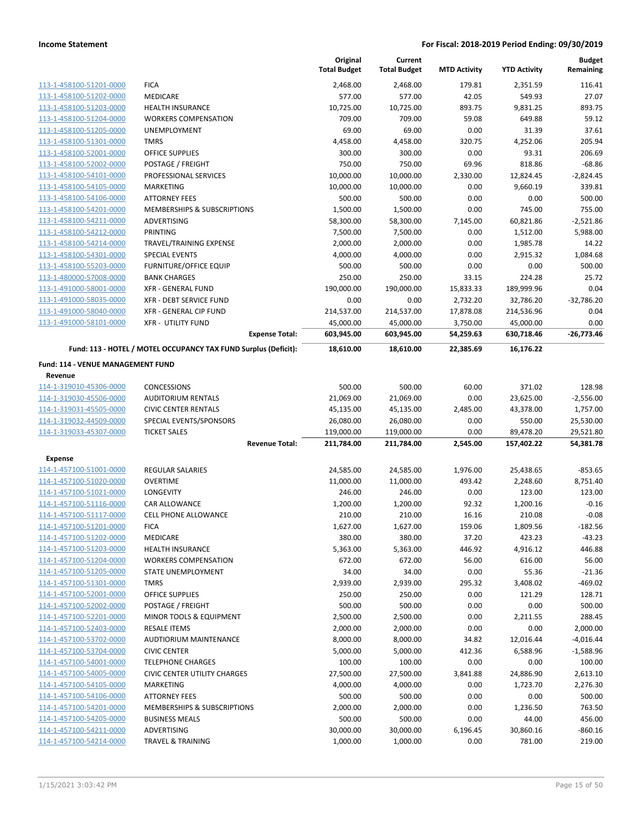|                                   |                                                                 | Original<br><b>Total Budget</b> | Current<br><b>Total Budget</b> | <b>MTD Activity</b> | <b>YTD Activity</b> | <b>Budget</b><br>Remaining |
|-----------------------------------|-----------------------------------------------------------------|---------------------------------|--------------------------------|---------------------|---------------------|----------------------------|
| 113-1-458100-51201-0000           | <b>FICA</b>                                                     | 2,468.00                        | 2,468.00                       | 179.81              | 2,351.59            | 116.41                     |
| 113-1-458100-51202-0000           | MEDICARE                                                        | 577.00                          | 577.00                         | 42.05               | 549.93              | 27.07                      |
| 113-1-458100-51203-0000           | <b>HEALTH INSURANCE</b>                                         | 10,725.00                       | 10,725.00                      | 893.75              | 9,831.25            | 893.75                     |
| 113-1-458100-51204-0000           | <b>WORKERS COMPENSATION</b>                                     | 709.00                          | 709.00                         | 59.08               | 649.88              | 59.12                      |
| 113-1-458100-51205-0000           | <b>UNEMPLOYMENT</b>                                             | 69.00                           | 69.00                          | 0.00                | 31.39               | 37.61                      |
| 113-1-458100-51301-0000           | <b>TMRS</b>                                                     | 4,458.00                        | 4,458.00                       | 320.75              | 4,252.06            | 205.94                     |
| 113-1-458100-52001-0000           | <b>OFFICE SUPPLIES</b>                                          | 300.00                          | 300.00                         | 0.00                | 93.31               | 206.69                     |
| 113-1-458100-52002-0000           | POSTAGE / FREIGHT                                               | 750.00                          | 750.00                         | 69.96               | 818.86              | $-68.86$                   |
| 113-1-458100-54101-0000           | PROFESSIONAL SERVICES                                           | 10,000.00                       | 10,000.00                      | 2,330.00            | 12,824.45           | $-2,824.45$                |
| 113-1-458100-54105-0000           | MARKETING                                                       | 10,000.00                       | 10,000.00                      | 0.00                | 9,660.19            | 339.81                     |
| 113-1-458100-54106-0000           | <b>ATTORNEY FEES</b>                                            | 500.00                          | 500.00                         | 0.00                | 0.00                | 500.00                     |
| 113-1-458100-54201-0000           | MEMBERSHIPS & SUBSCRIPTIONS                                     | 1,500.00                        | 1,500.00                       | 0.00                | 745.00              | 755.00                     |
| 113-1-458100-54211-0000           | ADVERTISING                                                     | 58,300.00                       | 58,300.00                      | 7,145.00            | 60,821.86           | $-2,521.86$                |
| 113-1-458100-54212-0000           | PRINTING                                                        | 7,500.00                        | 7,500.00                       | 0.00                | 1,512.00            | 5,988.00                   |
| 113-1-458100-54214-0000           | TRAVEL/TRAINING EXPENSE                                         | 2,000.00                        | 2,000.00                       | 0.00                | 1,985.78            | 14.22                      |
| 113-1-458100-54301-0000           | SPECIAL EVENTS                                                  | 4,000.00                        | 4,000.00                       | 0.00                | 2,915.32            | 1,084.68                   |
| 113-1-458100-55203-0000           | <b>FURNITURE/OFFICE EQUIP</b>                                   | 500.00                          | 500.00                         | 0.00                | 0.00                | 500.00                     |
| 113-1-480000-57008-0000           | <b>BANK CHARGES</b>                                             | 250.00                          | 250.00                         | 33.15               | 224.28              | 25.72                      |
| 113-1-491000-58001-0000           | <b>XFR - GENERAL FUND</b>                                       | 190,000.00                      | 190,000.00                     | 15,833.33           | 189,999.96          | 0.04                       |
| 113-1-491000-58035-0000           | <b>XFR - DEBT SERVICE FUND</b>                                  | 0.00                            | 0.00                           | 2,732.20            | 32,786.20           | $-32,786.20$               |
| 113-1-491000-58040-0000           | XFR - GENERAL CIP FUND                                          | 214,537.00                      | 214,537.00                     | 17,878.08           | 214,536.96          | 0.04                       |
| 113-1-491000-58101-0000           | <b>XFR - UTILITY FUND</b>                                       | 45,000.00                       | 45,000.00                      | 3,750.00            | 45,000.00           | 0.00                       |
|                                   | <b>Expense Total:</b>                                           | 603,945.00                      | 603,945.00                     | 54,259.63           | 630,718.46          | $-26,773.46$               |
|                                   | Fund: 113 - HOTEL / MOTEL OCCUPANCY TAX FUND Surplus (Deficit): | 18,610.00                       | 18,610.00                      | 22,385.69           | 16,176.22           |                            |
| Fund: 114 - VENUE MANAGEMENT FUND |                                                                 |                                 |                                |                     |                     |                            |
| Revenue                           |                                                                 |                                 |                                |                     |                     |                            |
| 114-1-319010-45306-0000           | <b>CONCESSIONS</b>                                              | 500.00                          | 500.00                         | 60.00               | 371.02              | 128.98                     |
| 114-1-319030-45506-0000           | <b>AUDITORIUM RENTALS</b>                                       | 21,069.00                       | 21,069.00                      | 0.00                | 23,625.00           | $-2,556.00$                |
| 114-1-319031-45505-0000           | <b>CIVIC CENTER RENTALS</b>                                     | 45,135.00                       | 45,135.00                      | 2,485.00            | 43,378.00           | 1,757.00                   |
| 114-1-319032-44509-0000           | SPECIAL EVENTS/SPONSORS                                         | 26,080.00                       | 26,080.00                      | 0.00                | 550.00              | 25,530.00                  |
| 114-1-319033-45307-0000           | <b>TICKET SALES</b>                                             | 119,000.00                      | 119,000.00                     | 0.00                | 89,478.20           | 29,521.80                  |
|                                   | <b>Revenue Total:</b>                                           | 211,784.00                      | 211,784.00                     | 2,545.00            | 157,402.22          | 54,381.78                  |
| <b>Expense</b>                    |                                                                 |                                 |                                |                     |                     |                            |
| 114-1-457100-51001-0000           | <b>REGULAR SALARIES</b>                                         | 24,585.00                       | 24,585.00                      | 1,976.00            | 25,438.65           | $-853.65$                  |
| 114-1-457100-51020-0000           | <b>OVERTIME</b>                                                 | 11,000.00                       | 11,000.00                      | 493.42              | 2,248.60            | 8,751.40                   |
| 114-1-457100-51021-0000           | LONGEVITY                                                       | 246.00                          | 246.00                         | 0.00                | 123.00              | 123.00                     |
| 114-1-457100-51116-0000           | CAR ALLOWANCE                                                   | 1,200.00                        | 1,200.00                       | 92.32               | 1,200.16            | $-0.16$                    |
| 114-1-457100-51117-0000           | CELL PHONE ALLOWANCE                                            | 210.00                          | 210.00                         | 16.16               | 210.08              | $-0.08$                    |
| 114-1-457100-51201-0000           | <b>FICA</b>                                                     | 1,627.00                        | 1,627.00                       | 159.06              | 1,809.56            | $-182.56$                  |
| 114-1-457100-51202-0000           | MEDICARE                                                        | 380.00                          | 380.00                         | 37.20               | 423.23              | $-43.23$                   |
| 114-1-457100-51203-0000           | HEALTH INSURANCE                                                | 5,363.00                        | 5,363.00                       | 446.92              | 4,916.12            | 446.88                     |
| 114-1-457100-51204-0000           | <b>WORKERS COMPENSATION</b>                                     | 672.00                          | 672.00                         | 56.00               | 616.00              | 56.00                      |
| 114-1-457100-51205-0000           | STATE UNEMPLOYMENT                                              | 34.00                           | 34.00                          | 0.00                | 55.36               | $-21.36$                   |
| 114-1-457100-51301-0000           | <b>TMRS</b>                                                     | 2,939.00                        | 2,939.00                       | 295.32              | 3,408.02            | $-469.02$                  |
| 114-1-457100-52001-0000           | OFFICE SUPPLIES                                                 | 250.00                          | 250.00                         | 0.00                | 121.29              | 128.71                     |
| 114-1-457100-52002-0000           | POSTAGE / FREIGHT                                               | 500.00                          | 500.00                         | 0.00                | 0.00                | 500.00                     |
| 114-1-457100-52201-0000           | MINOR TOOLS & EQUIPMENT                                         | 2,500.00                        | 2,500.00                       | 0.00                | 2,211.55            | 288.45                     |
| 114-1-457100-52403-0000           | <b>RESALE ITEMS</b>                                             | 2,000.00                        | 2,000.00                       | 0.00                | 0.00                | 2,000.00                   |
| 114-1-457100-53702-0000           | AUDTIORIUM MAINTENANCE                                          | 8,000.00                        | 8,000.00                       | 34.82               | 12,016.44           | $-4,016.44$                |
| 114-1-457100-53704-0000           | <b>CIVIC CENTER</b>                                             | 5,000.00                        | 5,000.00                       | 412.36              | 6,588.96            | $-1,588.96$                |
| 114-1-457100-54001-0000           | <b>TELEPHONE CHARGES</b>                                        | 100.00                          | 100.00                         | 0.00                | 0.00                | 100.00                     |
| 114-1-457100-54005-0000           | <b>CIVIC CENTER UTILITY CHARGES</b>                             | 27,500.00                       | 27,500.00                      | 3,841.88            | 24,886.90           | 2,613.10                   |
| 114-1-457100-54105-0000           | MARKETING                                                       | 4,000.00                        | 4,000.00                       | 0.00                | 1,723.70            | 2,276.30                   |
| 114-1-457100-54106-0000           | <b>ATTORNEY FEES</b>                                            | 500.00                          | 500.00                         | 0.00                | 0.00                | 500.00                     |
| 114-1-457100-54201-0000           | MEMBERSHIPS & SUBSCRIPTIONS                                     | 2,000.00                        | 2,000.00                       | 0.00                | 1,236.50            | 763.50                     |
| 114-1-457100-54205-0000           | <b>BUSINESS MEALS</b>                                           | 500.00                          | 500.00                         | 0.00                | 44.00               | 456.00                     |
| 114-1-457100-54211-0000           | ADVERTISING                                                     | 30,000.00                       | 30,000.00                      | 6,196.45            | 30,860.16           | $-860.16$                  |
| 114-1-457100-54214-0000           | <b>TRAVEL &amp; TRAINING</b>                                    | 1,000.00                        | 1,000.00                       | 0.00                | 781.00              | 219.00                     |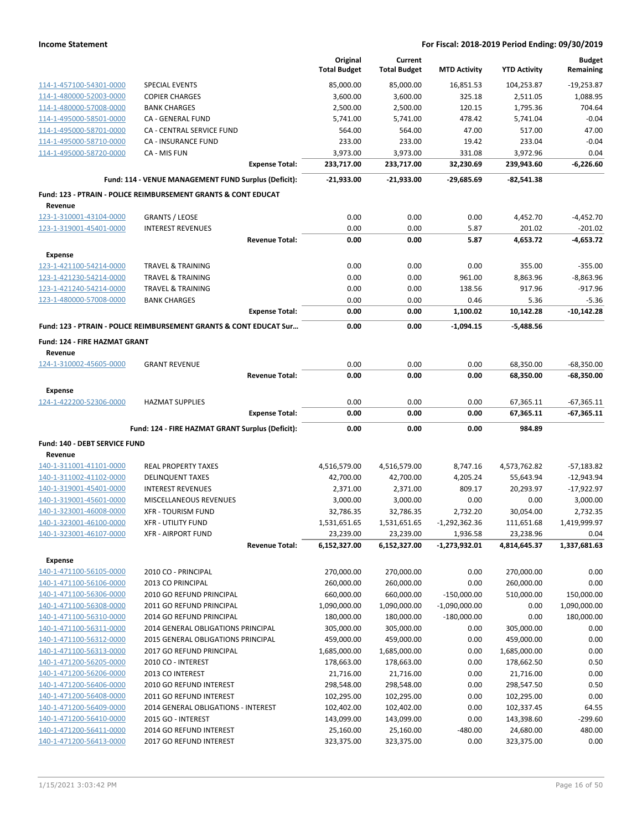|                                                    |                                                                           |                       | Original<br><b>Total Budget</b> | Current<br><b>Total Budget</b> | <b>MTD Activity</b>              | <b>YTD Activity</b>       | <b>Budget</b><br>Remaining |
|----------------------------------------------------|---------------------------------------------------------------------------|-----------------------|---------------------------------|--------------------------------|----------------------------------|---------------------------|----------------------------|
| 114-1-457100-54301-0000                            | <b>SPECIAL EVENTS</b>                                                     |                       | 85,000.00                       | 85,000.00                      | 16,851.53                        | 104,253.87                | $-19,253.87$               |
| 114-1-480000-52003-0000                            | <b>COPIER CHARGES</b>                                                     |                       | 3,600.00                        | 3,600.00                       | 325.18                           | 2,511.05                  | 1,088.95                   |
| 114-1-480000-57008-0000                            | <b>BANK CHARGES</b>                                                       |                       | 2,500.00                        | 2,500.00                       | 120.15                           | 1,795.36                  | 704.64                     |
| 114-1-495000-58501-0000                            | CA - GENERAL FUND                                                         |                       | 5,741.00                        | 5,741.00                       | 478.42                           | 5,741.04                  | $-0.04$                    |
| 114-1-495000-58701-0000                            | CA - CENTRAL SERVICE FUND                                                 |                       | 564.00                          | 564.00                         | 47.00                            | 517.00                    | 47.00                      |
| 114-1-495000-58710-0000                            | <b>CA - INSURANCE FUND</b>                                                |                       | 233.00                          | 233.00                         | 19.42                            | 233.04                    | $-0.04$                    |
| 114-1-495000-58720-0000                            | CA - MIS FUN                                                              |                       | 3,973.00                        | 3,973.00                       | 331.08                           | 3,972.96                  | 0.04                       |
|                                                    |                                                                           | <b>Expense Total:</b> | 233,717.00                      | 233,717.00                     | 32,230.69                        | 239,943.60                | $-6,226.60$                |
|                                                    | Fund: 114 - VENUE MANAGEMENT FUND Surplus (Deficit):                      |                       | $-21,933.00$                    | $-21.933.00$                   | $-29,685.69$                     | -82,541.38                |                            |
| Revenue                                            | <b>Fund: 123 - PTRAIN - POLICE REIMBURSEMENT GRANTS &amp; CONT EDUCAT</b> |                       |                                 |                                |                                  |                           |                            |
| 123-1-310001-43104-0000                            | <b>GRANTS / LEOSE</b>                                                     |                       | 0.00                            | 0.00                           | 0.00                             | 4,452.70                  | $-4,452.70$                |
| 123-1-319001-45401-0000                            | <b>INTEREST REVENUES</b>                                                  |                       | 0.00                            | 0.00                           | 5.87                             | 201.02                    | $-201.02$                  |
|                                                    |                                                                           | <b>Revenue Total:</b> | 0.00                            | 0.00                           | 5.87                             | 4,653.72                  | $-4,653.72$                |
| <b>Expense</b>                                     |                                                                           |                       |                                 |                                |                                  |                           |                            |
| 123-1-421100-54214-0000                            | <b>TRAVEL &amp; TRAINING</b>                                              |                       | 0.00                            | 0.00                           | 0.00                             | 355.00                    | $-355.00$                  |
| 123-1-421230-54214-0000                            | <b>TRAVEL &amp; TRAINING</b>                                              |                       | 0.00                            | 0.00                           | 961.00                           | 8,863.96                  | $-8,863.96$                |
| 123-1-421240-54214-0000                            | <b>TRAVEL &amp; TRAINING</b>                                              |                       | 0.00                            | 0.00                           | 138.56                           | 917.96                    | $-917.96$                  |
| 123-1-480000-57008-0000                            | <b>BANK CHARGES</b>                                                       |                       | 0.00                            | 0.00                           | 0.46                             | 5.36                      | $-5.36$                    |
|                                                    |                                                                           | <b>Expense Total:</b> | 0.00                            | 0.00                           | 1,100.02                         | 10,142.28                 | $-10,142.28$               |
|                                                    | Fund: 123 - PTRAIN - POLICE REIMBURSEMENT GRANTS & CONT EDUCAT Sur        |                       | 0.00                            | 0.00                           | $-1,094.15$                      | $-5.488.56$               |                            |
| Fund: 124 - FIRE HAZMAT GRANT                      |                                                                           |                       |                                 |                                |                                  |                           |                            |
| Revenue                                            |                                                                           |                       |                                 |                                |                                  |                           |                            |
| 124-1-310002-45605-0000                            | <b>GRANT REVENUE</b>                                                      |                       | 0.00                            | 0.00                           | 0.00                             | 68,350.00                 | $-68,350.00$               |
|                                                    |                                                                           | <b>Revenue Total:</b> | 0.00                            | 0.00                           | 0.00                             | 68,350.00                 | $-68,350.00$               |
| <b>Expense</b>                                     |                                                                           |                       |                                 |                                |                                  |                           |                            |
| 124-1-422200-52306-0000                            | <b>HAZMAT SUPPLIES</b>                                                    |                       | 0.00                            | 0.00                           | 0.00                             | 67,365.11                 | $-67,365.11$               |
|                                                    |                                                                           | <b>Expense Total:</b> | 0.00                            | 0.00                           | 0.00                             | 67,365.11                 | $-67,365.11$               |
|                                                    | Fund: 124 - FIRE HAZMAT GRANT Surplus (Deficit):                          |                       | 0.00                            | 0.00                           | 0.00                             | 984.89                    |                            |
| Fund: 140 - DEBT SERVICE FUND                      |                                                                           |                       |                                 |                                |                                  |                           |                            |
| Revenue                                            |                                                                           |                       |                                 |                                |                                  |                           |                            |
| 140-1-311001-41101-0000                            | <b>REAL PROPERTY TAXES</b>                                                |                       | 4,516,579.00                    | 4,516,579.00                   | 8,747.16                         | 4,573,762.82              | $-57,183.82$               |
| 140-1-311002-41102-0000                            | <b>DELINQUENT TAXES</b>                                                   |                       | 42,700.00                       | 42,700.00                      | 4,205.24                         | 55,643.94                 | $-12,943.94$               |
| 140-1-319001-45401-0000                            | <b>INTEREST REVENUES</b>                                                  |                       | 2,371.00                        | 2,371.00                       | 809.17                           | 20,293.97                 | $-17,922.97$               |
| 140-1-319001-45601-0000                            | MISCELLANEOUS REVENUES                                                    |                       | 3,000.00                        | 3,000.00                       | 0.00                             | 0.00                      | 3,000.00                   |
| 140-1-323001-46008-0000                            | <b>XFR - TOURISM FUND</b>                                                 |                       | 32,786.35                       | 32,786.35                      | 2,732.20                         | 30,054.00                 | 2,732.35                   |
| 140-1-323001-46100-0000                            | <b>XFR - UTILITY FUND</b>                                                 |                       | 1,531,651.65                    | 1,531,651.65                   | $-1,292,362.36$                  | 111,651.68                | 1,419,999.97               |
| 140-1-323001-46107-0000                            | <b>XFR - AIRPORT FUND</b>                                                 | <b>Revenue Total:</b> | 23,239.00<br>6,152,327.00       | 23,239.00<br>6,152,327.00      | 1,936.58<br>$-1,273,932.01$      | 23,238.96<br>4,814,645.37 | 0.04<br>1,337,681.63       |
|                                                    |                                                                           |                       |                                 |                                |                                  |                           |                            |
| Expense                                            |                                                                           |                       |                                 |                                |                                  |                           |                            |
| 140-1-471100-56105-0000                            | 2010 CO - PRINCIPAL                                                       |                       | 270,000.00                      | 270,000.00                     | 0.00                             | 270,000.00<br>260,000.00  | 0.00                       |
| 140-1-471100-56106-0000                            | 2013 CO PRINCIPAL<br>2010 GO REFUND PRINCIPAL                             |                       | 260,000.00<br>660,000.00        | 260,000.00<br>660,000.00       | 0.00                             | 510,000.00                | 0.00<br>150,000.00         |
| 140-1-471100-56306-0000<br>140-1-471100-56308-0000 | 2011 GO REFUND PRINCIPAL                                                  |                       | 1,090,000.00                    | 1,090,000.00                   | $-150,000.00$<br>$-1,090,000.00$ | 0.00                      | 1,090,000.00               |
| 140-1-471100-56310-0000                            | 2014 GO REFUND PRINCIPAL                                                  |                       | 180,000.00                      | 180,000.00                     | $-180,000.00$                    | 0.00                      | 180,000.00                 |
| 140-1-471100-56311-0000                            | 2014 GENERAL OBLIGATIONS PRINCIPAL                                        |                       | 305,000.00                      | 305,000.00                     | 0.00                             | 305,000.00                | 0.00                       |
| 140-1-471100-56312-0000                            | 2015 GENERAL OBLIGATIONS PRINCIPAL                                        |                       | 459,000.00                      | 459,000.00                     | 0.00                             | 459,000.00                | 0.00                       |
| 140-1-471100-56313-0000                            | 2017 GO REFUND PRINCIPAL                                                  |                       | 1,685,000.00                    | 1,685,000.00                   | 0.00                             | 1,685,000.00              | 0.00                       |
| 140-1-471200-56205-0000                            | 2010 CO - INTEREST                                                        |                       | 178,663.00                      | 178,663.00                     | 0.00                             | 178,662.50                | 0.50                       |
| 140-1-471200-56206-0000                            | 2013 CO INTEREST                                                          |                       | 21,716.00                       | 21,716.00                      | 0.00                             | 21,716.00                 | 0.00                       |
| 140-1-471200-56406-0000                            | 2010 GO REFUND INTEREST                                                   |                       | 298,548.00                      | 298,548.00                     | 0.00                             | 298,547.50                | 0.50                       |
| 140-1-471200-56408-0000                            | 2011 GO REFUND INTEREST                                                   |                       | 102,295.00                      | 102,295.00                     | 0.00                             | 102,295.00                | 0.00                       |
| 140-1-471200-56409-0000                            | 2014 GENERAL OBLIGATIONS - INTEREST                                       |                       | 102,402.00                      | 102,402.00                     | 0.00                             | 102,337.45                | 64.55                      |
| 140-1-471200-56410-0000                            | 2015 GO - INTEREST                                                        |                       | 143,099.00                      | 143,099.00                     | 0.00                             | 143,398.60                | -299.60                    |
| 140-1-471200-56411-0000                            | 2014 GO REFUND INTEREST                                                   |                       | 25,160.00                       | 25,160.00                      | -480.00                          | 24,680.00                 | 480.00                     |
| 140-1-471200-56413-0000                            | 2017 GO REFUND INTEREST                                                   |                       | 323,375.00                      | 323,375.00                     | 0.00                             | 323,375.00                | 0.00                       |
|                                                    |                                                                           |                       |                                 |                                |                                  |                           |                            |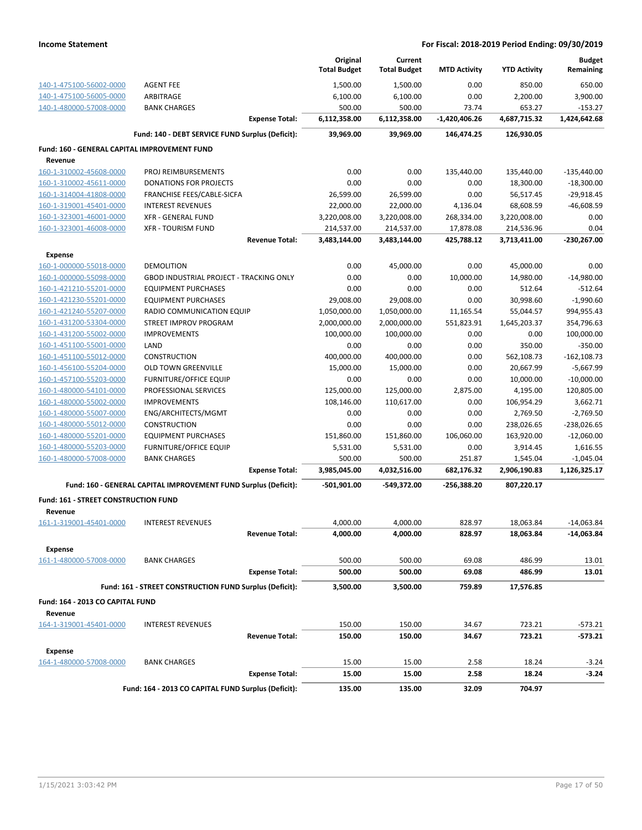|                                              |                                                                 | Original            | Current             |                     |                     | <b>Budget</b>  |
|----------------------------------------------|-----------------------------------------------------------------|---------------------|---------------------|---------------------|---------------------|----------------|
|                                              |                                                                 | <b>Total Budget</b> | <b>Total Budget</b> | <b>MTD Activity</b> | <b>YTD Activity</b> | Remaining      |
| 140-1-475100-56002-0000                      | <b>AGENT FEE</b>                                                | 1,500.00            | 1,500.00            | 0.00                | 850.00              | 650.00         |
| 140-1-475100-56005-0000                      | ARBITRAGE                                                       | 6,100.00            | 6,100.00            | 0.00                | 2,200.00            | 3,900.00       |
| 140-1-480000-57008-0000                      | <b>BANK CHARGES</b>                                             | 500.00              | 500.00              | 73.74               | 653.27              | $-153.27$      |
|                                              | <b>Expense Total:</b>                                           | 6,112,358.00        | 6,112,358.00        | -1,420,406.26       | 4,687,715.32        | 1,424,642.68   |
|                                              | Fund: 140 - DEBT SERVICE FUND Surplus (Deficit):                | 39,969.00           | 39,969.00           | 146,474.25          | 126,930.05          |                |
| Fund: 160 - GENERAL CAPITAL IMPROVEMENT FUND |                                                                 |                     |                     |                     |                     |                |
| Revenue                                      |                                                                 |                     |                     |                     |                     |                |
| 160-1-310002-45608-0000                      | PROJ REIMBURSEMENTS                                             | 0.00                | 0.00                | 135,440.00          | 135,440.00          | $-135,440.00$  |
| 160-1-310002-45611-0000                      | <b>DONATIONS FOR PROJECTS</b>                                   | 0.00                | 0.00                | 0.00                | 18,300.00           | $-18,300.00$   |
| 160-1-314004-41808-0000                      | FRANCHISE FEES/CABLE-SICFA                                      | 26,599.00           | 26,599.00           | 0.00                | 56,517.45           | $-29,918.45$   |
| 160-1-319001-45401-0000                      | <b>INTEREST REVENUES</b>                                        | 22,000.00           | 22,000.00           | 4,136.04            | 68,608.59           | $-46,608.59$   |
| 160-1-323001-46001-0000                      | <b>XFR - GENERAL FUND</b>                                       | 3,220,008.00        | 3,220,008.00        | 268,334.00          | 3,220,008.00        | 0.00           |
| 160-1-323001-46008-0000                      | <b>XFR - TOURISM FUND</b>                                       | 214,537.00          | 214,537.00          | 17,878.08           | 214,536.96          | 0.04           |
|                                              | <b>Revenue Total:</b>                                           | 3,483,144.00        | 3,483,144.00        | 425,788.12          | 3,713,411.00        | $-230,267.00$  |
| <b>Expense</b>                               |                                                                 |                     |                     |                     |                     |                |
| 160-1-000000-55018-0000                      | <b>DEMOLITION</b>                                               | 0.00                | 45,000.00           | 0.00                | 45,000.00           | 0.00           |
| 160-1-000000-55098-0000                      | <b>GBOD INDUSTRIAL PROJECT - TRACKING ONLY</b>                  | 0.00                | 0.00                | 10,000.00           | 14,980.00           | $-14,980.00$   |
| 160-1-421210-55201-0000                      | <b>EQUIPMENT PURCHASES</b>                                      | 0.00                | 0.00                | 0.00                | 512.64              | $-512.64$      |
| 160-1-421230-55201-0000                      | <b>EQUIPMENT PURCHASES</b>                                      | 29,008.00           | 29,008.00           | 0.00                | 30,998.60           | $-1,990.60$    |
| 160-1-421240-55207-0000                      | RADIO COMMUNICATION EQUIP                                       | 1,050,000.00        | 1,050,000.00        | 11,165.54           | 55,044.57           | 994,955.43     |
| 160-1-431200-53304-0000                      | STREET IMPROV PROGRAM                                           | 2,000,000.00        | 2,000,000.00        | 551,823.91          | 1,645,203.37        | 354,796.63     |
| 160-1-431200-55002-0000                      | <b>IMPROVEMENTS</b>                                             | 100,000.00          | 100,000.00          | 0.00                | 0.00                | 100,000.00     |
| 160-1-451100-55001-0000                      | LAND                                                            | 0.00                | 0.00                | 0.00                | 350.00              | $-350.00$      |
| 160-1-451100-55012-0000                      | CONSTRUCTION                                                    | 400,000.00          | 400,000.00          | 0.00                | 562,108.73          | $-162, 108.73$ |
| 160-1-456100-55204-0000                      | OLD TOWN GREENVILLE                                             | 15,000.00           | 15,000.00           | 0.00                | 20,667.99           | $-5,667.99$    |
| 160-1-457100-55203-0000                      | <b>FURNITURE/OFFICE EQUIP</b>                                   | 0.00                | 0.00                | 0.00                | 10,000.00           | $-10,000.00$   |
| 160-1-480000-54101-0000                      | PROFESSIONAL SERVICES                                           | 125,000.00          | 125,000.00          | 2,875.00            | 4,195.00            | 120,805.00     |
| 160-1-480000-55002-0000                      | <b>IMPROVEMENTS</b>                                             | 108,146.00          | 110,617.00          | 0.00                | 106,954.29          | 3,662.71       |
| 160-1-480000-55007-0000                      | ENG/ARCHITECTS/MGMT                                             | 0.00                | 0.00                | 0.00                | 2,769.50            | $-2,769.50$    |
| 160-1-480000-55012-0000                      | <b>CONSTRUCTION</b>                                             | 0.00                | 0.00                | 0.00                | 238,026.65          | $-238,026.65$  |
| 160-1-480000-55201-0000                      | <b>EQUIPMENT PURCHASES</b>                                      | 151,860.00          | 151,860.00          | 106,060.00          | 163,920.00          | $-12,060.00$   |
| 160-1-480000-55203-0000                      | <b>FURNITURE/OFFICE EQUIP</b>                                   | 5,531.00            | 5,531.00            | 0.00                | 3,914.45            | 1,616.55       |
| 160-1-480000-57008-0000                      | <b>BANK CHARGES</b>                                             | 500.00              | 500.00              | 251.87              | 1,545.04            | $-1,045.04$    |
|                                              | <b>Expense Total:</b>                                           | 3,985,045.00        | 4,032,516.00        | 682,176.32          | 2,906,190.83        | 1,126,325.17   |
|                                              | Fund: 160 - GENERAL CAPITAL IMPROVEMENT FUND Surplus (Deficit): | -501,901.00         | -549,372.00         | -256,388.20         | 807,220.17          |                |
| Fund: 161 - STREET CONSTRUCTION FUND         |                                                                 |                     |                     |                     |                     |                |
| Revenue                                      |                                                                 |                     |                     |                     |                     |                |
| 161-1-319001-45401-0000                      | <b>INTEREST REVENUES</b>                                        | 4,000.00            | 4,000.00            | 828.97              | 18,063.84           | -14,063.84     |
|                                              | <b>Revenue Total:</b>                                           | 4,000.00            | 4,000.00            | 828.97              | 18,063.84           | $-14,063.84$   |
| <b>Expense</b>                               |                                                                 |                     |                     |                     |                     |                |
| 161-1-480000-57008-0000                      | <b>BANK CHARGES</b>                                             | 500.00              | 500.00              | 69.08               | 486.99              | 13.01          |
|                                              | <b>Expense Total:</b>                                           | 500.00              | 500.00              | 69.08               | 486.99              | 13.01          |
|                                              | Fund: 161 - STREET CONSTRUCTION FUND Surplus (Deficit):         | 3,500.00            | 3,500.00            | 759.89              | 17,576.85           |                |
| Fund: 164 - 2013 CO CAPITAL FUND             |                                                                 |                     |                     |                     |                     |                |
| Revenue                                      |                                                                 |                     |                     |                     |                     |                |
| 164-1-319001-45401-0000                      | <b>INTEREST REVENUES</b>                                        | 150.00              | 150.00              | 34.67               | 723.21              | $-573.21$      |
|                                              | <b>Revenue Total:</b>                                           | 150.00              | 150.00              | 34.67               | 723.21              | -573.21        |
|                                              |                                                                 |                     |                     |                     |                     |                |
| <b>Expense</b>                               |                                                                 |                     |                     |                     |                     |                |
| 164-1-480000-57008-0000                      | <b>BANK CHARGES</b>                                             | 15.00               | 15.00               | 2.58                | 18.24               | $-3.24$        |
|                                              | <b>Expense Total:</b>                                           | 15.00               | 15.00               | 2.58                | 18.24               | $-3.24$        |
|                                              | Fund: 164 - 2013 CO CAPITAL FUND Surplus (Deficit):             | 135.00              | 135.00              | 32.09               | 704.97              |                |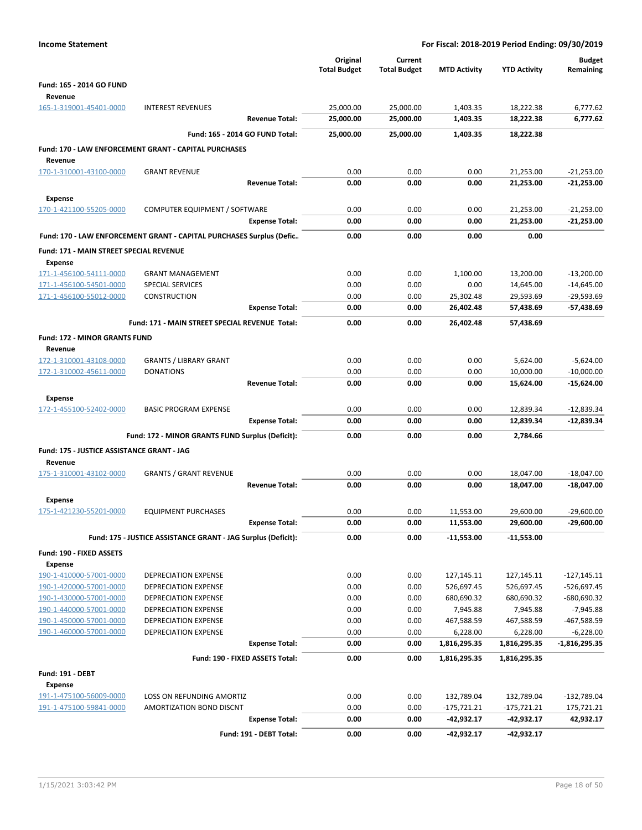| <b>Income Statement</b>                            |                                                                      | For Fiscal: 2018-2019 Period Ending: 09/30/2019 |                                |                        |                        |                              |  |  |
|----------------------------------------------------|----------------------------------------------------------------------|-------------------------------------------------|--------------------------------|------------------------|------------------------|------------------------------|--|--|
|                                                    |                                                                      | Original<br><b>Total Budget</b>                 | Current<br><b>Total Budget</b> | <b>MTD Activity</b>    | <b>YTD Activity</b>    | <b>Budget</b><br>Remaining   |  |  |
| <b>Fund: 165 - 2014 GO FUND</b>                    |                                                                      |                                                 |                                |                        |                        |                              |  |  |
| Revenue                                            |                                                                      |                                                 |                                |                        |                        |                              |  |  |
| 165-1-319001-45401-0000                            | <b>INTEREST REVENUES</b>                                             | 25,000.00                                       | 25,000.00                      | 1,403.35               | 18,222.38              | 6,777.62                     |  |  |
|                                                    | <b>Revenue Total:</b>                                                | 25,000.00                                       | 25,000.00                      | 1,403.35               | 18,222.38              | 6,777.62                     |  |  |
|                                                    | Fund: 165 - 2014 GO FUND Total:                                      | 25,000.00                                       | 25,000.00                      | 1,403.35               | 18,222.38              |                              |  |  |
| Revenue                                            | Fund: 170 - LAW ENFORCEMENT GRANT - CAPITAL PURCHASES                |                                                 |                                |                        |                        |                              |  |  |
| 170-1-310001-43100-0000                            | <b>GRANT REVENUE</b>                                                 | 0.00                                            | 0.00                           | 0.00                   | 21,253.00              | $-21,253.00$                 |  |  |
|                                                    | <b>Revenue Total:</b>                                                | 0.00                                            | 0.00                           | 0.00                   | 21,253.00              | $-21,253.00$                 |  |  |
| <b>Expense</b>                                     |                                                                      |                                                 |                                |                        |                        |                              |  |  |
| 170-1-421100-55205-0000                            | COMPUTER EQUIPMENT / SOFTWARE                                        | 0.00                                            | 0.00                           | 0.00                   | 21,253.00              | $-21,253.00$                 |  |  |
|                                                    | <b>Expense Total:</b>                                                | 0.00                                            | 0.00                           | 0.00                   | 21,253.00              | $-21,253.00$                 |  |  |
|                                                    | Fund: 170 - LAW ENFORCEMENT GRANT - CAPITAL PURCHASES Surplus (Defic | 0.00                                            | 0.00                           | 0.00                   | 0.00                   |                              |  |  |
| Fund: 171 - MAIN STREET SPECIAL REVENUE            |                                                                      |                                                 |                                |                        |                        |                              |  |  |
| <b>Expense</b><br>171-1-456100-54111-0000          | <b>GRANT MANAGEMENT</b>                                              | 0.00                                            | 0.00                           | 1,100.00               | 13,200.00              | $-13,200.00$                 |  |  |
| 171-1-456100-54501-0000                            | <b>SPECIAL SERVICES</b>                                              | 0.00                                            | 0.00                           | 0.00                   | 14,645.00              | $-14,645.00$                 |  |  |
| 171-1-456100-55012-0000                            | CONSTRUCTION                                                         | 0.00                                            | 0.00                           | 25,302.48              | 29,593.69              | $-29,593.69$                 |  |  |
|                                                    | <b>Expense Total:</b>                                                | 0.00                                            | 0.00                           | 26,402.48              | 57,438.69              | -57,438.69                   |  |  |
|                                                    | Fund: 171 - MAIN STREET SPECIAL REVENUE Total:                       | 0.00                                            | 0.00                           | 26,402.48              | 57,438.69              |                              |  |  |
| Fund: 172 - MINOR GRANTS FUND<br>Revenue           |                                                                      |                                                 |                                |                        |                        |                              |  |  |
| 172-1-310001-43108-0000                            | <b>GRANTS / LIBRARY GRANT</b>                                        | 0.00                                            | 0.00                           | 0.00                   | 5,624.00               | $-5,624.00$                  |  |  |
| 172-1-310002-45611-0000                            | <b>DONATIONS</b>                                                     | 0.00                                            | 0.00                           | 0.00                   | 10,000.00              | $-10,000.00$                 |  |  |
|                                                    | <b>Revenue Total:</b>                                                | 0.00                                            | 0.00                           | 0.00                   | 15,624.00              | $-15,624.00$                 |  |  |
| <b>Expense</b>                                     |                                                                      |                                                 |                                |                        |                        |                              |  |  |
| 172-1-455100-52402-0000                            | <b>BASIC PROGRAM EXPENSE</b>                                         | 0.00                                            | 0.00                           | 0.00                   | 12,839.34              | $-12,839.34$                 |  |  |
|                                                    | <b>Expense Total:</b>                                                | 0.00                                            | 0.00                           | 0.00                   | 12,839.34              | $-12,839.34$                 |  |  |
|                                                    | Fund: 172 - MINOR GRANTS FUND Surplus (Deficit):                     | 0.00                                            | 0.00                           | 0.00                   | 2,784.66               |                              |  |  |
| Fund: 175 - JUSTICE ASSISTANCE GRANT - JAG         |                                                                      |                                                 |                                |                        |                        |                              |  |  |
| Revenue<br>175-1-310001-43102-0000                 | <b>GRANTS / GRANT REVENUE</b>                                        | 0.00                                            | 0.00                           | 0.00                   | 18,047.00              | $-18,047.00$                 |  |  |
|                                                    | <b>Revenue Total:</b>                                                | 0.00                                            | 0.00                           | 0.00                   | 18,047.00              | $-18,047.00$                 |  |  |
| <b>Expense</b>                                     |                                                                      |                                                 |                                |                        |                        |                              |  |  |
| <u>175-1-421230-55201-0000</u>                     | <b>EQUIPMENT PURCHASES</b>                                           | 0.00                                            | 0.00                           | 11,553.00              | 29,600.00              | $-29,600.00$                 |  |  |
|                                                    | <b>Expense Total:</b>                                                | 0.00                                            | 0.00                           | 11,553.00              | 29,600.00              | $-29,600.00$                 |  |  |
|                                                    | Fund: 175 - JUSTICE ASSISTANCE GRANT - JAG Surplus (Deficit):        | 0.00                                            | 0.00                           | $-11,553.00$           | $-11,553.00$           |                              |  |  |
| Fund: 190 - FIXED ASSETS                           |                                                                      |                                                 |                                |                        |                        |                              |  |  |
| <b>Expense</b>                                     |                                                                      |                                                 |                                |                        |                        |                              |  |  |
| 190-1-410000-57001-0000                            | DEPRECIATION EXPENSE                                                 | 0.00                                            | 0.00                           | 127,145.11             | 127,145.11             | $-127,145.11$                |  |  |
| 190-1-420000-57001-0000                            | DEPRECIATION EXPENSE                                                 | 0.00                                            | 0.00                           | 526,697.45             | 526,697.45             | -526,697.45                  |  |  |
| 190-1-430000-57001-0000<br>190-1-440000-57001-0000 | <b>DEPRECIATION EXPENSE</b><br>DEPRECIATION EXPENSE                  | 0.00<br>0.00                                    | 0.00<br>0.00                   | 680,690.32<br>7,945.88 | 680,690.32<br>7,945.88 | $-680,690.32$<br>$-7,945.88$ |  |  |
| 190-1-450000-57001-0000                            | DEPRECIATION EXPENSE                                                 | 0.00                                            | 0.00                           | 467,588.59             | 467,588.59             | -467,588.59                  |  |  |
| 190-1-460000-57001-0000                            | DEPRECIATION EXPENSE                                                 | 0.00                                            | 0.00                           | 6,228.00               | 6,228.00               | $-6,228.00$                  |  |  |
|                                                    | <b>Expense Total:</b>                                                | 0.00                                            | 0.00                           | 1,816,295.35           | 1,816,295.35           | $-1,816,295.35$              |  |  |
|                                                    | Fund: 190 - FIXED ASSETS Total:                                      | 0.00                                            | 0.00                           | 1,816,295.35           | 1,816,295.35           |                              |  |  |
| <b>Fund: 191 - DEBT</b>                            |                                                                      |                                                 |                                |                        |                        |                              |  |  |
| Expense                                            |                                                                      |                                                 |                                |                        |                        |                              |  |  |
| 191-1-475100-56009-0000                            | LOSS ON REFUNDING AMORTIZ                                            | 0.00                                            | 0.00                           | 132,789.04             | 132,789.04             | $-132,789.04$                |  |  |
| 191-1-475100-59841-0000                            | AMORTIZATION BOND DISCNT                                             | 0.00                                            | 0.00                           | $-175,721.21$          | -175,721.21            | 175,721.21                   |  |  |
|                                                    | <b>Expense Total:</b>                                                | 0.00                                            | 0.00                           | $-42,932.17$           | $-42,932.17$           | 42,932.17                    |  |  |
|                                                    | Fund: 191 - DEBT Total:                                              | 0.00                                            | 0.00                           | -42,932.17             | -42,932.17             |                              |  |  |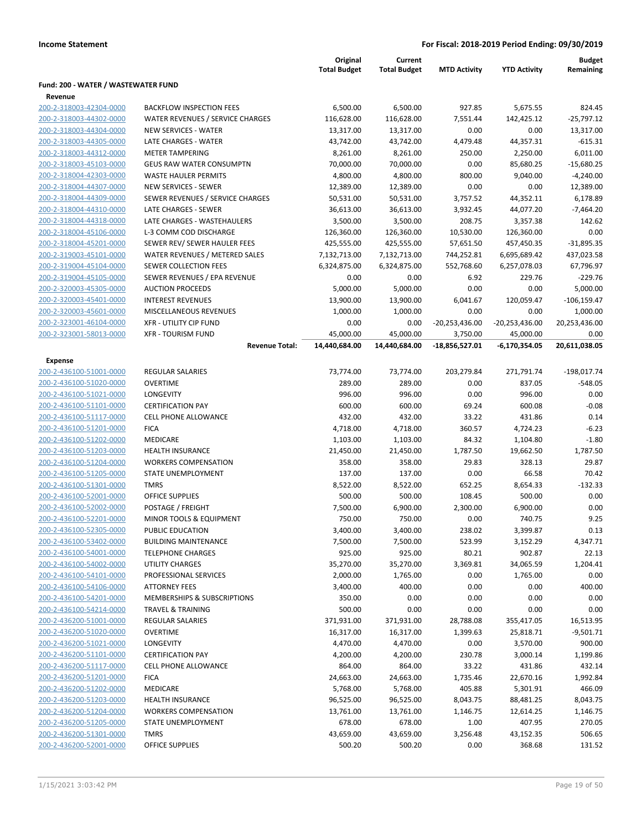|                                     |                                                    | Original<br><b>Total Budget</b> | Current<br><b>Total Budget</b> | <b>MTD Activity</b>          | <b>YTD Activity</b>          | <b>Budget</b><br>Remaining |
|-------------------------------------|----------------------------------------------------|---------------------------------|--------------------------------|------------------------------|------------------------------|----------------------------|
| Fund: 200 - WATER / WASTEWATER FUND |                                                    |                                 |                                |                              |                              |                            |
| Revenue<br>200-2-318003-42304-0000  | <b>BACKFLOW INSPECTION FEES</b>                    | 6,500.00                        | 6,500.00                       | 927.85                       | 5,675.55                     | 824.45                     |
| 200-2-318003-44302-0000             | WATER REVENUES / SERVICE CHARGES                   | 116,628.00                      | 116,628.00                     | 7,551.44                     | 142,425.12                   | $-25,797.12$               |
| 200-2-318003-44304-0000             | <b>NEW SERVICES - WATER</b>                        | 13,317.00                       | 13,317.00                      | 0.00                         | 0.00                         | 13,317.00                  |
| 200-2-318003-44305-0000             | LATE CHARGES - WATER                               | 43,742.00                       | 43,742.00                      | 4,479.48                     | 44,357.31                    | $-615.31$                  |
| 200-2-318003-44312-0000             | <b>METER TAMPERING</b>                             | 8,261.00                        | 8,261.00                       | 250.00                       | 2,250.00                     | 6,011.00                   |
| 200-2-318003-45103-0000             | <b>GEUS RAW WATER CONSUMPTN</b>                    | 70,000.00                       | 70,000.00                      | 0.00                         | 85,680.25                    | $-15,680.25$               |
| 200-2-318004-42303-0000             | <b>WASTE HAULER PERMITS</b>                        | 4,800.00                        | 4,800.00                       | 800.00                       | 9,040.00                     | $-4,240.00$                |
| 200-2-318004-44307-0000             | <b>NEW SERVICES - SEWER</b>                        | 12,389.00                       | 12,389.00                      | 0.00                         | 0.00                         | 12,389.00                  |
| 200-2-318004-44309-0000             | SEWER REVENUES / SERVICE CHARGES                   | 50,531.00                       | 50,531.00                      | 3,757.52                     | 44,352.11                    | 6,178.89                   |
| 200-2-318004-44310-0000             | LATE CHARGES - SEWER                               | 36,613.00                       | 36,613.00                      | 3,932.45                     | 44,077.20                    | $-7,464.20$                |
| 200-2-318004-44318-0000             | LATE CHARGES - WASTEHAULERS                        | 3,500.00                        | 3,500.00                       | 208.75                       | 3,357.38                     | 142.62                     |
| 200-2-318004-45106-0000             | L-3 COMM COD DISCHARGE                             | 126,360.00                      | 126,360.00                     | 10,530.00                    | 126,360.00                   | 0.00                       |
| 200-2-318004-45201-0000             | SEWER REV/ SEWER HAULER FEES                       | 425,555.00                      | 425,555.00                     | 57,651.50                    | 457,450.35                   | $-31,895.35$               |
| 200-2-319003-45101-0000             | WATER REVENUES / METERED SALES                     | 7,132,713.00                    | 7,132,713.00                   | 744,252.81                   | 6,695,689.42                 | 437,023.58                 |
| 200-2-319004-45104-0000             | SEWER COLLECTION FEES                              | 6,324,875.00                    | 6,324,875.00                   | 552,768.60                   | 6,257,078.03                 | 67,796.97                  |
| 200-2-319004-45105-0000             | SEWER REVENUES / EPA REVENUE                       | 0.00                            | 0.00                           | 6.92                         | 229.76                       | $-229.76$                  |
| 200-2-320003-45305-0000             | <b>AUCTION PROCEEDS</b>                            | 5,000.00                        | 5,000.00                       | 0.00                         | 0.00                         | 5,000.00                   |
| 200-2-320003-45401-0000             | <b>INTEREST REVENUES</b>                           |                                 |                                | 6,041.67                     | 120,059.47                   | $-106, 159.47$             |
| 200-2-320003-45601-0000             | MISCELLANEOUS REVENUES                             | 13,900.00<br>1,000.00           | 13,900.00<br>1,000.00          | 0.00                         |                              | 1,000.00                   |
| 200-2-323001-46104-0000             | <b>XFR - UTILITY CIP FUND</b>                      |                                 |                                |                              | 0.00                         |                            |
|                                     |                                                    | 0.00                            | 0.00                           | $-20,253,436.00$             | $-20,253,436.00$             | 20,253,436.00              |
| 200-2-323001-58013-0000             | <b>XFR - TOURISM FUND</b><br><b>Revenue Total:</b> | 45,000.00<br>14,440,684.00      | 45,000.00<br>14,440,684.00     | 3,750.00<br>$-18,856,527.01$ | 45,000.00<br>$-6,170,354.05$ | 0.00<br>20,611,038.05      |
| Expense                             |                                                    |                                 |                                |                              |                              |                            |
| 200-2-436100-51001-0000             | REGULAR SALARIES                                   | 73,774.00                       | 73,774.00                      | 203,279.84                   | 271,791.74                   | $-198,017.74$              |
| 200-2-436100-51020-0000             | <b>OVERTIME</b>                                    | 289.00                          | 289.00                         | 0.00                         | 837.05                       | $-548.05$                  |
| 200-2-436100-51021-0000             | LONGEVITY                                          | 996.00                          | 996.00                         | 0.00                         | 996.00                       | 0.00                       |
| 200-2-436100-51101-0000             | <b>CERTIFICATION PAY</b>                           | 600.00                          | 600.00                         | 69.24                        | 600.08                       | $-0.08$                    |
| 200-2-436100-51117-0000             | <b>CELL PHONE ALLOWANCE</b>                        | 432.00                          | 432.00                         | 33.22                        | 431.86                       | 0.14                       |
| 200-2-436100-51201-0000             | <b>FICA</b>                                        | 4,718.00                        | 4,718.00                       | 360.57                       | 4,724.23                     | $-6.23$                    |
| 200-2-436100-51202-0000             | MEDICARE                                           | 1,103.00                        | 1,103.00                       | 84.32                        | 1,104.80                     | $-1.80$                    |
| 200-2-436100-51203-0000             | <b>HEALTH INSURANCE</b>                            | 21,450.00                       | 21,450.00                      | 1,787.50                     | 19,662.50                    | 1,787.50                   |
| 200-2-436100-51204-0000             | <b>WORKERS COMPENSATION</b>                        | 358.00                          | 358.00                         | 29.83                        | 328.13                       | 29.87                      |
| 200-2-436100-51205-0000             | STATE UNEMPLOYMENT                                 | 137.00                          | 137.00                         | 0.00                         | 66.58                        | 70.42                      |
| 200-2-436100-51301-0000             | <b>TMRS</b>                                        | 8,522.00                        | 8,522.00                       | 652.25                       | 8,654.33                     | $-132.33$                  |
| 200-2-436100-52001-0000             | <b>OFFICE SUPPLIES</b>                             | 500.00                          | 500.00                         | 108.45                       | 500.00                       | 0.00                       |
| 200-2-436100-52002-0000             | POSTAGE / FREIGHT                                  | 7,500.00                        | 6,900.00                       | 2,300.00                     | 6,900.00                     | 0.00                       |
| 200-2-436100-52201-0000             | MINOR TOOLS & EQUIPMENT                            | 750.00                          | 750.00                         | 0.00                         | 740.75                       | 9.25                       |
| 200-2-436100-52305-0000             | <b>PUBLIC EDUCATION</b>                            | 3,400.00                        | 3,400.00                       | 238.02                       | 3,399.87                     | 0.13                       |
| 200-2-436100-53402-0000             | <b>BUILDING MAINTENANCE</b>                        | 7,500.00                        | 7,500.00                       | 523.99                       | 3,152.29                     | 4,347.71                   |
| 200-2-436100-54001-0000             | <b>TELEPHONE CHARGES</b>                           | 925.00                          | 925.00                         | 80.21                        | 902.87                       | 22.13                      |
| 200-2-436100-54002-0000             | <b>UTILITY CHARGES</b>                             | 35,270.00                       | 35,270.00                      | 3,369.81                     | 34,065.59                    | 1,204.41                   |
| 200-2-436100-54101-0000             | PROFESSIONAL SERVICES                              | 2,000.00                        | 1,765.00                       | 0.00                         | 1,765.00                     | 0.00                       |
| 200-2-436100-54106-0000             | <b>ATTORNEY FEES</b>                               | 3,400.00                        | 400.00                         | 0.00                         | 0.00                         | 400.00                     |
| 200-2-436100-54201-0000             | MEMBERSHIPS & SUBSCRIPTIONS                        | 350.00                          | 0.00                           | 0.00                         | 0.00                         | 0.00                       |
| 200-2-436100-54214-0000             | <b>TRAVEL &amp; TRAINING</b>                       | 500.00                          | 0.00                           | 0.00                         | 0.00                         | 0.00                       |
| 200-2-436200-51001-0000             | <b>REGULAR SALARIES</b>                            | 371,931.00                      | 371,931.00                     | 28,788.08                    | 355,417.05                   | 16,513.95                  |
| 200-2-436200-51020-0000             | <b>OVERTIME</b>                                    | 16,317.00                       | 16,317.00                      | 1,399.63                     | 25,818.71                    | $-9,501.71$                |
| 200-2-436200-51021-0000             | LONGEVITY                                          | 4,470.00                        | 4,470.00                       | 0.00                         | 3,570.00                     | 900.00                     |
| 200-2-436200-51101-0000             | <b>CERTIFICATION PAY</b>                           | 4,200.00                        | 4,200.00                       | 230.78                       | 3,000.14                     | 1,199.86                   |
| 200-2-436200-51117-0000             | <b>CELL PHONE ALLOWANCE</b>                        | 864.00                          | 864.00                         | 33.22                        | 431.86                       | 432.14                     |
| 200-2-436200-51201-0000             | <b>FICA</b>                                        | 24,663.00                       | 24,663.00                      | 1,735.46                     | 22,670.16                    | 1,992.84                   |
| 200-2-436200-51202-0000             | MEDICARE                                           | 5,768.00                        | 5,768.00                       | 405.88                       | 5,301.91                     | 466.09                     |
| 200-2-436200-51203-0000             | <b>HEALTH INSURANCE</b>                            | 96,525.00                       | 96,525.00                      | 8,043.75                     | 88,481.25                    | 8,043.75                   |
| 200-2-436200-51204-0000             | <b>WORKERS COMPENSATION</b>                        | 13,761.00                       | 13,761.00                      | 1,146.75                     | 12,614.25                    | 1,146.75                   |
| 200-2-436200-51205-0000             | STATE UNEMPLOYMENT                                 | 678.00                          | 678.00                         | 1.00                         | 407.95                       | 270.05                     |
| 200-2-436200-51301-0000             | <b>TMRS</b>                                        | 43,659.00                       | 43,659.00                      | 3,256.48                     | 43,152.35                    | 506.65                     |
| 200-2-436200-52001-0000             | <b>OFFICE SUPPLIES</b>                             | 500.20                          | 500.20                         | 0.00                         | 368.68                       |                            |
|                                     |                                                    |                                 |                                |                              |                              | 131.52                     |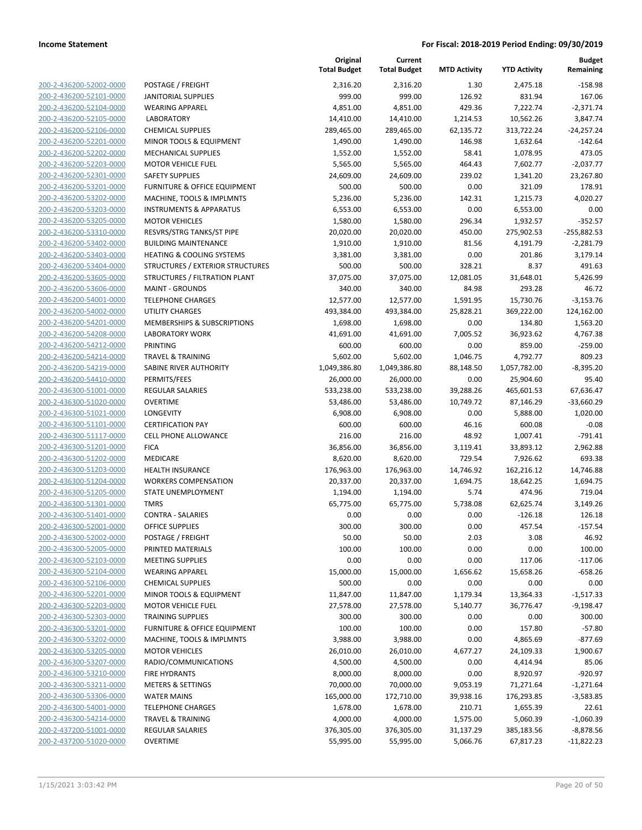| 200-2-436200-52002-0000<br>200-2-436200-52101-0000<br>200-2-436200-52104-0000<br><u>200-2-436200-52105-0000</u><br>200-2-436200-52106-0000<br>2-436200-52201-0000<br>200-<br>200-2-436200-52202-0000<br>200-2-436200-52203-0000<br><u>200-2-436200-52301-0000</u><br>200-2-436200-53201-0000<br>2-436200-53202-0000<br>200-<br>200-2-436200-53203-0000<br>200-2-436200-53205-0000<br><u>200-2-436200-53310-0000</u><br>200-2-436200-53402-0000<br>2-436200-53403-0000<br>200-<br>200-2-436200-53404-0000<br>200-2-436200-53605-0000<br><u>200-2-436200-53606-0000</u><br>200-2-436200-54001-0000<br>2-436200-54002-0000<br>200-<br>200-2-436200-54201-0000<br>200-2-436200-54208-0000<br><u>200-2-436200-54212-0000</u><br>200-2-436200-54214-0000<br>2-436200-54219-0000<br>200-<br>200-2-436200-54410-0000<br>200-2-436300-51001-0000<br><u>200-2-436300-51020-0000</u><br>200-2-436300-51021-0000<br>2-436300-51101<br>200-<br>-0000<br>200-2-436300-51117-0000<br>200-2-436300-51201-0000<br><u>200-2-436300-51202-0000</u><br>200-2-436300-51203-0000<br>200-2-436300-51204-0000<br>200-2-436300-51205-0000<br>200-2-436300-51301-0000<br><u>200-2-436300-51401-0000</u><br>200-2-436300-52001-0000<br>200-2-436300-52002-0000<br><u>200-2-436300-52005-0000</u><br>200-2-436300-52103-0000<br><u>200-2-436300-52104-0000</u><br>200-2-436300-52106-0000<br>200-2-436300-52201-0000<br>200-2-436300-52203-0000<br>200-2-436300-52303-0000<br><u>200-2-436300-53201-0000</u><br><u>200-2-436300-53202-0000</u><br>200-2-436300-53205-0000<br>200-2-436300-53207-0000<br>200-2-436300-53210-0000<br><u>200-2-436300-53211-0000</u><br><u>200-2-436300-53306-0000</u><br>200-2-436300-54001-0000<br>200-2-436300-54214-0000<br>200-2-437200-51001-0000<br><u>200-2-437200-51020-0000</u> |  |
|--------------------------------------------------------------------------------------------------------------------------------------------------------------------------------------------------------------------------------------------------------------------------------------------------------------------------------------------------------------------------------------------------------------------------------------------------------------------------------------------------------------------------------------------------------------------------------------------------------------------------------------------------------------------------------------------------------------------------------------------------------------------------------------------------------------------------------------------------------------------------------------------------------------------------------------------------------------------------------------------------------------------------------------------------------------------------------------------------------------------------------------------------------------------------------------------------------------------------------------------------------------------------------------------------------------------------------------------------------------------------------------------------------------------------------------------------------------------------------------------------------------------------------------------------------------------------------------------------------------------------------------------------------------------------------------------------------------------------------------------------------------------------------------------|--|
|                                                                                                                                                                                                                                                                                                                                                                                                                                                                                                                                                                                                                                                                                                                                                                                                                                                                                                                                                                                                                                                                                                                                                                                                                                                                                                                                                                                                                                                                                                                                                                                                                                                                                                                                                                                            |  |
|                                                                                                                                                                                                                                                                                                                                                                                                                                                                                                                                                                                                                                                                                                                                                                                                                                                                                                                                                                                                                                                                                                                                                                                                                                                                                                                                                                                                                                                                                                                                                                                                                                                                                                                                                                                            |  |
|                                                                                                                                                                                                                                                                                                                                                                                                                                                                                                                                                                                                                                                                                                                                                                                                                                                                                                                                                                                                                                                                                                                                                                                                                                                                                                                                                                                                                                                                                                                                                                                                                                                                                                                                                                                            |  |
|                                                                                                                                                                                                                                                                                                                                                                                                                                                                                                                                                                                                                                                                                                                                                                                                                                                                                                                                                                                                                                                                                                                                                                                                                                                                                                                                                                                                                                                                                                                                                                                                                                                                                                                                                                                            |  |
|                                                                                                                                                                                                                                                                                                                                                                                                                                                                                                                                                                                                                                                                                                                                                                                                                                                                                                                                                                                                                                                                                                                                                                                                                                                                                                                                                                                                                                                                                                                                                                                                                                                                                                                                                                                            |  |
|                                                                                                                                                                                                                                                                                                                                                                                                                                                                                                                                                                                                                                                                                                                                                                                                                                                                                                                                                                                                                                                                                                                                                                                                                                                                                                                                                                                                                                                                                                                                                                                                                                                                                                                                                                                            |  |
|                                                                                                                                                                                                                                                                                                                                                                                                                                                                                                                                                                                                                                                                                                                                                                                                                                                                                                                                                                                                                                                                                                                                                                                                                                                                                                                                                                                                                                                                                                                                                                                                                                                                                                                                                                                            |  |
|                                                                                                                                                                                                                                                                                                                                                                                                                                                                                                                                                                                                                                                                                                                                                                                                                                                                                                                                                                                                                                                                                                                                                                                                                                                                                                                                                                                                                                                                                                                                                                                                                                                                                                                                                                                            |  |
|                                                                                                                                                                                                                                                                                                                                                                                                                                                                                                                                                                                                                                                                                                                                                                                                                                                                                                                                                                                                                                                                                                                                                                                                                                                                                                                                                                                                                                                                                                                                                                                                                                                                                                                                                                                            |  |
|                                                                                                                                                                                                                                                                                                                                                                                                                                                                                                                                                                                                                                                                                                                                                                                                                                                                                                                                                                                                                                                                                                                                                                                                                                                                                                                                                                                                                                                                                                                                                                                                                                                                                                                                                                                            |  |
|                                                                                                                                                                                                                                                                                                                                                                                                                                                                                                                                                                                                                                                                                                                                                                                                                                                                                                                                                                                                                                                                                                                                                                                                                                                                                                                                                                                                                                                                                                                                                                                                                                                                                                                                                                                            |  |
|                                                                                                                                                                                                                                                                                                                                                                                                                                                                                                                                                                                                                                                                                                                                                                                                                                                                                                                                                                                                                                                                                                                                                                                                                                                                                                                                                                                                                                                                                                                                                                                                                                                                                                                                                                                            |  |
|                                                                                                                                                                                                                                                                                                                                                                                                                                                                                                                                                                                                                                                                                                                                                                                                                                                                                                                                                                                                                                                                                                                                                                                                                                                                                                                                                                                                                                                                                                                                                                                                                                                                                                                                                                                            |  |
|                                                                                                                                                                                                                                                                                                                                                                                                                                                                                                                                                                                                                                                                                                                                                                                                                                                                                                                                                                                                                                                                                                                                                                                                                                                                                                                                                                                                                                                                                                                                                                                                                                                                                                                                                                                            |  |
|                                                                                                                                                                                                                                                                                                                                                                                                                                                                                                                                                                                                                                                                                                                                                                                                                                                                                                                                                                                                                                                                                                                                                                                                                                                                                                                                                                                                                                                                                                                                                                                                                                                                                                                                                                                            |  |
|                                                                                                                                                                                                                                                                                                                                                                                                                                                                                                                                                                                                                                                                                                                                                                                                                                                                                                                                                                                                                                                                                                                                                                                                                                                                                                                                                                                                                                                                                                                                                                                                                                                                                                                                                                                            |  |
|                                                                                                                                                                                                                                                                                                                                                                                                                                                                                                                                                                                                                                                                                                                                                                                                                                                                                                                                                                                                                                                                                                                                                                                                                                                                                                                                                                                                                                                                                                                                                                                                                                                                                                                                                                                            |  |
|                                                                                                                                                                                                                                                                                                                                                                                                                                                                                                                                                                                                                                                                                                                                                                                                                                                                                                                                                                                                                                                                                                                                                                                                                                                                                                                                                                                                                                                                                                                                                                                                                                                                                                                                                                                            |  |
|                                                                                                                                                                                                                                                                                                                                                                                                                                                                                                                                                                                                                                                                                                                                                                                                                                                                                                                                                                                                                                                                                                                                                                                                                                                                                                                                                                                                                                                                                                                                                                                                                                                                                                                                                                                            |  |
|                                                                                                                                                                                                                                                                                                                                                                                                                                                                                                                                                                                                                                                                                                                                                                                                                                                                                                                                                                                                                                                                                                                                                                                                                                                                                                                                                                                                                                                                                                                                                                                                                                                                                                                                                                                            |  |
|                                                                                                                                                                                                                                                                                                                                                                                                                                                                                                                                                                                                                                                                                                                                                                                                                                                                                                                                                                                                                                                                                                                                                                                                                                                                                                                                                                                                                                                                                                                                                                                                                                                                                                                                                                                            |  |
|                                                                                                                                                                                                                                                                                                                                                                                                                                                                                                                                                                                                                                                                                                                                                                                                                                                                                                                                                                                                                                                                                                                                                                                                                                                                                                                                                                                                                                                                                                                                                                                                                                                                                                                                                                                            |  |
|                                                                                                                                                                                                                                                                                                                                                                                                                                                                                                                                                                                                                                                                                                                                                                                                                                                                                                                                                                                                                                                                                                                                                                                                                                                                                                                                                                                                                                                                                                                                                                                                                                                                                                                                                                                            |  |
|                                                                                                                                                                                                                                                                                                                                                                                                                                                                                                                                                                                                                                                                                                                                                                                                                                                                                                                                                                                                                                                                                                                                                                                                                                                                                                                                                                                                                                                                                                                                                                                                                                                                                                                                                                                            |  |
|                                                                                                                                                                                                                                                                                                                                                                                                                                                                                                                                                                                                                                                                                                                                                                                                                                                                                                                                                                                                                                                                                                                                                                                                                                                                                                                                                                                                                                                                                                                                                                                                                                                                                                                                                                                            |  |
|                                                                                                                                                                                                                                                                                                                                                                                                                                                                                                                                                                                                                                                                                                                                                                                                                                                                                                                                                                                                                                                                                                                                                                                                                                                                                                                                                                                                                                                                                                                                                                                                                                                                                                                                                                                            |  |
|                                                                                                                                                                                                                                                                                                                                                                                                                                                                                                                                                                                                                                                                                                                                                                                                                                                                                                                                                                                                                                                                                                                                                                                                                                                                                                                                                                                                                                                                                                                                                                                                                                                                                                                                                                                            |  |
|                                                                                                                                                                                                                                                                                                                                                                                                                                                                                                                                                                                                                                                                                                                                                                                                                                                                                                                                                                                                                                                                                                                                                                                                                                                                                                                                                                                                                                                                                                                                                                                                                                                                                                                                                                                            |  |
|                                                                                                                                                                                                                                                                                                                                                                                                                                                                                                                                                                                                                                                                                                                                                                                                                                                                                                                                                                                                                                                                                                                                                                                                                                                                                                                                                                                                                                                                                                                                                                                                                                                                                                                                                                                            |  |
|                                                                                                                                                                                                                                                                                                                                                                                                                                                                                                                                                                                                                                                                                                                                                                                                                                                                                                                                                                                                                                                                                                                                                                                                                                                                                                                                                                                                                                                                                                                                                                                                                                                                                                                                                                                            |  |
|                                                                                                                                                                                                                                                                                                                                                                                                                                                                                                                                                                                                                                                                                                                                                                                                                                                                                                                                                                                                                                                                                                                                                                                                                                                                                                                                                                                                                                                                                                                                                                                                                                                                                                                                                                                            |  |
|                                                                                                                                                                                                                                                                                                                                                                                                                                                                                                                                                                                                                                                                                                                                                                                                                                                                                                                                                                                                                                                                                                                                                                                                                                                                                                                                                                                                                                                                                                                                                                                                                                                                                                                                                                                            |  |
|                                                                                                                                                                                                                                                                                                                                                                                                                                                                                                                                                                                                                                                                                                                                                                                                                                                                                                                                                                                                                                                                                                                                                                                                                                                                                                                                                                                                                                                                                                                                                                                                                                                                                                                                                                                            |  |
|                                                                                                                                                                                                                                                                                                                                                                                                                                                                                                                                                                                                                                                                                                                                                                                                                                                                                                                                                                                                                                                                                                                                                                                                                                                                                                                                                                                                                                                                                                                                                                                                                                                                                                                                                                                            |  |
|                                                                                                                                                                                                                                                                                                                                                                                                                                                                                                                                                                                                                                                                                                                                                                                                                                                                                                                                                                                                                                                                                                                                                                                                                                                                                                                                                                                                                                                                                                                                                                                                                                                                                                                                                                                            |  |
|                                                                                                                                                                                                                                                                                                                                                                                                                                                                                                                                                                                                                                                                                                                                                                                                                                                                                                                                                                                                                                                                                                                                                                                                                                                                                                                                                                                                                                                                                                                                                                                                                                                                                                                                                                                            |  |
|                                                                                                                                                                                                                                                                                                                                                                                                                                                                                                                                                                                                                                                                                                                                                                                                                                                                                                                                                                                                                                                                                                                                                                                                                                                                                                                                                                                                                                                                                                                                                                                                                                                                                                                                                                                            |  |
|                                                                                                                                                                                                                                                                                                                                                                                                                                                                                                                                                                                                                                                                                                                                                                                                                                                                                                                                                                                                                                                                                                                                                                                                                                                                                                                                                                                                                                                                                                                                                                                                                                                                                                                                                                                            |  |
|                                                                                                                                                                                                                                                                                                                                                                                                                                                                                                                                                                                                                                                                                                                                                                                                                                                                                                                                                                                                                                                                                                                                                                                                                                                                                                                                                                                                                                                                                                                                                                                                                                                                                                                                                                                            |  |
|                                                                                                                                                                                                                                                                                                                                                                                                                                                                                                                                                                                                                                                                                                                                                                                                                                                                                                                                                                                                                                                                                                                                                                                                                                                                                                                                                                                                                                                                                                                                                                                                                                                                                                                                                                                            |  |
|                                                                                                                                                                                                                                                                                                                                                                                                                                                                                                                                                                                                                                                                                                                                                                                                                                                                                                                                                                                                                                                                                                                                                                                                                                                                                                                                                                                                                                                                                                                                                                                                                                                                                                                                                                                            |  |
|                                                                                                                                                                                                                                                                                                                                                                                                                                                                                                                                                                                                                                                                                                                                                                                                                                                                                                                                                                                                                                                                                                                                                                                                                                                                                                                                                                                                                                                                                                                                                                                                                                                                                                                                                                                            |  |
|                                                                                                                                                                                                                                                                                                                                                                                                                                                                                                                                                                                                                                                                                                                                                                                                                                                                                                                                                                                                                                                                                                                                                                                                                                                                                                                                                                                                                                                                                                                                                                                                                                                                                                                                                                                            |  |
|                                                                                                                                                                                                                                                                                                                                                                                                                                                                                                                                                                                                                                                                                                                                                                                                                                                                                                                                                                                                                                                                                                                                                                                                                                                                                                                                                                                                                                                                                                                                                                                                                                                                                                                                                                                            |  |
|                                                                                                                                                                                                                                                                                                                                                                                                                                                                                                                                                                                                                                                                                                                                                                                                                                                                                                                                                                                                                                                                                                                                                                                                                                                                                                                                                                                                                                                                                                                                                                                                                                                                                                                                                                                            |  |
|                                                                                                                                                                                                                                                                                                                                                                                                                                                                                                                                                                                                                                                                                                                                                                                                                                                                                                                                                                                                                                                                                                                                                                                                                                                                                                                                                                                                                                                                                                                                                                                                                                                                                                                                                                                            |  |
|                                                                                                                                                                                                                                                                                                                                                                                                                                                                                                                                                                                                                                                                                                                                                                                                                                                                                                                                                                                                                                                                                                                                                                                                                                                                                                                                                                                                                                                                                                                                                                                                                                                                                                                                                                                            |  |
|                                                                                                                                                                                                                                                                                                                                                                                                                                                                                                                                                                                                                                                                                                                                                                                                                                                                                                                                                                                                                                                                                                                                                                                                                                                                                                                                                                                                                                                                                                                                                                                                                                                                                                                                                                                            |  |
|                                                                                                                                                                                                                                                                                                                                                                                                                                                                                                                                                                                                                                                                                                                                                                                                                                                                                                                                                                                                                                                                                                                                                                                                                                                                                                                                                                                                                                                                                                                                                                                                                                                                                                                                                                                            |  |
|                                                                                                                                                                                                                                                                                                                                                                                                                                                                                                                                                                                                                                                                                                                                                                                                                                                                                                                                                                                                                                                                                                                                                                                                                                                                                                                                                                                                                                                                                                                                                                                                                                                                                                                                                                                            |  |
|                                                                                                                                                                                                                                                                                                                                                                                                                                                                                                                                                                                                                                                                                                                                                                                                                                                                                                                                                                                                                                                                                                                                                                                                                                                                                                                                                                                                                                                                                                                                                                                                                                                                                                                                                                                            |  |
|                                                                                                                                                                                                                                                                                                                                                                                                                                                                                                                                                                                                                                                                                                                                                                                                                                                                                                                                                                                                                                                                                                                                                                                                                                                                                                                                                                                                                                                                                                                                                                                                                                                                                                                                                                                            |  |
|                                                                                                                                                                                                                                                                                                                                                                                                                                                                                                                                                                                                                                                                                                                                                                                                                                                                                                                                                                                                                                                                                                                                                                                                                                                                                                                                                                                                                                                                                                                                                                                                                                                                                                                                                                                            |  |
|                                                                                                                                                                                                                                                                                                                                                                                                                                                                                                                                                                                                                                                                                                                                                                                                                                                                                                                                                                                                                                                                                                                                                                                                                                                                                                                                                                                                                                                                                                                                                                                                                                                                                                                                                                                            |  |
|                                                                                                                                                                                                                                                                                                                                                                                                                                                                                                                                                                                                                                                                                                                                                                                                                                                                                                                                                                                                                                                                                                                                                                                                                                                                                                                                                                                                                                                                                                                                                                                                                                                                                                                                                                                            |  |
|                                                                                                                                                                                                                                                                                                                                                                                                                                                                                                                                                                                                                                                                                                                                                                                                                                                                                                                                                                                                                                                                                                                                                                                                                                                                                                                                                                                                                                                                                                                                                                                                                                                                                                                                                                                            |  |
|                                                                                                                                                                                                                                                                                                                                                                                                                                                                                                                                                                                                                                                                                                                                                                                                                                                                                                                                                                                                                                                                                                                                                                                                                                                                                                                                                                                                                                                                                                                                                                                                                                                                                                                                                                                            |  |
|                                                                                                                                                                                                                                                                                                                                                                                                                                                                                                                                                                                                                                                                                                                                                                                                                                                                                                                                                                                                                                                                                                                                                                                                                                                                                                                                                                                                                                                                                                                                                                                                                                                                                                                                                                                            |  |
|                                                                                                                                                                                                                                                                                                                                                                                                                                                                                                                                                                                                                                                                                                                                                                                                                                                                                                                                                                                                                                                                                                                                                                                                                                                                                                                                                                                                                                                                                                                                                                                                                                                                                                                                                                                            |  |
|                                                                                                                                                                                                                                                                                                                                                                                                                                                                                                                                                                                                                                                                                                                                                                                                                                                                                                                                                                                                                                                                                                                                                                                                                                                                                                                                                                                                                                                                                                                                                                                                                                                                                                                                                                                            |  |

|                         |                                         | Original<br><b>Total Budget</b> | Current<br><b>Total Budget</b> | <b>MTD Activity</b> | <b>YTD Activity</b> | <b>Budget</b><br>Remaining |
|-------------------------|-----------------------------------------|---------------------------------|--------------------------------|---------------------|---------------------|----------------------------|
| 200-2-436200-52002-0000 | POSTAGE / FREIGHT                       | 2,316.20                        | 2,316.20                       | 1.30                | 2,475.18            | $-158.98$                  |
| 200-2-436200-52101-0000 | <b>JANITORIAL SUPPLIES</b>              | 999.00                          | 999.00                         | 126.92              | 831.94              | 167.06                     |
| 200-2-436200-52104-0000 | <b>WEARING APPAREL</b>                  | 4,851.00                        | 4,851.00                       | 429.36              | 7,222.74            | $-2,371.74$                |
| 200-2-436200-52105-0000 | <b>LABORATORY</b>                       | 14,410.00                       | 14,410.00                      | 1,214.53            | 10,562.26           | 3,847.74                   |
| 200-2-436200-52106-0000 | <b>CHEMICAL SUPPLIES</b>                | 289,465.00                      | 289,465.00                     | 62,135.72           | 313,722.24          | $-24,257.24$               |
| 200-2-436200-52201-0000 | MINOR TOOLS & EQUIPMENT                 | 1,490.00                        | 1,490.00                       | 146.98              | 1,632.64            | $-142.64$                  |
| 200-2-436200-52202-0000 | <b>MECHANICAL SUPPLIES</b>              | 1,552.00                        | 1,552.00                       | 58.41               | 1,078.95            | 473.05                     |
| 200-2-436200-52203-0000 | <b>MOTOR VEHICLE FUEL</b>               | 5,565.00                        | 5,565.00                       | 464.43              | 7,602.77            | $-2,037.77$                |
| 200-2-436200-52301-0000 | <b>SAFETY SUPPLIES</b>                  | 24,609.00                       | 24,609.00                      | 239.02              | 1,341.20            | 23,267.80                  |
| 200-2-436200-53201-0000 | <b>FURNITURE &amp; OFFICE EQUIPMENT</b> | 500.00                          | 500.00                         | 0.00                | 321.09              | 178.91                     |
| 200-2-436200-53202-0000 | MACHINE, TOOLS & IMPLMNTS               | 5,236.00                        | 5,236.00                       | 142.31              | 1,215.73            | 4,020.27                   |
| 200-2-436200-53203-0000 | <b>INSTRUMENTS &amp; APPARATUS</b>      | 6,553.00                        | 6,553.00                       | 0.00                | 6,553.00            | 0.00                       |
| 200-2-436200-53205-0000 | <b>MOTOR VEHICLES</b>                   | 1,580.00                        | 1,580.00                       | 296.34              | 1,932.57            | $-352.57$                  |
| 200-2-436200-53310-0000 | RESVRS/STRG TANKS/ST PIPE               | 20,020.00                       | 20,020.00                      | 450.00              | 275,902.53          | $-255,882.53$              |
| 200-2-436200-53402-0000 | <b>BUILDING MAINTENANCE</b>             | 1,910.00                        | 1,910.00                       | 81.56               | 4,191.79            | $-2,281.79$                |
| 200-2-436200-53403-0000 | <b>HEATING &amp; COOLING SYSTEMS</b>    | 3,381.00                        | 3,381.00                       | 0.00                | 201.86              | 3,179.14                   |
| 200-2-436200-53404-0000 | STRUCTURES / EXTERIOR STRUCTURES        | 500.00                          | 500.00                         | 328.21              | 8.37                | 491.63                     |
| 200-2-436200-53605-0000 | STRUCTURES / FILTRATION PLANT           | 37,075.00                       | 37,075.00                      | 12,081.05           | 31,648.01           | 5,426.99                   |
| 200-2-436200-53606-0000 | <b>MAINT - GROUNDS</b>                  | 340.00                          | 340.00                         | 84.98               | 293.28              | 46.72                      |
| 200-2-436200-54001-0000 | <b>TELEPHONE CHARGES</b>                | 12,577.00                       | 12,577.00                      | 1,591.95            | 15,730.76           | $-3,153.76$                |
| 200-2-436200-54002-0000 | <b>UTILITY CHARGES</b>                  | 493,384.00                      | 493,384.00                     | 25,828.21           | 369,222.00          | 124,162.00                 |
| 200-2-436200-54201-0000 | MEMBERSHIPS & SUBSCRIPTIONS             | 1,698.00                        | 1,698.00                       | 0.00                | 134.80              | 1,563.20                   |
| 200-2-436200-54208-0000 | <b>LABORATORY WORK</b>                  | 41,691.00                       | 41,691.00                      | 7,005.52            | 36,923.62           | 4,767.38                   |
| 200-2-436200-54212-0000 | PRINTING                                | 600.00                          | 600.00                         | 0.00                | 859.00              | $-259.00$                  |
| 200-2-436200-54214-0000 | <b>TRAVEL &amp; TRAINING</b>            | 5,602.00                        | 5,602.00                       | 1,046.75            | 4,792.77            | 809.23                     |
| 200-2-436200-54219-0000 | SABINE RIVER AUTHORITY                  | 1,049,386.80                    | 1,049,386.80                   | 88,148.50           | 1,057,782.00        | $-8,395.20$                |
| 200-2-436200-54410-0000 | PERMITS/FEES                            | 26,000.00                       | 26,000.00                      | 0.00                | 25,904.60           | 95.40                      |
| 200-2-436300-51001-0000 | <b>REGULAR SALARIES</b>                 | 533,238.00                      | 533,238.00                     | 39,288.26           | 465,601.53          | 67,636.47                  |
| 200-2-436300-51020-0000 | <b>OVERTIME</b>                         | 53,486.00                       | 53,486.00                      | 10,749.72           | 87,146.29           | $-33,660.29$               |
| 200-2-436300-51021-0000 | LONGEVITY                               | 6,908.00                        | 6,908.00                       | 0.00                | 5,888.00            | 1,020.00                   |
| 200-2-436300-51101-0000 | <b>CERTIFICATION PAY</b>                | 600.00                          | 600.00                         | 46.16               | 600.08              | $-0.08$                    |
| 200-2-436300-51117-0000 | <b>CELL PHONE ALLOWANCE</b>             | 216.00                          | 216.00                         | 48.92               | 1,007.41            | $-791.41$                  |
| 200-2-436300-51201-0000 | <b>FICA</b>                             | 36,856.00                       | 36,856.00                      | 3,119.41            | 33,893.12           | 2,962.88                   |
| 200-2-436300-51202-0000 | MEDICARE                                | 8,620.00                        | 8,620.00                       | 729.54              | 7,926.62            | 693.38                     |
| 200-2-436300-51203-0000 | <b>HEALTH INSURANCE</b>                 | 176,963.00                      | 176,963.00                     | 14,746.92           | 162,216.12          | 14,746.88                  |
| 200-2-436300-51204-0000 | <b>WORKERS COMPENSATION</b>             | 20,337.00                       | 20,337.00                      | 1,694.75            | 18,642.25           | 1,694.75                   |
| 200-2-436300-51205-0000 | STATE UNEMPLOYMENT                      | 1,194.00                        | 1,194.00                       | 5.74                | 474.96              | 719.04                     |
| 200-2-436300-51301-0000 | <b>TMRS</b>                             | 65,775.00                       | 65,775.00                      | 5,738.08            | 62,625.74           | 3,149.26                   |
| 200-2-436300-51401-0000 | <b>CONTRA - SALARIES</b>                | 0.00                            | 0.00                           | 0.00                | $-126.18$           | 126.18                     |
| 200-2-436300-52001-0000 | OFFICE SUPPLIES                         | 300.00                          | 300.00                         | 0.00                | 457.54              | $-157.54$                  |
| 200-2-436300-52002-0000 | POSTAGE / FREIGHT                       | 50.00                           | 50.00                          | 2.03                | 3.08                | 46.92                      |
| 200-2-436300-52005-0000 | PRINTED MATERIALS                       | 100.00                          | 100.00                         | 0.00                | 0.00                | 100.00                     |
| 200-2-436300-52103-0000 | <b>MEETING SUPPLIES</b>                 | 0.00                            | 0.00                           | 0.00                | 117.06              | $-117.06$                  |
| 200-2-436300-52104-0000 | <b>WEARING APPAREL</b>                  | 15,000.00                       | 15,000.00                      | 1,656.62            | 15,658.26           | $-658.26$                  |
| 200-2-436300-52106-0000 | <b>CHEMICAL SUPPLIES</b>                | 500.00                          | 0.00                           | 0.00                | 0.00                | 0.00                       |
| 200-2-436300-52201-0000 | MINOR TOOLS & EQUIPMENT                 | 11,847.00                       | 11,847.00                      | 1,179.34            | 13,364.33           | $-1,517.33$                |
| 200-2-436300-52203-0000 | <b>MOTOR VEHICLE FUEL</b>               | 27,578.00                       | 27,578.00                      | 5,140.77            | 36,776.47           | $-9,198.47$                |
| 200-2-436300-52303-0000 | <b>TRAINING SUPPLIES</b>                | 300.00                          | 300.00                         | 0.00                | 0.00                | 300.00                     |
| 200-2-436300-53201-0000 | <b>FURNITURE &amp; OFFICE EQUIPMENT</b> | 100.00                          | 100.00                         | 0.00                | 157.80              | $-57.80$                   |
| 200-2-436300-53202-0000 | MACHINE, TOOLS & IMPLMNTS               | 3,988.00                        | 3,988.00                       | 0.00                | 4,865.69            | $-877.69$                  |
| 200-2-436300-53205-0000 | <b>MOTOR VEHICLES</b>                   | 26,010.00                       | 26,010.00                      | 4,677.27            | 24,109.33           | 1,900.67                   |
| 200-2-436300-53207-0000 | RADIO/COMMUNICATIONS                    | 4,500.00                        | 4,500.00                       | 0.00                | 4,414.94            | 85.06                      |
| 200-2-436300-53210-0000 | <b>FIRE HYDRANTS</b>                    | 8,000.00                        | 8,000.00                       | 0.00                | 8,920.97            | $-920.97$                  |
| 200-2-436300-53211-0000 | <b>METERS &amp; SETTINGS</b>            | 70,000.00                       | 70,000.00                      | 9,053.19            | 71,271.64           | $-1,271.64$                |
| 200-2-436300-53306-0000 | <b>WATER MAINS</b>                      | 165,000.00                      | 172,710.00                     | 39,938.16           | 176,293.85          | $-3,583.85$                |
| 200-2-436300-54001-0000 | <b>TELEPHONE CHARGES</b>                | 1,678.00                        | 1,678.00                       | 210.71              | 1,655.39            | 22.61                      |
| 200-2-436300-54214-0000 | <b>TRAVEL &amp; TRAINING</b>            | 4,000.00                        | 4,000.00                       | 1,575.00            | 5,060.39            | $-1,060.39$                |
| 200-2-437200-51001-0000 | <b>REGULAR SALARIES</b>                 | 376,305.00                      | 376,305.00                     | 31,137.29           | 385,183.56          | $-8,878.56$                |
| 200-2-437200-51020-0000 | <b>OVERTIME</b>                         | 55,995.00                       | 55,995.00                      | 5,066.76            | 67,817.23           | $-11,822.23$               |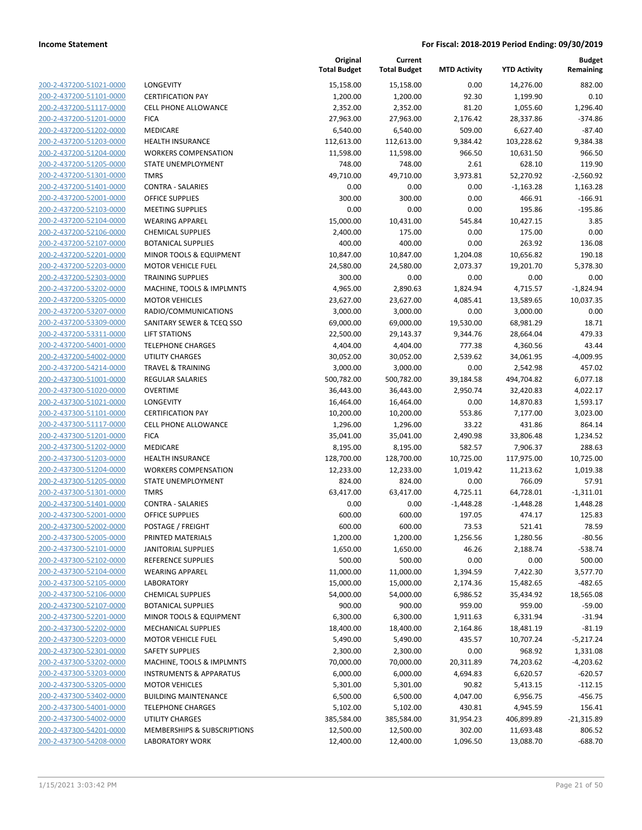**Current**

**Original**

**Budget Remaining**

| 200-2-437200-51021-0000                            |
|----------------------------------------------------|
| 200-2-437200-51101-0000                            |
| 200-2-437200-51117-0000                            |
| 200-2-437200-51201-0000                            |
| 200-2-437200-51202-0000                            |
| 200-2-437200-51203-0000                            |
| 200-2-437200-51204-0000                            |
| 200-2-437200-51205-0000                            |
| 200-2-437200-51301-0000                            |
| 200-2-437200-51401-0000                            |
| 200-2-437200-52001-0000                            |
| 200-2-437200-52103-0000                            |
| 200-2-437200-52104-0000                            |
| 200-2-437200-52106-0000                            |
| 200-2-437200-52107-0000                            |
| 200-2-437200-52201-0000                            |
| 200-2-437200-52203-0000                            |
| 200-2-437200-52303-0000                            |
| 200-2-437200-53202-0000                            |
| 200-2-437200-53205-0000                            |
| 200-2-437200-53207-0000                            |
| 200-2-437200-53309-0000                            |
| 200-2-437200-53311-0000                            |
| 200-2-437200-54001-0000                            |
| 200-2-437200-54002-0000                            |
| 200-2-437200-54214-0000                            |
| 200-2-437300-51001-0000                            |
| 200-2-437300-51020-0000                            |
| 200-2-437300-51021-0000                            |
| 200-2-437300-51101-0000                            |
| 200-2-437300-51117-0000                            |
| 200-2-437300-51201-0000                            |
| 200-2-437300-51202-0000                            |
| 200-2-437300-51203-0000                            |
| 200-2-437300-51204-0000                            |
| 200-2-437300-51205-0000                            |
| 200-2-437300-51301-0000                            |
| 200-2-437300-51401-0000                            |
| 200-2-437300-52001-0000                            |
| 200-2-437300-52002-0000                            |
| 200-2-437300-52005-0000                            |
| <u>200-2-437300-52101-0000</u>                     |
| 200-2-437300-52102-0000                            |
| 200-2-437300-52104-0000                            |
| <u>200-2-437300-52105-0000</u>                     |
| <u>200-2-437300-52106-0000</u>                     |
| <u>200-2-437300-52107-0000</u>                     |
| 200-2-437300-52201-0000                            |
| 200-2-437300-52202-0000                            |
| 200-2-437300-52203-0000                            |
|                                                    |
| 200-2-437300-52301-0000<br>200-2-437300-53202-0000 |
| 200-2-437300-53203-0000                            |
| 200-2-437300-53205-0000                            |
|                                                    |
| <u>200-2-437300-53402-0000</u>                     |
| <u>200-2-437300-54001-0000</u>                     |
| 200-2-437300-54002-0000<br>200-2-437300-54201-0000 |
| 200-2-437300-54208-0000                            |
|                                                    |

|                         |                                    | <b>Total Budget</b> | <b>Total Budget</b> | <b>MTD Activity</b> | <b>YTD Activity</b> | Remaining    |
|-------------------------|------------------------------------|---------------------|---------------------|---------------------|---------------------|--------------|
| 200-2-437200-51021-0000 | LONGEVITY                          | 15,158.00           | 15,158.00           | 0.00                | 14,276.00           | 882.00       |
| 200-2-437200-51101-0000 | <b>CERTIFICATION PAY</b>           | 1,200.00            | 1,200.00            | 92.30               | 1,199.90            | 0.10         |
| 200-2-437200-51117-0000 | <b>CELL PHONE ALLOWANCE</b>        | 2,352.00            | 2,352.00            | 81.20               | 1,055.60            | 1,296.40     |
| 200-2-437200-51201-0000 | <b>FICA</b>                        | 27,963.00           | 27,963.00           | 2,176.42            | 28,337.86           | $-374.86$    |
| 200-2-437200-51202-0000 | MEDICARE                           | 6,540.00            | 6,540.00            | 509.00              | 6,627.40            | $-87.40$     |
| 200-2-437200-51203-0000 | <b>HEALTH INSURANCE</b>            | 112,613.00          | 112,613.00          | 9,384.42            | 103,228.62          | 9,384.38     |
| 200-2-437200-51204-0000 | <b>WORKERS COMPENSATION</b>        | 11,598.00           | 11,598.00           | 966.50              | 10,631.50           | 966.50       |
| 200-2-437200-51205-0000 | STATE UNEMPLOYMENT                 | 748.00              | 748.00              | 2.61                | 628.10              | 119.90       |
| 200-2-437200-51301-0000 | <b>TMRS</b>                        | 49,710.00           | 49,710.00           | 3,973.81            | 52,270.92           | $-2,560.92$  |
| 200-2-437200-51401-0000 | <b>CONTRA - SALARIES</b>           | 0.00                | 0.00                | 0.00                | $-1,163.28$         | 1,163.28     |
| 200-2-437200-52001-0000 | <b>OFFICE SUPPLIES</b>             | 300.00              | 300.00              | 0.00                | 466.91              | $-166.91$    |
| 200-2-437200-52103-0000 | <b>MEETING SUPPLIES</b>            | 0.00                | 0.00                | 0.00                | 195.86              | $-195.86$    |
| 200-2-437200-52104-0000 | <b>WEARING APPAREL</b>             | 15,000.00           | 10,431.00           | 545.84              | 10,427.15           | 3.85         |
| 200-2-437200-52106-0000 | <b>CHEMICAL SUPPLIES</b>           | 2,400.00            | 175.00              | 0.00                | 175.00              | 0.00         |
| 200-2-437200-52107-0000 | <b>BOTANICAL SUPPLIES</b>          | 400.00              | 400.00              | 0.00                | 263.92              | 136.08       |
| 200-2-437200-52201-0000 | MINOR TOOLS & EQUIPMENT            | 10,847.00           | 10,847.00           | 1,204.08            | 10,656.82           | 190.18       |
| 200-2-437200-52203-0000 | <b>MOTOR VEHICLE FUEL</b>          | 24,580.00           | 24,580.00           | 2,073.37            | 19,201.70           | 5,378.30     |
| 200-2-437200-52303-0000 | <b>TRAINING SUPPLIES</b>           | 300.00              | 0.00                | 0.00                | 0.00                | 0.00         |
| 200-2-437200-53202-0000 | MACHINE, TOOLS & IMPLMNTS          | 4,965.00            | 2,890.63            | 1,824.94            | 4,715.57            | $-1,824.94$  |
| 200-2-437200-53205-0000 | <b>MOTOR VEHICLES</b>              | 23,627.00           | 23,627.00           | 4,085.41            | 13,589.65           | 10,037.35    |
| 200-2-437200-53207-0000 | RADIO/COMMUNICATIONS               | 3,000.00            | 3,000.00            | 0.00                | 3,000.00            | 0.00         |
| 200-2-437200-53309-0000 | SANITARY SEWER & TCEQ SSO          | 69,000.00           | 69,000.00           | 19,530.00           | 68,981.29           | 18.71        |
| 200-2-437200-53311-0000 | <b>LIFT STATIONS</b>               | 22,500.00           | 29,143.37           | 9,344.76            | 28,664.04           | 479.33       |
| 200-2-437200-54001-0000 | <b>TELEPHONE CHARGES</b>           | 4,404.00            | 4,404.00            | 777.38              | 4,360.56            | 43.44        |
| 200-2-437200-54002-0000 | UTILITY CHARGES                    | 30,052.00           | 30,052.00           | 2,539.62            | 34,061.95           | $-4,009.95$  |
| 200-2-437200-54214-0000 | <b>TRAVEL &amp; TRAINING</b>       | 3,000.00            | 3,000.00            | 0.00                | 2,542.98            | 457.02       |
| 200-2-437300-51001-0000 | <b>REGULAR SALARIES</b>            | 500,782.00          | 500,782.00          | 39,184.58           | 494,704.82          | 6,077.18     |
| 200-2-437300-51020-0000 | <b>OVERTIME</b>                    | 36,443.00           | 36,443.00           | 2,950.74            | 32,420.83           | 4,022.17     |
| 200-2-437300-51021-0000 | LONGEVITY                          | 16,464.00           | 16,464.00           | 0.00                | 14,870.83           | 1,593.17     |
| 200-2-437300-51101-0000 | <b>CERTIFICATION PAY</b>           | 10,200.00           | 10,200.00           | 553.86              | 7,177.00            | 3,023.00     |
| 200-2-437300-51117-0000 | <b>CELL PHONE ALLOWANCE</b>        | 1,296.00            | 1,296.00            | 33.22               | 431.86              | 864.14       |
| 200-2-437300-51201-0000 | <b>FICA</b>                        | 35,041.00           | 35,041.00           | 2,490.98            | 33,806.48           | 1,234.52     |
| 200-2-437300-51202-0000 | MEDICARE                           | 8,195.00            | 8,195.00            | 582.57              | 7,906.37            | 288.63       |
| 200-2-437300-51203-0000 | <b>HEALTH INSURANCE</b>            | 128,700.00          | 128,700.00          | 10,725.00           | 117,975.00          | 10,725.00    |
| 200-2-437300-51204-0000 | <b>WORKERS COMPENSATION</b>        | 12,233.00           | 12,233.00           | 1,019.42            | 11,213.62           | 1,019.38     |
| 200-2-437300-51205-0000 | STATE UNEMPLOYMENT                 | 824.00              | 824.00              | 0.00                | 766.09              | 57.91        |
| 200-2-437300-51301-0000 | <b>TMRS</b>                        | 63,417.00           | 63,417.00           | 4,725.11            | 64,728.01           | $-1,311.01$  |
| 200-2-437300-51401-0000 | <b>CONTRA - SALARIES</b>           | 0.00                | 0.00                | -1,448.28           | -1,448.28           | 1,448.28     |
| 200-2-437300-52001-0000 | <b>OFFICE SUPPLIES</b>             | 600.00              | 600.00              | 197.05              | 474.17              | 125.83       |
| 200-2-437300-52002-0000 | POSTAGE / FREIGHT                  | 600.00              | 600.00              | 73.53               | 521.41              | 78.59        |
| 200-2-437300-52005-0000 | PRINTED MATERIALS                  | 1,200.00            | 1,200.00            | 1,256.56            | 1,280.56            | $-80.56$     |
| 200-2-437300-52101-0000 | <b>JANITORIAL SUPPLIES</b>         | 1,650.00            | 1,650.00            | 46.26               | 2,188.74            | $-538.74$    |
| 200-2-437300-52102-0000 | REFERENCE SUPPLIES                 | 500.00              | 500.00              | 0.00                | 0.00                | 500.00       |
| 200-2-437300-52104-0000 | <b>WEARING APPAREL</b>             | 11,000.00           | 11,000.00           | 1,394.59            | 7,422.30            | 3,577.70     |
| 200-2-437300-52105-0000 | <b>LABORATORY</b>                  | 15,000.00           | 15,000.00           | 2,174.36            | 15,482.65           | $-482.65$    |
| 200-2-437300-52106-0000 | <b>CHEMICAL SUPPLIES</b>           | 54,000.00           | 54,000.00           | 6,986.52            | 35,434.92           | 18,565.08    |
| 200-2-437300-52107-0000 | <b>BOTANICAL SUPPLIES</b>          | 900.00              | 900.00              | 959.00              | 959.00              | $-59.00$     |
| 200-2-437300-52201-0000 | MINOR TOOLS & EQUIPMENT            | 6,300.00            | 6,300.00            | 1,911.63            | 6,331.94            | $-31.94$     |
| 200-2-437300-52202-0000 | <b>MECHANICAL SUPPLIES</b>         | 18,400.00           | 18,400.00           | 2,164.86            | 18,481.19           | $-81.19$     |
| 200-2-437300-52203-0000 | <b>MOTOR VEHICLE FUEL</b>          | 5,490.00            | 5,490.00            | 435.57              | 10,707.24           | $-5,217.24$  |
| 200-2-437300-52301-0000 | <b>SAFETY SUPPLIES</b>             | 2,300.00            | 2,300.00            | 0.00                | 968.92              | 1,331.08     |
| 200-2-437300-53202-0000 | MACHINE, TOOLS & IMPLMNTS          | 70,000.00           | 70,000.00           | 20,311.89           | 74,203.62           | $-4,203.62$  |
| 200-2-437300-53203-0000 | <b>INSTRUMENTS &amp; APPARATUS</b> | 6,000.00            | 6,000.00            | 4,694.83            | 6,620.57            | $-620.57$    |
| 200-2-437300-53205-0000 | <b>MOTOR VEHICLES</b>              | 5,301.00            | 5,301.00            | 90.82               | 5,413.15            | $-112.15$    |
| 200-2-437300-53402-0000 | <b>BUILDING MAINTENANCE</b>        | 6,500.00            | 6,500.00            | 4,047.00            | 6,956.75            | $-456.75$    |
| 200-2-437300-54001-0000 | <b>TELEPHONE CHARGES</b>           | 5,102.00            | 5,102.00            | 430.81              | 4,945.59            | 156.41       |
| 200-2-437300-54002-0000 | UTILITY CHARGES                    | 385,584.00          | 385,584.00          | 31,954.23           | 406,899.89          | $-21,315.89$ |
| 200-2-437300-54201-0000 | MEMBERSHIPS & SUBSCRIPTIONS        | 12,500.00           | 12,500.00           | 302.00              | 11,693.48           | 806.52       |
| 200-2-437300-54208-0000 | <b>LABORATORY WORK</b>             | 12,400.00           | 12,400.00           | 1,096.50            | 13,088.70           | $-688.70$    |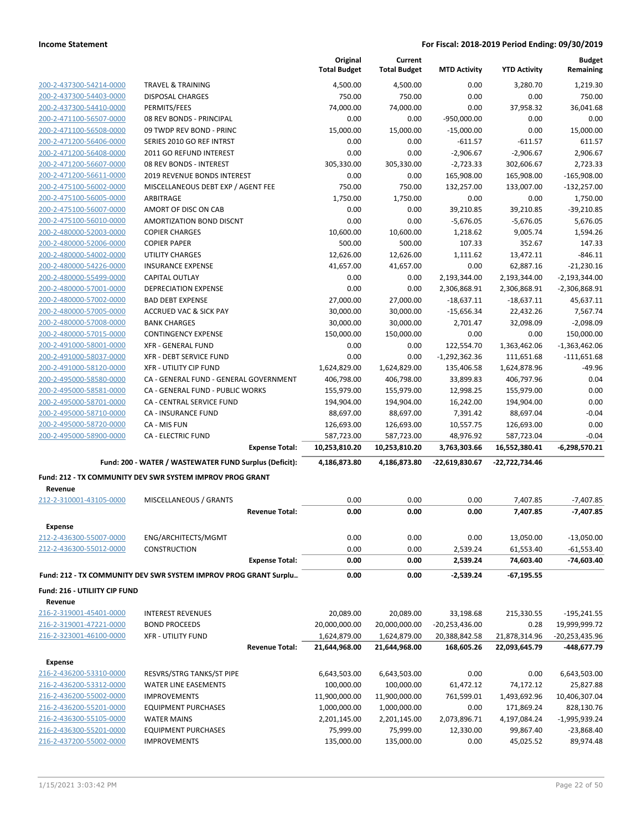|                                          |                                                                  |                       | Original<br><b>Total Budget</b> | Current<br><b>Total Budget</b> | <b>MTD Activity</b>  | <b>YTD Activity</b>    | <b>Budget</b><br>Remaining |
|------------------------------------------|------------------------------------------------------------------|-----------------------|---------------------------------|--------------------------------|----------------------|------------------------|----------------------------|
| 200-2-437300-54214-0000                  | <b>TRAVEL &amp; TRAINING</b>                                     |                       | 4,500.00                        | 4,500.00                       | 0.00                 | 3,280.70               | 1,219.30                   |
| 200-2-437300-54403-0000                  | <b>DISPOSAL CHARGES</b>                                          |                       | 750.00                          | 750.00                         | 0.00                 | 0.00                   | 750.00                     |
| 200-2-437300-54410-0000                  | PERMITS/FEES                                                     |                       | 74,000.00                       | 74.000.00                      | 0.00                 | 37,958.32              | 36,041.68                  |
| 200-2-471100-56507-0000                  | 08 REV BONDS - PRINCIPAL                                         |                       | 0.00                            | 0.00                           | $-950,000.00$        | 0.00                   | 0.00                       |
| 200-2-471100-56508-0000                  | 09 TWDP REV BOND - PRINC                                         |                       | 15,000.00                       | 15,000.00                      | $-15,000.00$         | 0.00                   | 15,000.00                  |
| 200-2-471200-56406-0000                  | SERIES 2010 GO REF INTRST                                        |                       | 0.00                            | 0.00                           | -611.57              | $-611.57$              | 611.57                     |
| 200-2-471200-56408-0000                  | 2011 GO REFUND INTEREST                                          |                       | 0.00                            | 0.00                           | $-2,906.67$          | $-2,906.67$            | 2,906.67                   |
| 200-2-471200-56607-0000                  | 08 REV BONDS - INTEREST                                          |                       | 305,330.00                      | 305,330.00                     | $-2,723.33$          | 302,606.67             | 2,723.33                   |
| 200-2-471200-56611-0000                  | 2019 REVENUE BONDS INTEREST                                      |                       | 0.00                            | 0.00                           | 165,908.00           | 165,908.00             | $-165,908.00$              |
| 200-2-475100-56002-0000                  | MISCELLANEOUS DEBT EXP / AGENT FEE                               |                       | 750.00                          | 750.00                         | 132,257.00           | 133,007.00             | $-132,257.00$              |
| 200-2-475100-56005-0000                  | ARBITRAGE                                                        |                       | 1,750.00                        | 1,750.00                       | 0.00                 | 0.00                   | 1,750.00                   |
| 200-2-475100-56007-0000                  | AMORT OF DISC ON CAB                                             |                       | 0.00                            | 0.00                           | 39,210.85            | 39,210.85              | $-39,210.85$               |
| 200-2-475100-56010-0000                  | AMORTIZATION BOND DISCNT                                         |                       | 0.00                            | 0.00                           | $-5,676.05$          | $-5,676.05$            | 5,676.05                   |
| 200-2-480000-52003-0000                  | <b>COPIER CHARGES</b>                                            |                       | 10,600.00                       | 10,600.00                      | 1,218.62             | 9,005.74               | 1,594.26                   |
| 200-2-480000-52006-0000                  | <b>COPIER PAPER</b>                                              |                       | 500.00                          | 500.00                         | 107.33               | 352.67                 | 147.33                     |
| 200-2-480000-54002-0000                  | UTILITY CHARGES                                                  |                       | 12,626.00                       | 12,626.00                      | 1,111.62             | 13,472.11              | $-846.11$                  |
| 200-2-480000-54226-0000                  | <b>INSURANCE EXPENSE</b>                                         |                       | 41,657.00                       | 41,657.00                      | 0.00                 | 62,887.16              | $-21,230.16$               |
| 200-2-480000-55499-0000                  | <b>CAPITAL OUTLAY</b>                                            |                       | 0.00                            | 0.00                           | 2,193,344.00         | 2,193,344.00           | $-2,193,344.00$            |
| 200-2-480000-57001-0000                  | <b>DEPRECIATION EXPENSE</b>                                      |                       | 0.00                            | 0.00                           | 2,306,868.91         | 2,306,868.91           | $-2,306,868.91$            |
| 200-2-480000-57002-0000                  | <b>BAD DEBT EXPENSE</b>                                          |                       | 27,000.00                       | 27,000.00                      | $-18,637.11$         | $-18,637.11$           | 45,637.11                  |
| 200-2-480000-57005-0000                  | <b>ACCRUED VAC &amp; SICK PAY</b>                                |                       | 30,000.00                       | 30,000.00                      | $-15,656.34$         | 22,432.26              | 7,567.74                   |
| 200-2-480000-57008-0000                  | <b>BANK CHARGES</b>                                              |                       | 30,000.00                       | 30,000.00                      | 2,701.47             | 32,098.09              | $-2,098.09$                |
| 200-2-480000-57015-0000                  | <b>CONTINGENCY EXPENSE</b>                                       |                       | 150,000.00                      | 150,000.00                     | 0.00                 | 0.00                   | 150,000.00                 |
| 200-2-491000-58001-0000                  | <b>XFR - GENERAL FUND</b>                                        |                       | 0.00                            | 0.00                           | 122,554.70           | 1,363,462.06           | $-1,363,462.06$            |
| 200-2-491000-58037-0000                  | XFR - DEBT SERVICE FUND                                          |                       | 0.00                            | 0.00                           | $-1,292,362.36$      | 111,651.68             | $-111,651.68$              |
| 200-2-491000-58120-0000                  | XFR - UTILITY CIP FUND                                           |                       | 1,624,829.00                    | 1,624,829.00                   | 135,406.58           | 1,624,878.96           | $-49.96$                   |
| 200-2-495000-58580-0000                  | CA - GENERAL FUND - GENERAL GOVERNMENT                           |                       | 406,798.00                      | 406,798.00                     | 33,899.83            | 406,797.96             | 0.04                       |
| 200-2-495000-58581-0000                  | CA - GENERAL FUND - PUBLIC WORKS                                 |                       | 155,979.00                      | 155,979.00                     | 12,998.25            | 155,979.00             | 0.00                       |
| 200-2-495000-58701-0000                  | CA - CENTRAL SERVICE FUND                                        |                       | 194,904.00                      | 194,904.00                     | 16,242.00            | 194,904.00             | 0.00                       |
| 200-2-495000-58710-0000                  | CA - INSURANCE FUND                                              |                       | 88,697.00                       | 88,697.00                      | 7,391.42             | 88,697.04              | $-0.04$                    |
| 200-2-495000-58720-0000                  | CA - MIS FUN                                                     |                       | 126,693.00                      | 126,693.00                     | 10,557.75            | 126,693.00             | 0.00                       |
| 200-2-495000-58900-0000                  | <b>CA - ELECTRIC FUND</b>                                        |                       | 587,723.00                      | 587,723.00                     | 48,976.92            | 587,723.04             | $-0.04$                    |
|                                          |                                                                  | <b>Expense Total:</b> | 10,253,810.20                   | 10,253,810.20                  | 3,763,303.66         | 16,552,380.41          | $-6,298,570.21$            |
|                                          | Fund: 200 - WATER / WASTEWATER FUND Surplus (Deficit):           |                       | 4,186,873.80                    | 4,186,873.80                   | -22,619,830.67       | -22,722,734.46         |                            |
| Revenue                                  | Fund: 212 - TX COMMUNITY DEV SWR SYSTEM IMPROV PROG GRANT        |                       |                                 |                                |                      |                        |                            |
| 212-2-310001-43105-0000                  | MISCELLANEOUS / GRANTS                                           |                       | 0.00                            | 0.00                           | 0.00                 | 7,407.85               | $-7,407.85$                |
|                                          |                                                                  | <b>Revenue Total:</b> | 0.00                            | 0.00                           | 0.00                 | 7,407.85               | $-7,407.85$                |
|                                          |                                                                  |                       |                                 |                                |                      |                        |                            |
| <b>Expense</b>                           |                                                                  |                       |                                 |                                |                      |                        |                            |
| 212-2-436300-55007-0000                  | ENG/ARCHITECTS/MGMT                                              |                       | 0.00<br>0.00                    | 0.00                           | 0.00                 | 13,050.00              | $-13,050.00$               |
| 212-2-436300-55012-0000                  | <b>CONSTRUCTION</b>                                              | <b>Expense Total:</b> | 0.00                            | 0.00<br>0.00                   | 2,539.24<br>2,539.24 | 61,553.40<br>74,603.40 | $-61,553.40$<br>-74,603.40 |
|                                          | Fund: 212 - TX COMMUNITY DEV SWR SYSTEM IMPROV PROG GRANT Surplu |                       | 0.00                            | 0.00                           | -2,539.24            | $-67,195.55$           |                            |
|                                          |                                                                  |                       |                                 |                                |                      |                        |                            |
| Fund: 216 - UTILIITY CIP FUND<br>Revenue |                                                                  |                       |                                 |                                |                      |                        |                            |
| 216-2-319001-45401-0000                  | <b>INTEREST REVENUES</b>                                         |                       | 20,089.00                       | 20,089.00                      | 33,198.68            | 215,330.55             | $-195,241.55$              |
| 216-2-319001-47221-0000                  | <b>BOND PROCEEDS</b>                                             |                       | 20,000,000.00                   | 20,000,000.00                  | $-20,253,436.00$     | 0.28                   | 19,999,999.72              |
| 216-2-323001-46100-0000                  | <b>XFR - UTILITY FUND</b>                                        |                       | 1,624,879.00                    | 1,624,879.00                   | 20,388,842.58        | 21,878,314.96          | -20,253,435.96             |
|                                          |                                                                  | <b>Revenue Total:</b> | 21,644,968.00                   | 21,644,968.00                  | 168,605.26           | 22,093,645.79          | -448,677.79                |
| <b>Expense</b>                           |                                                                  |                       |                                 |                                |                      |                        |                            |
| 216-2-436200-53310-0000                  | RESVRS/STRG TANKS/ST PIPE                                        |                       | 6,643,503.00                    | 6,643,503.00                   | 0.00                 | 0.00                   | 6,643,503.00               |
| 216-2-436200-53312-0000                  | <b>WATER LINE EASEMENTS</b>                                      |                       | 100,000.00                      | 100,000.00                     | 61,472.12            | 74,172.12              | 25,827.88                  |
| 216-2-436200-55002-0000                  | <b>IMPROVEMENTS</b>                                              |                       | 11,900,000.00                   | 11,900,000.00                  | 761,599.01           | 1,493,692.96           | 10,406,307.04              |
| 216-2-436200-55201-0000                  | <b>EQUIPMENT PURCHASES</b>                                       |                       | 1,000,000.00                    | 1,000,000.00                   | 0.00                 | 171,869.24             | 828,130.76                 |
| 216-2-436300-55105-0000                  | <b>WATER MAINS</b>                                               |                       | 2,201,145.00                    | 2,201,145.00                   | 2,073,896.71         | 4,197,084.24           | $-1,995,939.24$            |
| 216-2-436300-55201-0000                  | <b>EQUIPMENT PURCHASES</b>                                       |                       | 75,999.00                       | 75,999.00                      | 12,330.00            | 99,867.40              | $-23,868.40$               |
| 216-2-437200-55002-0000                  | <b>IMPROVEMENTS</b>                                              |                       | 135,000.00                      | 135,000.00                     | 0.00                 | 45,025.52              | 89,974.48                  |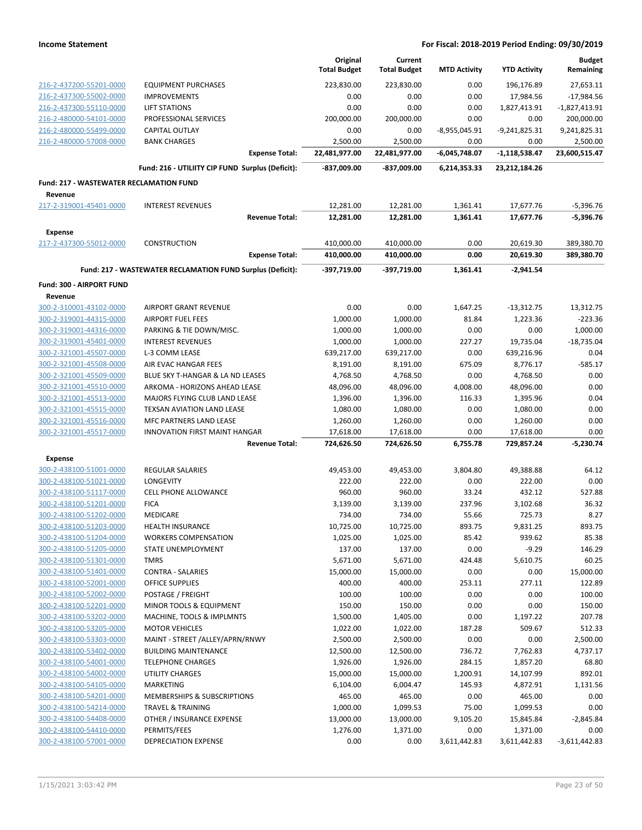|                                                |                                                            | Original            | Current             |                     |                     | <b>Budget</b>   |
|------------------------------------------------|------------------------------------------------------------|---------------------|---------------------|---------------------|---------------------|-----------------|
|                                                |                                                            | <b>Total Budget</b> | <b>Total Budget</b> | <b>MTD Activity</b> | <b>YTD Activity</b> | Remaining       |
| 216-2-437200-55201-0000                        | <b>EQUIPMENT PURCHASES</b>                                 | 223,830.00          | 223,830.00          | 0.00                | 196,176.89          | 27,653.11       |
| 216-2-437300-55002-0000                        | <b>IMPROVEMENTS</b>                                        | 0.00                | 0.00                | 0.00                | 17,984.56           | $-17,984.56$    |
| 216-2-437300-55110-0000                        | <b>LIFT STATIONS</b>                                       | 0.00                | 0.00                | 0.00                | 1,827,413.91        | $-1,827,413.91$ |
| 216-2-480000-54101-0000                        | PROFESSIONAL SERVICES                                      | 200,000.00          | 200,000.00          | 0.00                | 0.00                | 200,000.00      |
| 216-2-480000-55499-0000                        | <b>CAPITAL OUTLAY</b>                                      | 0.00                | 0.00                | $-8,955,045.91$     | $-9,241,825.31$     | 9,241,825.31    |
| 216-2-480000-57008-0000                        | <b>BANK CHARGES</b>                                        | 2,500.00            | 2,500.00            | 0.00                | 0.00                | 2,500.00        |
|                                                | <b>Expense Total:</b>                                      | 22,481,977.00       | 22,481,977.00       | -6,045,748.07       | $-1,118,538.47$     | 23,600,515.47   |
|                                                | Fund: 216 - UTILIITY CIP FUND Surplus (Deficit):           | $-837,009.00$       | -837,009.00         | 6,214,353.33        | 23,212,184.26       |                 |
| <b>Fund: 217 - WASTEWATER RECLAMATION FUND</b> |                                                            |                     |                     |                     |                     |                 |
| Revenue<br>217-2-319001-45401-0000             | <b>INTEREST REVENUES</b>                                   | 12,281.00           | 12,281.00           | 1,361.41            | 17,677.76           | $-5,396.76$     |
|                                                | <b>Revenue Total:</b>                                      | 12,281.00           | 12,281.00           | 1,361.41            | 17,677.76           | -5,396.76       |
| <b>Expense</b>                                 |                                                            |                     |                     |                     |                     |                 |
| 217-2-437300-55012-0000                        | CONSTRUCTION                                               | 410,000.00          | 410,000.00          | 0.00                | 20,619.30           | 389,380.70      |
|                                                | <b>Expense Total:</b>                                      | 410,000.00          | 410,000.00          | 0.00                | 20,619.30           | 389,380.70      |
|                                                | Fund: 217 - WASTEWATER RECLAMATION FUND Surplus (Deficit): | -397,719.00         | -397,719.00         | 1,361.41            | $-2,941.54$         |                 |
| Fund: 300 - AIRPORT FUND                       |                                                            |                     |                     |                     |                     |                 |
| Revenue                                        |                                                            |                     |                     |                     |                     |                 |
| 300-2-310001-43102-0000                        | <b>AIRPORT GRANT REVENUE</b>                               | 0.00                | 0.00                | 1,647.25            | $-13,312.75$        | 13,312.75       |
| 300-2-319001-44315-0000                        | <b>AIRPORT FUEL FEES</b>                                   | 1,000.00            | 1,000.00            | 81.84               | 1,223.36            | $-223.36$       |
| 300-2-319001-44316-0000                        | PARKING & TIE DOWN/MISC.                                   | 1,000.00            | 1,000.00            | 0.00                | 0.00                | 1,000.00        |
| 300-2-319001-45401-0000                        | <b>INTEREST REVENUES</b>                                   | 1,000.00            | 1,000.00            | 227.27              | 19,735.04           | $-18,735.04$    |
| 300-2-321001-45507-0000                        | L-3 COMM LEASE                                             | 639,217.00          | 639,217.00          | 0.00                | 639,216.96          | 0.04            |
| 300-2-321001-45508-0000                        | AIR EVAC HANGAR FEES                                       | 8,191.00            | 8,191.00            | 675.09              | 8,776.17            | $-585.17$       |
| 300-2-321001-45509-0000                        | BLUE SKY T-HANGAR & LA ND LEASES                           | 4,768.50            | 4,768.50            | 0.00                | 4,768.50            | 0.00            |
| 300-2-321001-45510-0000                        | ARKOMA - HORIZONS AHEAD LEASE                              | 48,096.00           | 48,096.00           | 4,008.00            | 48,096.00           | 0.00            |
| 300-2-321001-45513-0000                        | MAJORS FLYING CLUB LAND LEASE                              | 1,396.00            | 1,396.00            | 116.33              | 1,395.96            | 0.04            |
| 300-2-321001-45515-0000                        | <b>TEXSAN AVIATION LAND LEASE</b>                          | 1,080.00            | 1,080.00            | 0.00                | 1,080.00            | 0.00            |
| 300-2-321001-45516-0000                        | MFC PARTNERS LAND LEASE                                    | 1,260.00            | 1,260.00            | 0.00                | 1,260.00            | 0.00            |
| 300-2-321001-45517-0000                        | INNOVATION FIRST MAINT HANGAR                              | 17,618.00           | 17,618.00           | 0.00                | 17,618.00           | 0.00            |
|                                                | <b>Revenue Total:</b>                                      | 724,626.50          | 724,626.50          | 6,755.78            | 729,857.24          | $-5,230.74$     |
| <b>Expense</b><br>300-2-438100-51001-0000      | <b>REGULAR SALARIES</b>                                    | 49,453.00           | 49,453.00           | 3,804.80            | 49,388.88           | 64.12           |
| 300-2-438100-51021-0000                        | LONGEVITY                                                  | 222.00              | 222.00              | 0.00                | 222.00              | 0.00            |
| 300-2-438100-51117-0000                        | <b>CELL PHONE ALLOWANCE</b>                                | 960.00              | 960.00              | 33.24               | 432.12              | 527.88          |
| 300-2-438100-51201-0000                        | <b>FICA</b>                                                | 3,139.00            | 3,139.00            | 237.96              | 3,102.68            | 36.32           |
| 300-2-438100-51202-0000                        | MEDICARE                                                   | 734.00              | 734.00              | 55.66               | 725.73              | 8.27            |
| 300-2-438100-51203-0000                        | <b>HEALTH INSURANCE</b>                                    | 10,725.00           | 10,725.00           | 893.75              | 9,831.25            | 893.75          |
| 300-2-438100-51204-0000                        | <b>WORKERS COMPENSATION</b>                                | 1,025.00            | 1,025.00            | 85.42               | 939.62              | 85.38           |
| 300-2-438100-51205-0000                        | STATE UNEMPLOYMENT                                         | 137.00              | 137.00              | 0.00                | $-9.29$             | 146.29          |
| 300-2-438100-51301-0000                        | <b>TMRS</b>                                                | 5,671.00            | 5,671.00            | 424.48              | 5,610.75            | 60.25           |
| 300-2-438100-51401-0000                        | <b>CONTRA - SALARIES</b>                                   | 15,000.00           | 15,000.00           | 0.00                | 0.00                | 15,000.00       |
| 300-2-438100-52001-0000                        | <b>OFFICE SUPPLIES</b>                                     | 400.00              | 400.00              | 253.11              | 277.11              | 122.89          |
| 300-2-438100-52002-0000                        | POSTAGE / FREIGHT                                          | 100.00              | 100.00              | 0.00                | 0.00                | 100.00          |
| 300-2-438100-52201-0000                        | MINOR TOOLS & EQUIPMENT                                    | 150.00              | 150.00              | 0.00                | 0.00                | 150.00          |
| 300-2-438100-53202-0000                        | MACHINE, TOOLS & IMPLMNTS                                  | 1,500.00            | 1,405.00            | 0.00                | 1,197.22            | 207.78          |
| 300-2-438100-53205-0000                        | <b>MOTOR VEHICLES</b>                                      | 1,022.00            | 1,022.00            | 187.28              | 509.67              | 512.33          |
| 300-2-438100-53303-0000                        | MAINT - STREET /ALLEY/APRN/RNWY                            | 2,500.00            | 2,500.00            | 0.00                | 0.00                | 2,500.00        |
| 300-2-438100-53402-0000                        | <b>BUILDING MAINTENANCE</b>                                | 12,500.00           | 12,500.00           | 736.72              | 7,762.83            | 4,737.17        |
| 300-2-438100-54001-0000                        | <b>TELEPHONE CHARGES</b>                                   | 1,926.00            | 1,926.00            | 284.15              | 1,857.20            | 68.80           |
| 300-2-438100-54002-0000                        | <b>UTILITY CHARGES</b>                                     | 15,000.00           | 15,000.00           | 1,200.91            | 14,107.99           | 892.01          |
| 300-2-438100-54105-0000                        | MARKETING                                                  | 6,104.00            | 6,004.47            | 145.93              | 4,872.91            | 1,131.56        |
| 300-2-438100-54201-0000                        | MEMBERSHIPS & SUBSCRIPTIONS                                | 465.00              | 465.00              | 0.00                | 465.00              | 0.00            |
| 300-2-438100-54214-0000                        | <b>TRAVEL &amp; TRAINING</b>                               | 1,000.00            | 1,099.53            | 75.00               | 1,099.53            | 0.00            |
| 300-2-438100-54408-0000                        | OTHER / INSURANCE EXPENSE                                  | 13,000.00           | 13,000.00           | 9,105.20            | 15,845.84           | $-2,845.84$     |
| 300-2-438100-54410-0000                        | PERMITS/FEES                                               | 1,276.00            | 1,371.00            | 0.00                | 1,371.00            | 0.00            |
| 300-2-438100-57001-0000                        | DEPRECIATION EXPENSE                                       | 0.00                | 0.00                | 3,611,442.83        | 3,611,442.83        | $-3,611,442.83$ |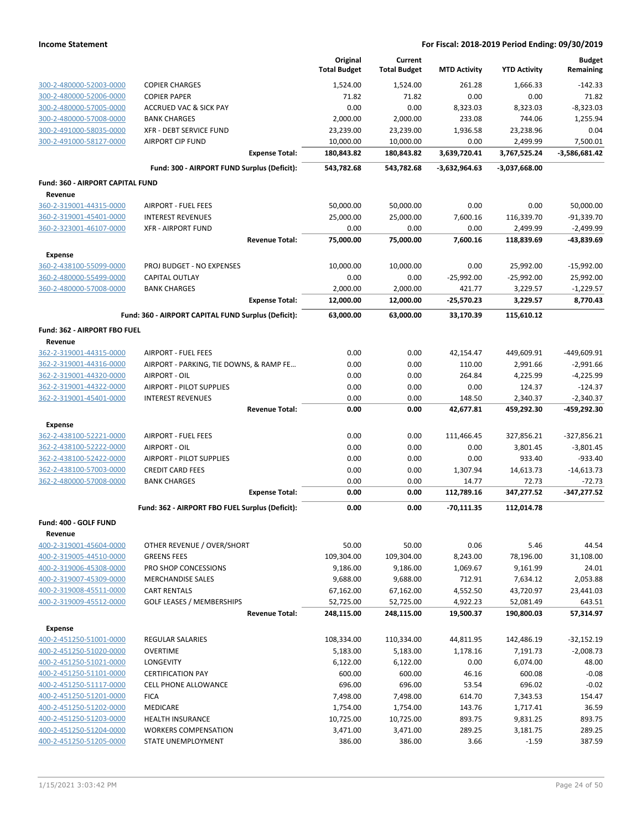|                                                    |                                                         | Original<br><b>Total Budget</b> | Current<br><b>Total Budget</b> | <b>MTD Activity</b>    | <b>YTD Activity</b>      | <b>Budget</b><br>Remaining |
|----------------------------------------------------|---------------------------------------------------------|---------------------------------|--------------------------------|------------------------|--------------------------|----------------------------|
| 300-2-480000-52003-0000                            | <b>COPIER CHARGES</b>                                   | 1,524.00                        | 1,524.00                       | 261.28                 | 1,666.33                 | $-142.33$                  |
| 300-2-480000-52006-0000                            | <b>COPIER PAPER</b>                                     | 71.82                           | 71.82                          | 0.00                   | 0.00                     | 71.82                      |
| 300-2-480000-57005-0000                            | <b>ACCRUED VAC &amp; SICK PAY</b>                       | 0.00                            | 0.00                           | 8,323.03               | 8,323.03                 | $-8,323.03$                |
| 300-2-480000-57008-0000                            | <b>BANK CHARGES</b>                                     | 2,000.00                        | 2,000.00                       | 233.08                 | 744.06                   | 1,255.94                   |
| 300-2-491000-58035-0000                            | <b>XFR - DEBT SERVICE FUND</b>                          | 23,239.00                       | 23,239.00                      | 1,936.58               | 23,238.96                | 0.04                       |
| 300-2-491000-58127-0000                            | <b>AIRPORT CIP FUND</b><br><b>Expense Total:</b>        | 10,000.00<br>180,843.82         | 10,000.00<br>180,843.82        | 0.00<br>3,639,720.41   | 2,499.99<br>3,767,525.24 | 7,500.01<br>-3,586,681.42  |
|                                                    | Fund: 300 - AIRPORT FUND Surplus (Deficit):             | 543,782.68                      | 543,782.68                     | $-3,632,964.63$        | -3,037,668.00            |                            |
| Fund: 360 - AIRPORT CAPITAL FUND                   |                                                         |                                 |                                |                        |                          |                            |
| Revenue                                            |                                                         |                                 |                                |                        |                          |                            |
| 360-2-319001-44315-0000                            | <b>AIRPORT - FUEL FEES</b>                              | 50,000.00                       | 50,000.00                      | 0.00                   | 0.00                     | 50,000.00                  |
| 360-2-319001-45401-0000                            | <b>INTEREST REVENUES</b>                                | 25,000.00                       | 25,000.00                      | 7,600.16               | 116,339.70               | $-91,339.70$               |
| 360-2-323001-46107-0000                            | <b>XFR - AIRPORT FUND</b>                               | 0.00                            | 0.00                           | 0.00                   | 2,499.99                 | $-2,499.99$                |
|                                                    | <b>Revenue Total:</b>                                   | 75,000.00                       | 75,000.00                      | 7,600.16               | 118,839.69               | -43,839.69                 |
| <b>Expense</b>                                     |                                                         |                                 |                                |                        |                          |                            |
| 360-2-438100-55099-0000                            | PROJ BUDGET - NO EXPENSES                               | 10,000.00                       | 10,000.00                      | 0.00                   | 25,992.00                | $-15,992.00$               |
| 360-2-480000-55499-0000                            | <b>CAPITAL OUTLAY</b>                                   | 0.00                            | 0.00                           | $-25,992.00$           | $-25,992.00$             | 25,992.00                  |
| 360-2-480000-57008-0000                            | <b>BANK CHARGES</b><br><b>Expense Total:</b>            | 2,000.00<br>12,000.00           | 2,000.00<br>12,000.00          | 421.77<br>$-25,570.23$ | 3,229.57<br>3,229.57     | $-1,229.57$<br>8,770.43    |
|                                                    | Fund: 360 - AIRPORT CAPITAL FUND Surplus (Deficit):     | 63,000.00                       | 63,000.00                      | 33,170.39              | 115,610.12               |                            |
| Fund: 362 - AIRPORT FBO FUEL                       |                                                         |                                 |                                |                        |                          |                            |
| Revenue                                            |                                                         |                                 |                                |                        |                          |                            |
| 362-2-319001-44315-0000                            | <b>AIRPORT - FUEL FEES</b>                              | 0.00                            | 0.00                           | 42,154.47              | 449,609.91               | -449,609.91                |
| 362-2-319001-44316-0000                            | AIRPORT - PARKING, TIE DOWNS, & RAMP FE                 | 0.00                            | 0.00                           | 110.00                 | 2,991.66                 | $-2,991.66$                |
| 362-2-319001-44320-0000                            | AIRPORT - OIL                                           | 0.00                            | 0.00                           | 264.84                 | 4,225.99                 | $-4,225.99$                |
| 362-2-319001-44322-0000                            | <b>AIRPORT - PILOT SUPPLIES</b>                         | 0.00                            | 0.00                           | 0.00                   | 124.37                   | $-124.37$                  |
| 362-2-319001-45401-0000                            | <b>INTEREST REVENUES</b>                                | 0.00                            | 0.00                           | 148.50                 | 2,340.37                 | $-2,340.37$                |
|                                                    | <b>Revenue Total:</b>                                   | 0.00                            | 0.00                           | 42,677.81              | 459,292.30               | -459,292.30                |
| <b>Expense</b>                                     |                                                         |                                 |                                |                        |                          |                            |
| 362-2-438100-52221-0000                            | <b>AIRPORT - FUEL FEES</b>                              | 0.00                            | 0.00                           | 111,466.45             | 327,856.21               | $-327,856.21$              |
| 362-2-438100-52222-0000                            | AIRPORT - OIL                                           | 0.00                            | 0.00                           | 0.00                   | 3,801.45                 | $-3,801.45$                |
| 362-2-438100-52422-0000                            | <b>AIRPORT - PILOT SUPPLIES</b>                         | 0.00                            | 0.00                           | 0.00                   | 933.40                   | $-933.40$                  |
| 362-2-438100-57003-0000<br>362-2-480000-57008-0000 | <b>CREDIT CARD FEES</b><br><b>BANK CHARGES</b>          | 0.00<br>0.00                    | 0.00<br>0.00                   | 1,307.94<br>14.77      | 14,613.73<br>72.73       | $-14,613.73$<br>$-72.73$   |
|                                                    | <b>Expense Total:</b>                                   | 0.00                            | 0.00                           | 112,789.16             | 347,277.52               | -347,277.52                |
|                                                    | Fund: 362 - AIRPORT FBO FUEL Surplus (Deficit):         | 0.00                            | 0.00                           | $-70,111.35$           | 112,014.78               |                            |
| Fund: 400 - GOLF FUND                              |                                                         |                                 |                                |                        |                          |                            |
| Revenue                                            |                                                         |                                 |                                |                        |                          |                            |
| 400-2-319001-45604-0000                            | OTHER REVENUE / OVER/SHORT                              | 50.00                           | 50.00                          | 0.06                   | 5.46                     | 44.54                      |
| 400-2-319005-44510-0000                            | <b>GREENS FEES</b>                                      | 109,304.00                      | 109,304.00                     | 8,243.00               | 78,196.00                | 31,108.00                  |
| 400-2-319006-45308-0000                            | PRO SHOP CONCESSIONS                                    | 9,186.00                        | 9,186.00                       | 1,069.67               | 9,161.99                 | 24.01                      |
| 400-2-319007-45309-0000                            | <b>MERCHANDISE SALES</b>                                | 9,688.00                        | 9,688.00                       | 712.91                 | 7,634.12                 | 2,053.88                   |
| 400-2-319008-45511-0000<br>400-2-319009-45512-0000 | <b>CART RENTALS</b><br><b>GOLF LEASES / MEMBERSHIPS</b> | 67,162.00<br>52,725.00          | 67,162.00<br>52,725.00         | 4,552.50<br>4,922.23   | 43,720.97<br>52,081.49   | 23,441.03<br>643.51        |
|                                                    | <b>Revenue Total:</b>                                   | 248,115.00                      | 248,115.00                     | 19,500.37              | 190,800.03               | 57,314.97                  |
| <b>Expense</b>                                     |                                                         |                                 |                                |                        |                          |                            |
| 400-2-451250-51001-0000                            | <b>REGULAR SALARIES</b>                                 | 108,334.00                      | 110,334.00                     | 44,811.95              | 142,486.19               | $-32,152.19$               |
| 400-2-451250-51020-0000                            | <b>OVERTIME</b>                                         | 5,183.00                        | 5,183.00                       | 1,178.16               | 7,191.73                 | $-2,008.73$                |
| 400-2-451250-51021-0000                            | LONGEVITY                                               | 6,122.00                        | 6,122.00                       | 0.00                   | 6,074.00                 | 48.00                      |
| 400-2-451250-51101-0000                            | <b>CERTIFICATION PAY</b>                                | 600.00                          | 600.00                         | 46.16                  | 600.08                   | $-0.08$                    |
| 400-2-451250-51117-0000                            | <b>CELL PHONE ALLOWANCE</b>                             | 696.00                          | 696.00                         | 53.54                  | 696.02                   | $-0.02$                    |
| 400-2-451250-51201-0000                            | <b>FICA</b>                                             | 7,498.00                        | 7,498.00                       | 614.70                 | 7,343.53                 | 154.47                     |
| 400-2-451250-51202-0000                            | MEDICARE                                                | 1,754.00                        | 1,754.00                       | 143.76                 | 1,717.41                 | 36.59                      |
| 400-2-451250-51203-0000                            | <b>HEALTH INSURANCE</b>                                 | 10,725.00                       | 10,725.00                      | 893.75                 | 9,831.25                 | 893.75                     |
| 400-2-451250-51204-0000                            | <b>WORKERS COMPENSATION</b>                             | 3,471.00                        | 3,471.00                       | 289.25                 | 3,181.75                 | 289.25                     |
| 400-2-451250-51205-0000                            | STATE UNEMPLOYMENT                                      | 386.00                          | 386.00                         | 3.66                   | $-1.59$                  | 387.59                     |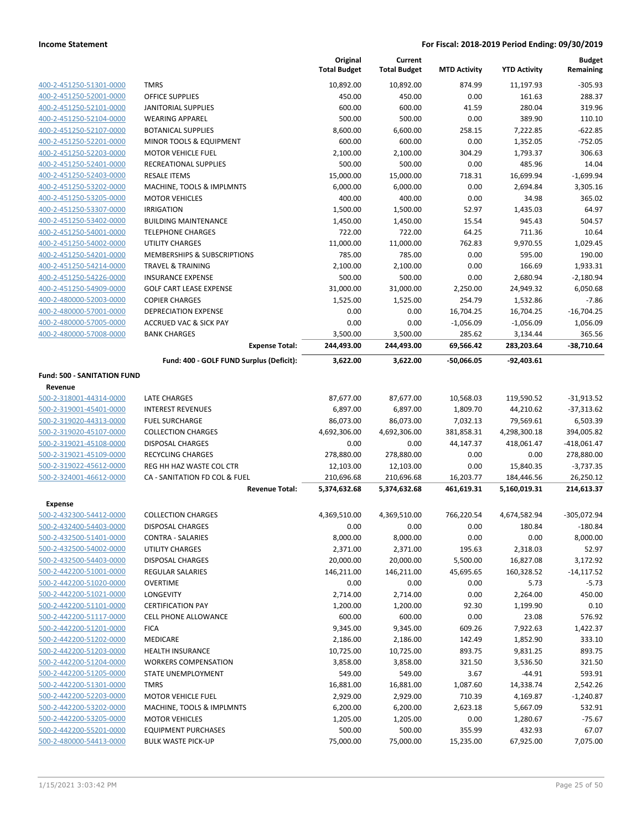|                                                    |                                                          | Original<br><b>Total Budget</b> | Current<br><b>Total Budget</b> | <b>MTD Activity</b>   | <b>YTD Activity</b>    | <b>Budget</b><br>Remaining |
|----------------------------------------------------|----------------------------------------------------------|---------------------------------|--------------------------------|-----------------------|------------------------|----------------------------|
| 400-2-451250-51301-0000                            | <b>TMRS</b>                                              | 10,892.00                       | 10,892.00                      | 874.99                | 11,197.93              | $-305.93$                  |
| 400-2-451250-52001-0000                            | <b>OFFICE SUPPLIES</b>                                   | 450.00                          | 450.00                         | 0.00                  | 161.63                 | 288.37                     |
| 400-2-451250-52101-0000                            | <b>JANITORIAL SUPPLIES</b>                               | 600.00                          | 600.00                         | 41.59                 | 280.04                 | 319.96                     |
| 400-2-451250-52104-0000                            | <b>WEARING APPAREL</b>                                   | 500.00                          | 500.00                         | 0.00                  | 389.90                 | 110.10                     |
| 400-2-451250-52107-0000                            | <b>BOTANICAL SUPPLIES</b>                                | 8,600.00                        | 6,600.00                       | 258.15                | 7,222.85               | $-622.85$                  |
| 400-2-451250-52201-0000                            | MINOR TOOLS & EQUIPMENT                                  | 600.00                          | 600.00                         | 0.00                  | 1,352.05               | $-752.05$                  |
| 400-2-451250-52203-0000                            | <b>MOTOR VEHICLE FUEL</b>                                | 2,100.00                        | 2,100.00                       | 304.29                | 1,793.37               | 306.63                     |
| 400-2-451250-52401-0000                            | RECREATIONAL SUPPLIES                                    | 500.00                          | 500.00                         | 0.00                  | 485.96                 | 14.04                      |
| 400-2-451250-52403-0000                            | <b>RESALE ITEMS</b>                                      | 15,000.00                       | 15,000.00                      | 718.31                | 16,699.94              | $-1,699.94$                |
| 400-2-451250-53202-0000                            | MACHINE, TOOLS & IMPLMNTS                                | 6,000.00                        | 6,000.00                       | 0.00                  | 2,694.84               | 3,305.16                   |
| 400-2-451250-53205-0000                            | <b>MOTOR VEHICLES</b>                                    | 400.00                          | 400.00                         | 0.00                  | 34.98                  | 365.02                     |
| 400-2-451250-53307-0000                            | <b>IRRIGATION</b>                                        | 1,500.00                        | 1,500.00                       | 52.97                 | 1,435.03               | 64.97                      |
| 400-2-451250-53402-0000                            | <b>BUILDING MAINTENANCE</b>                              | 1,450.00                        | 1,450.00                       | 15.54                 | 945.43                 | 504.57                     |
| 400-2-451250-54001-0000                            | <b>TELEPHONE CHARGES</b>                                 | 722.00                          | 722.00                         | 64.25                 | 711.36                 | 10.64                      |
| 400-2-451250-54002-0000                            | <b>UTILITY CHARGES</b>                                   | 11,000.00                       | 11,000.00                      | 762.83                | 9,970.55               | 1,029.45                   |
| 400-2-451250-54201-0000                            | MEMBERSHIPS & SUBSCRIPTIONS                              | 785.00                          | 785.00                         | 0.00                  | 595.00                 | 190.00                     |
| 400-2-451250-54214-0000                            | <b>TRAVEL &amp; TRAINING</b>                             | 2,100.00                        | 2,100.00                       | 0.00                  | 166.69                 | 1,933.31                   |
| 400-2-451250-54226-0000                            | <b>INSURANCE EXPENSE</b>                                 | 500.00                          | 500.00                         | 0.00                  | 2,680.94               | $-2,180.94$                |
| 400-2-451250-54909-0000                            | <b>GOLF CART LEASE EXPENSE</b>                           | 31,000.00                       | 31,000.00                      | 2,250.00              | 24,949.32              | 6,050.68                   |
| 400-2-480000-52003-0000                            | <b>COPIER CHARGES</b>                                    | 1,525.00                        | 1,525.00                       | 254.79                | 1,532.86               | $-7.86$                    |
| 400-2-480000-57001-0000                            | DEPRECIATION EXPENSE                                     | 0.00                            | 0.00                           | 16,704.25             | 16,704.25              | $-16,704.25$               |
| 400-2-480000-57005-0000<br>400-2-480000-57008-0000 | <b>ACCRUED VAC &amp; SICK PAY</b><br><b>BANK CHARGES</b> | 0.00                            | 0.00                           | $-1,056.09$<br>285.62 | $-1,056.09$            | 1,056.09<br>365.56         |
|                                                    | <b>Expense Total:</b>                                    | 3,500.00<br>244,493.00          | 3,500.00<br>244,493.00         | 69,566.42             | 3,134.44<br>283,203.64 | $-38.710.64$               |
|                                                    | Fund: 400 - GOLF FUND Surplus (Deficit):                 | 3,622.00                        | 3,622.00                       | $-50,066.05$          | $-92,403.61$           |                            |
| <b>Fund: 500 - SANITATION FUND</b>                 |                                                          |                                 |                                |                       |                        |                            |
| Revenue                                            |                                                          |                                 |                                |                       |                        |                            |
| 500-2-318001-44314-0000                            | LATE CHARGES                                             | 87,677.00                       | 87,677.00                      | 10,568.03             | 119,590.52             | $-31,913.52$               |
| 500-2-319001-45401-0000                            | <b>INTEREST REVENUES</b>                                 | 6,897.00                        | 6,897.00                       | 1,809.70              | 44,210.62              | $-37,313.62$               |
| 500-2-319020-44313-0000                            | <b>FUEL SURCHARGE</b>                                    | 86,073.00                       | 86,073.00                      | 7,032.13              | 79,569.61              | 6,503.39                   |
| 500-2-319020-45107-0000                            | <b>COLLECTION CHARGES</b>                                | 4,692,306.00                    | 4,692,306.00                   | 381,858.31            | 4,298,300.18           | 394,005.82                 |
| 500-2-319021-45108-0000                            | <b>DISPOSAL CHARGES</b>                                  | 0.00                            | 0.00                           | 44,147.37             | 418,061.47             | $-418,061.47$              |
| 500-2-319021-45109-0000                            | <b>RECYCLING CHARGES</b>                                 | 278,880.00                      | 278,880.00                     | 0.00                  | 0.00                   | 278,880.00                 |
| 500-2-319022-45612-0000                            | REG HH HAZ WASTE COL CTR                                 | 12,103.00                       | 12,103.00                      | 0.00                  | 15,840.35              | $-3,737.35$                |
| 500-2-324001-46612-0000                            | CA - SANITATION FD COL & FUEL                            | 210,696.68                      | 210,696.68                     | 16,203.77             | 184,446.56             | 26,250.12                  |
|                                                    | <b>Revenue Total:</b>                                    | 5,374,632.68                    | 5,374,632.68                   | 461,619.31            | 5,160,019.31           | 214,613.37                 |
| <b>Expense</b>                                     |                                                          |                                 |                                |                       |                        |                            |
| 500-2-432300-54412-0000                            | <b>COLLECTION CHARGES</b>                                | 4,369,510.00                    | 4,369,510.00                   | 766,220.54            | 4,674,582.94           | $-305,072.94$              |
| 500-2-432400-54403-0000                            | DISPOSAL CHARGES                                         | 0.00                            | 0.00                           | 0.00                  | 180.84                 | $-180.84$                  |
| 500-2-432500-51401-0000                            | <b>CONTRA - SALARIES</b>                                 | 8,000.00                        | 8,000.00                       | 0.00                  | 0.00                   | 8,000.00                   |
| 500-2-432500-54002-0000                            | UTILITY CHARGES                                          | 2,371.00                        | 2,371.00                       | 195.63                | 2,318.03               | 52.97                      |
| 500-2-432500-54403-0000                            | <b>DISPOSAL CHARGES</b>                                  | 20,000.00                       | 20,000.00                      | 5,500.00              | 16,827.08              | 3,172.92                   |
| 500-2-442200-51001-0000                            | <b>REGULAR SALARIES</b>                                  | 146,211.00                      | 146,211.00                     | 45,695.65             | 160,328.52             | $-14, 117.52$              |
| 500-2-442200-51020-0000                            | <b>OVERTIME</b><br>LONGEVITY                             | 0.00                            | 0.00<br>2,714.00               | 0.00                  | 5.73                   | $-5.73$                    |
| 500-2-442200-51021-0000<br>500-2-442200-51101-0000 | <b>CERTIFICATION PAY</b>                                 | 2,714.00<br>1,200.00            | 1,200.00                       | 0.00<br>92.30         | 2,264.00<br>1,199.90   | 450.00<br>0.10             |
| 500-2-442200-51117-0000                            | <b>CELL PHONE ALLOWANCE</b>                              | 600.00                          | 600.00                         | 0.00                  | 23.08                  | 576.92                     |
| 500-2-442200-51201-0000                            | <b>FICA</b>                                              | 9,345.00                        | 9,345.00                       | 609.26                | 7,922.63               | 1,422.37                   |
| 500-2-442200-51202-0000                            | MEDICARE                                                 | 2,186.00                        | 2,186.00                       | 142.49                | 1,852.90               | 333.10                     |
| 500-2-442200-51203-0000                            | <b>HEALTH INSURANCE</b>                                  | 10,725.00                       | 10,725.00                      | 893.75                | 9,831.25               | 893.75                     |
| 500-2-442200-51204-0000                            | <b>WORKERS COMPENSATION</b>                              | 3,858.00                        | 3,858.00                       | 321.50                | 3,536.50               | 321.50                     |
| 500-2-442200-51205-0000                            | STATE UNEMPLOYMENT                                       | 549.00                          | 549.00                         | 3.67                  | $-44.91$               | 593.91                     |
| 500-2-442200-51301-0000                            | <b>TMRS</b>                                              | 16,881.00                       | 16,881.00                      | 1,087.60              | 14,338.74              | 2,542.26                   |
| 500-2-442200-52203-0000                            | <b>MOTOR VEHICLE FUEL</b>                                | 2,929.00                        | 2,929.00                       | 710.39                | 4,169.87               | $-1,240.87$                |
| 500-2-442200-53202-0000                            | MACHINE, TOOLS & IMPLMNTS                                | 6,200.00                        | 6,200.00                       | 2,623.18              | 5,667.09               | 532.91                     |
| 500-2-442200-53205-0000                            | <b>MOTOR VEHICLES</b>                                    | 1,205.00                        | 1,205.00                       | 0.00                  | 1,280.67               | $-75.67$                   |
| 500-2-442200-55201-0000                            | <b>EQUIPMENT PURCHASES</b>                               | 500.00                          | 500.00                         | 355.99                | 432.93                 | 67.07                      |
| 500-2-480000-54413-0000                            | <b>BULK WASTE PICK-UP</b>                                | 75,000.00                       | 75,000.00                      | 15,235.00             | 67,925.00              | 7,075.00                   |
|                                                    |                                                          |                                 |                                |                       |                        |                            |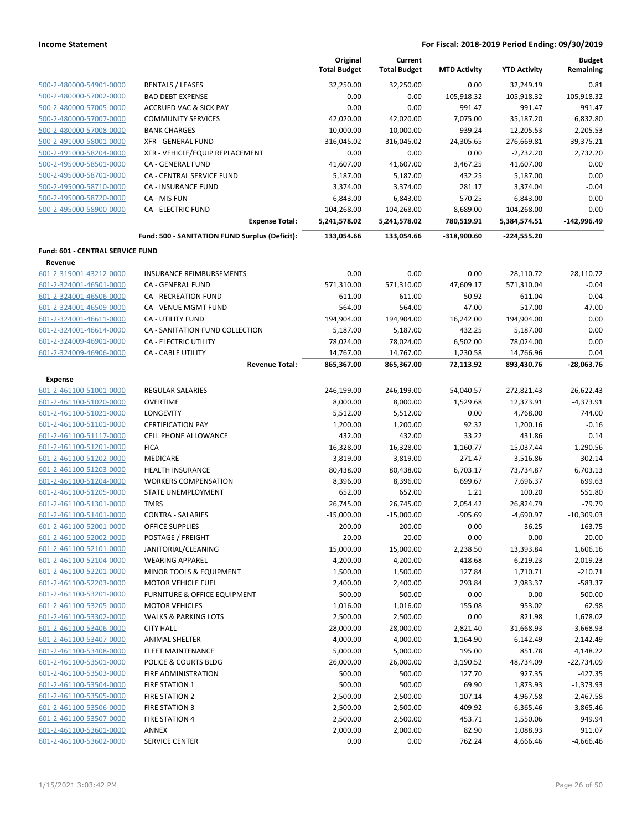|                                                    |                                                | Original<br><b>Total Budget</b> | Current<br><b>Total Budget</b> | <b>MTD Activity</b> | <b>YTD Activity</b>   | <b>Budget</b><br>Remaining |
|----------------------------------------------------|------------------------------------------------|---------------------------------|--------------------------------|---------------------|-----------------------|----------------------------|
| 500-2-480000-54901-0000                            | <b>RENTALS / LEASES</b>                        | 32,250.00                       | 32,250.00                      | 0.00                | 32,249.19             | 0.81                       |
| 500-2-480000-57002-0000                            | <b>BAD DEBT EXPENSE</b>                        | 0.00                            | 0.00                           | $-105,918.32$       | $-105,918.32$         | 105,918.32                 |
| 500-2-480000-57005-0000                            | <b>ACCRUED VAC &amp; SICK PAY</b>              | 0.00                            | 0.00                           | 991.47              | 991.47                | $-991.47$                  |
| 500-2-480000-57007-0000                            | <b>COMMUNITY SERVICES</b>                      | 42,020.00                       | 42,020.00                      | 7,075.00            | 35,187.20             | 6,832.80                   |
| 500-2-480000-57008-0000                            | <b>BANK CHARGES</b>                            | 10,000.00                       | 10,000.00                      | 939.24              | 12,205.53             | $-2,205.53$                |
| 500-2-491000-58001-0000                            | <b>XFR - GENERAL FUND</b>                      | 316,045.02                      | 316,045.02                     | 24,305.65           | 276,669.81            | 39,375.21                  |
| 500-2-491000-58204-0000                            | XFR - VEHICLE/EQUIP REPLACEMENT                | 0.00                            | 0.00                           | 0.00                | $-2,732.20$           | 2,732.20                   |
| 500-2-495000-58501-0000                            | CA - GENERAL FUND                              | 41,607.00                       | 41,607.00                      | 3,467.25            | 41,607.00             | 0.00                       |
| 500-2-495000-58701-0000                            | CA - CENTRAL SERVICE FUND                      | 5,187.00                        | 5,187.00                       | 432.25              | 5,187.00              | 0.00                       |
| 500-2-495000-58710-0000                            | CA - INSURANCE FUND                            | 3,374.00                        | 3,374.00                       | 281.17              | 3,374.04              | $-0.04$                    |
| 500-2-495000-58720-0000                            | CA - MIS FUN                                   | 6,843.00                        | 6,843.00                       | 570.25              | 6,843.00              | 0.00                       |
| 500-2-495000-58900-0000                            | <b>CA - ELECTRIC FUND</b>                      | 104,268.00                      | 104,268.00                     | 8,689.00            | 104,268.00            | 0.00                       |
|                                                    | <b>Expense Total:</b>                          | 5,241,578.02                    | 5,241,578.02                   | 780,519.91          | 5,384,574.51          | $-142,996.49$              |
|                                                    | Fund: 500 - SANITATION FUND Surplus (Deficit): | 133,054.66                      | 133,054.66                     | -318,900.60         | $-224,555.20$         |                            |
| Fund: 601 - CENTRAL SERVICE FUND                   |                                                |                                 |                                |                     |                       |                            |
| Revenue                                            |                                                |                                 |                                |                     |                       |                            |
| 601-2-319001-43212-0000                            | <b>INSURANCE REIMBURSEMENTS</b>                | 0.00                            | 0.00                           | 0.00                | 28,110.72             | $-28,110.72$               |
| 601-2-324001-46501-0000                            | CA - GENERAL FUND                              | 571,310.00                      | 571,310.00                     | 47,609.17           | 571,310.04            | $-0.04$                    |
| 601-2-324001-46506-0000                            | <b>CA - RECREATION FUND</b>                    | 611.00                          | 611.00                         | 50.92               | 611.04                | $-0.04$                    |
| 601-2-324001-46509-0000                            | CA - VENUE MGMT FUND                           | 564.00                          | 564.00                         | 47.00               | 517.00                | 47.00                      |
| 601-2-324001-46611-0000                            | CA - UTILITY FUND                              | 194,904.00                      | 194,904.00                     | 16,242.00           | 194,904.00            | 0.00                       |
| 601-2-324001-46614-0000                            | CA - SANITATION FUND COLLECTION                | 5,187.00                        | 5,187.00                       | 432.25              | 5,187.00              | 0.00                       |
| 601-2-324009-46901-0000                            | CA - ELECTRIC UTILITY                          | 78,024.00                       | 78,024.00                      | 6,502.00            | 78,024.00             | 0.00                       |
| 601-2-324009-46906-0000                            | CA - CABLE UTILITY                             | 14,767.00                       | 14,767.00                      | 1,230.58            | 14,766.96             | 0.04                       |
|                                                    | <b>Revenue Total:</b>                          | 865,367.00                      | 865,367.00                     | 72,113.92           | 893,430.76            | -28,063.76                 |
| <b>Expense</b>                                     |                                                |                                 |                                |                     |                       |                            |
| 601-2-461100-51001-0000                            | REGULAR SALARIES                               | 246,199.00                      | 246,199.00                     | 54,040.57           | 272,821.43            | $-26,622.43$               |
| 601-2-461100-51020-0000<br>601-2-461100-51021-0000 | <b>OVERTIME</b><br>LONGEVITY                   | 8,000.00<br>5,512.00            | 8,000.00<br>5,512.00           | 1,529.68<br>0.00    | 12,373.91<br>4,768.00 | $-4,373.91$<br>744.00      |
| 601-2-461100-51101-0000                            | <b>CERTIFICATION PAY</b>                       | 1,200.00                        | 1,200.00                       | 92.32               | 1,200.16              | $-0.16$                    |
| 601-2-461100-51117-0000                            | <b>CELL PHONE ALLOWANCE</b>                    | 432.00                          | 432.00                         | 33.22               | 431.86                | 0.14                       |
| 601-2-461100-51201-0000                            | <b>FICA</b>                                    | 16,328.00                       | 16,328.00                      | 1,160.77            | 15,037.44             | 1,290.56                   |
| 601-2-461100-51202-0000                            | MEDICARE                                       | 3,819.00                        | 3,819.00                       | 271.47              | 3,516.86              | 302.14                     |
| 601-2-461100-51203-0000                            | <b>HEALTH INSURANCE</b>                        | 80,438.00                       | 80,438.00                      | 6,703.17            | 73,734.87             | 6,703.13                   |
| 601-2-461100-51204-0000                            | <b>WORKERS COMPENSATION</b>                    | 8,396.00                        | 8,396.00                       | 699.67              | 7,696.37              | 699.63                     |
| 601-2-461100-51205-0000                            | STATE UNEMPLOYMENT                             | 652.00                          | 652.00                         | 1.21                | 100.20                | 551.80                     |
| 601-2-461100-51301-0000                            | <b>TMRS</b>                                    | 26,745.00                       | 26,745.00                      | 2,054.42            | 26,824.79             | $-79.79$                   |
| 601-2-461100-51401-0000                            | <b>CONTRA - SALARIES</b>                       | $-15,000.00$                    | $-15,000.00$                   | $-905.69$           | $-4,690.97$           | $-10,309.03$               |
| 601-2-461100-52001-0000                            | <b>OFFICE SUPPLIES</b>                         | 200.00                          | 200.00                         | 0.00                | 36.25                 | 163.75                     |
| 601-2-461100-52002-0000                            | POSTAGE / FREIGHT                              | 20.00                           | 20.00                          | 0.00                | 0.00                  | 20.00                      |
| 601-2-461100-52101-0000                            | JANITORIAL/CLEANING                            | 15,000.00                       | 15,000.00                      | 2,238.50            | 13,393.84             | 1,606.16                   |
| 601-2-461100-52104-0000                            | <b>WEARING APPAREL</b>                         | 4,200.00                        | 4,200.00                       | 418.68              | 6,219.23              | $-2,019.23$                |
| 601-2-461100-52201-0000                            | MINOR TOOLS & EQUIPMENT                        | 1,500.00                        | 1,500.00                       | 127.84              | 1,710.71              | $-210.71$                  |
| 601-2-461100-52203-0000                            | <b>MOTOR VEHICLE FUEL</b>                      | 2,400.00                        | 2,400.00                       | 293.84              | 2,983.37              | $-583.37$                  |
| 601-2-461100-53201-0000                            | <b>FURNITURE &amp; OFFICE EQUIPMENT</b>        | 500.00                          | 500.00                         | 0.00                | 0.00                  | 500.00                     |
| 601-2-461100-53205-0000                            | <b>MOTOR VEHICLES</b>                          | 1,016.00                        | 1,016.00                       | 155.08              | 953.02                | 62.98                      |
| 601-2-461100-53302-0000                            | <b>WALKS &amp; PARKING LOTS</b>                | 2,500.00                        | 2,500.00                       | 0.00                | 821.98                | 1,678.02                   |
| 601-2-461100-53406-0000                            | <b>CITY HALL</b>                               | 28,000.00                       | 28,000.00                      | 2,821.40            | 31,668.93             | $-3,668.93$                |
| 601-2-461100-53407-0000                            | <b>ANIMAL SHELTER</b>                          | 4,000.00                        | 4,000.00                       | 1,164.90            | 6,142.49              | $-2,142.49$                |
| 601-2-461100-53408-0000                            | <b>FLEET MAINTENANCE</b>                       | 5,000.00                        | 5,000.00                       | 195.00              | 851.78                | 4,148.22                   |
| 601-2-461100-53501-0000                            | POLICE & COURTS BLDG                           | 26,000.00                       | 26,000.00                      | 3,190.52            | 48,734.09             | $-22,734.09$               |
| 601-2-461100-53503-0000                            | FIRE ADMINISTRATION                            | 500.00                          | 500.00                         | 127.70              | 927.35                | $-427.35$                  |
| 601-2-461100-53504-0000                            | <b>FIRE STATION 1</b>                          | 500.00                          | 500.00                         | 69.90               | 1,873.93              | $-1,373.93$                |
| 601-2-461100-53505-0000                            | FIRE STATION 2                                 | 2,500.00                        | 2,500.00                       | 107.14              | 4,967.58              | $-2,467.58$                |
| 601-2-461100-53506-0000                            | <b>FIRE STATION 3</b>                          | 2,500.00                        | 2,500.00                       | 409.92              | 6,365.46              | $-3,865.46$                |
| 601-2-461100-53507-0000<br>601-2-461100-53601-0000 | <b>FIRE STATION 4</b>                          | 2,500.00                        | 2,500.00                       | 453.71              | 1,550.06              | 949.94                     |
| 601-2-461100-53602-0000                            | ANNEX                                          | 2,000.00                        | 2,000.00                       | 82.90               | 1,088.93              | 911.07                     |
|                                                    | <b>SERVICE CENTER</b>                          | 0.00                            | 0.00                           | 762.24              | 4,666.46              | $-4,666.46$                |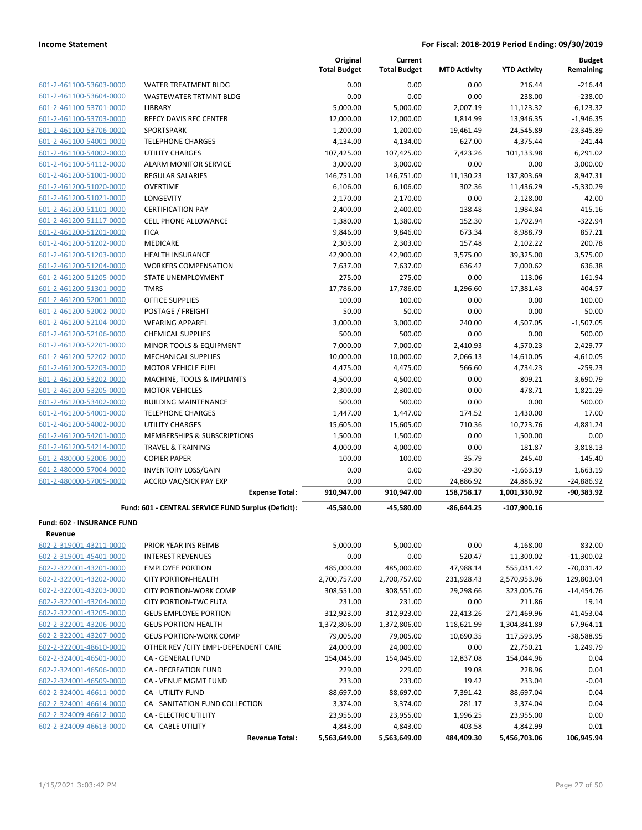|                                                    |                                                     | Original<br><b>Total Budget</b> | Current<br><b>Total Budget</b> | <b>MTD Activity</b> | <b>YTD Activity</b>   | <b>Budget</b><br>Remaining |
|----------------------------------------------------|-----------------------------------------------------|---------------------------------|--------------------------------|---------------------|-----------------------|----------------------------|
| 601-2-461100-53603-0000                            | WATER TREATMENT BLDG                                | 0.00                            | 0.00                           | 0.00                | 216.44                | $-216.44$                  |
| 601-2-461100-53604-0000                            | WASTEWATER TRTMNT BLDG                              | 0.00                            | 0.00                           | 0.00                | 238.00                | $-238.00$                  |
| 601-2-461100-53701-0000                            | LIBRARY                                             | 5,000.00                        | 5,000.00                       | 2,007.19            | 11,123.32             | $-6,123.32$                |
| 601-2-461100-53703-0000                            | <b>REECY DAVIS REC CENTER</b>                       | 12,000.00                       | 12,000.00                      | 1,814.99            | 13,946.35             | $-1,946.35$                |
| 601-2-461100-53706-0000                            | SPORTSPARK                                          | 1,200.00                        | 1,200.00                       | 19,461.49           | 24,545.89             | $-23,345.89$               |
| 601-2-461100-54001-0000                            | <b>TELEPHONE CHARGES</b>                            | 4,134.00                        | 4,134.00                       | 627.00              | 4,375.44              | $-241.44$                  |
| 601-2-461100-54002-0000                            | <b>UTILITY CHARGES</b>                              | 107,425.00                      | 107,425.00                     | 7,423.26            | 101,133.98            | 6,291.02                   |
| 601-2-461100-54112-0000                            | <b>ALARM MONITOR SERVICE</b>                        | 3,000.00                        | 3,000.00                       | 0.00                | 0.00                  | 3,000.00                   |
| 601-2-461200-51001-0000                            | <b>REGULAR SALARIES</b>                             | 146,751.00                      | 146,751.00                     | 11,130.23           | 137,803.69            | 8,947.31                   |
| 601-2-461200-51020-0000                            | <b>OVERTIME</b>                                     | 6,106.00                        | 6,106.00                       | 302.36              | 11,436.29             | $-5,330.29$                |
| 601-2-461200-51021-0000                            | LONGEVITY                                           | 2,170.00                        | 2,170.00                       | 0.00                | 2,128.00              | 42.00                      |
| 601-2-461200-51101-0000                            | <b>CERTIFICATION PAY</b>                            | 2,400.00                        | 2,400.00                       | 138.48              | 1,984.84              | 415.16                     |
| 601-2-461200-51117-0000                            | <b>CELL PHONE ALLOWANCE</b>                         | 1,380.00                        | 1,380.00                       | 152.30              | 1,702.94              | $-322.94$                  |
| 601-2-461200-51201-0000                            | <b>FICA</b>                                         | 9,846.00                        | 9,846.00                       | 673.34              | 8,988.79              | 857.21                     |
| 601-2-461200-51202-0000                            | MEDICARE                                            | 2,303.00                        | 2,303.00                       | 157.48              | 2,102.22              | 200.78                     |
| 601-2-461200-51203-0000                            | <b>HEALTH INSURANCE</b>                             | 42,900.00                       | 42,900.00                      | 3,575.00            | 39,325.00             | 3,575.00                   |
| 601-2-461200-51204-0000                            | <b>WORKERS COMPENSATION</b>                         | 7,637.00                        | 7,637.00                       | 636.42              | 7,000.62              | 636.38                     |
| 601-2-461200-51205-0000                            | <b>STATE UNEMPLOYMENT</b>                           | 275.00                          | 275.00                         | 0.00                | 113.06                | 161.94                     |
| 601-2-461200-51301-0000                            | <b>TMRS</b>                                         | 17,786.00                       | 17,786.00                      | 1,296.60            | 17,381.43             | 404.57                     |
| 601-2-461200-52001-0000                            | <b>OFFICE SUPPLIES</b>                              | 100.00                          | 100.00                         | 0.00                | 0.00                  | 100.00                     |
| 601-2-461200-52002-0000                            | POSTAGE / FREIGHT                                   | 50.00                           | 50.00                          | 0.00                | 0.00                  | 50.00                      |
| 601-2-461200-52104-0000                            | <b>WEARING APPAREL</b>                              | 3,000.00                        | 3,000.00                       | 240.00              | 4,507.05              | $-1,507.05$                |
| 601-2-461200-52106-0000                            | <b>CHEMICAL SUPPLIES</b>                            | 500.00                          | 500.00                         | 0.00                | 0.00                  | 500.00                     |
| 601-2-461200-52201-0000                            | MINOR TOOLS & EQUIPMENT                             | 7,000.00                        | 7,000.00                       | 2,410.93            | 4,570.23              | 2,429.77                   |
| 601-2-461200-52202-0000                            | <b>MECHANICAL SUPPLIES</b>                          | 10,000.00                       | 10,000.00                      | 2,066.13            | 14,610.05             | $-4,610.05$                |
| 601-2-461200-52203-0000                            | <b>MOTOR VEHICLE FUEL</b>                           | 4,475.00                        | 4,475.00                       | 566.60              | 4,734.23              | $-259.23$                  |
| 601-2-461200-53202-0000                            | MACHINE, TOOLS & IMPLMNTS                           | 4,500.00                        | 4,500.00                       | 0.00                | 809.21                | 3,690.79                   |
| 601-2-461200-53205-0000                            | <b>MOTOR VEHICLES</b>                               | 2,300.00                        | 2,300.00                       | 0.00                | 478.71                | 1,821.29                   |
| 601-2-461200-53402-0000                            | <b>BUILDING MAINTENANCE</b>                         | 500.00                          | 500.00                         | 0.00                | 0.00                  | 500.00                     |
| 601-2-461200-54001-0000                            | <b>TELEPHONE CHARGES</b><br><b>UTILITY CHARGES</b>  | 1,447.00                        | 1,447.00                       | 174.52              | 1,430.00              | 17.00<br>4,881.24          |
| 601-2-461200-54002-0000<br>601-2-461200-54201-0000 | MEMBERSHIPS & SUBSCRIPTIONS                         | 15,605.00<br>1,500.00           | 15,605.00<br>1,500.00          | 710.36<br>0.00      | 10,723.76<br>1,500.00 | 0.00                       |
| 601-2-461200-54214-0000                            | <b>TRAVEL &amp; TRAINING</b>                        | 4,000.00                        | 4,000.00                       | 0.00                | 181.87                | 3,818.13                   |
| 601-2-480000-52006-0000                            | <b>COPIER PAPER</b>                                 | 100.00                          | 100.00                         | 35.79               | 245.40                | $-145.40$                  |
| 601-2-480000-57004-0000                            | <b>INVENTORY LOSS/GAIN</b>                          | 0.00                            | 0.00                           | $-29.30$            | $-1,663.19$           | 1,663.19                   |
| 601-2-480000-57005-0000                            | <b>ACCRD VAC/SICK PAY EXP</b>                       | 0.00                            | 0.00                           | 24,886.92           | 24,886.92             | $-24,886.92$               |
|                                                    | <b>Expense Total:</b>                               | 910,947.00                      | 910,947.00                     | 158,758.17          | 1,001,330.92          | $-90,383.92$               |
|                                                    | Fund: 601 - CENTRAL SERVICE FUND Surplus (Deficit): | $-45,580.00$                    | -45,580.00                     | $-86.644.25$        | $-107,900.16$         |                            |
| Fund: 602 - INSURANCE FUND                         |                                                     |                                 |                                |                     |                       |                            |
| Revenue                                            |                                                     |                                 |                                |                     |                       |                            |
| 602-2-319001-43211-0000                            | PRIOR YEAR INS REIMB                                | 5,000.00                        | 5,000.00                       | 0.00                | 4,168.00              | 832.00                     |
| 602-2-319001-45401-0000                            | <b>INTEREST REVENUES</b>                            | 0.00                            | 0.00                           | 520.47              | 11,300.02             | $-11,300.02$               |
| 602-2-322001-43201-0000                            | <b>EMPLOYEE PORTION</b>                             | 485,000.00                      | 485,000.00                     | 47,988.14           | 555,031.42            | $-70,031.42$               |
| 602-2-322001-43202-0000                            | <b>CITY PORTION-HEALTH</b>                          | 2,700,757.00                    | 2,700,757.00                   | 231,928.43          | 2,570,953.96          | 129,803.04                 |
| 602-2-322001-43203-0000                            | <b>CITY PORTION-WORK COMP</b>                       | 308,551.00                      | 308,551.00                     | 29,298.66           | 323,005.76            | $-14,454.76$               |
| 602-2-322001-43204-0000                            | <b>CITY PORTION-TWC FUTA</b>                        | 231.00                          | 231.00                         | 0.00                | 211.86                | 19.14                      |
| 602-2-322001-43205-0000                            | <b>GEUS EMPLOYEE PORTION</b>                        | 312,923.00                      | 312,923.00                     | 22,413.26           | 271,469.96            | 41,453.04                  |
| 602-2-322001-43206-0000                            | <b>GEUS PORTION-HEALTH</b>                          | 1,372,806.00                    | 1,372,806.00                   | 118,621.99          | 1,304,841.89          | 67,964.11                  |
| 602-2-322001-43207-0000                            | <b>GEUS PORTION-WORK COMP</b>                       | 79,005.00                       | 79,005.00                      | 10,690.35           | 117,593.95            | $-38,588.95$               |
| 602-2-322001-48610-0000                            | OTHER REV / CITY EMPL-DEPENDENT CARE                | 24,000.00                       | 24,000.00                      | 0.00                | 22,750.21             | 1,249.79                   |
| 602-2-324001-46501-0000                            | CA - GENERAL FUND                                   | 154,045.00                      | 154,045.00                     | 12,837.08           | 154,044.96            | 0.04                       |
| 602-2-324001-46506-0000                            | CA - RECREATION FUND                                | 229.00                          | 229.00                         | 19.08               | 228.96                | 0.04                       |
| 602-2-324001-46509-0000                            | CA - VENUE MGMT FUND                                | 233.00                          | 233.00                         | 19.42               | 233.04                | $-0.04$                    |
| 602-2-324001-46611-0000                            | <b>CA - UTILITY FUND</b>                            | 88,697.00                       | 88,697.00                      | 7,391.42            | 88,697.04             | $-0.04$                    |
| 602-2-324001-46614-0000                            | CA - SANITATION FUND COLLECTION                     | 3,374.00                        | 3,374.00                       | 281.17              | 3,374.04              | $-0.04$                    |
| 602-2-324009-46612-0000                            | <b>CA - ELECTRIC UTILITY</b>                        | 23,955.00                       | 23,955.00                      | 1,996.25            | 23,955.00             | 0.00                       |
| 602-2-324009-46613-0000                            | <b>CA - CABLE UTILITY</b>                           | 4,843.00                        | 4,843.00                       | 403.58              | 4,842.99              | 0.01                       |
|                                                    | <b>Revenue Total:</b>                               | 5,563,649.00                    | 5,563,649.00                   | 484,409.30          | 5,456,703.06          | 106,945.94                 |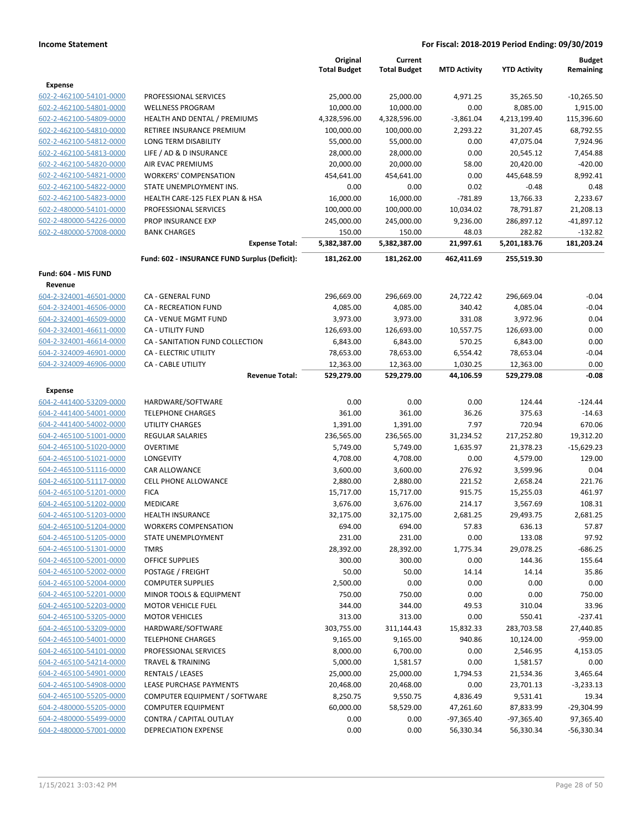|                                |                                               | Original<br><b>Total Budget</b> | Current<br><b>Total Budget</b> | <b>MTD Activity</b> | <b>YTD Activity</b> | <b>Budget</b><br>Remaining |
|--------------------------------|-----------------------------------------------|---------------------------------|--------------------------------|---------------------|---------------------|----------------------------|
| Expense                        |                                               |                                 |                                |                     |                     |                            |
| 602-2-462100-54101-0000        | PROFESSIONAL SERVICES                         | 25,000.00                       | 25,000.00                      | 4,971.25            | 35,265.50           | $-10,265.50$               |
| 602-2-462100-54801-0000        | <b>WELLNESS PROGRAM</b>                       | 10,000.00                       | 10,000.00                      | 0.00                | 8,085.00            | 1,915.00                   |
| 602-2-462100-54809-0000        | HEALTH AND DENTAL / PREMIUMS                  | 4,328,596.00                    | 4,328,596.00                   | $-3,861.04$         | 4,213,199.40        | 115,396.60                 |
| 602-2-462100-54810-0000        | RETIREE INSURANCE PREMIUM                     | 100,000.00                      | 100,000.00                     | 2,293.22            | 31,207.45           | 68,792.55                  |
| 602-2-462100-54812-0000        | LONG TERM DISABILITY                          | 55,000.00                       | 55,000.00                      | 0.00                | 47,075.04           | 7,924.96                   |
| 602-2-462100-54813-0000        | LIFE / AD & D INSURANCE                       | 28,000.00                       | 28,000.00                      | 0.00                | 20,545.12           | 7,454.88                   |
| 602-2-462100-54820-0000        | AIR EVAC PREMIUMS                             | 20,000.00                       | 20,000.00                      | 58.00               | 20,420.00           | $-420.00$                  |
| 602-2-462100-54821-0000        | <b>WORKERS' COMPENSATION</b>                  | 454,641.00                      | 454,641.00                     | 0.00                | 445,648.59          | 8,992.41                   |
| 602-2-462100-54822-0000        | STATE UNEMPLOYMENT INS.                       | 0.00                            | 0.00                           | 0.02                | $-0.48$             | 0.48                       |
| 602-2-462100-54823-0000        | HEALTH CARE-125 FLEX PLAN & HSA               | 16,000.00                       | 16,000.00                      | $-781.89$           | 13,766.33           | 2,233.67                   |
| 602-2-480000-54101-0000        | PROFESSIONAL SERVICES                         | 100,000.00                      | 100,000.00                     | 10,034.02           | 78,791.87           | 21,208.13                  |
| 602-2-480000-54226-0000        | PROP INSURANCE EXP                            | 245,000.00                      | 245,000.00                     | 9,236.00            | 286,897.12          | $-41,897.12$               |
| 602-2-480000-57008-0000        | <b>BANK CHARGES</b>                           | 150.00                          | 150.00                         | 48.03               | 282.82              | $-132.82$                  |
|                                | <b>Expense Total:</b>                         | 5,382,387.00                    | 5,382,387.00                   | 21,997.61           | 5,201,183.76        | 181,203.24                 |
|                                | Fund: 602 - INSURANCE FUND Surplus (Deficit): | 181,262.00                      | 181,262.00                     | 462,411.69          | 255,519.30          |                            |
| Fund: 604 - MIS FUND           |                                               |                                 |                                |                     |                     |                            |
| Revenue                        |                                               |                                 |                                |                     |                     |                            |
| 604-2-324001-46501-0000        | CA - GENERAL FUND                             | 296,669.00                      | 296,669.00                     | 24,722.42           | 296,669.04          | $-0.04$                    |
| 604-2-324001-46506-0000        | <b>CA - RECREATION FUND</b>                   | 4,085.00                        | 4,085.00                       | 340.42              | 4,085.04            | $-0.04$                    |
| 604-2-324001-46509-0000        | CA - VENUE MGMT FUND                          | 3,973.00                        | 3,973.00                       | 331.08              | 3,972.96            | 0.04                       |
| 604-2-324001-46611-0000        | CA - UTILITY FUND                             | 126,693.00                      | 126,693.00                     | 10,557.75           | 126,693.00          | 0.00                       |
| 604-2-324001-46614-0000        | CA - SANITATION FUND COLLECTION               | 6,843.00                        | 6,843.00                       | 570.25              | 6,843.00            | 0.00                       |
| 604-2-324009-46901-0000        | <b>CA - ELECTRIC UTILITY</b>                  | 78,653.00                       | 78,653.00                      | 6,554.42            | 78,653.04           | $-0.04$                    |
| 604-2-324009-46906-0000        | <b>CA - CABLE UTILITY</b>                     | 12,363.00                       | 12,363.00                      | 1,030.25            | 12,363.00           | 0.00                       |
|                                | <b>Revenue Total:</b>                         | 529,279.00                      | 529,279.00                     | 44,106.59           | 529,279.08          | $-0.08$                    |
| Expense                        |                                               |                                 |                                |                     |                     |                            |
| 604-2-441400-53209-0000        | HARDWARE/SOFTWARE                             | 0.00                            | 0.00                           | 0.00                | 124.44              | $-124.44$                  |
| 604-2-441400-54001-0000        | <b>TELEPHONE CHARGES</b>                      | 361.00                          | 361.00                         | 36.26               | 375.63              | $-14.63$                   |
| 604-2-441400-54002-0000        | <b>UTILITY CHARGES</b>                        | 1,391.00                        | 1,391.00                       | 7.97                | 720.94              | 670.06                     |
| 604-2-465100-51001-0000        | <b>REGULAR SALARIES</b>                       | 236,565.00                      | 236,565.00                     | 31,234.52           | 217,252.80          | 19,312.20                  |
| 604-2-465100-51020-0000        | <b>OVERTIME</b>                               | 5,749.00                        | 5,749.00                       | 1,635.97            | 21,378.23           | $-15,629.23$               |
| 604-2-465100-51021-0000        | <b>LONGEVITY</b>                              | 4,708.00                        | 4,708.00                       | 0.00                | 4,579.00            | 129.00                     |
| 604-2-465100-51116-0000        | CAR ALLOWANCE                                 | 3,600.00                        | 3,600.00                       | 276.92              | 3,599.96            | 0.04                       |
| 604-2-465100-51117-0000        | <b>CELL PHONE ALLOWANCE</b>                   | 2,880.00                        | 2,880.00                       | 221.52              | 2,658.24            | 221.76                     |
| 604-2-465100-51201-0000        | <b>FICA</b>                                   | 15,717.00                       | 15,717.00                      | 915.75              | 15,255.03           | 461.97                     |
| 604-2-465100-51202-0000        | MEDICARE                                      | 3,676.00                        | 3,676.00                       | 214.17              | 3,567.69            | 108.31                     |
| 604-2-465100-51203-0000        | <b>HEALTH INSURANCE</b>                       | 32,175.00                       | 32,175.00                      | 2,681.25            | 29,493.75           | 2,681.25                   |
| <u>604-2-465100-51204-0000</u> | <b>WORKERS COMPENSATION</b>                   | 694.00                          | 694.00                         | 57.83               | 636.13              | 57.87                      |
| 604-2-465100-51205-0000        | STATE UNEMPLOYMENT                            | 231.00                          | 231.00                         | 0.00                | 133.08              | 97.92                      |
| 604-2-465100-51301-0000        | <b>TMRS</b>                                   | 28,392.00                       | 28,392.00                      | 1,775.34            | 29,078.25           | $-686.25$                  |
| 604-2-465100-52001-0000        | OFFICE SUPPLIES                               | 300.00                          | 300.00                         | 0.00                | 144.36              | 155.64                     |
| 604-2-465100-52002-0000        | POSTAGE / FREIGHT                             | 50.00                           | 50.00                          | 14.14               | 14.14               | 35.86                      |
| 604-2-465100-52004-0000        | <b>COMPUTER SUPPLIES</b>                      | 2,500.00                        | 0.00                           | 0.00                | 0.00                | 0.00                       |
| 604-2-465100-52201-0000        | MINOR TOOLS & EQUIPMENT                       | 750.00                          | 750.00                         | 0.00                | 0.00                | 750.00                     |
| 604-2-465100-52203-0000        | <b>MOTOR VEHICLE FUEL</b>                     | 344.00                          | 344.00                         | 49.53               | 310.04              | 33.96                      |
| 604-2-465100-53205-0000        | <b>MOTOR VEHICLES</b>                         | 313.00                          | 313.00                         | 0.00                | 550.41              | $-237.41$                  |
| 604-2-465100-53209-0000        | HARDWARE/SOFTWARE                             | 303,755.00                      | 311,144.43                     | 15,832.33           | 283,703.58          | 27,440.85                  |
| 604-2-465100-54001-0000        | <b>TELEPHONE CHARGES</b>                      | 9,165.00                        | 9,165.00                       | 940.86              | 10,124.00           | $-959.00$                  |
| 604-2-465100-54101-0000        | PROFESSIONAL SERVICES                         | 8,000.00                        | 6,700.00                       | 0.00                | 2,546.95            | 4,153.05                   |
| 604-2-465100-54214-0000        | <b>TRAVEL &amp; TRAINING</b>                  | 5,000.00                        | 1,581.57                       | 0.00                | 1,581.57            | 0.00                       |
| 604-2-465100-54901-0000        | RENTALS / LEASES                              | 25,000.00                       | 25,000.00                      | 1,794.53            | 21,534.36           | 3,465.64                   |
| 604-2-465100-54908-0000        | LEASE PURCHASE PAYMENTS                       | 20,468.00                       | 20,468.00                      | 0.00                | 23,701.13           | $-3,233.13$                |
| 604-2-465100-55205-0000        | COMPUTER EQUIPMENT / SOFTWARE                 | 8,250.75                        | 9,550.75                       | 4,836.49            | 9,531.41            | 19.34                      |
| 604-2-480000-55205-0000        | <b>COMPUTER EQUIPMENT</b>                     | 60,000.00                       | 58,529.00                      | 47,261.60           | 87,833.99           | -29,304.99                 |
| 604-2-480000-55499-0000        | CONTRA / CAPITAL OUTLAY                       | 0.00                            | 0.00                           | $-97,365.40$        | $-97,365.40$        | 97,365.40                  |
| 604-2-480000-57001-0000        | <b>DEPRECIATION EXPENSE</b>                   | 0.00                            | 0.00                           | 56,330.34           | 56,330.34           | $-56,330.34$               |
|                                |                                               |                                 |                                |                     |                     |                            |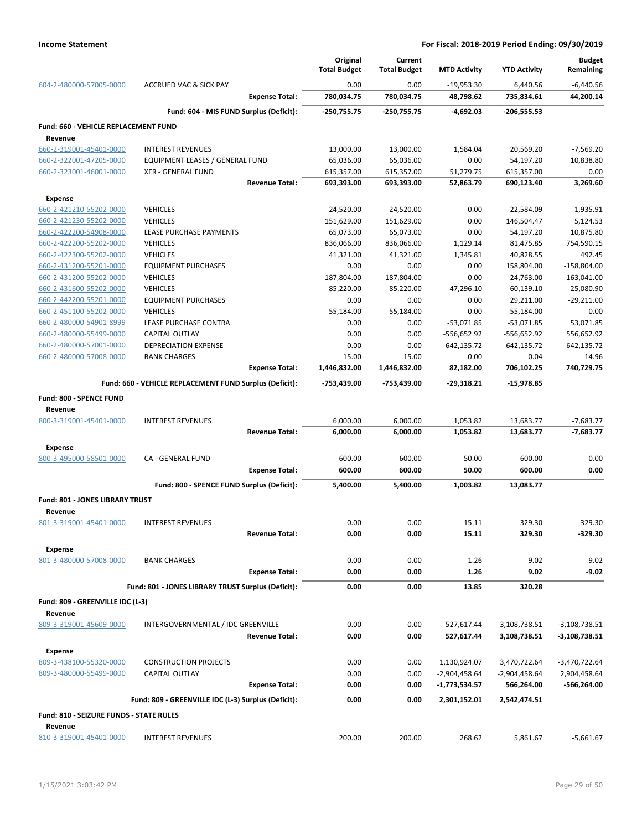|                                                    |                                                         |                       | Original<br><b>Total Budget</b> | Current<br><b>Total Budget</b> | <b>MTD Activity</b> | <b>YTD Activity</b> | <b>Budget</b><br>Remaining |
|----------------------------------------------------|---------------------------------------------------------|-----------------------|---------------------------------|--------------------------------|---------------------|---------------------|----------------------------|
| 604-2-480000-57005-0000                            | ACCRUED VAC & SICK PAY                                  |                       | 0.00                            | 0.00                           | $-19,953.30$        | 6,440.56            | $-6,440.56$                |
|                                                    |                                                         | <b>Expense Total:</b> | 780,034.75                      | 780,034.75                     | 48,798.62           | 735,834.61          | 44,200.14                  |
|                                                    | Fund: 604 - MIS FUND Surplus (Deficit):                 |                       | $-250,755.75$                   | -250,755.75                    | $-4,692.03$         | $-206,555.53$       |                            |
| <b>Fund: 660 - VEHICLE REPLACEMENT FUND</b>        |                                                         |                       |                                 |                                |                     |                     |                            |
| Revenue<br>660-2-319001-45401-0000                 | <b>INTEREST REVENUES</b>                                |                       | 13,000.00                       | 13,000.00                      | 1,584.04            | 20,569.20           | $-7,569.20$                |
| 660-2-322001-47205-0000                            | <b>EQUIPMENT LEASES / GENERAL FUND</b>                  |                       | 65,036.00                       | 65,036.00                      | 0.00                | 54,197.20           | 10,838.80                  |
| 660-2-323001-46001-0000                            | <b>XFR - GENERAL FUND</b>                               |                       | 615,357.00                      | 615,357.00                     | 51,279.75           | 615,357.00          | 0.00                       |
|                                                    |                                                         | <b>Revenue Total:</b> | 693,393.00                      | 693,393.00                     | 52,863.79           | 690,123.40          | 3,269.60                   |
| <b>Expense</b>                                     |                                                         |                       |                                 |                                |                     |                     |                            |
| 660-2-421210-55202-0000                            | <b>VEHICLES</b>                                         |                       | 24,520.00                       | 24,520.00                      | 0.00                | 22,584.09           | 1,935.91                   |
| 660-2-421230-55202-0000                            | <b>VEHICLES</b>                                         |                       | 151,629.00                      | 151,629.00                     | 0.00                | 146,504.47          | 5,124.53                   |
| 660-2-422200-54908-0000                            | LEASE PURCHASE PAYMENTS                                 |                       | 65,073.00                       | 65,073.00                      | 0.00                | 54,197.20           | 10,875.80                  |
| 660-2-422200-55202-0000                            | <b>VEHICLES</b>                                         |                       | 836,066.00                      | 836,066.00                     | 1,129.14            | 81,475.85           | 754,590.15                 |
| 660-2-422300-55202-0000                            | <b>VEHICLES</b>                                         |                       | 41,321.00                       | 41,321.00                      | 1,345.81            | 40,828.55           | 492.45                     |
| 660-2-431200-55201-0000                            | <b>EQUIPMENT PURCHASES</b>                              |                       | 0.00                            | 0.00                           | 0.00                | 158,804.00          | $-158,804.00$              |
| 660-2-431200-55202-0000                            | <b>VEHICLES</b>                                         |                       | 187,804.00                      | 187,804.00                     | 0.00                | 24,763.00           | 163,041.00                 |
|                                                    |                                                         |                       |                                 |                                |                     | 60,139.10           |                            |
| 660-2-431600-55202-0000<br>660-2-442200-55201-0000 | <b>VEHICLES</b>                                         |                       | 85,220.00                       | 85,220.00                      | 47,296.10           |                     | 25,080.90                  |
|                                                    | <b>EQUIPMENT PURCHASES</b>                              |                       | 0.00                            | 0.00                           | 0.00                | 29,211.00           | $-29,211.00$               |
| 660-2-451100-55202-0000                            | <b>VEHICLES</b>                                         |                       | 55,184.00                       | 55,184.00                      | 0.00                | 55,184.00           | 0.00                       |
| 660-2-480000-54901-8999                            | LEASE PURCHASE CONTRA                                   |                       | 0.00                            | 0.00                           | $-53,071.85$        | $-53,071.85$        | 53,071.85                  |
| 660-2-480000-55499-0000                            | CAPITAL OUTLAY                                          |                       | 0.00                            | 0.00                           | $-556,652.92$       | -556,652.92         | 556,652.92                 |
| 660-2-480000-57001-0000                            | DEPRECIATION EXPENSE                                    |                       | 0.00                            | 0.00                           | 642,135.72          | 642,135.72          | $-642, 135.72$             |
| 660-2-480000-57008-0000                            | <b>BANK CHARGES</b>                                     |                       | 15.00                           | 15.00                          | 0.00                | 0.04                | 14.96                      |
|                                                    |                                                         | <b>Expense Total:</b> | 1,446,832.00                    | 1,446,832.00                   | 82,182.00           | 706,102.25          | 740,729.75                 |
|                                                    | Fund: 660 - VEHICLE REPLACEMENT FUND Surplus (Deficit): |                       | -753,439.00                     | -753,439.00                    | -29,318.21          | $-15,978.85$        |                            |
| Fund: 800 - SPENCE FUND<br>Revenue                 |                                                         |                       |                                 |                                |                     |                     |                            |
| 800-3-319001-45401-0000                            | <b>INTEREST REVENUES</b>                                |                       | 6,000.00                        | 6,000.00                       | 1,053.82            | 13,683.77           | $-7,683.77$                |
|                                                    |                                                         | <b>Revenue Total:</b> | 6,000.00                        | 6,000.00                       | 1,053.82            | 13,683.77           | $-7,683.77$                |
| <b>Expense</b>                                     |                                                         |                       |                                 |                                |                     |                     |                            |
| 800-3-495000-58501-0000                            | <b>CA - GENERAL FUND</b>                                |                       | 600.00                          | 600.00                         | 50.00               | 600.00              | 0.00                       |
|                                                    |                                                         | <b>Expense Total:</b> | 600.00                          | 600.00                         | 50.00               | 600.00              | 0.00                       |
|                                                    | Fund: 800 - SPENCE FUND Surplus (Deficit):              |                       | 5,400.00                        | 5,400.00                       | 1,003.82            | 13,083.77           |                            |
| <b>Fund: 801 - JONES LIBRARY TRUST</b>             |                                                         |                       |                                 |                                |                     |                     |                            |
| Revenue                                            |                                                         |                       |                                 |                                |                     |                     |                            |
| 801-3-319001-45401-0000                            | <b>INTEREST REVENUES</b>                                |                       | 0.00                            | 0.00                           | 15.11               | 329.30              | $-329.30$                  |
|                                                    |                                                         | <b>Revenue Total:</b> | 0.00                            | 0.00                           | 15.11               | 329.30              | $-329.30$                  |
| <b>Expense</b>                                     |                                                         |                       |                                 |                                |                     |                     |                            |
| 801-3-480000-57008-0000                            | <b>BANK CHARGES</b>                                     |                       | 0.00                            | 0.00                           | 1.26                | 9.02                | $-9.02$                    |
|                                                    |                                                         | <b>Expense Total:</b> | 0.00                            | 0.00                           | 1.26                | 9.02                | $-9.02$                    |
|                                                    | Fund: 801 - JONES LIBRARY TRUST Surplus (Deficit):      |                       | 0.00                            | 0.00                           | 13.85               | 320.28              |                            |
| Fund: 809 - GREENVILLE IDC (L-3)                   |                                                         |                       |                                 |                                |                     |                     |                            |
| Revenue                                            |                                                         |                       |                                 |                                |                     |                     |                            |
| 809-3-319001-45609-0000                            | INTERGOVERNMENTAL / IDC GREENVILLE                      |                       | 0.00                            | 0.00                           | 527,617.44          | 3,108,738.51        | $-3,108,738.51$            |
|                                                    |                                                         | <b>Revenue Total:</b> | 0.00                            | 0.00                           | 527,617.44          | 3,108,738.51        | -3,108,738.51              |
| <b>Expense</b>                                     |                                                         |                       |                                 |                                |                     |                     |                            |
| 809-3-438100-55320-0000                            | <b>CONSTRUCTION PROJECTS</b>                            |                       | 0.00                            | 0.00                           | 1,130,924.07        | 3,470,722.64        | -3,470,722.64              |
| 809-3-480000-55499-0000                            | <b>CAPITAL OUTLAY</b>                                   |                       | 0.00                            | 0.00                           | -2,904,458.64       | -2,904,458.64       | 2,904,458.64               |
|                                                    |                                                         | <b>Expense Total:</b> | 0.00                            | 0.00                           | -1,773,534.57       | 566,264.00          | -566,264.00                |
|                                                    | Fund: 809 - GREENVILLE IDC (L-3) Surplus (Deficit):     |                       | 0.00                            | 0.00                           | 2,301,152.01        | 2,542,474.51        |                            |
| Fund: 810 - SEIZURE FUNDS - STATE RULES            |                                                         |                       |                                 |                                |                     |                     |                            |
| Revenue                                            |                                                         |                       |                                 |                                |                     |                     |                            |
| 810-3-319001-45401-0000                            | <b>INTEREST REVENUES</b>                                |                       | 200.00                          | 200.00                         | 268.62              | 5,861.67            | $-5,661.67$                |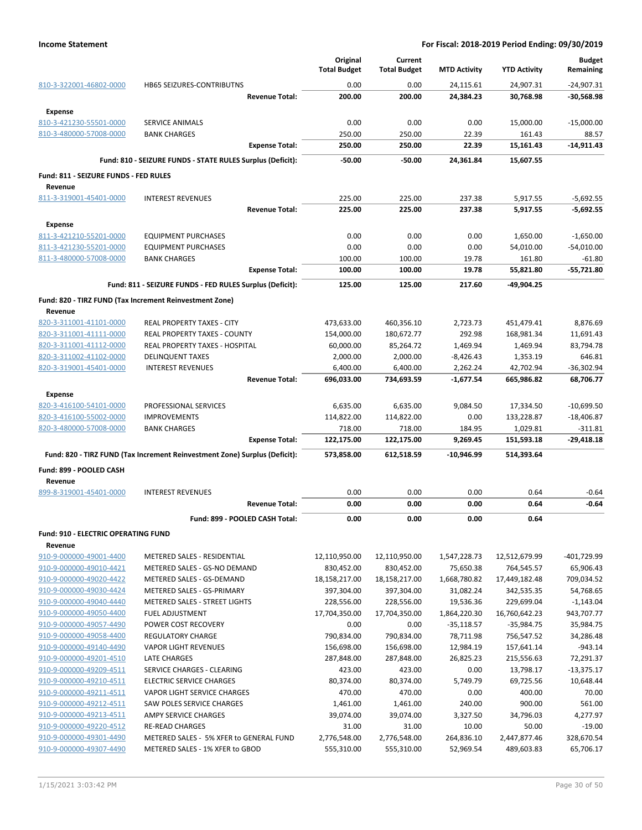|                                                    |                                                                            | Original                 | Current                  |                        |                          | <b>Budget</b>            |
|----------------------------------------------------|----------------------------------------------------------------------------|--------------------------|--------------------------|------------------------|--------------------------|--------------------------|
|                                                    |                                                                            | <b>Total Budget</b>      | <b>Total Budget</b>      | <b>MTD Activity</b>    | <b>YTD Activity</b>      | Remaining                |
| 810-3-322001-46802-0000                            | <b>HB65 SEIZURES-CONTRIBUTNS</b>                                           | 0.00                     | 0.00                     | 24,115.61              | 24,907.31                | $-24,907.31$             |
|                                                    | <b>Revenue Total:</b>                                                      | 200.00                   | 200.00                   | 24,384.23              | 30,768.98                | $-30,568.98$             |
| <b>Expense</b>                                     |                                                                            |                          |                          |                        |                          |                          |
| 810-3-421230-55501-0000                            | <b>SERVICE ANIMALS</b>                                                     | 0.00                     | 0.00                     | 0.00                   | 15,000.00                | $-15,000.00$             |
| 810-3-480000-57008-0000                            | <b>BANK CHARGES</b>                                                        | 250.00                   | 250.00                   | 22.39                  | 161.43                   | 88.57                    |
|                                                    | <b>Expense Total:</b>                                                      | 250.00                   | 250.00                   | 22.39                  | 15,161.43                | $-14,911.43$             |
|                                                    | Fund: 810 - SEIZURE FUNDS - STATE RULES Surplus (Deficit):                 |                          |                          |                        |                          |                          |
|                                                    |                                                                            | $-50.00$                 | $-50.00$                 | 24,361.84              | 15,607.55                |                          |
| Fund: 811 - SEIZURE FUNDS - FED RULES              |                                                                            |                          |                          |                        |                          |                          |
| Revenue                                            |                                                                            |                          |                          |                        |                          |                          |
| 811-3-319001-45401-0000                            | <b>INTEREST REVENUES</b>                                                   | 225.00                   | 225.00                   | 237.38                 | 5,917.55                 | $-5,692.55$              |
|                                                    | <b>Revenue Total:</b>                                                      | 225.00                   | 225.00                   | 237.38                 | 5,917.55                 | $-5,692.55$              |
| <b>Expense</b>                                     |                                                                            |                          |                          |                        |                          |                          |
| 811-3-421210-55201-0000                            | <b>EQUIPMENT PURCHASES</b>                                                 | 0.00                     | 0.00                     | 0.00                   | 1,650.00                 | $-1,650.00$              |
| 811-3-421230-55201-0000                            | <b>EQUIPMENT PURCHASES</b>                                                 | 0.00                     | 0.00                     | 0.00                   | 54,010.00                | $-54,010.00$             |
| 811-3-480000-57008-0000                            | <b>BANK CHARGES</b>                                                        | 100.00                   | 100.00                   | 19.78                  | 161.80                   | $-61.80$                 |
|                                                    | <b>Expense Total:</b>                                                      | 100.00                   | 100.00                   | 19.78                  | 55,821.80                | $-55,721.80$             |
|                                                    | Fund: 811 - SEIZURE FUNDS - FED RULES Surplus (Deficit):                   | 125.00                   | 125.00                   | 217.60                 | -49,904.25               |                          |
|                                                    | Fund: 820 - TIRZ FUND (Tax Increment Reinvestment Zone)                    |                          |                          |                        |                          |                          |
| Revenue                                            |                                                                            |                          |                          |                        |                          |                          |
| 820-3-311001-41101-0000                            | <b>REAL PROPERTY TAXES - CITY</b>                                          | 473,633.00               | 460,356.10               | 2,723.73               | 451,479.41               | 8,876.69                 |
| 820-3-311001-41111-0000                            | REAL PROPERTY TAXES - COUNTY                                               | 154,000.00               | 180,672.77               | 292.98                 | 168,981.34               | 11,691.43                |
| 820-3-311001-41112-0000                            | <b>REAL PROPERTY TAXES - HOSPITAL</b>                                      | 60,000.00                | 85,264.72                | 1,469.94               | 1,469.94                 | 83,794.78                |
| 820-3-311002-41102-0000                            | <b>DELINQUENT TAXES</b>                                                    | 2,000.00                 | 2,000.00                 | -8,426.43              | 1,353.19                 | 646.81                   |
| 820-3-319001-45401-0000                            | <b>INTEREST REVENUES</b>                                                   | 6,400.00                 | 6,400.00                 | 2,262.24               | 42,702.94                | -36,302.94               |
|                                                    | <b>Revenue Total:</b>                                                      | 696,033.00               | 734,693.59               | $-1,677.54$            | 665,986.82               | 68,706.77                |
| Expense                                            |                                                                            |                          |                          |                        |                          |                          |
| 820-3-416100-54101-0000                            | PROFESSIONAL SERVICES                                                      | 6,635.00                 | 6,635.00                 | 9,084.50               | 17,334.50                | $-10,699.50$             |
| 820-3-416100-55002-0000                            | <b>IMPROVEMENTS</b>                                                        | 114,822.00               | 114,822.00               | 0.00                   | 133,228.87               | $-18,406.87$             |
| 820-3-480000-57008-0000                            | <b>BANK CHARGES</b>                                                        | 718.00                   | 718.00                   | 184.95                 | 1,029.81                 | $-311.81$                |
|                                                    | <b>Expense Total:</b>                                                      | 122,175.00               | 122,175.00               | 9,269.45               | 151,593.18               | $-29,418.18$             |
|                                                    | Fund: 820 - TIRZ FUND (Tax Increment Reinvestment Zone) Surplus (Deficit): | 573,858.00               | 612,518.59               | $-10,946.99$           | 514,393.64               |                          |
| Fund: 899 - POOLED CASH                            |                                                                            |                          |                          |                        |                          |                          |
| Revenue                                            |                                                                            |                          |                          |                        |                          |                          |
| 899-8-319001-45401-0000                            | <b>INTEREST REVENUES</b>                                                   | 0.00                     | 0.00                     | 0.00                   | 0.64                     | $-0.64$                  |
|                                                    | <b>Revenue Total:</b>                                                      | 0.00                     | 0.00                     | 0.00                   | 0.64                     | $-0.64$                  |
|                                                    |                                                                            |                          |                          |                        |                          |                          |
|                                                    | Fund: 899 - POOLED CASH Total:                                             | 0.00                     | 0.00                     | 0.00                   | 0.64                     |                          |
| <b>Fund: 910 - ELECTRIC OPERATING FUND</b>         |                                                                            |                          |                          |                        |                          |                          |
| Revenue                                            |                                                                            |                          |                          |                        |                          |                          |
| 910-9-000000-49001-4400                            | METERED SALES - RESIDENTIAL                                                | 12,110,950.00            | 12,110,950.00            | 1,547,228.73           | 12,512,679.99            | -401,729.99              |
| 910-9-000000-49010-4421                            | METERED SALES - GS-NO DEMAND                                               | 830,452.00               | 830,452.00               | 75,650.38              | 764,545.57               | 65,906.43                |
| 910-9-000000-49020-4422                            | METERED SALES - GS-DEMAND                                                  | 18,158,217.00            | 18,158,217.00            | 1,668,780.82           | 17,449,182.48            | 709,034.52               |
| 910-9-000000-49030-4424<br>910-9-000000-49040-4440 | METERED SALES - GS-PRIMARY<br>METERED SALES - STREET LIGHTS                | 397,304.00<br>228,556.00 | 397,304.00<br>228,556.00 | 31,082.24<br>19,536.36 | 342,535.35<br>229,699.04 | 54,768.65<br>$-1,143.04$ |
| 910-9-000000-49050-4400                            | <b>FUEL ADJUSTMENT</b>                                                     | 17,704,350.00            | 17,704,350.00            | 1,864,220.30           | 16,760,642.23            | 943,707.77               |
| 910-9-000000-49057-4490                            | POWER COST RECOVERY                                                        | 0.00                     | 0.00                     | $-35,118.57$           | $-35,984.75$             | 35,984.75                |
| 910-9-000000-49058-4400                            | <b>REGULATORY CHARGE</b>                                                   | 790,834.00               | 790,834.00               | 78,711.98              | 756,547.52               | 34,286.48                |
| 910-9-000000-49140-4490                            | <b>VAPOR LIGHT REVENUES</b>                                                | 156,698.00               | 156,698.00               | 12,984.19              | 157,641.14               | $-943.14$                |
| 910-9-000000-49201-4510                            | LATE CHARGES                                                               | 287,848.00               | 287,848.00               | 26,825.23              | 215,556.63               | 72,291.37                |
| 910-9-000000-49209-4511                            | SERVICE CHARGES - CLEARING                                                 | 423.00                   | 423.00                   | 0.00                   | 13,798.17                | $-13,375.17$             |
| 910-9-000000-49210-4511                            | <b>ELECTRIC SERVICE CHARGES</b>                                            | 80,374.00                | 80,374.00                | 5,749.79               | 69,725.56                | 10,648.44                |
| 910-9-000000-49211-4511                            | VAPOR LIGHT SERVICE CHARGES                                                | 470.00                   | 470.00                   | 0.00                   | 400.00                   | 70.00                    |
| 910-9-000000-49212-4511                            | SAW POLES SERVICE CHARGES                                                  | 1,461.00                 | 1,461.00                 | 240.00                 | 900.00                   | 561.00                   |
| 910-9-000000-49213-4511                            | AMPY SERVICE CHARGES                                                       | 39,074.00                | 39,074.00                | 3,327.50               | 34,796.03                | 4,277.97                 |
| 910-9-000000-49220-4512                            | <b>RE-READ CHARGES</b>                                                     | 31.00                    | 31.00                    | 10.00                  | 50.00                    | $-19.00$                 |
| 910-9-000000-49301-4490                            | METERED SALES - 5% XFER to GENERAL FUND                                    | 2,776,548.00             | 2,776,548.00             | 264,836.10             | 2,447,877.46             | 328,670.54               |
| 910-9-000000-49307-4490                            | METERED SALES - 1% XFER to GBOD                                            | 555,310.00               | 555,310.00               | 52,969.54              | 489,603.83               | 65,706.17                |
|                                                    |                                                                            |                          |                          |                        |                          |                          |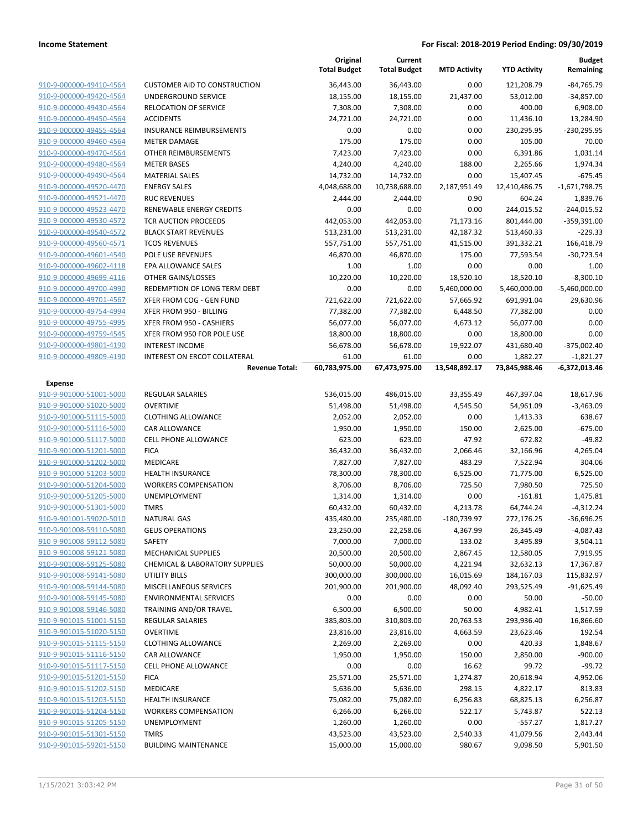|                                                    |                                                       | Original<br><b>Total Budget</b> | Current<br><b>Total Budget</b> | <b>MTD Activity</b>   | <b>YTD Activity</b>       | <b>Budget</b><br>Remaining   |
|----------------------------------------------------|-------------------------------------------------------|---------------------------------|--------------------------------|-----------------------|---------------------------|------------------------------|
| 910-9-000000-49410-4564                            | <b>CUSTOMER AID TO CONSTRUCTION</b>                   | 36,443.00                       | 36,443.00                      | 0.00                  | 121,208.79                | $-84,765.79$                 |
| 910-9-000000-49420-4564                            | UNDERGROUND SERVICE                                   | 18,155.00                       | 18,155.00                      | 21,437.00             | 53,012.00                 | $-34,857.00$                 |
| 910-9-000000-49430-4564                            | <b>RELOCATION OF SERVICE</b>                          | 7,308.00                        | 7,308.00                       | 0.00                  | 400.00                    | 6,908.00                     |
| 910-9-000000-49450-4564                            | <b>ACCIDENTS</b>                                      | 24,721.00                       | 24,721.00                      | 0.00                  | 11,436.10                 | 13,284.90                    |
| 910-9-000000-49455-4564                            | INSURANCE REIMBURSEMENTS                              | 0.00                            | 0.00                           | 0.00                  | 230,295.95                | -230,295.95                  |
| 910-9-000000-49460-4564                            | <b>METER DAMAGE</b>                                   | 175.00                          | 175.00                         | 0.00                  | 105.00                    | 70.00                        |
| 910-9-000000-49470-4564                            | OTHER REIMBURSEMENTS                                  | 7,423.00                        | 7,423.00                       | 0.00                  | 6,391.86                  | 1,031.14                     |
| 910-9-000000-49480-4564                            | <b>METER BASES</b>                                    | 4,240.00                        | 4,240.00                       | 188.00                | 2,265.66                  | 1,974.34                     |
| 910-9-000000-49490-4564                            | <b>MATERIAL SALES</b>                                 | 14,732.00                       | 14,732.00                      | 0.00                  | 15,407.45                 | $-675.45$                    |
| 910-9-000000-49520-4470                            | <b>ENERGY SALES</b>                                   | 4,048,688.00                    | 10,738,688.00                  | 2,187,951.49          | 12,410,486.75             | $-1,671,798.75$              |
| 910-9-000000-49521-4470                            | <b>RUC REVENUES</b>                                   | 2,444.00                        | 2,444.00                       | 0.90                  | 604.24                    | 1,839.76                     |
| 910-9-000000-49523-4470                            | RENEWABLE ENERGY CREDITS                              | 0.00                            | 0.00                           | 0.00                  | 244,015.52                | $-244,015.52$                |
| 910-9-000000-49530-4572                            | TCR AUCTION PROCEEDS                                  | 442,053.00                      | 442,053.00                     | 71,173.16             | 801,444.00                | $-359,391.00$                |
| 910-9-000000-49540-4572                            | <b>BLACK START REVENUES</b>                           | 513,231.00                      | 513,231.00                     | 42,187.32             | 513,460.33                | $-229.33$                    |
| 910-9-000000-49560-4571                            | <b>TCOS REVENUES</b>                                  | 557,751.00                      | 557,751.00                     | 41,515.00             | 391,332.21                | 166,418.79                   |
| 910-9-000000-49601-4540                            | POLE USE REVENUES                                     | 46,870.00                       | 46,870.00                      | 175.00                | 77,593.54                 | $-30,723.54$                 |
| 910-9-000000-49602-4118                            | EPA ALLOWANCE SALES                                   | 1.00                            | 1.00                           | 0.00                  | 0.00                      | 1.00                         |
| 910-9-000000-49699-4116                            | OTHER GAINS/LOSSES                                    | 10,220.00                       | 10,220.00                      | 18,520.10             | 18,520.10                 | $-8,300.10$                  |
| 910-9-000000-49700-4990                            | REDEMPTION OF LONG TERM DEBT                          | 0.00                            | 0.00                           | 5,460,000.00          | 5,460,000.00              | $-5,460,000.00$              |
| 910-9-000000-49701-4567                            | XFER FROM COG - GEN FUND                              | 721,622.00                      | 721,622.00                     | 57,665.92             | 691,991.04                | 29,630.96                    |
| 910-9-000000-49754-4994                            | XFER FROM 950 - BILLING                               | 77,382.00                       | 77,382.00                      | 6,448.50              | 77,382.00                 | 0.00                         |
| 910-9-000000-49755-4995                            | XFER FROM 950 - CASHIERS                              | 56,077.00                       | 56,077.00                      | 4,673.12              | 56,077.00                 | 0.00                         |
| 910-9-000000-49759-4545                            | XFER FROM 950 FOR POLE USE                            | 18,800.00                       | 18,800.00                      | 0.00                  | 18,800.00                 | 0.00                         |
| 910-9-000000-49801-4190                            | <b>INTEREST INCOME</b>                                | 56,678.00                       | 56,678.00                      | 19,922.07             | 431,680.40                | $-375,002.40$                |
| 910-9-000000-49809-4190                            | INTEREST ON ERCOT COLLATERAL<br><b>Revenue Total:</b> | 61.00<br>60,783,975.00          | 61.00<br>67,473,975.00         | 0.00<br>13,548,892.17 | 1,882.27<br>73,845,988.46 | $-1,821.27$<br>-6,372,013.46 |
|                                                    |                                                       |                                 |                                |                       |                           |                              |
| <b>Expense</b>                                     |                                                       |                                 |                                |                       |                           |                              |
| 910-9-901000-51001-5000                            | <b>REGULAR SALARIES</b>                               | 536,015.00                      | 486,015.00                     | 33,355.49             | 467,397.04                | 18,617.96                    |
| 910-9-901000-51020-5000<br>910-9-901000-51115-5000 | <b>OVERTIME</b><br><b>CLOTHING ALLOWANCE</b>          | 51,498.00<br>2,052.00           | 51,498.00<br>2,052.00          | 4,545.50<br>0.00      | 54,961.09<br>1,413.33     | $-3,463.09$<br>638.67        |
| 910-9-901000-51116-5000                            | CAR ALLOWANCE                                         | 1,950.00                        | 1,950.00                       | 150.00                | 2,625.00                  | $-675.00$                    |
| 910-9-901000-51117-5000                            | CELL PHONE ALLOWANCE                                  | 623.00                          | 623.00                         | 47.92                 | 672.82                    | $-49.82$                     |
| 910-9-901000-51201-5000                            | <b>FICA</b>                                           | 36,432.00                       | 36,432.00                      | 2,066.46              | 32,166.96                 | 4,265.04                     |
| 910-9-901000-51202-5000                            | <b>MEDICARE</b>                                       | 7,827.00                        | 7,827.00                       | 483.29                | 7,522.94                  | 304.06                       |
| 910-9-901000-51203-5000                            | HEALTH INSURANCE                                      | 78,300.00                       | 78,300.00                      | 6,525.00              | 71,775.00                 | 6,525.00                     |
| 910-9-901000-51204-5000                            | <b>WORKERS COMPENSATION</b>                           | 8,706.00                        | 8,706.00                       | 725.50                | 7,980.50                  | 725.50                       |
| 910-9-901000-51205-5000                            | UNEMPLOYMENT                                          | 1,314.00                        | 1,314.00                       | 0.00                  | $-161.81$                 | 1,475.81                     |
| 910-9-901000-51301-5000                            | <b>TMRS</b>                                           | 60,432.00                       | 60,432.00                      | 4,213.78              | 64,744.24                 | $-4,312.24$                  |
| 910-9-901001-59020-5010                            | <b>NATURAL GAS</b>                                    | 435,480.00                      | 235,480.00                     | $-180,739.97$         | 272,176.25                | $-36,696.25$                 |
| 910-9-901008-59110-5080                            | <b>GEUS OPERATIONS</b>                                | 23,250.00                       | 22,258.06                      | 4,367.99              | 26,345.49                 | $-4,087.43$                  |
| 910-9-901008-59112-5080                            | SAFETY                                                | 7,000.00                        | 7,000.00                       | 133.02                | 3,495.89                  | 3,504.11                     |
| 910-9-901008-59121-5080                            | <b>MECHANICAL SUPPLIES</b>                            | 20,500.00                       | 20,500.00                      | 2,867.45              | 12,580.05                 | 7,919.95                     |
| 910-9-901008-59125-5080                            | <b>CHEMICAL &amp; LABORATORY SUPPLIES</b>             | 50,000.00                       | 50,000.00                      | 4,221.94              | 32,632.13                 | 17,367.87                    |
| 910-9-901008-59141-5080                            | UTILITY BILLS                                         | 300,000.00                      | 300,000.00                     | 16,015.69             | 184,167.03                | 115,832.97                   |
| 910-9-901008-59144-5080                            | MISCELLANEOUS SERVICES                                | 201,900.00                      | 201,900.00                     | 48,092.40             | 293,525.49                | $-91,625.49$                 |
| 910-9-901008-59145-5080                            | <b>ENVIRONMENTAL SERVICES</b>                         | 0.00                            | 0.00                           | 0.00                  | 50.00                     | $-50.00$                     |
| 910-9-901008-59146-5080                            | <b>TRAINING AND/OR TRAVEL</b>                         | 6,500.00                        | 6,500.00                       | 50.00                 | 4,982.41                  | 1,517.59                     |
| 910-9-901015-51001-5150                            | <b>REGULAR SALARIES</b>                               | 385,803.00                      | 310,803.00                     | 20,763.53             | 293,936.40                | 16,866.60                    |
| 910-9-901015-51020-5150                            | <b>OVERTIME</b>                                       | 23,816.00                       | 23,816.00                      | 4,663.59              | 23,623.46                 | 192.54                       |
| 910-9-901015-51115-5150                            | <b>CLOTHING ALLOWANCE</b>                             | 2,269.00                        | 2,269.00                       | 0.00                  | 420.33                    | 1,848.67                     |
| 910-9-901015-51116-5150                            | CAR ALLOWANCE                                         | 1,950.00                        | 1,950.00                       | 150.00                | 2,850.00                  | $-900.00$                    |
| 910-9-901015-51117-5150                            | <b>CELL PHONE ALLOWANCE</b>                           | 0.00                            | 0.00                           | 16.62                 | 99.72                     | $-99.72$                     |
| 910-9-901015-51201-5150                            | <b>FICA</b>                                           | 25,571.00                       | 25,571.00                      | 1,274.87              | 20,618.94                 | 4,952.06                     |
| 910-9-901015-51202-5150                            | MEDICARE                                              | 5,636.00                        | 5,636.00                       | 298.15                | 4,822.17                  | 813.83                       |
| 910-9-901015-51203-5150                            | HEALTH INSURANCE                                      | 75,082.00                       | 75,082.00                      | 6,256.83              | 68,825.13                 | 6,256.87                     |
| 910-9-901015-51204-5150                            | <b>WORKERS COMPENSATION</b>                           | 6,266.00                        | 6,266.00                       | 522.17                | 5,743.87                  | 522.13                       |
| 910-9-901015-51205-5150                            | UNEMPLOYMENT                                          | 1,260.00                        | 1,260.00                       | 0.00                  | $-557.27$                 | 1,817.27                     |
| 910-9-901015-51301-5150                            | <b>TMRS</b>                                           | 43,523.00                       | 43,523.00                      | 2,540.33              | 41,079.56                 | 2,443.44                     |
| 910-9-901015-59201-5150                            | <b>BUILDING MAINTENANCE</b>                           | 15,000.00                       | 15,000.00                      | 980.67                | 9,098.50                  | 5,901.50                     |
|                                                    |                                                       |                                 |                                |                       |                           |                              |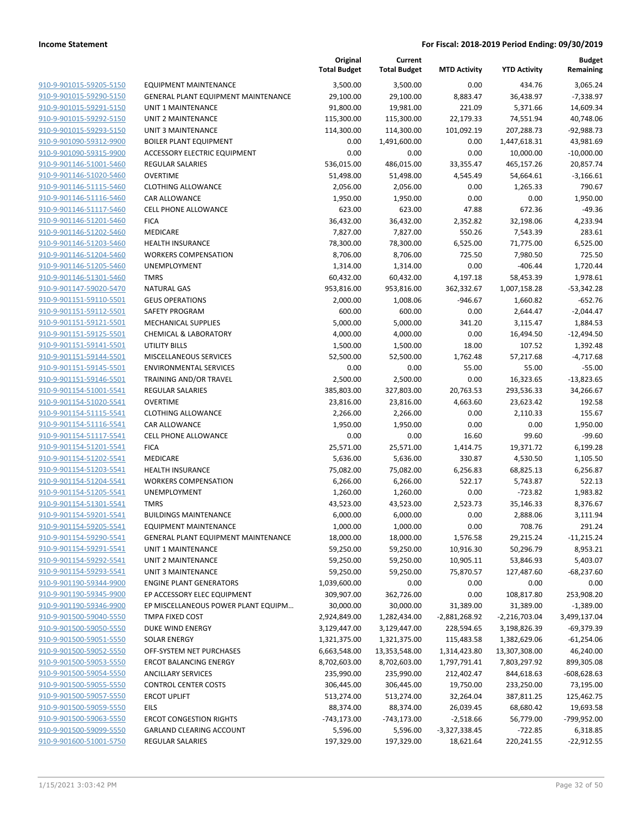|                                                    |                                                          | Original<br><b>Total Budget</b> | Current<br><b>Total Budget</b> | <b>MTD Activity</b> | <b>YTD Activity</b> | <b>Budget</b><br>Remaining |
|----------------------------------------------------|----------------------------------------------------------|---------------------------------|--------------------------------|---------------------|---------------------|----------------------------|
| 910-9-901015-59205-5150                            | <b>EQUIPMENT MAINTENANCE</b>                             | 3,500.00                        | 3,500.00                       | 0.00                | 434.76              | 3,065.24                   |
| 910-9-901015-59290-5150                            | <b>GENERAL PLANT EQUIPMENT MAINTENANCE</b>               | 29,100.00                       | 29,100.00                      | 8,883.47            | 36,438.97           | $-7,338.97$                |
| 910-9-901015-59291-5150                            | <b>UNIT 1 MAINTENANCE</b>                                | 91,800.00                       | 19,981.00                      | 221.09              | 5,371.66            | 14,609.34                  |
| 910-9-901015-59292-5150                            | <b>UNIT 2 MAINTENANCE</b>                                | 115,300.00                      | 115,300.00                     | 22,179.33           | 74,551.94           | 40,748.06                  |
| 910-9-901015-59293-5150                            | <b>UNIT 3 MAINTENANCE</b>                                | 114,300.00                      | 114,300.00                     | 101,092.19          | 207,288.73          | $-92,988.73$               |
| 910-9-901090-59312-9900                            | <b>BOILER PLANT EQUIPMENT</b>                            | 0.00                            | 1,491,600.00                   | 0.00                | 1,447,618.31        | 43,981.69                  |
| 910-9-901090-59315-9900                            | ACCESSORY ELECTRIC EQUIPMENT                             | 0.00                            | 0.00                           | 0.00                | 10,000.00           | $-10,000.00$               |
| 910-9-901146-51001-5460                            | <b>REGULAR SALARIES</b>                                  | 536,015.00                      | 486,015.00                     | 33,355.47           | 465,157.26          | 20,857.74                  |
| 910-9-901146-51020-5460                            | <b>OVERTIME</b>                                          | 51,498.00                       | 51,498.00                      | 4,545.49            | 54,664.61           | $-3,166.61$                |
| 910-9-901146-51115-5460                            | <b>CLOTHING ALLOWANCE</b>                                | 2,056.00                        | 2,056.00                       | 0.00                | 1,265.33            | 790.67                     |
| 910-9-901146-51116-5460                            | <b>CAR ALLOWANCE</b>                                     | 1,950.00                        | 1,950.00                       | 0.00                | 0.00                | 1,950.00                   |
| 910-9-901146-51117-5460                            | <b>CELL PHONE ALLOWANCE</b>                              | 623.00                          | 623.00                         | 47.88               | 672.36              | $-49.36$                   |
| 910-9-901146-51201-5460                            | <b>FICA</b>                                              | 36,432.00                       | 36,432.00                      | 2,352.82            | 32,198.06           | 4,233.94                   |
| 910-9-901146-51202-5460                            | MEDICARE                                                 | 7,827.00                        | 7,827.00                       | 550.26              | 7,543.39            | 283.61                     |
| 910-9-901146-51203-5460                            | <b>HEALTH INSURANCE</b>                                  | 78,300.00                       | 78,300.00                      | 6,525.00            | 71,775.00           | 6,525.00                   |
| 910-9-901146-51204-5460                            | <b>WORKERS COMPENSATION</b>                              | 8,706.00                        | 8,706.00                       | 725.50              | 7,980.50            | 725.50                     |
| 910-9-901146-51205-5460                            | UNEMPLOYMENT                                             | 1,314.00                        | 1,314.00                       | 0.00                | $-406.44$           | 1,720.44                   |
| 910-9-901146-51301-5460                            | <b>TMRS</b>                                              | 60,432.00                       | 60,432.00                      | 4,197.18            | 58,453.39           | 1,978.61                   |
| 910-9-901147-59020-5470                            | <b>NATURAL GAS</b>                                       | 953,816.00                      | 953,816.00                     | 362,332.67          | 1,007,158.28        | $-53,342.28$               |
| 910-9-901151-59110-5501                            | <b>GEUS OPERATIONS</b>                                   | 2,000.00                        | 1,008.06                       | $-946.67$           | 1,660.82            | $-652.76$                  |
| 910-9-901151-59112-5501                            | SAFETY PROGRAM                                           | 600.00                          | 600.00                         | 0.00                | 2,644.47            | $-2,044.47$                |
| 910-9-901151-59121-5501<br>910-9-901151-59125-5501 | <b>MECHANICAL SUPPLIES</b>                               | 5,000.00                        | 5,000.00                       | 341.20              | 3,115.47            | 1,884.53<br>$-12,494.50$   |
| 910-9-901151-59141-5501                            | <b>CHEMICAL &amp; LABORATORY</b><br><b>UTILITY BILLS</b> | 4,000.00<br>1,500.00            | 4,000.00                       | 0.00<br>18.00       | 16,494.50<br>107.52 |                            |
| 910-9-901151-59144-5501                            | MISCELLANEOUS SERVICES                                   | 52,500.00                       | 1,500.00<br>52,500.00          | 1,762.48            | 57,217.68           | 1,392.48<br>$-4,717.68$    |
| 910-9-901151-59145-5501                            | <b>ENVIRONMENTAL SERVICES</b>                            | 0.00                            | 0.00                           | 55.00               | 55.00               | $-55.00$                   |
| 910-9-901151-59146-5501                            | TRAINING AND/OR TRAVEL                                   | 2,500.00                        | 2,500.00                       | 0.00                | 16,323.65           | $-13,823.65$               |
| 910-9-901154-51001-5541                            | <b>REGULAR SALARIES</b>                                  | 385,803.00                      | 327,803.00                     | 20,763.53           | 293,536.33          | 34,266.67                  |
| 910-9-901154-51020-5541                            | <b>OVERTIME</b>                                          | 23,816.00                       | 23,816.00                      | 4,663.60            | 23,623.42           | 192.58                     |
| 910-9-901154-51115-5541                            | <b>CLOTHING ALLOWANCE</b>                                | 2,266.00                        | 2,266.00                       | 0.00                | 2,110.33            | 155.67                     |
| 910-9-901154-51116-5541                            | CAR ALLOWANCE                                            | 1,950.00                        | 1,950.00                       | 0.00                | 0.00                | 1,950.00                   |
| 910-9-901154-51117-5541                            | <b>CELL PHONE ALLOWANCE</b>                              | 0.00                            | 0.00                           | 16.60               | 99.60               | $-99.60$                   |
| 910-9-901154-51201-5541                            | <b>FICA</b>                                              | 25,571.00                       | 25,571.00                      | 1,414.75            | 19,371.72           | 6,199.28                   |
| 910-9-901154-51202-5541                            | MEDICARE                                                 | 5,636.00                        | 5,636.00                       | 330.87              | 4,530.50            | 1,105.50                   |
| 910-9-901154-51203-5541                            | <b>HEALTH INSURANCE</b>                                  | 75,082.00                       | 75,082.00                      | 6,256.83            | 68,825.13           | 6,256.87                   |
| 910-9-901154-51204-5541                            | <b>WORKERS COMPENSATION</b>                              | 6,266.00                        | 6,266.00                       | 522.17              | 5,743.87            | 522.13                     |
| 910-9-901154-51205-5541                            | UNEMPLOYMENT                                             | 1,260.00                        | 1,260.00                       | 0.00                | $-723.82$           | 1,983.82                   |
| 910-9-901154-51301-5541                            | <b>TMRS</b>                                              | 43,523.00                       | 43,523.00                      | 2,523.73            | 35,146.33           | 8,376.67                   |
| 910-9-901154-59201-5541                            | <b>BUILDINGS MAINTENANCE</b>                             | 6,000.00                        | 6,000.00                       | 0.00                | 2,888.06            | 3,111.94                   |
| 910-9-901154-59205-5541                            | <b>EQUIPMENT MAINTENANCE</b>                             | 1,000.00                        | 1,000.00                       | 0.00                | 708.76              | 291.24                     |
| 910-9-901154-59290-5541                            | <b>GENERAL PLANT EQUIPMENT MAINTENANCE</b>               | 18,000.00                       | 18,000.00                      | 1,576.58            | 29,215.24           | $-11,215.24$               |
| 910-9-901154-59291-5541                            | UNIT 1 MAINTENANCE                                       | 59,250.00                       | 59,250.00                      | 10,916.30           | 50,296.79           | 8,953.21                   |
| 910-9-901154-59292-5541                            | <b>UNIT 2 MAINTENANCE</b>                                | 59,250.00                       | 59,250.00                      | 10,905.11           | 53,846.93           | 5,403.07                   |
| 910-9-901154-59293-5541                            | <b>UNIT 3 MAINTENANCE</b>                                | 59,250.00                       | 59,250.00                      | 75,870.57           | 127,487.60          | $-68,237.60$               |
| 910-9-901190-59344-9900                            | <b>ENGINE PLANT GENERATORS</b>                           | 1,039,600.00                    | 0.00                           | 0.00                | 0.00                | 0.00                       |
| 910-9-901190-59345-9900                            | EP ACCESSORY ELEC EQUIPMENT                              | 309,907.00                      | 362,726.00                     | 0.00                | 108,817.80          | 253,908.20                 |
| 910-9-901190-59346-9900                            | EP MISCELLANEOUS POWER PLANT EQUIPM                      | 30,000.00                       | 30,000.00                      | 31,389.00           | 31,389.00           | $-1,389.00$                |
| 910-9-901500-59040-5550                            | TMPA FIXED COST                                          | 2,924,849.00                    | 1,282,434.00                   | $-2,881,268.92$     | $-2,216,703.04$     | 3,499,137.04               |
| 910-9-901500-59050-5550                            | DUKE WIND ENERGY                                         | 3,129,447.00                    | 3,129,447.00                   | 228,594.65          | 3,198,826.39        | $-69,379.39$               |
| 910-9-901500-59051-5550                            | <b>SOLAR ENERGY</b>                                      | 1,321,375.00                    | 1,321,375.00                   | 115,483.58          | 1,382,629.06        | $-61,254.06$               |
| 910-9-901500-59052-5550                            | OFF-SYSTEM NET PURCHASES                                 | 6,663,548.00                    | 13,353,548.00                  | 1,314,423.80        | 13,307,308.00       | 46,240.00                  |
| 910-9-901500-59053-5550                            | <b>ERCOT BALANCING ENERGY</b>                            | 8,702,603.00                    | 8,702,603.00                   | 1,797,791.41        | 7,803,297.92        | 899,305.08                 |
| 910-9-901500-59054-5550                            | <b>ANCILLARY SERVICES</b>                                | 235,990.00                      | 235,990.00                     | 212,402.47          | 844,618.63          | $-608,628.63$              |
| 910-9-901500-59055-5550                            | <b>CONTROL CENTER COSTS</b>                              | 306,445.00                      | 306,445.00                     | 19,750.00           | 233,250.00          | 73,195.00                  |
| 910-9-901500-59057-5550                            | <b>ERCOT UPLIFT</b>                                      | 513,274.00                      | 513,274.00                     | 32,264.04           | 387,811.25          | 125,462.75                 |
| 910-9-901500-59059-5550                            | EILS                                                     | 88,374.00                       | 88,374.00                      | 26,039.45           | 68,680.42           | 19,693.58                  |
| 910-9-901500-59063-5550                            | <b>ERCOT CONGESTION RIGHTS</b>                           | $-743,173.00$                   | $-743,173.00$                  | $-2,518.66$         | 56,779.00           | -799,952.00                |
| 910-9-901500-59099-5550                            | GARLAND CLEARING ACCOUNT                                 | 5,596.00                        | 5,596.00                       | $-3,327,338.45$     | $-722.85$           | 6,318.85                   |
| 910-9-901600-51001-5750                            | REGULAR SALARIES                                         | 197,329.00                      | 197,329.00                     | 18,621.64           | 220,241.55          | $-22,912.55$               |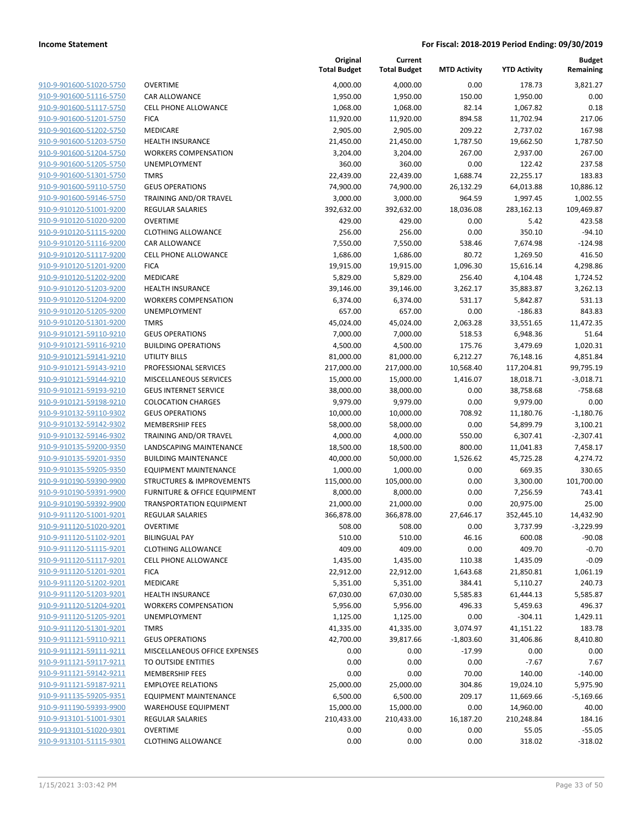| 910-9-901600-51020-5750                            | OVERTIME                       |
|----------------------------------------------------|--------------------------------|
| 910-9-901600-51116-5750                            | CAR ALLOW                      |
| 910-9-901600-51117-5750                            | <b>CELL PHON</b>               |
| 910-9-901600-51201-5750                            | <b>FICA</b>                    |
| 910-9-901600-51202-5750                            | MEDICARE                       |
| 910-9-901600-51203-5750                            | <b>HEALTH IN!</b>              |
| 910-9-901600-51204-5750                            | <b>WORKERS</b>                 |
| 910-9-901600-51205-5750                            | <b>UNEMPLOY</b>                |
| 910-9-901600-51301-5750                            | TMRS                           |
| 910-9-901600-59110-5750                            | <b>GEUS OPER</b>               |
| 910-9-901600-59146-5750                            | <b>TRAINING A</b>              |
| 910-9-910120-51001-9200                            | <b>REGULAR S</b>               |
| 910-9-910120-51020-9200                            | OVERTIME                       |
| 910-9-910120-51115-9200                            | <b>CLOTHING</b>                |
| 910-9-910120-51116-9200                            | CAR ALLOW                      |
| 910-9-910120-51117-9200                            | <b>CELL PHON</b>               |
| 910-9-910120-51201-9200                            | FICA                           |
| 910-9-910120-51202-9200                            | MEDICARE                       |
| 910-9-910120-51203-9200                            | <b>HEALTH IN!</b>              |
| 910-9-910120-51204-9200                            | <b>WORKERS</b>                 |
| 910-9-910120-51205-9200                            | UNEMPLOY                       |
| 910-9-910120-51301-9200                            | TMRS                           |
| 910-9-910121-59110-9210                            | <b>GEUS OPER</b>               |
| 910-9-910121-59116-9210                            | <b>BUILDING (</b>              |
| 910-9-910121-59141-9210                            | UTILITY BIL                    |
| 910-9-910121-59143-9210                            | <b>PROFESSIO</b>               |
| 910-9-910121-59144-9210                            | MISCELLAN                      |
| 910-9-910121-59193-9210                            | <b>GEUS INTER</b>              |
| 910-9-910121-59198-9210                            | COLOCATIC                      |
| 910-9-910132-59110-9302                            | <b>GEUS OPER</b>               |
| 910-9-910132-59142-9302                            | <b>MEMBERSH</b>                |
| 910-9-910132-59146-9302                            | <b>TRAINING A</b>              |
| 910-9-910135-59200-9350<br>910-9-910135-59201-9350 | LANDSCAPI<br><b>BUILDING N</b> |
| 910-9-910135-59205-9350                            | <b>EQUIPMEN</b>                |
| 910-9-910190-59390-9900                            | <b>STRUCTURI</b>               |
| 910-9-910190-59391-9900                            | FURNITURE                      |
| 910-9-910190-59392-9900                            | <b>TRANSPOR</b>                |
| 910-9-911120-51001-9201                            | <b>REGULAR S</b>               |
| 910-9-911120-51020-9201                            | OVERTIME                       |
| 910-9-911120-51102-9201                            | BILINGUAL                      |
| 910-9-911120-51115-9201                            | <b>CLOTHING</b>                |
| 910-9-911120-51117-9201                            | <b>CELL PHON</b>               |
| 910-9-911120-51201-9201                            | <b>FICA</b>                    |
| 910-9-911120-51202-9201                            | MEDICARE                       |
| 910-9-911120-51203-9201                            | <b>HEALTH IN!</b>              |
| 910-9-911120-51204-9201                            | <b>WORKERS</b>                 |
| 910-9-911120-51205-9201                            | <b>UNEMPLOY</b>                |
| 910-9-911120-51301-9201                            | TMRS                           |
| 910-9-911121-59110-9211                            | <b>GEUS OPER</b>               |
| 910-9-911121-59111-9211                            | MISCELLAN                      |
| 910-9-911121-59117-9211                            | <b>TO OUTSID</b>               |
| 910-9-911121-59142-9211                            | <b>MEMBERSH</b>                |
| 910-9-911121-59187-9211                            | <b>EMPLOYEE</b>                |
| 910-9-911135-59205-9351                            | <b>EQUIPMEN</b>                |
| 910-9-911190-59393-9900                            | WAREHOU:                       |
| 910-9-913101-51001-9301                            | <b>REGULAR S</b>               |
| 910-9-913101-51020-9301                            | OVERTIME                       |
| 910-9-913101-51115-9301                            | <b>CLOTHING</b>                |

|                         |                                         | Original<br><b>Total Budget</b> | Current<br><b>Total Budget</b> | <b>MTD Activity</b> | <b>YTD Activity</b> | <b>Budget</b><br>Remaining |
|-------------------------|-----------------------------------------|---------------------------------|--------------------------------|---------------------|---------------------|----------------------------|
| 910-9-901600-51020-5750 | <b>OVERTIME</b>                         | 4,000.00                        | 4,000.00                       | 0.00                | 178.73              | 3,821.27                   |
| 910-9-901600-51116-5750 | CAR ALLOWANCE                           | 1,950.00                        | 1,950.00                       | 150.00              | 1,950.00            | 0.00                       |
| 910-9-901600-51117-5750 | <b>CELL PHONE ALLOWANCE</b>             | 1,068.00                        | 1,068.00                       | 82.14               | 1,067.82            | 0.18                       |
| 910-9-901600-51201-5750 | <b>FICA</b>                             | 11,920.00                       | 11,920.00                      | 894.58              | 11,702.94           | 217.06                     |
| 910-9-901600-51202-5750 | MEDICARE                                | 2,905.00                        | 2,905.00                       | 209.22              | 2,737.02            | 167.98                     |
| 910-9-901600-51203-5750 | <b>HEALTH INSURANCE</b>                 | 21,450.00                       | 21,450.00                      | 1,787.50            | 19,662.50           | 1,787.50                   |
| 910-9-901600-51204-5750 | <b>WORKERS COMPENSATION</b>             | 3,204.00                        | 3,204.00                       | 267.00              | 2,937.00            | 267.00                     |
| 910-9-901600-51205-5750 | UNEMPLOYMENT                            | 360.00                          | 360.00                         | 0.00                | 122.42              | 237.58                     |
| 910-9-901600-51301-5750 | <b>TMRS</b>                             | 22,439.00                       | 22,439.00                      | 1,688.74            | 22,255.17           | 183.83                     |
| 910-9-901600-59110-5750 | <b>GEUS OPERATIONS</b>                  | 74,900.00                       | 74,900.00                      | 26,132.29           | 64,013.88           | 10,886.12                  |
| 910-9-901600-59146-5750 | <b>TRAINING AND/OR TRAVEL</b>           | 3,000.00                        | 3,000.00                       | 964.59              | 1,997.45            | 1,002.55                   |
| 910-9-910120-51001-9200 | REGULAR SALARIES                        | 392,632.00                      | 392,632.00                     | 18,036.08           | 283,162.13          | 109,469.87                 |
| 910-9-910120-51020-9200 | <b>OVERTIME</b>                         | 429.00                          | 429.00                         | 0.00                | 5.42                | 423.58                     |
| 910-9-910120-51115-9200 | <b>CLOTHING ALLOWANCE</b>               | 256.00                          | 256.00                         | 0.00                | 350.10              | $-94.10$                   |
| 910-9-910120-51116-9200 | <b>CAR ALLOWANCE</b>                    | 7,550.00                        | 7,550.00                       | 538.46              | 7,674.98            | $-124.98$                  |
| 910-9-910120-51117-9200 | <b>CELL PHONE ALLOWANCE</b>             | 1,686.00                        | 1,686.00                       | 80.72               | 1,269.50            | 416.50                     |
| 910-9-910120-51201-9200 | <b>FICA</b>                             | 19,915.00                       | 19,915.00                      | 1,096.30            | 15,616.14           | 4,298.86                   |
| 910-9-910120-51202-9200 | MEDICARE                                | 5,829.00                        | 5,829.00                       | 256.40              | 4,104.48            | 1,724.52                   |
| 910-9-910120-51203-9200 | <b>HEALTH INSURANCE</b>                 | 39,146.00                       | 39,146.00                      | 3,262.17            | 35,883.87           | 3,262.13                   |
| 910-9-910120-51204-9200 | <b>WORKERS COMPENSATION</b>             | 6,374.00                        | 6,374.00                       | 531.17              | 5,842.87            | 531.13                     |
| 910-9-910120-51205-9200 | UNEMPLOYMENT                            | 657.00                          | 657.00                         | 0.00                | $-186.83$           | 843.83                     |
| 910-9-910120-51301-9200 | <b>TMRS</b>                             | 45,024.00                       | 45,024.00                      | 2,063.28            | 33,551.65           | 11,472.35                  |
| 910-9-910121-59110-9210 | <b>GEUS OPERATIONS</b>                  | 7,000.00                        | 7,000.00                       | 518.53              | 6,948.36            | 51.64                      |
| 910-9-910121-59116-9210 | <b>BUILDING OPERATIONS</b>              | 4,500.00                        | 4,500.00                       | 175.76              | 3,479.69            | 1,020.31                   |
| 910-9-910121-59141-9210 | UTILITY BILLS                           | 81,000.00                       | 81,000.00                      | 6,212.27            | 76,148.16           | 4,851.84                   |
| 910-9-910121-59143-9210 | PROFESSIONAL SERVICES                   | 217,000.00                      | 217,000.00                     | 10,568.40           | 117,204.81          | 99,795.19                  |
| 910-9-910121-59144-9210 | MISCELLANEOUS SERVICES                  | 15,000.00                       | 15,000.00                      | 1,416.07            | 18,018.71           | $-3,018.71$                |
| 910-9-910121-59193-9210 | <b>GEUS INTERNET SERVICE</b>            | 38,000.00                       | 38,000.00                      | 0.00                | 38,758.68           | $-758.68$                  |
| 910-9-910121-59198-9210 | <b>COLOCATION CHARGES</b>               | 9,979.00                        | 9,979.00                       | 0.00                | 9,979.00            | 0.00                       |
| 910-9-910132-59110-9302 | <b>GEUS OPERATIONS</b>                  | 10,000.00                       | 10,000.00                      | 708.92              | 11,180.76           | $-1,180.76$                |
| 910-9-910132-59142-9302 | <b>MEMBERSHIP FEES</b>                  | 58,000.00                       | 58,000.00                      | 0.00                | 54,899.79           | 3,100.21                   |
| 910-9-910132-59146-9302 | TRAINING AND/OR TRAVEL                  | 4,000.00                        | 4,000.00                       | 550.00              | 6,307.41            | $-2,307.41$                |
| 910-9-910135-59200-9350 | LANDSCAPING MAINTENANCE                 | 18,500.00                       | 18,500.00                      | 800.00              | 11,041.83           | 7,458.17                   |
| 910-9-910135-59201-9350 | <b>BUILDING MAINTENANCE</b>             | 40,000.00                       | 50,000.00                      | 1,526.62            | 45,725.28           | 4,274.72                   |
| 910-9-910135-59205-9350 | <b>EQUIPMENT MAINTENANCE</b>            | 1,000.00                        | 1,000.00                       | 0.00                | 669.35              | 330.65                     |
| 910-9-910190-59390-9900 | STRUCTURES & IMPROVEMENTS               | 115,000.00                      | 105,000.00                     | 0.00                | 3,300.00            | 101,700.00                 |
| 910-9-910190-59391-9900 | <b>FURNITURE &amp; OFFICE EQUIPMENT</b> | 8,000.00                        | 8,000.00                       | 0.00                | 7,256.59            | 743.41                     |
| 910-9-910190-59392-9900 | <b>TRANSPORTATION EQUIPMENT</b>         | 21,000.00                       | 21,000.00                      | 0.00                | 20,975.00           | 25.00                      |
| 910-9-911120-51001-9201 | <b>REGULAR SALARIES</b>                 | 366,878.00                      | 366,878.00                     | 27,646.17           | 352,445.10          | 14,432.90                  |
| 910-9-911120-51020-9201 | <b>OVERTIME</b>                         | 508.00                          | 508.00                         | 0.00                | 3,737.99            | $-3,229.99$                |
| 910-9-911120-51102-9201 | <b>BILINGUAL PAY</b>                    | 510.00                          | 510.00                         | 46.16               | 600.08              | $-90.08$                   |
| 910-9-911120-51115-9201 | <b>CLOTHING ALLOWANCE</b>               | 409.00                          | 409.00                         | 0.00                | 409.70              | $-0.70$                    |
| 910-9-911120-51117-9201 | <b>CELL PHONE ALLOWANCE</b>             | 1,435.00                        | 1,435.00                       | 110.38              | 1,435.09            | $-0.09$                    |
| 910-9-911120-51201-9201 | <b>FICA</b>                             | 22,912.00                       | 22,912.00                      | 1,643.68            | 21,850.81           | 1,061.19                   |
| 910-9-911120-51202-9201 | MEDICARE                                | 5,351.00                        | 5,351.00                       | 384.41              | 5,110.27            | 240.73                     |
| 910-9-911120-51203-9201 | <b>HEALTH INSURANCE</b>                 | 67,030.00                       | 67,030.00                      | 5,585.83            | 61,444.13           | 5,585.87                   |
| 910-9-911120-51204-9201 | <b>WORKERS COMPENSATION</b>             | 5,956.00                        | 5,956.00                       | 496.33              | 5,459.63            | 496.37                     |
| 910-9-911120-51205-9201 | <b>UNEMPLOYMENT</b>                     | 1,125.00                        | 1,125.00                       | 0.00                | $-304.11$           | 1,429.11                   |
| 910-9-911120-51301-9201 | <b>TMRS</b>                             | 41,335.00                       | 41,335.00                      | 3,074.97            | 41,151.22           | 183.78                     |
| 910-9-911121-59110-9211 | <b>GEUS OPERATIONS</b>                  | 42,700.00                       | 39,817.66                      | $-1,803.60$         | 31,406.86           | 8,410.80                   |
| 910-9-911121-59111-9211 | MISCELLANEOUS OFFICE EXPENSES           | 0.00                            | 0.00                           | $-17.99$            | 0.00                | 0.00                       |
| 910-9-911121-59117-9211 | TO OUTSIDE ENTITIES                     | 0.00                            | 0.00                           | 0.00                | $-7.67$             | 7.67                       |
| 910-9-911121-59142-9211 | <b>MEMBERSHIP FEES</b>                  | 0.00                            | 0.00                           | 70.00               | 140.00              | $-140.00$                  |
| 910-9-911121-59187-9211 | <b>EMPLOYEE RELATIONS</b>               | 25,000.00                       | 25,000.00                      | 304.86              | 19,024.10           | 5,975.90                   |
| 910-9-911135-59205-9351 | EQUIPMENT MAINTENANCE                   | 6,500.00                        | 6,500.00                       | 209.17              | 11,669.66           | $-5,169.66$                |
| 910-9-911190-59393-9900 | <b>WAREHOUSE EQUIPMENT</b>              | 15,000.00                       | 15,000.00                      | 0.00                | 14,960.00           | 40.00                      |
| 910-9-913101-51001-9301 | REGULAR SALARIES                        | 210,433.00                      | 210,433.00                     | 16,187.20           | 210,248.84          | 184.16                     |
| 910-9-913101-51020-9301 | <b>OVERTIME</b>                         | 0.00                            | 0.00                           | 0.00                | 55.05               | $-55.05$                   |
| 910-9-913101-51115-9301 | <b>CLOTHING ALLOWANCE</b>               | 0.00                            | 0.00                           | 0.00                | 318.02              | $-318.02$                  |
|                         |                                         |                                 |                                |                     |                     |                            |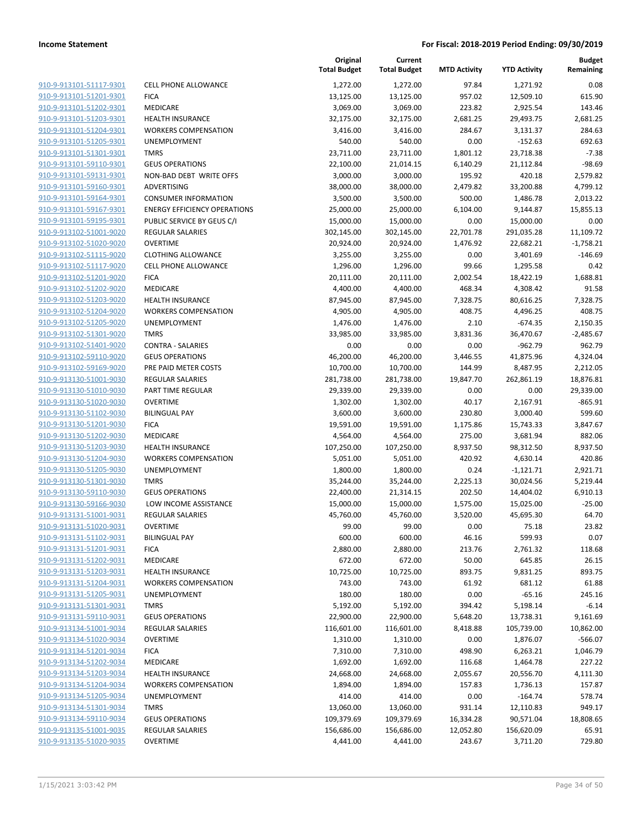| 910-9-913101-51117-9301                            | <b>CELL PHON</b>      |
|----------------------------------------------------|-----------------------|
| 910-9-913101-51201-9301                            | <b>FICA</b>           |
| 910-9-913101-51202-9301                            | MEDICARE              |
| 910-9-913101-51203-9301                            | <b>HEALTH IN</b>      |
| 910-9-913101-51204-9301                            | <b>WORKERS</b>        |
| 910-9-913101-51205-9301                            | <b>UNEMPLO</b>        |
| 910-9-913101-51301-9301                            | <b>TMRS</b>           |
| 910-9-913101-59110-9301                            | <b>GEUS OPEI</b>      |
| 910-9-913101-59131-9301                            | NON-BAD               |
| 910-9-913101-59160-9301                            | <b>ADVERTISI</b>      |
| 910-9-913101-59164-9301                            | CONSUME               |
| 910-9-913101-59167-9301                            | <b>ENERGY EF</b>      |
| 910-9-913101-59195-9301                            | <b>PUBLIC SEI</b>     |
| 910-9-913102-51001-9020                            | <b>REGULAR</b> 9      |
| 910-9-913102-51020-9020                            | OVERTIME              |
| 910-9-913102-51115-9020                            | <b>CLOTHING</b>       |
| 910-9-913102-51117-9020                            | <b>CELL PHON</b>      |
| 910-9-913102-51201-9020                            | <b>FICA</b>           |
| 910-9-913102-51202-9020                            | <b>MEDICARE</b>       |
| 910-9-913102-51203-9020                            | <b>HEALTH IN</b>      |
| 910-9-913102-51204-9020                            | WORKERS               |
| 910-9-913102-51205-9020                            | <b>UNEMPLO</b>        |
| 910-9-913102-51301-9020                            | TMRS                  |
| 910-9-913102-51401-9020                            | CONTRA -              |
| 910-9-913102-59110-9020                            | <b>GEUS OPE</b>       |
| 910-9-913102-59169-9020                            | PRE PAID I            |
| 910-9-913130-51001-9030                            | REGULAR !             |
| 910-9-913130-51010-9030                            | PART TIME             |
| 910-9-913130-51020-9030                            | OVERTIME              |
| 910-9-913130-51102-9030                            | BILINGUAL             |
| 910-9-913130-51201-9030                            | <b>FICA</b>           |
| 910-9-913130-51202-9030                            | <b>MEDICARE</b>       |
| 910-9-913130-51203-9030                            | <b>HEALTH IN</b>      |
| 910-9-913130-51204-9030                            | WORKERS               |
| 910-9-913130-51205-9030                            | <b>UNEMPLO</b>        |
| 910-9-913130-51301-9030                            | TMRS                  |
| 910-9-913130-59110-9030                            | <b>GEUS OPEI</b>      |
| 910-9-913130-59166-9030                            | LOW INCO              |
| 910-9-913131-51001-9031                            | REGULAR !             |
| 910-9-913131-51020-9031                            | OVERTIME<br>BILINGUAL |
| 910-9-913131-51102-9031<br>910-9-913131-51201-9031 | <b>FICA</b>           |
| 910-9-913131-51202-9031                            | MEDICARE              |
| 910-9-913131-51203-9031                            | <b>HEALTH IN</b>      |
| 910-9-913131-51204-9031                            | <b>WORKERS</b>        |
| 910-9-913131-51205-9031                            | <b>UNEMPLO</b>        |
| 910-9-913131-51301-9031                            | <b>TMRS</b>           |
| 910-9-913131-59110-9031                            | <b>GEUS OPEI</b>      |
| 910-9-913134-51001-9034                            | REGULAR !             |
| 910-9-913134-51020-9034                            | OVERTIME              |
| 910-9-913134-51201-9034                            | <b>FICA</b>           |
| 910-9-913134-51202-9034                            | <b>MEDICARE</b>       |
| 910-9-913134-51203-9034                            | <b>HEALTH IN</b>      |
| 910-9-913134-51204-9034                            | <b>WORKERS</b>        |
| 910-9-913134-51205-9034                            | <b>UNEMPLO</b>        |
| 910-9-913134-51301-9034                            | <b>TMRS</b>           |
| 910-9-913134-59110-9034                            | <b>GEUS OPE</b>       |
| 910-9-913135-51001-9035                            | REGULAR !             |
| 910-9-913135-51020-9035                            | OVERTIME              |
|                                                    |                       |

|                         |                                     | Original<br><b>Total Budget</b> | Current<br><b>Total Budget</b> | <b>MTD Activity</b> | <b>YTD Activity</b> | Budget<br>Remaining |
|-------------------------|-------------------------------------|---------------------------------|--------------------------------|---------------------|---------------------|---------------------|
| 910-9-913101-51117-9301 | <b>CELL PHONE ALLOWANCE</b>         | 1,272.00                        | 1,272.00                       | 97.84               | 1,271.92            | 0.08                |
| 910-9-913101-51201-9301 | <b>FICA</b>                         | 13,125.00                       | 13,125.00                      | 957.02              | 12,509.10           | 615.90              |
| 910-9-913101-51202-9301 | MEDICARE                            | 3,069.00                        | 3,069.00                       | 223.82              | 2,925.54            | 143.46              |
| 910-9-913101-51203-9301 | <b>HEALTH INSURANCE</b>             | 32,175.00                       | 32,175.00                      | 2,681.25            | 29,493.75           | 2,681.25            |
| 910-9-913101-51204-9301 | <b>WORKERS COMPENSATION</b>         | 3,416.00                        | 3,416.00                       | 284.67              | 3,131.37            | 284.63              |
| 910-9-913101-51205-9301 | UNEMPLOYMENT                        | 540.00                          | 540.00                         | 0.00                | $-152.63$           | 692.63              |
| 910-9-913101-51301-9301 | <b>TMRS</b>                         | 23,711.00                       | 23,711.00                      | 1,801.12            | 23,718.38           | $-7.38$             |
| 910-9-913101-59110-9301 | <b>GEUS OPERATIONS</b>              | 22,100.00                       | 21,014.15                      | 6,140.29            | 21,112.84           | $-98.69$            |
| 910-9-913101-59131-9301 | NON-BAD DEBT WRITE OFFS             | 3,000.00                        | 3,000.00                       | 195.92              | 420.18              | 2,579.82            |
| 910-9-913101-59160-9301 | ADVERTISING                         | 38,000.00                       | 38,000.00                      | 2,479.82            | 33,200.88           | 4,799.12            |
| 910-9-913101-59164-9301 | <b>CONSUMER INFORMATION</b>         | 3,500.00                        | 3,500.00                       | 500.00              | 1,486.78            | 2,013.22            |
| 910-9-913101-59167-9301 | <b>ENERGY EFFICIENCY OPERATIONS</b> | 25,000.00                       | 25,000.00                      | 6,104.00            | 9,144.87            | 15,855.13           |
| 910-9-913101-59195-9301 | PUBLIC SERVICE BY GEUS C/I          | 15,000.00                       | 15,000.00                      | 0.00                | 15,000.00           | 0.00                |
| 910-9-913102-51001-9020 | <b>REGULAR SALARIES</b>             | 302,145.00                      | 302,145.00                     | 22,701.78           | 291,035.28          | 11,109.72           |
| 910-9-913102-51020-9020 | <b>OVERTIME</b>                     | 20,924.00                       | 20,924.00                      | 1,476.92            | 22,682.21           | $-1,758.21$         |
| 910-9-913102-51115-9020 | <b>CLOTHING ALLOWANCE</b>           | 3,255.00                        | 3,255.00                       | 0.00                | 3,401.69            | $-146.69$           |
| 910-9-913102-51117-9020 | <b>CELL PHONE ALLOWANCE</b>         | 1,296.00                        | 1,296.00                       | 99.66               | 1,295.58            | 0.42                |
| 910-9-913102-51201-9020 | <b>FICA</b>                         | 20,111.00                       | 20,111.00                      | 2,002.54            | 18,422.19           | 1,688.81            |
| 910-9-913102-51202-9020 | MEDICARE                            | 4,400.00                        | 4,400.00                       | 468.34              | 4,308.42            | 91.58               |
| 910-9-913102-51203-9020 | <b>HEALTH INSURANCE</b>             | 87,945.00                       | 87,945.00                      | 7,328.75            | 80,616.25           | 7,328.75            |
| 910-9-913102-51204-9020 | <b>WORKERS COMPENSATION</b>         | 4,905.00                        | 4,905.00                       | 408.75              | 4,496.25            | 408.75              |
| 910-9-913102-51205-9020 | UNEMPLOYMENT                        | 1,476.00                        | 1,476.00                       | 2.10                | $-674.35$           | 2,150.35            |
| 910-9-913102-51301-9020 | <b>TMRS</b>                         | 33,985.00                       | 33,985.00                      | 3,831.36            | 36,470.67           | $-2,485.67$         |
| 910-9-913102-51401-9020 | <b>CONTRA - SALARIES</b>            | 0.00                            | 0.00                           | 0.00                | $-962.79$           | 962.79              |
| 910-9-913102-59110-9020 | <b>GEUS OPERATIONS</b>              | 46,200.00                       | 46,200.00                      | 3,446.55            | 41,875.96           | 4,324.04            |
| 910-9-913102-59169-9020 | PRE PAID METER COSTS                | 10,700.00                       | 10,700.00                      | 144.99              | 8,487.95            | 2,212.05            |
| 910-9-913130-51001-9030 | <b>REGULAR SALARIES</b>             | 281,738.00                      | 281,738.00                     | 19,847.70           | 262,861.19          | 18,876.81           |
| 910-9-913130-51010-9030 | PART TIME REGULAR                   | 29,339.00                       | 29,339.00                      | 0.00                | 0.00                | 29,339.00           |
| 910-9-913130-51020-9030 | <b>OVERTIME</b>                     | 1,302.00                        | 1,302.00                       | 40.17               | 2,167.91            | $-865.91$           |
| 910-9-913130-51102-9030 | <b>BILINGUAL PAY</b>                | 3,600.00                        | 3,600.00                       | 230.80              | 3,000.40            | 599.60              |
| 910-9-913130-51201-9030 | <b>FICA</b>                         | 19,591.00                       | 19,591.00                      | 1,175.86            | 15,743.33           | 3,847.67            |
| 910-9-913130-51202-9030 | MEDICARE                            | 4,564.00                        | 4,564.00                       | 275.00              | 3,681.94            | 882.06              |
| 910-9-913130-51203-9030 | <b>HEALTH INSURANCE</b>             | 107,250.00                      | 107,250.00                     | 8,937.50            | 98,312.50           | 8,937.50            |
| 910-9-913130-51204-9030 | <b>WORKERS COMPENSATION</b>         | 5,051.00                        | 5,051.00                       | 420.92              | 4,630.14            | 420.86              |
| 910-9-913130-51205-9030 | UNEMPLOYMENT                        | 1,800.00                        | 1,800.00                       | 0.24                | $-1,121.71$         | 2,921.71            |
| 910-9-913130-51301-9030 | <b>TMRS</b>                         | 35,244.00                       | 35,244.00                      | 2,225.13            | 30,024.56           | 5,219.44            |
| 910-9-913130-59110-9030 | <b>GEUS OPERATIONS</b>              | 22,400.00                       | 21,314.15                      | 202.50              | 14,404.02           | 6,910.13            |
| 910-9-913130-59166-9030 | LOW INCOME ASSISTANCE               | 15,000.00                       | 15,000.00                      | 1,575.00            | 15,025.00           | $-25.00$            |
| 910-9-913131-51001-9031 | <b>REGULAR SALARIES</b>             | 45,760.00                       | 45,760.00                      | 3,520.00            | 45,695.30           | 64.70               |
| 910-9-913131-51020-9031 | <b>OVERTIME</b>                     | 99.00                           | 99.00                          | 0.00                | 75.18               | 23.82               |
| 910-9-913131-51102-9031 | <b>BILINGUAL PAY</b>                | 600.00                          | 600.00                         | 46.16               | 599.93              | 0.07                |
| 910-9-913131-51201-9031 | <b>FICA</b>                         | 2,880.00                        | 2,880.00                       | 213.76              | 2,761.32            | 118.68              |
| 910-9-913131-51202-9031 | MEDICARE                            | 672.00                          | 672.00                         | 50.00               | 645.85              | 26.15               |
| 910-9-913131-51203-9031 | <b>HEALTH INSURANCE</b>             | 10,725.00                       | 10,725.00                      | 893.75              | 9,831.25            | 893.75              |
| 910-9-913131-51204-9031 | <b>WORKERS COMPENSATION</b>         | 743.00                          | 743.00                         | 61.92               | 681.12              | 61.88               |
| 910-9-913131-51205-9031 | UNEMPLOYMENT                        | 180.00                          | 180.00                         | 0.00                | $-65.16$            | 245.16              |
| 910-9-913131-51301-9031 | <b>TMRS</b>                         | 5,192.00                        | 5,192.00                       | 394.42              | 5,198.14            | $-6.14$             |
| 910-9-913131-59110-9031 | <b>GEUS OPERATIONS</b>              | 22,900.00                       | 22,900.00                      | 5,648.20            | 13,738.31           | 9,161.69            |
| 910-9-913134-51001-9034 | <b>REGULAR SALARIES</b>             | 116,601.00                      | 116,601.00                     | 8,418.88            | 105,739.00          | 10,862.00           |
| 910-9-913134-51020-9034 | <b>OVERTIME</b>                     | 1,310.00                        | 1,310.00                       | 0.00                | 1,876.07            | $-566.07$           |
| 910-9-913134-51201-9034 | <b>FICA</b>                         | 7,310.00                        | 7,310.00                       | 498.90              | 6,263.21            | 1,046.79            |
| 910-9-913134-51202-9034 | MEDICARE                            | 1,692.00                        | 1,692.00                       | 116.68              | 1,464.78            | 227.22              |
| 910-9-913134-51203-9034 | HEALTH INSURANCE                    | 24,668.00                       | 24,668.00                      | 2,055.67            | 20,556.70           | 4,111.30            |
| 910-9-913134-51204-9034 | <b>WORKERS COMPENSATION</b>         | 1,894.00                        | 1,894.00                       | 157.83              | 1,736.13            | 157.87              |
| 910-9-913134-51205-9034 | <b>UNEMPLOYMENT</b>                 | 414.00                          | 414.00                         | 0.00                | $-164.74$           | 578.74              |
| 910-9-913134-51301-9034 | <b>TMRS</b>                         | 13,060.00                       | 13,060.00                      | 931.14              | 12,110.83           | 949.17              |
| 910-9-913134-59110-9034 | <b>GEUS OPERATIONS</b>              | 109,379.69                      | 109,379.69                     | 16,334.28           | 90,571.04           | 18,808.65           |
| 910-9-913135-51001-9035 | REGULAR SALARIES                    | 156,686.00                      | 156,686.00                     | 12,052.80           | 156,620.09          | 65.91               |
| 910-9-913135-51020-9035 | <b>OVERTIME</b>                     | 4,441.00                        | 4,441.00                       | 243.67              | 3,711.20            | 729.80              |
|                         |                                     |                                 |                                |                     |                     |                     |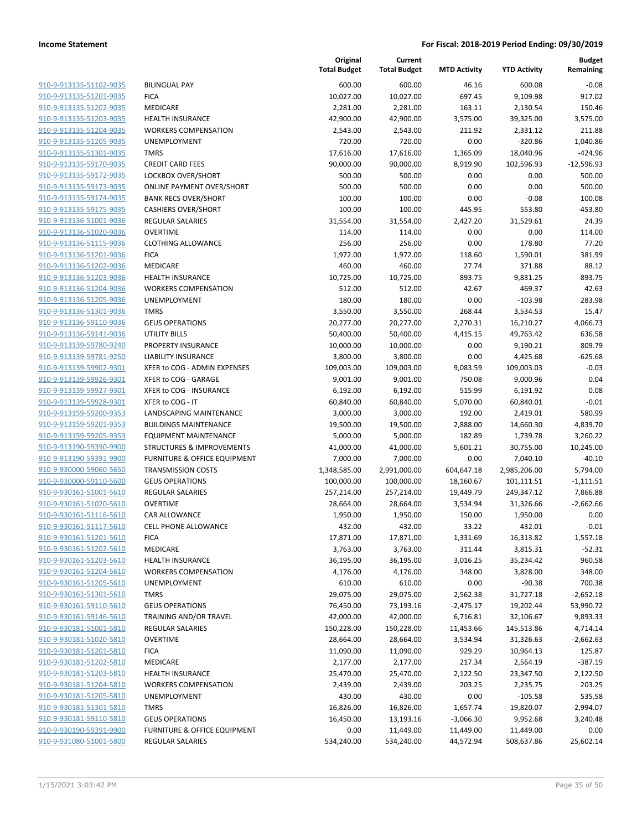| 910-9-913135-51102-9035                                   |
|-----------------------------------------------------------|
| 910-9-913135-51201-9035                                   |
| 910-9-913135-51202-9035                                   |
| 910-9-913135-51203-9035                                   |
| 910-9-913135-51204-9035                                   |
| 910-9-913135-51205-9035                                   |
| 910-9-913135-51301-9035                                   |
| 910-9-913135-59170-9035                                   |
| 910-9-913135-59172-9035                                   |
| 910-9-913135-59173-9035                                   |
| 910-9-913135-59174-9035                                   |
| 910-9-913135-59175-9035                                   |
| 910-9-913136-51001-9036                                   |
| 910-9-913136-51020-9036                                   |
| 910-9-913136-51115-9036                                   |
| 910-9-913136-51201-9036                                   |
| 910-9-913136-51202-9036                                   |
| 910-9-913136-51203-9036                                   |
|                                                           |
| 910-9-913136-51204-9036                                   |
| 910-9-913136-51205-9036                                   |
| 910-9-913136-51301-9036                                   |
| 910-9-913136-59110-9036                                   |
| 910-9-913136-59141-9036                                   |
| 910-9-913139-59780-9240                                   |
| 910-9-913139-59781-9250                                   |
| 910-9-913139-59902-9301                                   |
| 910-9-913139-59926-9301                                   |
| 910-9-913139-59927-9301                                   |
| 910-9-913139-59928-9301                                   |
| 910-9-913159-59200-9353                                   |
| 910-9-913159-59201-9353                                   |
| 910-9-913159-59205-9353                                   |
| 910-9-913190-59390-9900                                   |
| 910-9-913190-59391-9900                                   |
| 910-9-930000-59060-5650                                   |
| 910-9-930000-59110-5600                                   |
| 910-9-930161-51001-5610                                   |
| 910-9-930161-51020-5610                                   |
| 910-9-930161-51116-5610                                   |
| 910-9-930161-51117-5610                                   |
| 910-9-930161-51201-5610                                   |
| <u>910-9-930161-51202-5610</u>                            |
| 910-9-930161-51203-5610                                   |
| <u>910-9-930161-51204-5610</u>                            |
| 910-9-930161-51205-5610                                   |
| <u>910-9-930161-51301-5610</u>                            |
| 910-9-930161-59110-5610                                   |
| <u>910-9-930161-59146-5610</u>                            |
| 910-9-930181-51001-5810                                   |
|                                                           |
| <u>910-9-930181-51020-5810</u><br>910-9-930181-51201-5810 |
| 910-9-930181-51202-5810                                   |
| 910-9-930181-51203-5810                                   |
|                                                           |
| <u>910-9-930181-51204-5810</u>                            |
| 910-9-930181-51205-5810                                   |
| <u>910-9-930181-51301-5810</u>                            |
| 910-9-930181-59110-5810                                   |
| <u>910-9-930190-59391-9900</u>                            |
| 910-9-931080-51001-5800                                   |

|                                                    |                                                              | Original<br><b>Total Budget</b> | Current<br><b>Total Budget</b> | <b>MTD Activity</b> | <b>YTD Activity</b>   | <b>Budget</b><br>Remaining |
|----------------------------------------------------|--------------------------------------------------------------|---------------------------------|--------------------------------|---------------------|-----------------------|----------------------------|
| 910-9-913135-51102-9035                            | <b>BILINGUAL PAY</b>                                         | 600.00                          | 600.00                         | 46.16               | 600.08                | $-0.08$                    |
| 910-9-913135-51201-9035                            | <b>FICA</b>                                                  | 10,027.00                       | 10,027.00                      | 697.45              | 9,109.98              | 917.02                     |
| 910-9-913135-51202-9035                            | MEDICARE                                                     | 2,281.00                        | 2,281.00                       | 163.11              | 2,130.54              | 150.46                     |
| 910-9-913135-51203-9035                            | HEALTH INSURANCE                                             | 42,900.00                       | 42,900.00                      | 3,575.00            | 39,325.00             | 3,575.00                   |
| 910-9-913135-51204-9035                            | <b>WORKERS COMPENSATION</b>                                  | 2,543.00                        | 2,543.00                       | 211.92              | 2,331.12              | 211.88                     |
| 910-9-913135-51205-9035                            | UNEMPLOYMENT                                                 | 720.00                          | 720.00                         | 0.00                | $-320.86$             | 1,040.86                   |
| 910-9-913135-51301-9035                            | <b>TMRS</b>                                                  | 17,616.00                       | 17,616.00                      | 1,365.09            | 18,040.96             | $-424.96$                  |
| 910-9-913135-59170-9035                            | <b>CREDIT CARD FEES</b>                                      | 90,000.00                       | 90,000.00                      | 8,919.90            | 102,596.93            | $-12,596.93$               |
| 910-9-913135-59172-9035                            | LOCKBOX OVER/SHORT                                           | 500.00                          | 500.00                         | 0.00                | 0.00                  | 500.00                     |
| 910-9-913135-59173-9035                            | <b>ONLINE PAYMENT OVER/SHORT</b>                             | 500.00                          | 500.00                         | 0.00                | 0.00                  | 500.00                     |
| 910-9-913135-59174-9035                            | <b>BANK RECS OVER/SHORT</b>                                  | 100.00                          | 100.00                         | 0.00                | $-0.08$               | 100.08                     |
| 910-9-913135-59175-9035                            | <b>CASHIERS OVER/SHORT</b>                                   | 100.00                          | 100.00                         | 445.95              | 553.80                | $-453.80$                  |
| 910-9-913136-51001-9036                            | <b>REGULAR SALARIES</b>                                      | 31,554.00                       | 31,554.00                      | 2,427.20            | 31,529.61             | 24.39                      |
| 910-9-913136-51020-9036                            | <b>OVERTIME</b>                                              | 114.00                          | 114.00                         | 0.00                | 0.00                  | 114.00                     |
| 910-9-913136-51115-9036                            | <b>CLOTHING ALLOWANCE</b>                                    | 256.00                          | 256.00                         | 0.00                | 178.80                | 77.20                      |
| 910-9-913136-51201-9036                            | <b>FICA</b>                                                  | 1,972.00                        | 1,972.00                       | 118.60              | 1,590.01              | 381.99                     |
| 910-9-913136-51202-9036                            | MEDICARE                                                     | 460.00                          | 460.00                         | 27.74               | 371.88                | 88.12                      |
| 910-9-913136-51203-9036                            | <b>HEALTH INSURANCE</b>                                      | 10,725.00                       | 10,725.00                      | 893.75              | 9,831.25              | 893.75                     |
| 910-9-913136-51204-9036                            | <b>WORKERS COMPENSATION</b>                                  | 512.00                          | 512.00                         | 42.67               | 469.37                | 42.63                      |
| 910-9-913136-51205-9036                            | UNEMPLOYMENT                                                 | 180.00                          | 180.00                         | 0.00                | $-103.98$             | 283.98                     |
| 910-9-913136-51301-9036                            | <b>TMRS</b>                                                  | 3,550.00                        | 3,550.00                       | 268.44              | 3,534.53              | 15.47                      |
| 910-9-913136-59110-9036                            | <b>GEUS OPERATIONS</b>                                       | 20,277.00                       | 20,277.00                      | 2,270.31            | 16,210.27             | 4,066.73                   |
| 910-9-913136-59141-9036                            | <b>UTILITY BILLS</b>                                         | 50,400.00                       | 50,400.00                      | 4,415.15            | 49,763.42             | 636.58                     |
| 910-9-913139-59780-9240                            | PROPERTY INSURANCE                                           | 10,000.00                       | 10,000.00                      | 0.00                | 9,190.21              | 809.79                     |
| 910-9-913139-59781-9250                            | <b>LIABILITY INSURANCE</b>                                   | 3,800.00                        | 3,800.00                       | 0.00                | 4,425.68              | $-625.68$                  |
| 910-9-913139-59902-9301                            | XFER to COG - ADMIN EXPENSES                                 | 109,003.00                      | 109,003.00                     | 9,083.59            | 109,003.03            | $-0.03$                    |
| 910-9-913139-59926-9301                            | XFER to COG - GARAGE                                         | 9,001.00                        | 9,001.00                       | 750.08              | 9,000.96              | 0.04                       |
| 910-9-913139-59927-9301                            | XFER to COG - INSURANCE                                      | 6,192.00                        | 6,192.00                       | 515.99              | 6,191.92              | 0.08                       |
| 910-9-913139-59928-9301                            | XFER to COG - IT                                             | 60,840.00                       | 60,840.00                      | 5,070.00            | 60,840.01             | $-0.01$                    |
| 910-9-913159-59200-9353                            | LANDSCAPING MAINTENANCE                                      | 3,000.00                        | 3,000.00                       | 192.00              | 2,419.01              | 580.99                     |
| 910-9-913159-59201-9353<br>910-9-913159-59205-9353 | <b>BUILDINGS MAINTENANCE</b><br><b>EQUIPMENT MAINTENANCE</b> | 19,500.00<br>5,000.00           | 19,500.00<br>5,000.00          | 2,888.00<br>182.89  | 14,660.30<br>1,739.78 | 4,839.70<br>3,260.22       |
| 910-9-913190-59390-9900                            | <b>STRUCTURES &amp; IMPROVEMENTS</b>                         | 41,000.00                       | 41,000.00                      | 5,601.21            | 30,755.00             | 10,245.00                  |
| 910-9-913190-59391-9900                            | FURNITURE & OFFICE EQUIPMENT                                 | 7,000.00                        | 7,000.00                       |                     | 7,040.10              | $-40.10$                   |
| 910-9-930000-59060-5650                            | <b>TRANSMISSION COSTS</b>                                    | 1,348,585.00                    | 2,991,000.00                   | 0.00<br>604,647.18  | 2,985,206.00          | 5,794.00                   |
| 910-9-930000-59110-5600                            | <b>GEUS OPERATIONS</b>                                       | 100,000.00                      | 100,000.00                     | 18,160.67           | 101,111.51            | $-1,111.51$                |
| 910-9-930161-51001-5610                            | REGULAR SALARIES                                             | 257,214.00                      | 257,214.00                     | 19,449.79           | 249,347.12            | 7,866.88                   |
| 910-9-930161-51020-5610                            | <b>OVERTIME</b>                                              | 28,664.00                       | 28,664.00                      | 3,534.94            | 31,326.66             | $-2,662.66$                |
| 910-9-930161-51116-5610                            | CAR ALLOWANCE                                                | 1,950.00                        | 1,950.00                       | 150.00              | 1,950.00              | 0.00                       |
| 910-9-930161-51117-5610                            | CELL PHONE ALLOWANCE                                         | 432.00                          | 432.00                         | 33.22               | 432.01                | $-0.01$                    |
| 910-9-930161-51201-5610                            | <b>FICA</b>                                                  | 17,871.00                       | 17,871.00                      | 1,331.69            | 16,313.82             | 1,557.18                   |
| 910-9-930161-51202-5610                            | MEDICARE                                                     | 3,763.00                        | 3,763.00                       | 311.44              | 3,815.31              | $-52.31$                   |
| 910-9-930161-51203-5610                            | <b>HEALTH INSURANCE</b>                                      | 36,195.00                       | 36,195.00                      | 3,016.25            | 35,234.42             | 960.58                     |
| 910-9-930161-51204-5610                            | <b>WORKERS COMPENSATION</b>                                  | 4,176.00                        | 4,176.00                       | 348.00              | 3,828.00              | 348.00                     |
| 910-9-930161-51205-5610                            | <b>UNEMPLOYMENT</b>                                          | 610.00                          | 610.00                         | 0.00                | $-90.38$              | 700.38                     |
| 910-9-930161-51301-5610                            | <b>TMRS</b>                                                  | 29,075.00                       | 29,075.00                      | 2,562.38            | 31,727.18             | $-2,652.18$                |
| 910-9-930161-59110-5610                            | <b>GEUS OPERATIONS</b>                                       | 76,450.00                       | 73,193.16                      | $-2,475.17$         | 19,202.44             | 53,990.72                  |
| 910-9-930161-59146-5610                            | TRAINING AND/OR TRAVEL                                       | 42,000.00                       | 42,000.00                      | 6,716.81            | 32,106.67             | 9,893.33                   |
| 910-9-930181-51001-5810                            | <b>REGULAR SALARIES</b>                                      | 150,228.00                      | 150,228.00                     | 11,453.66           | 145,513.86            | 4,714.14                   |
| 910-9-930181-51020-5810                            | <b>OVERTIME</b>                                              | 28,664.00                       | 28,664.00                      | 3,534.94            | 31,326.63             | $-2,662.63$                |
| 910-9-930181-51201-5810                            | <b>FICA</b>                                                  | 11,090.00                       | 11,090.00                      | 929.29              | 10,964.13             | 125.87                     |
| 910-9-930181-51202-5810                            | MEDICARE                                                     | 2,177.00                        | 2,177.00                       | 217.34              | 2,564.19              | $-387.19$                  |
| 910-9-930181-51203-5810                            | <b>HEALTH INSURANCE</b>                                      | 25,470.00                       | 25,470.00                      | 2,122.50            | 23,347.50             | 2,122.50                   |
| 910-9-930181-51204-5810                            | <b>WORKERS COMPENSATION</b>                                  | 2,439.00                        | 2,439.00                       | 203.25              | 2,235.75              | 203.25                     |
| 910-9-930181-51205-5810                            | <b>UNEMPLOYMENT</b>                                          | 430.00                          | 430.00                         | 0.00                | $-105.58$             | 535.58                     |
| 910-9-930181-51301-5810                            | <b>TMRS</b>                                                  | 16,826.00                       | 16,826.00                      | 1,657.74            | 19,820.07             | $-2,994.07$                |
| 910-9-930181-59110-5810                            | <b>GEUS OPERATIONS</b>                                       | 16,450.00                       | 13,193.16                      | $-3,066.30$         | 9,952.68              | 3,240.48                   |
| 910-9-930190-59391-9900                            | FURNITURE & OFFICE EQUIPMENT                                 | 0.00                            | 11,449.00                      | 11,449.00           | 11,449.00             | 0.00                       |
| 910-9-931080-51001-5800                            | REGULAR SALARIES                                             | 534,240.00                      | 534,240.00                     | 44,572.94           | 508,637.86            | 25,602.14                  |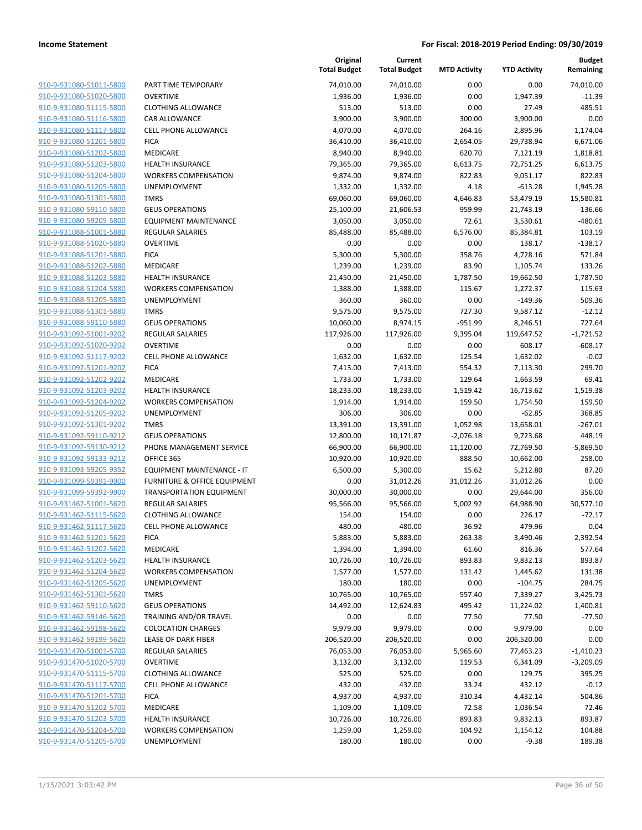| 910-9-931080-51011-5800        |
|--------------------------------|
| 910-9-931080-51020-5800        |
| 910-9-931080-51115-5800        |
| <u>910-9-931080-51116-5800</u> |
| 910-9-931080-51117-5800        |
| 910-9-931080-51201-5800        |
| 910-9-931080-51202-5800        |
| 910-9-931080-51203-5800        |
| <u>910-9-931080-51204-5800</u> |
| 910-9-931080-51205-5800        |
| 910-9-931080-51301-5800        |
| 910-9-931080-59110-5800        |
| 910-9-931080-59205-5800        |
| <u>910-9-931088-51001-5880</u> |
| <u>910-9-931088-51020-5880</u> |
| 910-9-931088-51201-5880        |
| 910-9-931088-51202-5880        |
| <u>910-9-931088-51203-5880</u> |
| <u>910-9-931088-51204-5880</u> |
| <u>910-9-931088-51205-5880</u> |
| 910-9-931088-51301-5880        |
| 910-9-931088-59110-5880        |
| <u>910-9-931092-51001-9202</u> |
| <u>910-9-931092-51020-9202</u> |
| 910-9-931092-51117-9202        |
| 910-9-931092-51201-9202        |
| 910-9-931092-51202-9202        |
| <u>910-9-931092-51203-9202</u> |
| <u>910-9-931092-51204-9202</u> |
| 910-9-931092-51205-9202        |
| 910-9-931092-51301-9202        |
| 910-9-931092-59110-9212        |
| <u>910-9-931092-59130-9212</u> |
| <u>910-9-931092-59133-9212</u> |
| <u>910-9-931093-59205-9352</u> |
| 910-9-931099-59391-9900        |
| 910-9-931099-59392-9900        |
| <u>910-9-931462-51001-5620</u> |
| <u>910-9-931462-51115-5620</u> |
| 910-9-931462-51117-5620        |
| 910-9-931462-51201-5620        |
| 910-9-931462-51202-5620        |
| 910-9-931462-51203-5620        |
| 910-9-931462-51204-5620        |
| 910-9-931462-51205-5620        |
| 910-9-931462-51301-5620        |
| 910-9-931462-59110-5620        |
| <u>910-9-931462-59146-5620</u> |
| <u>910-9-931462-59198-5620</u> |
| 910-9-931462-59199-5620        |
| 910-9-931470-51001-5700        |
| 910-9-931470-51020-5700        |
| 910-9-931470-51115-5700        |
| 910-9-931470-51117-5700        |
| 910-9-931470-51201-5700        |
| 910-9-931470-51202-5700        |
| 910-9-931470-51203-5700        |
| 910-9-931470-51204-5700        |
| <u>910-9-931470-51205-5700</u> |
|                                |

|                         |                                 | Original<br><b>Total Budget</b> | Current<br><b>Total Budget</b> | <b>MTD Activity</b> | <b>YTD Activity</b> | <b>Budget</b><br>Remaining |
|-------------------------|---------------------------------|---------------------------------|--------------------------------|---------------------|---------------------|----------------------------|
| 910-9-931080-51011-5800 | PART TIME TEMPORARY             | 74,010.00                       | 74,010.00                      | 0.00                | 0.00                | 74,010.00                  |
| 910-9-931080-51020-5800 | <b>OVERTIME</b>                 | 1,936.00                        | 1,936.00                       | 0.00                | 1,947.39            | $-11.39$                   |
| 910-9-931080-51115-5800 | <b>CLOTHING ALLOWANCE</b>       | 513.00                          | 513.00                         | 0.00                | 27.49               | 485.51                     |
| 910-9-931080-51116-5800 | <b>CAR ALLOWANCE</b>            | 3,900.00                        | 3,900.00                       | 300.00              | 3,900.00            | 0.00                       |
| 910-9-931080-51117-5800 | <b>CELL PHONE ALLOWANCE</b>     | 4,070.00                        | 4,070.00                       | 264.16              | 2,895.96            | 1,174.04                   |
| 910-9-931080-51201-5800 | <b>FICA</b>                     | 36,410.00                       | 36,410.00                      | 2,654.05            | 29,738.94           | 6,671.06                   |
| 910-9-931080-51202-5800 | MEDICARE                        | 8,940.00                        | 8,940.00                       | 620.70              | 7,121.19            | 1,818.81                   |
| 910-9-931080-51203-5800 | <b>HEALTH INSURANCE</b>         | 79,365.00                       | 79,365.00                      | 6,613.75            | 72,751.25           | 6,613.75                   |
| 910-9-931080-51204-5800 | <b>WORKERS COMPENSATION</b>     | 9,874.00                        | 9,874.00                       | 822.83              | 9,051.17            | 822.83                     |
| 910-9-931080-51205-5800 | <b>UNEMPLOYMENT</b>             | 1,332.00                        | 1,332.00                       | 4.18                | $-613.28$           | 1,945.28                   |
| 910-9-931080-51301-5800 | <b>TMRS</b>                     | 69,060.00                       | 69,060.00                      | 4,646.83            | 53,479.19           | 15,580.81                  |
| 910-9-931080-59110-5800 | <b>GEUS OPERATIONS</b>          | 25,100.00                       | 21,606.53                      | $-959.99$           | 21,743.19           | $-136.66$                  |
| 910-9-931080-59205-5800 | <b>EQUIPMENT MAINTENANCE</b>    | 3,050.00                        | 3,050.00                       | 72.61               | 3,530.61            | $-480.61$                  |
| 910-9-931088-51001-5880 | REGULAR SALARIES                | 85,488.00                       | 85,488.00                      | 6,576.00            | 85,384.81           | 103.19                     |
| 910-9-931088-51020-5880 | <b>OVERTIME</b>                 | 0.00                            | 0.00                           | 0.00                | 138.17              | $-138.17$                  |
| 910-9-931088-51201-5880 | <b>FICA</b>                     | 5,300.00                        | 5,300.00                       | 358.76              | 4,728.16            | 571.84                     |
| 910-9-931088-51202-5880 | MEDICARE                        | 1,239.00                        | 1,239.00                       | 83.90               | 1,105.74            | 133.26                     |
| 910-9-931088-51203-5880 | HEALTH INSURANCE                | 21,450.00                       | 21,450.00                      | 1,787.50            | 19,662.50           | 1,787.50                   |
| 910-9-931088-51204-5880 | <b>WORKERS COMPENSATION</b>     | 1,388.00                        | 1,388.00                       | 115.67              | 1,272.37            | 115.63                     |
| 910-9-931088-51205-5880 | <b>UNEMPLOYMENT</b>             | 360.00                          | 360.00                         | 0.00                | $-149.36$           | 509.36                     |
| 910-9-931088-51301-5880 | <b>TMRS</b>                     | 9,575.00                        | 9,575.00                       | 727.30              | 9,587.12            | $-12.12$                   |
| 910-9-931088-59110-5880 | <b>GEUS OPERATIONS</b>          | 10,060.00                       | 8,974.15                       | $-951.99$           | 8,246.51            | 727.64                     |
| 910-9-931092-51001-9202 | <b>REGULAR SALARIES</b>         | 117,926.00                      | 117,926.00                     | 9,395.04            | 119,647.52          | $-1,721.52$                |
| 910-9-931092-51020-9202 | <b>OVERTIME</b>                 | 0.00                            | 0.00                           | 0.00                | 608.17              | $-608.17$                  |
| 910-9-931092-51117-9202 | <b>CELL PHONE ALLOWANCE</b>     | 1,632.00                        | 1,632.00                       | 125.54              | 1,632.02            | $-0.02$                    |
| 910-9-931092-51201-9202 | <b>FICA</b>                     | 7,413.00                        | 7,413.00                       | 554.32              | 7,113.30            | 299.70                     |
| 910-9-931092-51202-9202 | MEDICARE                        | 1,733.00                        | 1,733.00                       | 129.64              | 1,663.59            | 69.41                      |
| 910-9-931092-51203-9202 | <b>HEALTH INSURANCE</b>         | 18,233.00                       | 18,233.00                      | 1,519.42            | 16,713.62           | 1,519.38                   |
| 910-9-931092-51204-9202 | <b>WORKERS COMPENSATION</b>     | 1,914.00                        | 1,914.00                       | 159.50              | 1,754.50            | 159.50                     |
| 910-9-931092-51205-9202 | UNEMPLOYMENT                    | 306.00                          | 306.00                         | 0.00                | $-62.85$            | 368.85                     |
| 910-9-931092-51301-9202 | <b>TMRS</b>                     | 13,391.00                       | 13,391.00                      | 1,052.98            | 13,658.01           | $-267.01$                  |
| 910-9-931092-59110-9212 | <b>GEUS OPERATIONS</b>          | 12,800.00                       | 10,171.87                      | $-2,076.18$         | 9,723.68            | 448.19                     |
| 910-9-931092-59130-9212 | PHONE MANAGEMENT SERVICE        | 66,900.00                       | 66,900.00                      | 11,120.00           | 72,769.50           | $-5,869.50$                |
| 910-9-931092-59133-9212 | OFFICE 365                      | 10,920.00                       | 10,920.00                      | 888.50              | 10,662.00           | 258.00                     |
| 910-9-931093-59205-9352 | EQUIPMENT MAINTENANCE - IT      | 6,500.00                        | 5,300.00                       | 15.62               | 5,212.80            | 87.20                      |
| 910-9-931099-59391-9900 | FURNITURE & OFFICE EQUIPMENT    | 0.00                            | 31,012.26                      | 31,012.26           | 31,012.26           | 0.00                       |
| 910-9-931099-59392-9900 | <b>TRANSPORTATION EQUIPMENT</b> | 30,000.00                       | 30,000.00                      | 0.00                | 29,644.00           | 356.00                     |
| 910-9-931462-51001-5620 | <b>REGULAR SALARIES</b>         | 95,566.00                       | 95,566.00                      | 5,002.92            | 64,988.90           | 30,577.10                  |
| 910-9-931462-51115-5620 | <b>CLOTHING ALLOWANCE</b>       | 154.00                          | 154.00                         | 0.00                | 226.17              | $-72.17$                   |
| 910-9-931462-51117-5620 | <b>CELL PHONE ALLOWANCE</b>     | 480.00                          | 480.00                         | 36.92               | 479.96              | 0.04                       |
| 910-9-931462-51201-5620 | <b>FICA</b>                     | 5,883.00                        | 5,883.00                       | 263.38              | 3,490.46            | 2,392.54                   |
| 910-9-931462-51202-5620 | MEDICARE                        | 1,394.00                        | 1,394.00                       | 61.60               | 816.36              | 577.64                     |
| 910-9-931462-51203-5620 | <b>HEALTH INSURANCE</b>         | 10,726.00                       | 10,726.00                      | 893.83              | 9,832.13            | 893.87                     |
| 910-9-931462-51204-5620 | <b>WORKERS COMPENSATION</b>     | 1,577.00                        | 1,577.00                       | 131.42              | 1,445.62            | 131.38                     |
| 910-9-931462-51205-5620 | UNEMPLOYMENT                    | 180.00                          | 180.00                         | 0.00                | $-104.75$           | 284.75                     |
| 910-9-931462-51301-5620 | <b>TMRS</b>                     | 10,765.00                       | 10,765.00                      | 557.40              | 7,339.27            | 3,425.73                   |
| 910-9-931462-59110-5620 | <b>GEUS OPERATIONS</b>          | 14,492.00                       | 12,624.83                      | 495.42              | 11,224.02           | 1,400.81                   |
| 910-9-931462-59146-5620 | TRAINING AND/OR TRAVEL          | 0.00                            | 0.00                           | 77.50               | 77.50               | $-77.50$                   |
| 910-9-931462-59198-5620 | <b>COLOCATION CHARGES</b>       | 9,979.00                        | 9,979.00                       | 0.00                | 9,979.00            | 0.00                       |
| 910-9-931462-59199-5620 | <b>LEASE OF DARK FIBER</b>      | 206,520.00                      | 206,520.00                     | 0.00                | 206,520.00          | 0.00                       |
| 910-9-931470-51001-5700 | REGULAR SALARIES                | 76,053.00                       | 76,053.00                      | 5,965.60            | 77,463.23           | $-1,410.23$                |
| 910-9-931470-51020-5700 | <b>OVERTIME</b>                 | 3,132.00                        | 3,132.00                       | 119.53              | 6,341.09            | $-3,209.09$                |
| 910-9-931470-51115-5700 | <b>CLOTHING ALLOWANCE</b>       | 525.00                          | 525.00                         | 0.00                | 129.75              | 395.25                     |
| 910-9-931470-51117-5700 | <b>CELL PHONE ALLOWANCE</b>     | 432.00                          | 432.00                         | 33.24               | 432.12              | $-0.12$                    |
| 910-9-931470-51201-5700 | <b>FICA</b>                     | 4,937.00                        | 4,937.00                       | 310.34              | 4,432.14            | 504.86                     |
| 910-9-931470-51202-5700 | MEDICARE                        | 1,109.00                        | 1,109.00                       | 72.58               | 1,036.54            | 72.46                      |
| 910-9-931470-51203-5700 | <b>HEALTH INSURANCE</b>         | 10,726.00                       | 10,726.00                      | 893.83              | 9,832.13            | 893.87                     |
| 910-9-931470-51204-5700 | <b>WORKERS COMPENSATION</b>     | 1,259.00                        | 1,259.00                       | 104.92              | 1,154.12            | 104.88                     |
| 910-9-931470-51205-5700 | UNEMPLOYMENT                    | 180.00                          | 180.00                         | 0.00                | $-9.38$             | 189.38                     |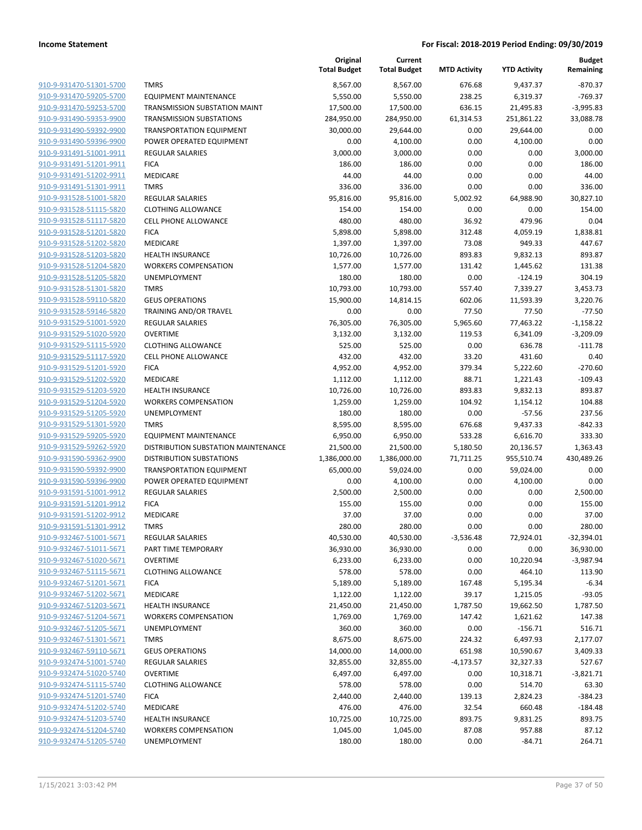|                                                    |                                     | Original<br><b>Total Budget</b> | Current<br><b>Total Budget</b> | <b>MTD Activity</b> | <b>YTD Activity</b>   | <b>Budget</b><br>Remaining |
|----------------------------------------------------|-------------------------------------|---------------------------------|--------------------------------|---------------------|-----------------------|----------------------------|
| 910-9-931470-51301-5700                            | <b>TMRS</b>                         | 8,567.00                        | 8,567.00                       | 676.68              | 9,437.37              | $-870.37$                  |
| 910-9-931470-59205-5700                            | <b>EQUIPMENT MAINTENANCE</b>        | 5,550.00                        | 5,550.00                       | 238.25              | 6,319.37              | $-769.37$                  |
| 910-9-931470-59253-5700                            | TRANSMISSION SUBSTATION MAINT       | 17,500.00                       | 17,500.00                      | 636.15              | 21,495.83             | $-3,995.83$                |
| 910-9-931490-59353-9900                            | <b>TRANSMISSION SUBSTATIONS</b>     | 284,950.00                      | 284,950.00                     | 61,314.53           | 251,861.22            | 33,088.78                  |
| 910-9-931490-59392-9900                            | <b>TRANSPORTATION EQUIPMENT</b>     | 30,000.00                       | 29,644.00                      | 0.00                | 29,644.00             | 0.00                       |
| 910-9-931490-59396-9900                            | POWER OPERATED EQUIPMENT            | 0.00                            | 4,100.00                       | 0.00                | 4,100.00              | 0.00                       |
| 910-9-931491-51001-9911                            | <b>REGULAR SALARIES</b>             | 3,000.00                        | 3,000.00                       | 0.00                | 0.00                  | 3,000.00                   |
| 910-9-931491-51201-9911                            | <b>FICA</b>                         | 186.00                          | 186.00                         | 0.00                | 0.00                  | 186.00                     |
| 910-9-931491-51202-9911                            | <b>MEDICARE</b>                     | 44.00                           | 44.00                          | 0.00                | 0.00                  | 44.00                      |
| 910-9-931491-51301-9911                            | <b>TMRS</b>                         | 336.00                          | 336.00                         | 0.00                | 0.00                  | 336.00                     |
| 910-9-931528-51001-5820                            | REGULAR SALARIES                    | 95,816.00                       | 95,816.00                      | 5,002.92            | 64,988.90             | 30,827.10                  |
| 910-9-931528-51115-5820                            | <b>CLOTHING ALLOWANCE</b>           | 154.00                          | 154.00                         | 0.00                | 0.00                  | 154.00                     |
| 910-9-931528-51117-5820                            | <b>CELL PHONE ALLOWANCE</b>         | 480.00                          | 480.00                         | 36.92               | 479.96                | 0.04                       |
| 910-9-931528-51201-5820                            | <b>FICA</b>                         | 5,898.00                        | 5,898.00                       | 312.48              | 4,059.19              | 1,838.81                   |
| 910-9-931528-51202-5820                            | MEDICARE                            | 1,397.00                        | 1,397.00                       | 73.08               | 949.33                | 447.67                     |
| 910-9-931528-51203-5820                            | <b>HEALTH INSURANCE</b>             | 10,726.00                       | 10,726.00                      | 893.83              | 9,832.13              | 893.87                     |
| 910-9-931528-51204-5820                            | <b>WORKERS COMPENSATION</b>         | 1,577.00                        | 1,577.00                       | 131.42              | 1,445.62              | 131.38                     |
| 910-9-931528-51205-5820                            | UNEMPLOYMENT                        | 180.00                          | 180.00                         | 0.00                | $-124.19$             | 304.19                     |
| 910-9-931528-51301-5820                            | <b>TMRS</b>                         | 10,793.00                       | 10,793.00                      | 557.40              | 7,339.27              | 3,453.73                   |
| 910-9-931528-59110-5820                            | <b>GEUS OPERATIONS</b>              | 15,900.00                       | 14,814.15                      | 602.06              | 11,593.39             | 3,220.76                   |
| 910-9-931528-59146-5820<br>910-9-931529-51001-5920 | TRAINING AND/OR TRAVEL              | 0.00                            | 0.00<br>76,305.00              | 77.50<br>5,965.60   | 77.50                 | $-77.50$                   |
| 910-9-931529-51020-5920                            | REGULAR SALARIES<br><b>OVERTIME</b> | 76,305.00<br>3,132.00           | 3,132.00                       | 119.53              | 77,463.22<br>6,341.09 | $-1,158.22$<br>$-3,209.09$ |
| 910-9-931529-51115-5920                            | <b>CLOTHING ALLOWANCE</b>           | 525.00                          | 525.00                         | 0.00                | 636.78                | $-111.78$                  |
| 910-9-931529-51117-5920                            | <b>CELL PHONE ALLOWANCE</b>         | 432.00                          | 432.00                         | 33.20               | 431.60                | 0.40                       |
| 910-9-931529-51201-5920                            | <b>FICA</b>                         | 4,952.00                        | 4,952.00                       | 379.34              | 5,222.60              | $-270.60$                  |
| 910-9-931529-51202-5920                            | MEDICARE                            | 1,112.00                        | 1,112.00                       | 88.71               | 1,221.43              | $-109.43$                  |
| 910-9-931529-51203-5920                            | <b>HEALTH INSURANCE</b>             | 10,726.00                       | 10,726.00                      | 893.83              | 9,832.13              | 893.87                     |
| 910-9-931529-51204-5920                            | <b>WORKERS COMPENSATION</b>         | 1,259.00                        | 1,259.00                       | 104.92              | 1,154.12              | 104.88                     |
| 910-9-931529-51205-5920                            | <b>UNEMPLOYMENT</b>                 | 180.00                          | 180.00                         | 0.00                | $-57.56$              | 237.56                     |
| 910-9-931529-51301-5920                            | <b>TMRS</b>                         | 8,595.00                        | 8,595.00                       | 676.68              | 9,437.33              | $-842.33$                  |
| 910-9-931529-59205-5920                            | <b>EQUIPMENT MAINTENANCE</b>        | 6,950.00                        | 6,950.00                       | 533.28              | 6,616.70              | 333.30                     |
| 910-9-931529-59262-5920                            | DISTRIBUTION SUBSTATION MAINTENANCE | 21,500.00                       | 21,500.00                      | 5,180.50            | 20,136.57             | 1,363.43                   |
| 910-9-931590-59362-9900                            | <b>DISTRIBUTION SUBSTATIONS</b>     | 1,386,000.00                    | 1,386,000.00                   | 71,711.25           | 955,510.74            | 430,489.26                 |
| 910-9-931590-59392-9900                            | <b>TRANSPORTATION EQUIPMENT</b>     | 65,000.00                       | 59,024.00                      | 0.00                | 59,024.00             | 0.00                       |
| 910-9-931590-59396-9900                            | POWER OPERATED EQUIPMENT            | 0.00                            | 4,100.00                       | 0.00                | 4,100.00              | 0.00                       |
| 910-9-931591-51001-9912                            | <b>REGULAR SALARIES</b>             | 2,500.00                        | 2,500.00                       | 0.00                | 0.00                  | 2,500.00                   |
| 910-9-931591-51201-9912                            | <b>FICA</b>                         | 155.00                          | 155.00                         | 0.00                | 0.00                  | 155.00                     |
| 910-9-931591-51202-9912                            | <b>MEDICARE</b>                     | 37.00                           | 37.00                          | 0.00                | 0.00                  | 37.00                      |
| 910-9-931591-51301-9912                            | TMRS                                | 280.00                          | 280.00                         | 0.00                | 0.00                  | 280.00                     |
| 910-9-932467-51001-5671                            | <b>REGULAR SALARIES</b>             | 40,530.00                       | 40,530.00                      | $-3,536.48$         | 72,924.01             | $-32,394.01$               |
| 910-9-932467-51011-5671                            | PART TIME TEMPORARY                 | 36,930.00                       | 36,930.00                      | 0.00                | 0.00                  | 36,930.00                  |
| 910-9-932467-51020-5671                            | <b>OVERTIME</b>                     | 6,233.00                        | 6,233.00                       | 0.00                | 10,220.94             | $-3,987.94$                |
| 910-9-932467-51115-5671                            | <b>CLOTHING ALLOWANCE</b>           | 578.00                          | 578.00                         | 0.00                | 464.10                | 113.90                     |
| 910-9-932467-51201-5671                            | <b>FICA</b>                         | 5,189.00                        | 5,189.00                       | 167.48              | 5,195.34              | $-6.34$                    |
| 910-9-932467-51202-5671<br>910-9-932467-51203-5671 | MEDICARE<br><b>HEALTH INSURANCE</b> | 1,122.00<br>21,450.00           | 1,122.00<br>21,450.00          | 39.17<br>1,787.50   | 1,215.05<br>19,662.50 | $-93.05$<br>1,787.50       |
| 910-9-932467-51204-5671                            | <b>WORKERS COMPENSATION</b>         | 1,769.00                        | 1,769.00                       | 147.42              | 1,621.62              | 147.38                     |
| 910-9-932467-51205-5671                            | UNEMPLOYMENT                        | 360.00                          | 360.00                         | 0.00                | $-156.71$             | 516.71                     |
| 910-9-932467-51301-5671                            | <b>TMRS</b>                         | 8,675.00                        | 8,675.00                       | 224.32              | 6,497.93              | 2,177.07                   |
| 910-9-932467-59110-5671                            | <b>GEUS OPERATIONS</b>              | 14,000.00                       | 14,000.00                      | 651.98              | 10,590.67             | 3,409.33                   |
| 910-9-932474-51001-5740                            | <b>REGULAR SALARIES</b>             | 32,855.00                       | 32,855.00                      | $-4,173.57$         | 32,327.33             | 527.67                     |
| 910-9-932474-51020-5740                            | <b>OVERTIME</b>                     | 6,497.00                        | 6,497.00                       | 0.00                | 10,318.71             | $-3,821.71$                |
| 910-9-932474-51115-5740                            | <b>CLOTHING ALLOWANCE</b>           | 578.00                          | 578.00                         | 0.00                | 514.70                | 63.30                      |
| 910-9-932474-51201-5740                            | <b>FICA</b>                         | 2,440.00                        | 2,440.00                       | 139.13              | 2,824.23              | $-384.23$                  |
| 910-9-932474-51202-5740                            | MEDICARE                            | 476.00                          | 476.00                         | 32.54               | 660.48                | $-184.48$                  |
| 910-9-932474-51203-5740                            | <b>HEALTH INSURANCE</b>             | 10,725.00                       | 10,725.00                      | 893.75              | 9,831.25              | 893.75                     |
| 910-9-932474-51204-5740                            | <b>WORKERS COMPENSATION</b>         | 1,045.00                        | 1,045.00                       | 87.08               | 957.88                | 87.12                      |
| 910-9-932474-51205-5740                            | UNEMPLOYMENT                        | 180.00                          | 180.00                         | 0.00                | $-84.71$              | 264.71                     |
|                                                    |                                     |                                 |                                |                     |                       |                            |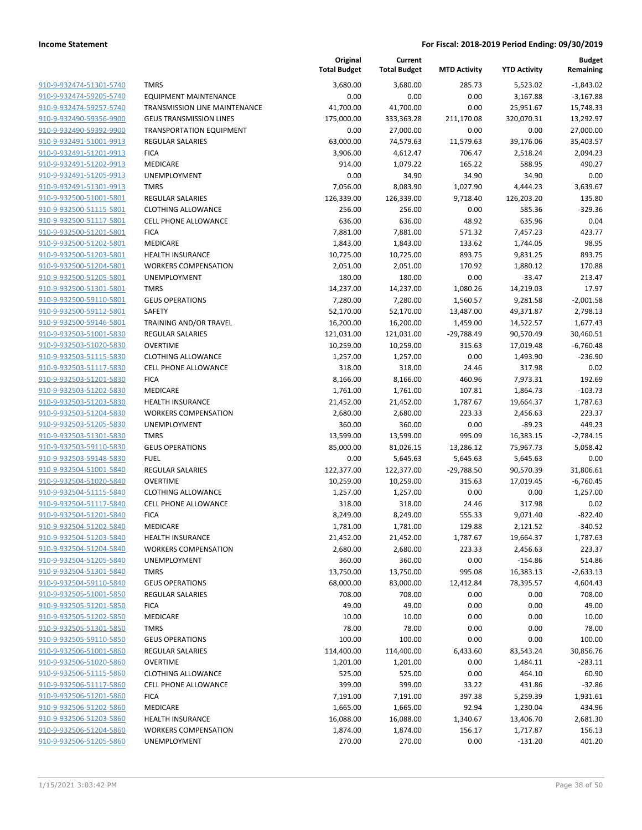|                                                    |                                              | Original<br><b>Total Budget</b> | Current<br><b>Total Budget</b> | <b>MTD Activity</b> | <b>YTD Activity</b>   | <b>Budget</b><br>Remaining |
|----------------------------------------------------|----------------------------------------------|---------------------------------|--------------------------------|---------------------|-----------------------|----------------------------|
| 910-9-932474-51301-5740                            | <b>TMRS</b>                                  | 3,680.00                        | 3,680.00                       | 285.73              | 5,523.02              | $-1,843.02$                |
| 910-9-932474-59205-5740                            | <b>EQUIPMENT MAINTENANCE</b>                 | 0.00                            | 0.00                           | 0.00                | 3,167.88              | $-3,167.88$                |
| 910-9-932474-59257-5740                            | TRANSMISSION LINE MAINTENANCE                | 41,700.00                       | 41,700.00                      | 0.00                | 25,951.67             | 15,748.33                  |
| 910-9-932490-59356-9900                            | <b>GEUS TRANSMISSION LINES</b>               | 175,000.00                      | 333,363.28                     | 211,170.08          | 320,070.31            | 13,292.97                  |
| 910-9-932490-59392-9900                            | TRANSPORTATION EQUIPMENT                     | 0.00                            | 27,000.00                      | 0.00                | 0.00                  | 27,000.00                  |
| 910-9-932491-51001-9913                            | <b>REGULAR SALARIES</b>                      | 63,000.00                       | 74,579.63                      | 11,579.63           | 39,176.06             | 35,403.57                  |
| 910-9-932491-51201-9913                            | <b>FICA</b>                                  | 3,906.00                        | 4,612.47                       | 706.47              | 2,518.24              | 2,094.23                   |
| 910-9-932491-51202-9913                            | <b>MEDICARE</b>                              | 914.00                          | 1,079.22                       | 165.22              | 588.95                | 490.27                     |
| 910-9-932491-51205-9913                            | <b>UNEMPLOYMENT</b>                          | 0.00                            | 34.90                          | 34.90               | 34.90                 | 0.00                       |
| 910-9-932491-51301-9913                            | <b>TMRS</b>                                  | 7,056.00                        | 8,083.90                       | 1,027.90            | 4,444.23              | 3,639.67                   |
| 910-9-932500-51001-5801                            | <b>REGULAR SALARIES</b>                      | 126,339.00                      | 126,339.00                     | 9,718.40            | 126,203.20            | 135.80                     |
| 910-9-932500-51115-5801                            | <b>CLOTHING ALLOWANCE</b>                    | 256.00                          | 256.00                         | 0.00                | 585.36                | $-329.36$                  |
| 910-9-932500-51117-5801                            | <b>CELL PHONE ALLOWANCE</b>                  | 636.00                          | 636.00                         | 48.92               | 635.96                | 0.04                       |
| 910-9-932500-51201-5801                            | <b>FICA</b>                                  | 7,881.00                        | 7,881.00                       | 571.32              | 7,457.23              | 423.77                     |
| 910-9-932500-51202-5801                            | MEDICARE                                     | 1,843.00                        | 1,843.00                       | 133.62              | 1,744.05              | 98.95                      |
| 910-9-932500-51203-5801                            | <b>HEALTH INSURANCE</b>                      | 10,725.00                       | 10,725.00                      | 893.75              | 9,831.25              | 893.75                     |
| 910-9-932500-51204-5801                            | <b>WORKERS COMPENSATION</b>                  | 2,051.00                        | 2,051.00                       | 170.92              | 1,880.12              | 170.88                     |
| 910-9-932500-51205-5801                            | <b>UNEMPLOYMENT</b>                          | 180.00                          | 180.00                         | 0.00                | $-33.47$              | 213.47                     |
| 910-9-932500-51301-5801                            | <b>TMRS</b>                                  | 14,237.00                       | 14,237.00                      | 1,080.26            | 14,219.03             | 17.97                      |
| 910-9-932500-59110-5801                            | <b>GEUS OPERATIONS</b>                       | 7,280.00                        | 7,280.00                       | 1,560.57            | 9,281.58              | $-2,001.58$                |
| 910-9-932500-59112-5801                            | SAFETY                                       | 52,170.00                       | 52,170.00                      | 13,487.00           | 49,371.87             | 2,798.13                   |
| 910-9-932500-59146-5801                            | TRAINING AND/OR TRAVEL                       | 16,200.00                       | 16,200.00                      | 1,459.00            | 14,522.57             | 1,677.43                   |
| 910-9-932503-51001-5830                            | REGULAR SALARIES                             | 121,031.00                      | 121,031.00                     | $-29,788.49$        | 90,570.49             | 30,460.51                  |
| 910-9-932503-51020-5830                            | <b>OVERTIME</b>                              | 10,259.00                       | 10,259.00                      | 315.63              | 17,019.48             | $-6,760.48$                |
| 910-9-932503-51115-5830                            | <b>CLOTHING ALLOWANCE</b>                    | 1,257.00                        | 1,257.00                       | 0.00                | 1,493.90              | $-236.90$                  |
| 910-9-932503-51117-5830                            | <b>CELL PHONE ALLOWANCE</b>                  | 318.00                          | 318.00                         | 24.46               | 317.98                | 0.02                       |
| 910-9-932503-51201-5830                            | <b>FICA</b>                                  | 8,166.00                        | 8,166.00                       | 460.96              | 7,973.31              | 192.69                     |
| 910-9-932503-51202-5830                            | MEDICARE                                     | 1,761.00                        | 1,761.00                       | 107.81              | 1,864.73              | $-103.73$                  |
| 910-9-932503-51203-5830                            | <b>HEALTH INSURANCE</b>                      | 21,452.00                       | 21,452.00                      | 1,787.67            | 19,664.37             | 1,787.63                   |
| 910-9-932503-51204-5830                            | <b>WORKERS COMPENSATION</b>                  | 2,680.00                        | 2,680.00                       | 223.33              | 2,456.63              | 223.37                     |
| 910-9-932503-51205-5830                            | UNEMPLOYMENT                                 | 360.00                          | 360.00                         | 0.00                | $-89.23$              | 449.23                     |
| 910-9-932503-51301-5830                            | <b>TMRS</b>                                  | 13,599.00                       | 13,599.00                      | 995.09              | 16,383.15             | $-2,784.15$                |
| 910-9-932503-59110-5830                            | <b>GEUS OPERATIONS</b>                       | 85,000.00                       | 81,026.15                      | 13,286.12           | 75,967.73             | 5,058.42                   |
| 910-9-932503-59148-5830                            | <b>FUEL</b>                                  | 0.00                            | 5,645.63                       | 5,645.63            | 5,645.63              | 0.00                       |
| 910-9-932504-51001-5840                            | REGULAR SALARIES                             | 122,377.00                      | 122,377.00                     | $-29,788.50$        | 90,570.39             | 31,806.61                  |
| 910-9-932504-51020-5840                            | <b>OVERTIME</b><br><b>CLOTHING ALLOWANCE</b> | 10,259.00                       | 10,259.00                      | 315.63              | 17,019.45             | $-6,760.45$                |
| 910-9-932504-51115-5840                            |                                              | 1,257.00                        | 1,257.00                       | 0.00                | 0.00                  | 1,257.00                   |
| 910-9-932504-51117-5840<br>910-9-932504-51201-5840 | <b>CELL PHONE ALLOWANCE</b><br><b>FICA</b>   | 318.00                          | 318.00                         | 24.46<br>555.33     | 317.98                | 0.02<br>$-822.40$          |
| 910-9-932504-51202-5840                            | <b>MEDICARE</b>                              | 8,249.00<br>1,781.00            | 8,249.00                       | 129.88              | 9,071.40              | $-340.52$                  |
| 910-9-932504-51203-5840                            | <b>HEALTH INSURANCE</b>                      | 21,452.00                       | 1,781.00<br>21,452.00          | 1,787.67            | 2,121.52<br>19,664.37 | 1,787.63                   |
| 910-9-932504-51204-5840                            | <b>WORKERS COMPENSATION</b>                  | 2,680.00                        | 2,680.00                       | 223.33              | 2,456.63              | 223.37                     |
| 910-9-932504-51205-5840                            | <b>UNEMPLOYMENT</b>                          | 360.00                          | 360.00                         | 0.00                | $-154.86$             | 514.86                     |
| 910-9-932504-51301-5840                            | <b>TMRS</b>                                  | 13,750.00                       | 13,750.00                      | 995.08              | 16,383.13             | $-2,633.13$                |
| 910-9-932504-59110-5840                            | <b>GEUS OPERATIONS</b>                       | 68,000.00                       | 83,000.00                      | 12,412.84           | 78,395.57             | 4,604.43                   |
| 910-9-932505-51001-5850                            | REGULAR SALARIES                             | 708.00                          | 708.00                         | 0.00                | 0.00                  | 708.00                     |
| 910-9-932505-51201-5850                            | <b>FICA</b>                                  | 49.00                           | 49.00                          | 0.00                | 0.00                  | 49.00                      |
| 910-9-932505-51202-5850                            | MEDICARE                                     | 10.00                           | 10.00                          | 0.00                | 0.00                  | 10.00                      |
| 910-9-932505-51301-5850                            | <b>TMRS</b>                                  | 78.00                           | 78.00                          | 0.00                | 0.00                  | 78.00                      |
| 910-9-932505-59110-5850                            | <b>GEUS OPERATIONS</b>                       | 100.00                          | 100.00                         | 0.00                | 0.00                  | 100.00                     |
| 910-9-932506-51001-5860                            | REGULAR SALARIES                             | 114,400.00                      | 114,400.00                     | 6,433.60            | 83,543.24             | 30,856.76                  |
| 910-9-932506-51020-5860                            | <b>OVERTIME</b>                              | 1,201.00                        | 1,201.00                       | 0.00                | 1,484.11              | $-283.11$                  |
| 910-9-932506-51115-5860                            | <b>CLOTHING ALLOWANCE</b>                    | 525.00                          | 525.00                         | 0.00                | 464.10                | 60.90                      |
| 910-9-932506-51117-5860                            | <b>CELL PHONE ALLOWANCE</b>                  | 399.00                          | 399.00                         | 33.22               | 431.86                | $-32.86$                   |
| 910-9-932506-51201-5860                            | <b>FICA</b>                                  | 7,191.00                        | 7,191.00                       | 397.38              | 5,259.39              | 1,931.61                   |
| 910-9-932506-51202-5860                            | MEDICARE                                     | 1,665.00                        | 1,665.00                       | 92.94               | 1,230.04              | 434.96                     |
| 910-9-932506-51203-5860                            | <b>HEALTH INSURANCE</b>                      | 16,088.00                       | 16,088.00                      | 1,340.67            | 13,406.70             | 2,681.30                   |
| 910-9-932506-51204-5860                            | <b>WORKERS COMPENSATION</b>                  | 1,874.00                        | 1,874.00                       | 156.17              | 1,717.87              | 156.13                     |
| 910-9-932506-51205-5860                            | UNEMPLOYMENT                                 | 270.00                          | 270.00                         | 0.00                | $-131.20$             | 401.20                     |
|                                                    |                                              |                                 |                                |                     |                       |                            |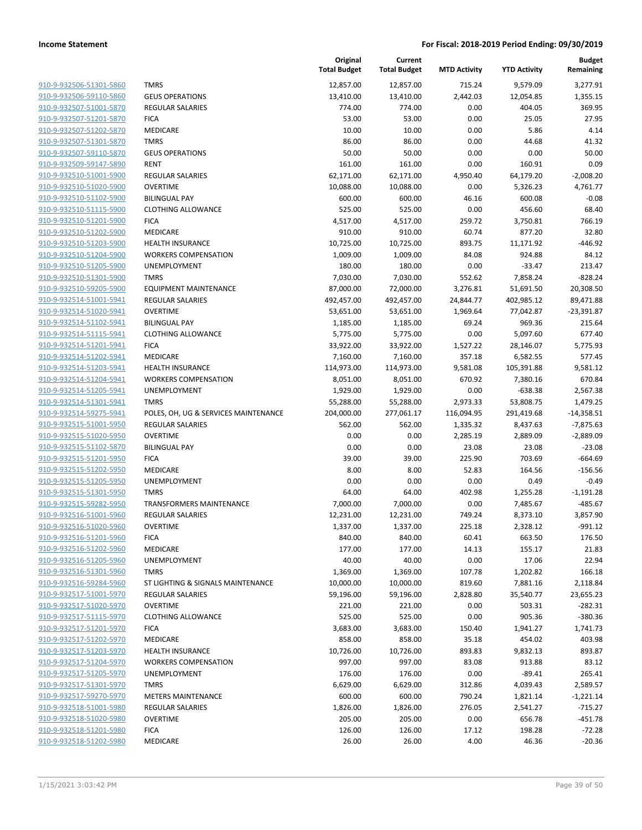| 910-9-932506-51301-5860        |
|--------------------------------|
| 910-9-932506-59110-5860        |
| 910-9-932507-51001-5870        |
| 910-9-932507-51201-5870        |
| 910-9-932507-51202-5870        |
| 910-9-932507-51301-5870        |
| 910-9-932507-59110-5870        |
| <u>910-9-932509-59147-5890</u> |
| 910-9-932510-51001-5900        |
| 910-9-932510-51020-5900        |
| 910-9-932510-51102-5900        |
| 910-9-932510-51115-5900        |
| 910-9-932510-51201-5900        |
| 910-9-932510-51202-5900        |
| 910-9-932510-51203-5900        |
| 910-9-932510-51204-5900        |
| 910-9-932510-51205-5900        |
| 910-9-932510-51301-5900        |
| 910-9-932510-59205-5900        |
| 910-9-932514-51001-5941        |
| 910-9-932514-51020-5941        |
| 910-9-932514-51102-5941        |
| 910-9-932514-51115-5941        |
| 910-9-932514-51201-5941        |
| 910-9-932514-51202-5941        |
| 910-9-932514-51203-5941        |
| 910-9-932514-51204-5941        |
| 910-9-932514-51205-5941        |
| 910-9-932514-51301-5941        |
| 910-9-932514-59275-5941        |
| 910-9-932515-51001-5950        |
| 910-9-932515-51020-5950        |
| 910-9-932515-51102-5870        |
| 910-9-932515-51201-5950        |
| 910-9-932515-51202-5950        |
| 910-9-932515-51205-5950        |
| 910-9-932515-51301-5950        |
| 910-9-932515-59282-5950        |
| 910-9-932516-51001-5960        |
| 910-9-932516-51020-5960        |
| 910-9-932516-51201-5960        |
| 910-9-932516-51202-5960        |
| 910-9-932516-51205-5960        |
| 910-9-932516-51301-5960        |
| 910-9-932516-59284-5960        |
| 910-9-932517-51001-5970        |
| 910-9-932517-51020-5970        |
| 910-9-932517-51115-5970        |
| 910-9-932517-51201-5970        |
| 910-9-932517-51202-5970        |
| 910-9-932517-51203-5970        |
| 910-9-932517-51204-5970        |
| 910-9-932517-51205-5970        |
| 910-9-932517-51301-5970        |
| 910-9-932517-59270-5970        |
| 910-9-932518-51001-5980        |
| 910-9-932518-51020-5980        |
| 910-9-932518-51201-5980        |
| 910-9-932518-51202-5980        |
|                                |

|                         |                                      | Original<br><b>Total Budget</b> | Current<br><b>Total Budget</b> | <b>MTD Activity</b> | <b>YTD Activity</b> | <b>Budget</b><br>Remaining |
|-------------------------|--------------------------------------|---------------------------------|--------------------------------|---------------------|---------------------|----------------------------|
| 910-9-932506-51301-5860 | <b>TMRS</b>                          | 12,857.00                       | 12,857.00                      | 715.24              | 9,579.09            | 3,277.91                   |
| 910-9-932506-59110-5860 | <b>GEUS OPERATIONS</b>               | 13,410.00                       | 13,410.00                      | 2,442.03            | 12,054.85           | 1,355.15                   |
| 910-9-932507-51001-5870 | REGULAR SALARIES                     | 774.00                          | 774.00                         | 0.00                | 404.05              | 369.95                     |
| 910-9-932507-51201-5870 | <b>FICA</b>                          | 53.00                           | 53.00                          | 0.00                | 25.05               | 27.95                      |
| 910-9-932507-51202-5870 | MEDICARE                             | 10.00                           | 10.00                          | 0.00                | 5.86                | 4.14                       |
| 910-9-932507-51301-5870 | <b>TMRS</b>                          | 86.00                           | 86.00                          | 0.00                | 44.68               | 41.32                      |
| 910-9-932507-59110-5870 | <b>GEUS OPERATIONS</b>               | 50.00                           | 50.00                          | 0.00                | 0.00                | 50.00                      |
| 910-9-932509-59147-5890 | <b>RENT</b>                          | 161.00                          | 161.00                         | 0.00                | 160.91              | 0.09                       |
| 910-9-932510-51001-5900 | REGULAR SALARIES                     | 62,171.00                       | 62,171.00                      | 4,950.40            | 64,179.20           | $-2,008.20$                |
| 910-9-932510-51020-5900 | <b>OVERTIME</b>                      | 10,088.00                       | 10,088.00                      | 0.00                | 5,326.23            | 4.761.77                   |
| 910-9-932510-51102-5900 | <b>BILINGUAL PAY</b>                 | 600.00                          | 600.00                         | 46.16               | 600.08              | $-0.08$                    |
| 910-9-932510-51115-5900 | <b>CLOTHING ALLOWANCE</b>            | 525.00                          | 525.00                         | 0.00                | 456.60              | 68.40                      |
| 910-9-932510-51201-5900 | <b>FICA</b>                          | 4,517.00                        | 4,517.00                       | 259.72              | 3,750.81            | 766.19                     |
| 910-9-932510-51202-5900 | MEDICARE                             | 910.00                          | 910.00                         | 60.74               | 877.20              | 32.80                      |
| 910-9-932510-51203-5900 | <b>HEALTH INSURANCE</b>              | 10,725.00                       | 10,725.00                      | 893.75              | 11,171.92           | $-446.92$                  |
| 910-9-932510-51204-5900 | <b>WORKERS COMPENSATION</b>          | 1,009.00                        | 1,009.00                       | 84.08               | 924.88              | 84.12                      |
| 910-9-932510-51205-5900 | <b>UNEMPLOYMENT</b>                  | 180.00                          | 180.00                         | 0.00                | $-33.47$            | 213.47                     |
| 910-9-932510-51301-5900 | <b>TMRS</b>                          | 7,030.00                        | 7,030.00                       | 552.62              | 7,858.24            | $-828.24$                  |
| 910-9-932510-59205-5900 | <b>EQUIPMENT MAINTENANCE</b>         | 87,000.00                       | 72,000.00                      | 3,276.81            | 51,691.50           | 20,308.50                  |
| 910-9-932514-51001-5941 | REGULAR SALARIES                     | 492,457.00                      | 492,457.00                     | 24,844.77           | 402,985.12          | 89,471.88                  |
| 910-9-932514-51020-5941 | <b>OVERTIME</b>                      | 53,651.00                       | 53,651.00                      | 1,969.64            | 77,042.87           | $-23,391.87$               |
| 910-9-932514-51102-5941 | <b>BILINGUAL PAY</b>                 | 1,185.00                        | 1,185.00                       | 69.24               | 969.36              | 215.64                     |
| 910-9-932514-51115-5941 | <b>CLOTHING ALLOWANCE</b>            | 5,775.00                        | 5,775.00                       | 0.00                | 5,097.60            | 677.40                     |
| 910-9-932514-51201-5941 | <b>FICA</b>                          | 33,922.00                       | 33,922.00                      | 1,527.22            | 28,146.07           | 5,775.93                   |
| 910-9-932514-51202-5941 | MEDICARE                             | 7,160.00                        | 7,160.00                       | 357.18              | 6,582.55            | 577.45                     |
| 910-9-932514-51203-5941 | <b>HEALTH INSURANCE</b>              | 114,973.00                      | 114,973.00                     | 9,581.08            | 105,391.88          | 9,581.12                   |
| 910-9-932514-51204-5941 | <b>WORKERS COMPENSATION</b>          | 8,051.00                        | 8,051.00                       | 670.92              | 7,380.16            | 670.84                     |
| 910-9-932514-51205-5941 | UNEMPLOYMENT                         | 1,929.00                        | 1,929.00                       | 0.00                | $-638.38$           | 2,567.38                   |
| 910-9-932514-51301-5941 | <b>TMRS</b>                          | 55,288.00                       | 55,288.00                      | 2,973.33            | 53,808.75           | 1,479.25                   |
| 910-9-932514-59275-5941 | POLES, OH, UG & SERVICES MAINTENANCE | 204,000.00                      | 277,061.17                     | 116,094.95          | 291,419.68          | $-14,358.51$               |
| 910-9-932515-51001-5950 | REGULAR SALARIES                     | 562.00                          | 562.00                         | 1,335.32            | 8,437.63            | $-7,875.63$                |
| 910-9-932515-51020-5950 | <b>OVERTIME</b>                      | 0.00                            | 0.00                           | 2,285.19            | 2,889.09            | $-2,889.09$                |
| 910-9-932515-51102-5870 | <b>BILINGUAL PAY</b>                 | 0.00                            | 0.00                           | 23.08               | 23.08               | $-23.08$                   |
| 910-9-932515-51201-5950 | <b>FICA</b>                          | 39.00                           | 39.00                          | 225.90              | 703.69              | $-664.69$                  |
| 910-9-932515-51202-5950 | MEDICARE                             | 8.00                            | 8.00                           | 52.83               | 164.56              | $-156.56$                  |
| 910-9-932515-51205-5950 | <b>UNEMPLOYMENT</b>                  | 0.00                            | 0.00                           | 0.00                | 0.49                | $-0.49$                    |
| 910-9-932515-51301-5950 | <b>TMRS</b>                          | 64.00                           | 64.00                          | 402.98              | 1,255.28            | $-1,191.28$                |
| 910-9-932515-59282-5950 | TRANSFORMERS MAINTENANCE             | 7,000.00                        | 7,000.00                       | 0.00                | 7,485.67            | $-485.67$                  |
| 910-9-932516-51001-5960 | <b>REGULAR SALARIES</b>              | 12,231.00                       | 12,231.00                      | 749.24              | 8,373.10            | 3,857.90                   |
| 910-9-932516-51020-5960 | <b>OVERTIME</b>                      | 1,337.00                        | 1,337.00                       | 225.18              | 2,328.12            | $-991.12$                  |
| 910-9-932516-51201-5960 | <b>FICA</b>                          | 840.00                          | 840.00                         | 60.41               | 663.50              | 176.50                     |
| 910-9-932516-51202-5960 | <b>MEDICARE</b>                      | 177.00                          | 177.00                         | 14.13               | 155.17              | 21.83                      |
| 910-9-932516-51205-5960 | UNEMPLOYMENT                         | 40.00                           | 40.00                          | 0.00                | 17.06               | 22.94                      |
| 910-9-932516-51301-5960 | <b>TMRS</b>                          | 1,369.00                        | 1,369.00                       | 107.78              | 1,202.82            | 166.18                     |
| 910-9-932516-59284-5960 | ST LIGHTING & SIGNALS MAINTENANCE    | 10,000.00                       | 10,000.00                      | 819.60              | 7,881.16            | 2,118.84                   |
| 910-9-932517-51001-5970 | <b>REGULAR SALARIES</b>              | 59,196.00                       | 59,196.00                      | 2,828.80            | 35,540.77           | 23,655.23                  |
| 910-9-932517-51020-5970 | <b>OVERTIME</b>                      | 221.00                          | 221.00                         | 0.00                | 503.31              | $-282.31$                  |
| 910-9-932517-51115-5970 | <b>CLOTHING ALLOWANCE</b>            | 525.00                          | 525.00                         | 0.00                | 905.36              | $-380.36$                  |
| 910-9-932517-51201-5970 | <b>FICA</b>                          | 3,683.00                        | 3,683.00                       | 150.40              | 1,941.27            | 1,741.73                   |
| 910-9-932517-51202-5970 | MEDICARE                             | 858.00                          | 858.00                         | 35.18               | 454.02              | 403.98                     |
| 910-9-932517-51203-5970 | HEALTH INSURANCE                     | 10,726.00                       | 10,726.00                      | 893.83              | 9,832.13            | 893.87                     |
| 910-9-932517-51204-5970 | <b>WORKERS COMPENSATION</b>          | 997.00                          | 997.00                         | 83.08               | 913.88              | 83.12                      |
| 910-9-932517-51205-5970 | <b>UNEMPLOYMENT</b>                  | 176.00                          | 176.00                         | 0.00                | $-89.41$            | 265.41                     |
| 910-9-932517-51301-5970 | <b>TMRS</b>                          | 6,629.00                        | 6,629.00                       | 312.86              | 4,039.43            | 2,589.57                   |
| 910-9-932517-59270-5970 | <b>METERS MAINTENANCE</b>            | 600.00                          | 600.00                         | 790.24              | 1,821.14            | $-1,221.14$                |
| 910-9-932518-51001-5980 | <b>REGULAR SALARIES</b>              | 1,826.00                        | 1,826.00                       | 276.05              | 2,541.27            | $-715.27$                  |
| 910-9-932518-51020-5980 | <b>OVERTIME</b>                      | 205.00                          | 205.00                         | 0.00                | 656.78              | -451.78                    |
| 910-9-932518-51201-5980 | <b>FICA</b>                          | 126.00                          | 126.00                         | 17.12               | 198.28              | $-72.28$                   |
| 910-9-932518-51202-5980 | MEDICARE                             | 26.00                           | 26.00                          | 4.00                | 46.36               | $-20.36$                   |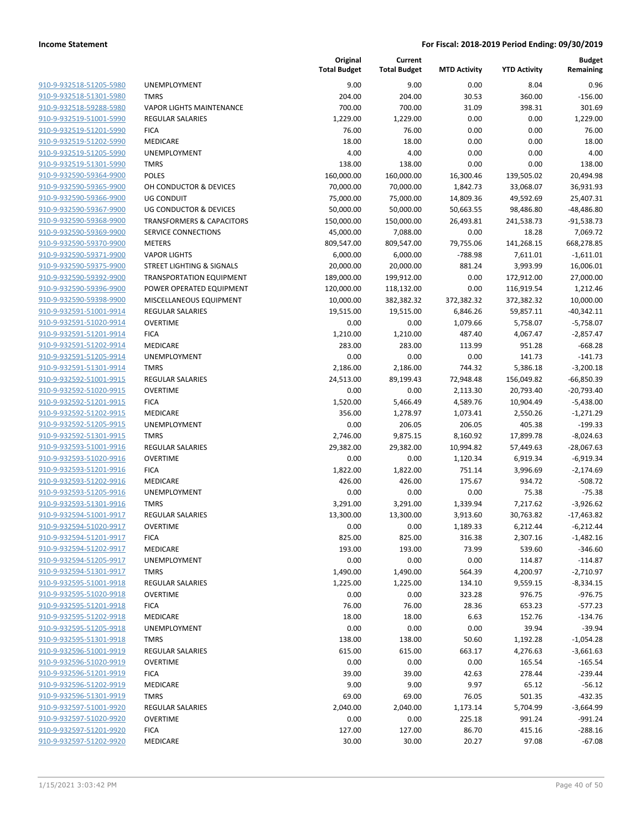|                         |                                      | Original<br><b>Total Budget</b> | Current<br><b>Total Budget</b> | <b>MTD Activity</b> | <b>YTD Activity</b> | Budget<br>Remaining |
|-------------------------|--------------------------------------|---------------------------------|--------------------------------|---------------------|---------------------|---------------------|
| 910-9-932518-51205-5980 | <b>UNEMPLOYMENT</b>                  | 9.00                            | 9.00                           | 0.00                | 8.04                | 0.96                |
| 910-9-932518-51301-5980 | <b>TMRS</b>                          | 204.00                          | 204.00                         | 30.53               | 360.00              | $-156.00$           |
| 910-9-932518-59288-5980 | <b>VAPOR LIGHTS MAINTENANCE</b>      | 700.00                          | 700.00                         | 31.09               | 398.31              | 301.69              |
| 910-9-932519-51001-5990 | REGULAR SALARIES                     | 1,229.00                        | 1,229.00                       | 0.00                | 0.00                | 1,229.00            |
| 910-9-932519-51201-5990 | <b>FICA</b>                          | 76.00                           | 76.00                          | 0.00                | 0.00                | 76.00               |
| 910-9-932519-51202-5990 | MEDICARE                             | 18.00                           | 18.00                          | 0.00                | 0.00                | 18.00               |
| 910-9-932519-51205-5990 | <b>UNEMPLOYMENT</b>                  | 4.00                            | 4.00                           | 0.00                | 0.00                | 4.00                |
| 910-9-932519-51301-5990 | <b>TMRS</b>                          | 138.00                          | 138.00                         | 0.00                | 0.00                | 138.00              |
| 910-9-932590-59364-9900 | <b>POLES</b>                         | 160,000.00                      | 160,000.00                     | 16,300.46           | 139,505.02          | 20,494.98           |
| 910-9-932590-59365-9900 | OH CONDUCTOR & DEVICES               | 70,000.00                       | 70,000.00                      | 1,842.73            | 33,068.07           | 36,931.93           |
| 910-9-932590-59366-9900 | UG CONDUIT                           | 75,000.00                       | 75,000.00                      | 14,809.36           | 49,592.69           | 25,407.31           |
| 910-9-932590-59367-9900 | <b>UG CONDUCTOR &amp; DEVICES</b>    | 50,000.00                       | 50,000.00                      | 50,663.55           | 98,486.80           | $-48,486.80$        |
| 910-9-932590-59368-9900 | <b>TRANSFORMERS &amp; CAPACITORS</b> | 150,000.00                      | 150,000.00                     | 26,493.81           | 241,538.73          | $-91,538.73$        |
| 910-9-932590-59369-9900 | SERVICE CONNECTIONS                  | 45,000.00                       | 7,088.00                       | 0.00                | 18.28               | 7,069.72            |
| 910-9-932590-59370-9900 | <b>METERS</b>                        | 809,547.00                      | 809,547.00                     | 79,755.06           | 141,268.15          | 668,278.85          |
| 910-9-932590-59371-9900 | <b>VAPOR LIGHTS</b>                  | 6,000.00                        | 6,000.00                       | $-788.98$           | 7,611.01            | $-1,611.01$         |
| 910-9-932590-59375-9900 | <b>STREET LIGHTING &amp; SIGNALS</b> | 20,000.00                       | 20,000.00                      | 881.24              | 3,993.99            | 16,006.01           |
| 910-9-932590-59392-9900 | <b>TRANSPORTATION EQUIPMENT</b>      | 189,000.00                      | 199,912.00                     | 0.00                | 172,912.00          | 27,000.00           |
| 910-9-932590-59396-9900 | POWER OPERATED EQUIPMENT             | 120,000.00                      | 118,132.00                     | 0.00                | 116,919.54          | 1,212.46            |
| 910-9-932590-59398-9900 | MISCELLANEOUS EQUIPMENT              | 10,000.00                       | 382,382.32                     | 372,382.32          | 372,382.32          | 10,000.00           |
| 910-9-932591-51001-9914 | <b>REGULAR SALARIES</b>              | 19,515.00                       | 19,515.00                      | 6,846.26            | 59,857.11           | $-40,342.11$        |
| 910-9-932591-51020-9914 | <b>OVERTIME</b>                      | 0.00                            | 0.00                           | 1,079.66            | 5,758.07            | $-5,758.07$         |
| 910-9-932591-51201-9914 | <b>FICA</b>                          | 1,210.00                        | 1,210.00                       | 487.40              | 4,067.47            | $-2,857.47$         |
| 910-9-932591-51202-9914 | MEDICARE                             | 283.00                          | 283.00                         | 113.99              | 951.28              | $-668.28$           |
| 910-9-932591-51205-9914 | UNEMPLOYMENT                         | 0.00                            | 0.00                           | 0.00                | 141.73              | $-141.73$           |
| 910-9-932591-51301-9914 | <b>TMRS</b>                          | 2,186.00                        | 2,186.00                       | 744.32              | 5,386.18            | $-3,200.18$         |
| 910-9-932592-51001-9915 | REGULAR SALARIES                     | 24,513.00                       | 89,199.43                      | 72,948.48           | 156,049.82          | $-66,850.39$        |
| 910-9-932592-51020-9915 | <b>OVERTIME</b>                      | 0.00                            | 0.00                           | 2,113.30            | 20,793.40           | $-20,793.40$        |
| 910-9-932592-51201-9915 | <b>FICA</b>                          | 1,520.00                        | 5,466.49                       | 4,589.76            | 10,904.49           | $-5,438.00$         |
| 910-9-932592-51202-9915 | MEDICARE                             | 356.00                          | 1,278.97                       | 1,073.41            | 2,550.26            | $-1,271.29$         |
| 910-9-932592-51205-9915 | <b>UNEMPLOYMENT</b>                  | 0.00                            | 206.05                         | 206.05              | 405.38              | $-199.33$           |
| 910-9-932592-51301-9915 | <b>TMRS</b>                          | 2,746.00                        | 9,875.15                       | 8,160.92            | 17,899.78           | $-8,024.63$         |
| 910-9-932593-51001-9916 | REGULAR SALARIES                     | 29,382.00                       | 29,382.00                      | 10,994.82           | 57,449.63           | $-28,067.63$        |
| 910-9-932593-51020-9916 | <b>OVERTIME</b>                      | 0.00                            | 0.00                           | 1,120.34            | 6,919.34            | $-6,919.34$         |
| 910-9-932593-51201-9916 | <b>FICA</b>                          | 1,822.00                        | 1,822.00                       | 751.14              | 3,996.69            | $-2,174.69$         |
| 910-9-932593-51202-9916 | MEDICARE                             | 426.00                          | 426.00                         | 175.67              | 934.72              | $-508.72$           |
| 910-9-932593-51205-9916 | UNEMPLOYMENT                         | 0.00                            | 0.00                           | 0.00                | 75.38               | $-75.38$            |
| 910-9-932593-51301-9916 | <b>TMRS</b>                          | 3,291.00                        | 3,291.00                       | 1,339.94            | 7,217.62            | $-3,926.62$         |
| 910-9-932594-51001-9917 | <b>REGULAR SALARIES</b>              | 13,300.00                       | 13,300.00                      | 3,913.60            | 30,763.82           | $-17,463.82$        |
| 910-9-932594-51020-9917 | OVERTIME                             | 0.00                            | 0.00                           | 1,189.33            | 6,212.44            | -6,212.44           |
| 910-9-932594-51201-9917 | <b>FICA</b>                          | 825.00                          | 825.00                         | 316.38              | 2,307.16            | $-1,482.16$         |
| 910-9-932594-51202-9917 | MEDICARE                             | 193.00                          | 193.00                         | 73.99               | 539.60              | $-346.60$           |
| 910-9-932594-51205-9917 | UNEMPLOYMENT                         | 0.00                            | 0.00                           | 0.00                | 114.87              | $-114.87$           |
| 910-9-932594-51301-9917 | <b>TMRS</b>                          | 1,490.00                        | 1,490.00                       | 564.39              | 4,200.97            | $-2,710.97$         |
| 910-9-932595-51001-9918 | <b>REGULAR SALARIES</b>              | 1,225.00                        | 1,225.00                       | 134.10              | 9,559.15            | $-8,334.15$         |
| 910-9-932595-51020-9918 | <b>OVERTIME</b>                      | 0.00                            | 0.00                           | 323.28              | 976.75              | $-976.75$           |
| 910-9-932595-51201-9918 | <b>FICA</b>                          | 76.00                           | 76.00                          | 28.36               | 653.23              | $-577.23$           |
| 910-9-932595-51202-9918 | MEDICARE                             | 18.00                           | 18.00                          | 6.63                | 152.76              | $-134.76$           |
| 910-9-932595-51205-9918 | UNEMPLOYMENT                         | 0.00                            | 0.00                           | 0.00                | 39.94               | $-39.94$            |
| 910-9-932595-51301-9918 | <b>TMRS</b>                          | 138.00                          | 138.00                         | 50.60               | 1,192.28            | $-1,054.28$         |
| 910-9-932596-51001-9919 | REGULAR SALARIES                     | 615.00                          | 615.00                         | 663.17              | 4,276.63            | $-3,661.63$         |
| 910-9-932596-51020-9919 | <b>OVERTIME</b>                      | 0.00                            | 0.00                           | 0.00                | 165.54              | $-165.54$           |
| 910-9-932596-51201-9919 | <b>FICA</b>                          | 39.00                           | 39.00                          | 42.63               | 278.44              | $-239.44$           |
| 910-9-932596-51202-9919 | MEDICARE                             | 9.00                            | 9.00                           | 9.97                | 65.12               | $-56.12$            |
| 910-9-932596-51301-9919 | <b>TMRS</b>                          | 69.00                           | 69.00                          | 76.05               | 501.35              | $-432.35$           |
| 910-9-932597-51001-9920 | <b>REGULAR SALARIES</b>              | 2,040.00                        | 2,040.00                       | 1,173.14            | 5,704.99            | $-3,664.99$         |
| 910-9-932597-51020-9920 | <b>OVERTIME</b>                      | 0.00                            | 0.00                           | 225.18              | 991.24              | $-991.24$           |
| 910-9-932597-51201-9920 | <b>FICA</b>                          | 127.00                          | 127.00                         | 86.70               | 415.16              | $-288.16$           |
| 910-9-932597-51202-9920 | MEDICARE                             | 30.00                           | 30.00                          | 20.27               | 97.08               | $-67.08$            |
|                         |                                      |                                 |                                |                     |                     |                     |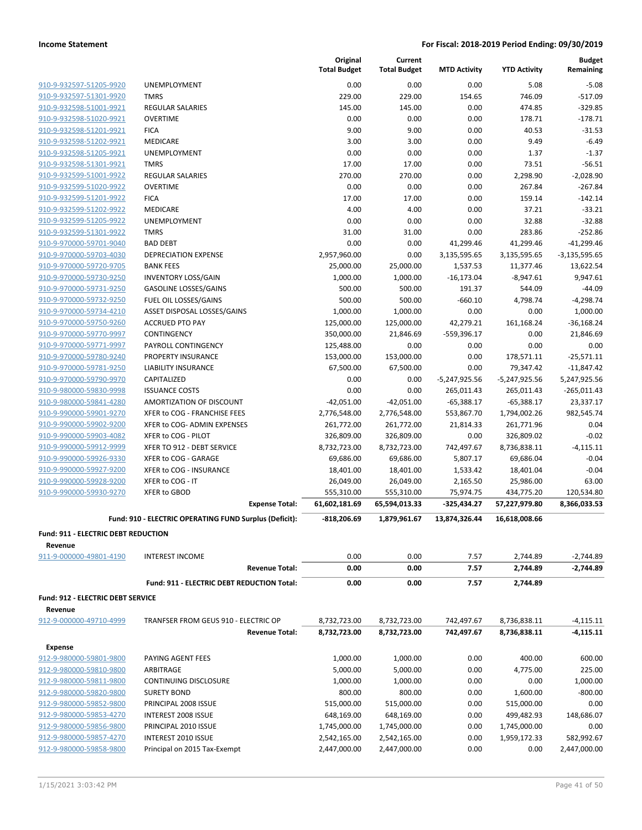|                                                       |                                                        | Original<br><b>Total Budget</b> | Current<br><b>Total Budget</b> | <b>MTD Activity</b>  | <b>YTD Activity</b>    | <b>Budget</b><br>Remaining |
|-------------------------------------------------------|--------------------------------------------------------|---------------------------------|--------------------------------|----------------------|------------------------|----------------------------|
| 910-9-932597-51205-9920                               | <b>UNEMPLOYMENT</b>                                    | 0.00                            | 0.00                           | 0.00                 | 5.08                   | $-5.08$                    |
| 910-9-932597-51301-9920                               | <b>TMRS</b>                                            | 229.00                          | 229.00                         | 154.65               | 746.09                 | $-517.09$                  |
| 910-9-932598-51001-9921                               | <b>REGULAR SALARIES</b>                                | 145.00                          | 145.00                         | 0.00                 | 474.85                 | $-329.85$                  |
| 910-9-932598-51020-9921                               | <b>OVERTIME</b>                                        | 0.00                            | 0.00                           | 0.00                 | 178.71                 | $-178.71$                  |
| 910-9-932598-51201-9921                               | <b>FICA</b>                                            | 9.00                            | 9.00                           | 0.00                 | 40.53                  | $-31.53$                   |
| 910-9-932598-51202-9921                               | MEDICARE                                               | 3.00                            | 3.00                           | 0.00                 | 9.49                   | $-6.49$                    |
| 910-9-932598-51205-9921                               | <b>UNEMPLOYMENT</b>                                    | 0.00                            | 0.00                           | 0.00                 | 1.37                   | $-1.37$                    |
| 910-9-932598-51301-9921                               | <b>TMRS</b>                                            | 17.00                           | 17.00                          | 0.00                 | 73.51                  | $-56.51$                   |
| 910-9-932599-51001-9922                               | <b>REGULAR SALARIES</b>                                | 270.00                          | 270.00                         | 0.00                 | 2,298.90               | $-2,028.90$                |
| 910-9-932599-51020-9922                               | <b>OVERTIME</b>                                        | 0.00                            | 0.00                           | 0.00                 | 267.84                 | $-267.84$                  |
| 910-9-932599-51201-9922                               | <b>FICA</b>                                            | 17.00                           | 17.00                          | 0.00                 | 159.14                 | $-142.14$                  |
| 910-9-932599-51202-9922                               | MEDICARE                                               | 4.00                            | 4.00                           | 0.00                 | 37.21                  | $-33.21$                   |
| 910-9-932599-51205-9922                               | UNEMPLOYMENT                                           | 0.00                            | 0.00                           | 0.00                 | 32.88                  | $-32.88$                   |
| 910-9-932599-51301-9922                               | <b>TMRS</b>                                            | 31.00                           | 31.00                          | 0.00                 | 283.86                 | $-252.86$                  |
| 910-9-970000-59701-9040                               | <b>BAD DEBT</b>                                        | 0.00                            | 0.00                           | 41,299.46            | 41,299.46              | $-41,299.46$               |
| 910-9-970000-59703-4030                               | DEPRECIATION EXPENSE                                   | 2,957,960.00                    | 0.00                           | 3,135,595.65         | 3,135,595.65           | $-3,135,595.65$            |
| 910-9-970000-59720-9705                               | <b>BANK FEES</b>                                       | 25,000.00                       | 25,000.00                      | 1,537.53             | 11,377.46              | 13,622.54                  |
| 910-9-970000-59730-9250                               | <b>INVENTORY LOSS/GAIN</b>                             | 1,000.00                        | 1,000.00                       | $-16,173.04$         | $-8,947.61$            | 9,947.61                   |
| 910-9-970000-59731-9250                               | <b>GASOLINE LOSSES/GAINS</b>                           | 500.00                          | 500.00                         | 191.37               | 544.09                 | $-44.09$                   |
| 910-9-970000-59732-9250                               | FUEL OIL LOSSES/GAINS                                  | 500.00                          | 500.00                         | $-660.10$            | 4,798.74               | $-4,298.74$                |
| 910-9-970000-59734-4210                               | ASSET DISPOSAL LOSSES/GAINS                            | 1,000.00                        | 1,000.00                       | 0.00                 | 0.00                   | 1,000.00                   |
| 910-9-970000-59750-9260                               | <b>ACCRUED PTO PAY</b>                                 | 125,000.00                      | 125,000.00                     | 42,279.21            | 161,168.24             | $-36,168.24$               |
| 910-9-970000-59770-9997                               | CONTINGENCY                                            | 350,000.00                      | 21,846.69                      | $-559,396.17$        | 0.00                   | 21,846.69                  |
| 910-9-970000-59771-9997                               | PAYROLL CONTINGENCY                                    | 125,488.00                      | 0.00                           | 0.00                 | 0.00                   | 0.00                       |
| 910-9-970000-59780-9240                               | <b>PROPERTY INSURANCE</b>                              | 153,000.00                      | 153,000.00                     | 0.00                 | 178,571.11             | $-25,571.11$               |
| 910-9-970000-59781-9250                               | LIABILITY INSURANCE                                    | 67,500.00                       | 67,500.00                      | 0.00                 | 79,347.42              | $-11,847.42$               |
| 910-9-970000-59790-9970                               | CAPITALIZED                                            | 0.00                            | 0.00                           | $-5,247,925.56$      | $-5,247,925.56$        | 5,247,925.56               |
| 910-9-980000-59830-9998                               | <b>ISSUANCE COSTS</b>                                  | 0.00                            | 0.00                           | 265,011.43           | 265,011.43             | $-265,011.43$              |
| 910-9-980000-59841-4280                               | AMORTIZATION OF DISCOUNT                               | -42,051.00                      | $-42,051.00$                   | $-65,388.17$         | $-65,388.17$           | 23,337.17                  |
| 910-9-990000-59901-9270                               | XFER to COG - FRANCHISE FEES                           | 2,776,548.00                    | 2,776,548.00                   | 553,867.70           | 1,794,002.26           | 982,545.74                 |
| 910-9-990000-59902-9200                               | XFER to COG- ADMIN EXPENSES                            | 261,772.00                      | 261,772.00                     | 21,814.33            | 261,771.96             | 0.04                       |
| 910-9-990000-59903-4082                               | XFER to COG - PILOT                                    | 326,809.00                      | 326,809.00                     | 0.00                 | 326,809.02             | $-0.02$                    |
| 910-9-990000-59912-9999                               | XFER TO 912 - DEBT SERVICE                             | 8,732,723.00                    | 8,732,723.00                   | 742,497.67           | 8,736,838.11           | $-4,115.11$                |
| 910-9-990000-59926-9330                               | XFER to COG - GARAGE<br>XFER to COG - INSURANCE        | 69,686.00                       | 69,686.00                      | 5,807.17             | 69,686.04              | $-0.04$<br>$-0.04$         |
| 910-9-990000-59927-9200<br>910-9-990000-59928-9200    | XFER to COG - IT                                       | 18,401.00<br>26,049.00          | 18,401.00<br>26,049.00         | 1,533.42<br>2,165.50 | 18,401.04<br>25,986.00 | 63.00                      |
| 910-9-990000-59930-9270                               | <b>XFER to GBOD</b>                                    | 555,310.00                      | 555,310.00                     | 75,974.75            | 434,775.20             | 120,534.80                 |
|                                                       | <b>Expense Total:</b>                                  | 61,602,181.69                   | 65,594,013.33                  | -325,434.27          | 57,227,979.80          | 8,366,033.53               |
|                                                       |                                                        |                                 |                                |                      |                        |                            |
|                                                       | Fund: 910 - ELECTRIC OPERATING FUND Surplus (Deficit): | $-818,206.69$                   | 1,879,961.67                   | 13,874,326.44        | 16,618,008.66          |                            |
| <b>Fund: 911 - ELECTRIC DEBT REDUCTION</b><br>Revenue |                                                        |                                 |                                |                      |                        |                            |
| 911-9-000000-49801-4190                               | <b>INTEREST INCOME</b>                                 | 0.00                            | 0.00                           | 7.57                 | 2,744.89               | $-2,744.89$                |
|                                                       | <b>Revenue Total:</b>                                  | 0.00                            | 0.00                           | 7.57                 | 2,744.89               | $-2,744.89$                |
|                                                       | Fund: 911 - ELECTRIC DEBT REDUCTION Total:             | 0.00                            | 0.00                           | 7.57                 |                        |                            |
|                                                       |                                                        |                                 |                                |                      | 2,744.89               |                            |
| Fund: 912 - ELECTRIC DEBT SERVICE<br>Revenue          |                                                        |                                 |                                |                      |                        |                            |
| 912-9-000000-49710-4999                               | TRANFSER FROM GEUS 910 - ELECTRIC OP                   | 8,732,723.00                    | 8,732,723.00                   | 742,497.67           | 8,736,838.11           | $-4,115.11$                |
|                                                       | <b>Revenue Total:</b>                                  | 8,732,723.00                    | 8,732,723.00                   | 742,497.67           | 8,736,838.11           | $-4,115.11$                |
| <b>Expense</b>                                        |                                                        |                                 |                                |                      |                        |                            |
| 912-9-980000-59801-9800                               | PAYING AGENT FEES                                      | 1,000.00                        | 1,000.00                       | 0.00                 | 400.00                 | 600.00                     |
| 912-9-980000-59810-9800                               | ARBITRAGE                                              | 5,000.00                        | 5,000.00                       | 0.00                 | 4,775.00               | 225.00                     |
| 912-9-980000-59811-9800                               | <b>CONTINUING DISCLOSURE</b>                           | 1,000.00                        | 1,000.00                       | 0.00                 | 0.00                   | 1,000.00                   |
| 912-9-980000-59820-9800                               | <b>SURETY BOND</b>                                     | 800.00                          | 800.00                         | 0.00                 | 1,600.00               | $-800.00$                  |
| 912-9-980000-59852-9800                               | PRINCIPAL 2008 ISSUE                                   | 515,000.00                      | 515,000.00                     | 0.00                 | 515,000.00             | 0.00                       |
| 912-9-980000-59853-4270                               | INTEREST 2008 ISSUE                                    | 648,169.00                      | 648,169.00                     | 0.00                 | 499,482.93             | 148,686.07                 |
| 912-9-980000-59856-9800                               | PRINCIPAL 2010 ISSUE                                   | 1,745,000.00                    | 1,745,000.00                   | 0.00                 | 1,745,000.00           | 0.00                       |
| 912-9-980000-59857-4270                               | INTEREST 2010 ISSUE                                    | 2,542,165.00                    | 2,542,165.00                   | 0.00                 | 1,959,172.33           | 582,992.67                 |
| 912-9-980000-59858-9800                               | Principal on 2015 Tax-Exempt                           | 2,447,000.00                    | 2,447,000.00                   | 0.00                 | 0.00                   | 2,447,000.00               |
|                                                       |                                                        |                                 |                                |                      |                        |                            |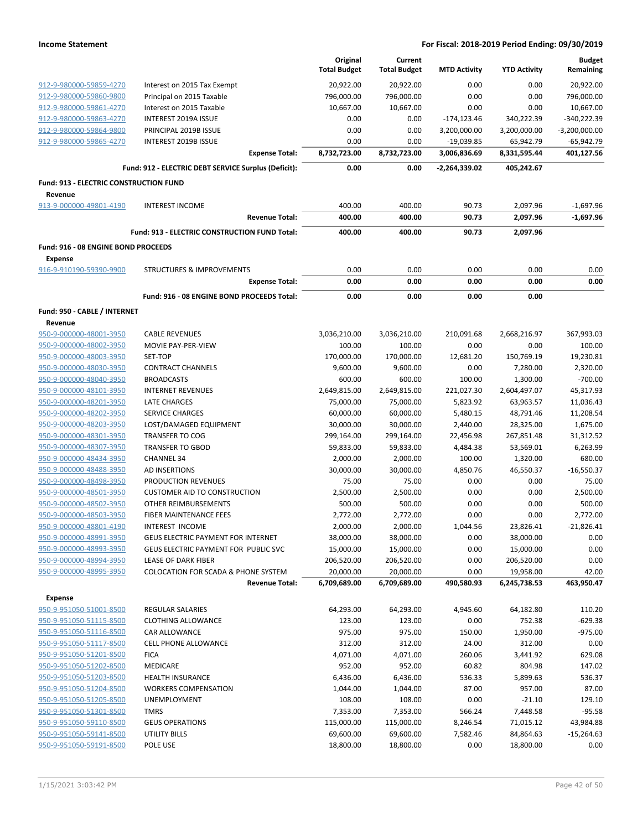|                                                    |                                                      | Original<br><b>Total Budget</b> | Current<br><b>Total Budget</b> | <b>MTD Activity</b> | <b>YTD Activity</b>    | <b>Budget</b><br>Remaining |
|----------------------------------------------------|------------------------------------------------------|---------------------------------|--------------------------------|---------------------|------------------------|----------------------------|
| 912-9-980000-59859-4270                            | Interest on 2015 Tax Exempt                          | 20,922.00                       | 20,922.00                      | 0.00                | 0.00                   | 20,922.00                  |
| 912-9-980000-59860-9800                            | Principal on 2015 Taxable                            | 796,000.00                      | 796,000.00                     | 0.00                | 0.00                   | 796,000.00                 |
| 912-9-980000-59861-4270                            | Interest on 2015 Taxable                             | 10,667.00                       | 10,667.00                      | 0.00                | 0.00                   | 10,667.00                  |
| 912-9-980000-59863-4270                            | <b>INTEREST 2019A ISSUE</b>                          | 0.00                            | 0.00                           | $-174, 123.46$      | 340,222.39             | $-340,222.39$              |
| 912-9-980000-59864-9800                            | PRINCIPAL 2019B ISSUE                                | 0.00                            | 0.00                           | 3,200,000.00        | 3,200,000.00           | $-3,200,000.00$            |
| 912-9-980000-59865-4270                            | INTEREST 2019B ISSUE                                 | 0.00                            | 0.00                           | -19,039.85          | 65,942.79              | -65,942.79                 |
|                                                    | <b>Expense Total:</b>                                | 8,732,723.00                    | 8,732,723.00                   | 3,006,836.69        | 8,331,595.44           | 401,127.56                 |
|                                                    | Fund: 912 - ELECTRIC DEBT SERVICE Surplus (Deficit): | 0.00                            | 0.00                           | -2,264,339.02       | 405,242.67             |                            |
| Fund: 913 - ELECTRIC CONSTRUCTION FUND<br>Revenue  |                                                      |                                 |                                |                     |                        |                            |
| 913-9-000000-49801-4190                            | <b>INTEREST INCOME</b>                               | 400.00                          | 400.00                         | 90.73               | 2,097.96               | $-1,697.96$                |
|                                                    | <b>Revenue Total:</b>                                | 400.00                          | 400.00                         | 90.73               | 2,097.96               | $-1,697.96$                |
|                                                    | Fund: 913 - ELECTRIC CONSTRUCTION FUND Total:        | 400.00                          | 400.00                         | 90.73               | 2,097.96               |                            |
| Fund: 916 - 08 ENGINE BOND PROCEEDS                |                                                      |                                 |                                |                     |                        |                            |
| <b>Expense</b>                                     |                                                      |                                 |                                |                     |                        |                            |
| 916-9-910190-59390-9900                            | <b>STRUCTURES &amp; IMPROVEMENTS</b>                 | 0.00                            | 0.00                           | 0.00                | 0.00                   | 0.00                       |
|                                                    | <b>Expense Total:</b>                                | 0.00                            | 0.00                           | 0.00                | 0.00                   | 0.00                       |
|                                                    | Fund: 916 - 08 ENGINE BOND PROCEEDS Total:           | 0.00                            | 0.00                           | 0.00                | 0.00                   |                            |
|                                                    |                                                      |                                 |                                |                     |                        |                            |
| Fund: 950 - CABLE / INTERNET<br>Revenue            |                                                      |                                 |                                |                     |                        |                            |
| 950-9-000000-48001-3950                            | <b>CABLE REVENUES</b>                                | 3,036,210.00                    | 3,036,210.00                   | 210,091.68          | 2,668,216.97           | 367,993.03                 |
| 950-9-000000-48002-3950                            | MOVIE PAY-PER-VIEW                                   | 100.00                          | 100.00                         | 0.00                | 0.00                   | 100.00                     |
| 950-9-000000-48003-3950                            | SET-TOP                                              | 170,000.00                      | 170,000.00                     | 12,681.20           | 150,769.19             | 19,230.81                  |
| 950-9-000000-48030-3950                            | <b>CONTRACT CHANNELS</b>                             | 9,600.00                        | 9,600.00                       | 0.00                | 7,280.00               | 2,320.00                   |
| 950-9-000000-48040-3950                            | <b>BROADCASTS</b>                                    | 600.00                          | 600.00                         | 100.00              | 1,300.00               | $-700.00$                  |
| 950-9-000000-48101-3950                            | <b>INTERNET REVENUES</b>                             | 2,649,815.00                    | 2,649,815.00                   | 221,027.30          | 2,604,497.07           | 45,317.93                  |
| 950-9-000000-48201-3950                            | LATE CHARGES                                         | 75,000.00                       | 75,000.00                      | 5,823.92            | 63,963.57              | 11,036.43                  |
| 950-9-000000-48202-3950                            | <b>SERVICE CHARGES</b>                               | 60,000.00                       | 60,000.00                      | 5,480.15            | 48,791.46              | 11,208.54                  |
| 950-9-000000-48203-3950                            | LOST/DAMAGED EQUIPMENT                               | 30,000.00                       | 30,000.00                      | 2,440.00            | 28,325.00              | 1,675.00                   |
| 950-9-000000-48301-3950                            | <b>TRANSFER TO COG</b>                               | 299,164.00                      | 299,164.00                     | 22,456.98           | 267,851.48             | 31,312.52                  |
| 950-9-000000-48307-3950                            | <b>TRANSFER TO GBOD</b>                              | 59,833.00                       | 59,833.00                      | 4,484.38            | 53,569.01              | 6,263.99                   |
| 950-9-000000-48434-3950                            | <b>CHANNEL 34</b>                                    | 2,000.00                        | 2,000.00                       | 100.00              | 1,320.00               | 680.00                     |
| 950-9-000000-48488-3950                            | <b>AD INSERTIONS</b>                                 | 30,000.00                       | 30,000.00                      | 4,850.76            | 46,550.37              | $-16,550.37$               |
| 950-9-000000-48498-3950                            | PRODUCTION REVENUES                                  | 75.00                           | 75.00                          | 0.00                | 0.00                   | 75.00                      |
| 950-9-000000-48501-3950                            | <b>CUSTOMER AID TO CONSTRUCTION</b>                  | 2,500.00                        | 2,500.00                       | 0.00                | 0.00                   | 2,500.00                   |
| 950-9-000000-48502-3950                            | OTHER REIMBURSEMENTS                                 | 500.00                          | 500.00                         | 0.00                | 0.00                   | 500.00                     |
| 950-9-000000-48503-3950                            | FIBER MAINTENANCE FEES<br>INTEREST INCOME            | 2,772.00                        | 2,772.00                       | 0.00                | 0.00                   | 2,772.00<br>-21,826.41     |
| 950-9-000000-48801-4190<br>950-9-000000-48991-3950 | <b>GEUS ELECTRIC PAYMENT FOR INTERNET</b>            | 2,000.00<br>38,000.00           | 2,000.00<br>38,000.00          | 1,044.56<br>0.00    | 23,826.41<br>38,000.00 | 0.00                       |
| 950-9-000000-48993-3950                            | GEUS ELECTRIC PAYMENT FOR PUBLIC SVC                 | 15,000.00                       | 15,000.00                      | 0.00                | 15,000.00              | 0.00                       |
| 950-9-000000-48994-3950                            | <b>LEASE OF DARK FIBER</b>                           | 206,520.00                      | 206,520.00                     | 0.00                | 206,520.00             | 0.00                       |
| 950-9-000000-48995-3950                            | <b>COLOCATION FOR SCADA &amp; PHONE SYSTEM</b>       | 20,000.00                       | 20,000.00                      | 0.00                | 19,958.00              | 42.00                      |
|                                                    | <b>Revenue Total:</b>                                | 6,709,689.00                    | 6,709,689.00                   | 490,580.93          | 6,245,738.53           | 463,950.47                 |
| Expense                                            |                                                      |                                 |                                |                     |                        |                            |
| 950-9-951050-51001-8500                            | <b>REGULAR SALARIES</b>                              | 64,293.00                       | 64,293.00                      | 4,945.60            | 64,182.80              | 110.20                     |
| 950-9-951050-51115-8500                            | <b>CLOTHING ALLOWANCE</b>                            | 123.00                          | 123.00                         | 0.00                | 752.38                 | $-629.38$                  |
| 950-9-951050-51116-8500                            | CAR ALLOWANCE                                        | 975.00                          | 975.00                         | 150.00              | 1,950.00               | $-975.00$                  |
| 950-9-951050-51117-8500                            | <b>CELL PHONE ALLOWANCE</b>                          | 312.00                          | 312.00                         | 24.00               | 312.00                 | 0.00                       |
| 950-9-951050-51201-8500                            | <b>FICA</b>                                          | 4,071.00                        | 4,071.00                       | 260.06              | 3,441.92               | 629.08                     |
| 950-9-951050-51202-8500                            | MEDICARE                                             | 952.00                          | 952.00                         | 60.82               | 804.98                 | 147.02                     |
| 950-9-951050-51203-8500                            | <b>HEALTH INSURANCE</b>                              | 6,436.00                        | 6,436.00                       | 536.33              | 5,899.63               | 536.37                     |
| 950-9-951050-51204-8500                            | <b>WORKERS COMPENSATION</b>                          | 1,044.00                        | 1,044.00                       | 87.00               | 957.00                 | 87.00                      |
| 950-9-951050-51205-8500                            | UNEMPLOYMENT                                         | 108.00                          | 108.00                         | 0.00                | $-21.10$               | 129.10                     |
| 950-9-951050-51301-8500                            | <b>TMRS</b>                                          | 7,353.00                        | 7,353.00                       | 566.24              | 7,448.58               | $-95.58$                   |
| 950-9-951050-59110-8500                            | <b>GEUS OPERATIONS</b>                               | 115,000.00                      | 115,000.00                     | 8,246.54            | 71,015.12              | 43,984.88                  |
| 950-9-951050-59141-8500                            | UTILITY BILLS                                        | 69,600.00                       | 69,600.00                      | 7,582.46            | 84,864.63              | -15,264.63                 |
| 950-9-951050-59191-8500                            | POLE USE                                             | 18,800.00                       | 18,800.00                      | 0.00                | 18,800.00              | 0.00                       |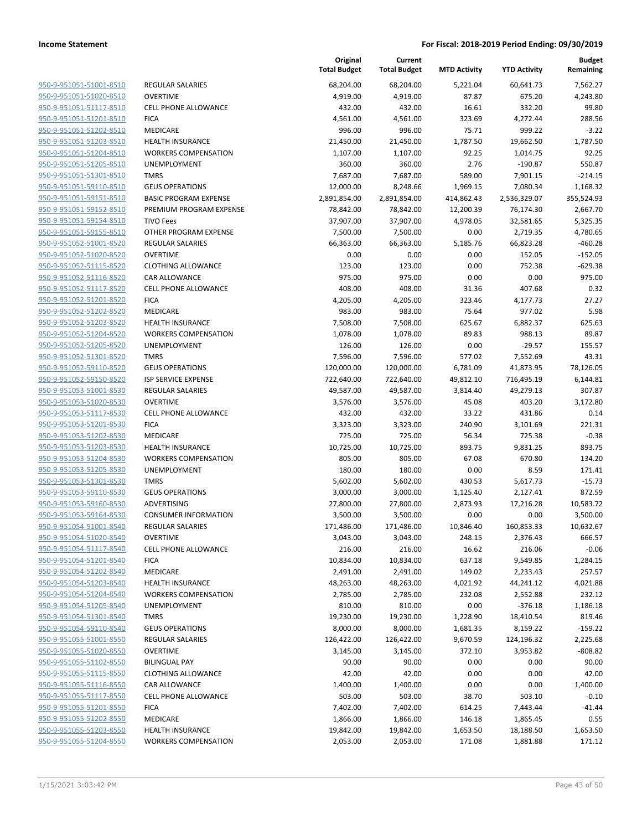|                                                    |                              | Original<br><b>Total Budget</b> | Current<br><b>Total Budget</b> | <b>MTD Activity</b> | <b>YTD Activity</b>    | <b>Budget</b><br>Remaining |
|----------------------------------------------------|------------------------------|---------------------------------|--------------------------------|---------------------|------------------------|----------------------------|
| 950-9-951051-51001-8510                            | <b>REGULAR SALARIES</b>      | 68,204.00                       | 68,204.00                      | 5,221.04            | 60,641.73              | 7,562.27                   |
| 950-9-951051-51020-8510                            | <b>OVERTIME</b>              | 4,919.00                        | 4,919.00                       | 87.87               | 675.20                 | 4,243.80                   |
| 950-9-951051-51117-8510                            | <b>CELL PHONE ALLOWANCE</b>  | 432.00                          | 432.00                         | 16.61               | 332.20                 | 99.80                      |
| 950-9-951051-51201-8510                            | <b>FICA</b>                  | 4,561.00                        | 4,561.00                       | 323.69              | 4,272.44               | 288.56                     |
| 950-9-951051-51202-8510                            | <b>MEDICARE</b>              | 996.00                          | 996.00                         | 75.71               | 999.22                 | $-3.22$                    |
| 950-9-951051-51203-8510                            | <b>HEALTH INSURANCE</b>      | 21,450.00                       | 21,450.00                      | 1,787.50            | 19,662.50              | 1,787.50                   |
| 950-9-951051-51204-8510                            | <b>WORKERS COMPENSATION</b>  | 1,107.00                        | 1,107.00                       | 92.25               | 1,014.75               | 92.25                      |
| 950-9-951051-51205-8510                            | <b>UNEMPLOYMENT</b>          | 360.00                          | 360.00                         | 2.76                | $-190.87$              | 550.87                     |
| 950-9-951051-51301-8510                            | <b>TMRS</b>                  | 7,687.00                        | 7,687.00                       | 589.00              | 7,901.15               | $-214.15$                  |
| 950-9-951051-59110-8510                            | <b>GEUS OPERATIONS</b>       | 12,000.00                       | 8,248.66                       | 1,969.15            | 7,080.34               | 1,168.32                   |
| 950-9-951051-59151-8510                            | <b>BASIC PROGRAM EXPENSE</b> | 2,891,854.00                    | 2,891,854.00                   | 414,862.43          | 2,536,329.07           | 355,524.93                 |
| 950-9-951051-59152-8510                            | PREMIUM PROGRAM EXPENSE      | 78,842.00                       | 78,842.00                      | 12,200.39           | 76,174.30              | 2,667.70                   |
| 950-9-951051-59154-8510                            | <b>TIVO Fees</b>             | 37,907.00                       | 37,907.00                      | 4,978.05            | 32,581.65              | 5,325.35                   |
| 950-9-951051-59155-8510                            | OTHER PROGRAM EXPENSE        | 7,500.00                        | 7,500.00                       | 0.00                | 2,719.35               | 4,780.65                   |
| 950-9-951052-51001-8520                            | <b>REGULAR SALARIES</b>      | 66,363.00                       | 66,363.00                      | 5,185.76            | 66,823.28              | $-460.28$                  |
| 950-9-951052-51020-8520                            | <b>OVERTIME</b>              | 0.00                            | 0.00                           | 0.00                | 152.05                 | $-152.05$                  |
| 950-9-951052-51115-8520                            | <b>CLOTHING ALLOWANCE</b>    | 123.00                          | 123.00                         | 0.00                | 752.38                 | $-629.38$                  |
| 950-9-951052-51116-8520                            | CAR ALLOWANCE                | 975.00                          | 975.00                         | 0.00                | 0.00                   | 975.00                     |
| 950-9-951052-51117-8520                            | <b>CELL PHONE ALLOWANCE</b>  | 408.00                          | 408.00                         | 31.36               | 407.68                 | 0.32                       |
| 950-9-951052-51201-8520                            | <b>FICA</b>                  | 4,205.00                        | 4,205.00                       | 323.46              | 4,177.73               | 27.27                      |
| 950-9-951052-51202-8520                            | <b>MEDICARE</b>              | 983.00                          | 983.00                         | 75.64               | 977.02                 | 5.98                       |
| 950-9-951052-51203-8520                            | <b>HEALTH INSURANCE</b>      | 7,508.00                        | 7,508.00                       | 625.67              | 6,882.37               | 625.63                     |
| 950-9-951052-51204-8520                            | <b>WORKERS COMPENSATION</b>  | 1,078.00                        | 1,078.00                       | 89.83               | 988.13                 | 89.87                      |
| 950-9-951052-51205-8520                            | UNEMPLOYMENT                 | 126.00                          | 126.00                         | 0.00                | $-29.57$               | 155.57                     |
| 950-9-951052-51301-8520                            | <b>TMRS</b>                  | 7,596.00                        | 7,596.00                       | 577.02              | 7,552.69               | 43.31                      |
| 950-9-951052-59110-8520                            | <b>GEUS OPERATIONS</b>       | 120,000.00                      | 120,000.00                     | 6,781.09            | 41,873.95              | 78,126.05                  |
| 950-9-951052-59150-8520                            | ISP SERVICE EXPENSE          | 722,640.00                      | 722,640.00                     | 49,812.10           | 716,495.19             | 6,144.81                   |
| 950-9-951053-51001-8530                            | <b>REGULAR SALARIES</b>      | 49,587.00                       | 49,587.00                      | 3,814.40            | 49,279.13              | 307.87                     |
| 950-9-951053-51020-8530                            | <b>OVERTIME</b>              | 3,576.00                        | 3,576.00                       | 45.08               | 403.20                 | 3,172.80                   |
| 950-9-951053-51117-8530                            | <b>CELL PHONE ALLOWANCE</b>  | 432.00                          | 432.00                         | 33.22               | 431.86                 | 0.14                       |
| 950-9-951053-51201-8530                            | <b>FICA</b>                  | 3,323.00                        | 3,323.00                       | 240.90              | 3,101.69               | 221.31                     |
| 950-9-951053-51202-8530                            | MEDICARE                     | 725.00                          | 725.00                         | 56.34               | 725.38                 | $-0.38$                    |
| 950-9-951053-51203-8530                            | <b>HEALTH INSURANCE</b>      | 10,725.00                       | 10,725.00                      | 893.75              | 9,831.25               | 893.75                     |
| 950-9-951053-51204-8530                            | <b>WORKERS COMPENSATION</b>  | 805.00                          | 805.00                         | 67.08               | 670.80                 | 134.20                     |
| 950-9-951053-51205-8530                            | UNEMPLOYMENT                 | 180.00                          | 180.00                         | 0.00                | 8.59                   | 171.41                     |
| 950-9-951053-51301-8530                            | <b>TMRS</b>                  | 5,602.00                        | 5,602.00                       | 430.53              | 5,617.73               | $-15.73$                   |
| 950-9-951053-59110-8530                            | <b>GEUS OPERATIONS</b>       | 3,000.00                        | 3,000.00                       | 1,125.40            | 2,127.41               | 872.59                     |
| 950-9-951053-59160-8530                            | <b>ADVERTISING</b>           | 27,800.00                       | 27,800.00                      | 2,873.93            | 17,216.28              | 10,583.72                  |
| 950-9-951053-59164-8530                            | <b>CONSUMER INFORMATION</b>  | 3,500.00                        | 3,500.00                       | 0.00                | 0.00                   | 3,500.00                   |
| 950-9-951054-51001-8540                            | <b>REGULAR SALARIES</b>      | 171,486.00                      | 171,486.00                     | 10,846.40           | 160,853.33             | 10,632.67                  |
| 950-9-951054-51020-8540                            | <b>OVERTIME</b>              | 3,043.00                        | 3,043.00                       | 248.15              | 2,376.43               | 666.57                     |
| 950-9-951054-51117-8540                            | <b>CELL PHONE ALLOWANCE</b>  | 216.00                          | 216.00                         | 16.62               | 216.06                 | $-0.06$                    |
| 950-9-951054-51201-8540                            | <b>FICA</b>                  | 10,834.00                       | 10,834.00                      | 637.18              | 9,549.85               | 1,284.15                   |
| 950-9-951054-51202-8540                            | MEDICARE                     | 2,491.00                        | 2,491.00                       | 149.02              | 2,233.43               | 257.57                     |
| 950-9-951054-51203-8540                            | <b>HEALTH INSURANCE</b>      | 48,263.00                       | 48,263.00                      | 4,021.92            | 44,241.12              | 4,021.88                   |
| 950-9-951054-51204-8540                            | <b>WORKERS COMPENSATION</b>  | 2,785.00                        | 2,785.00                       | 232.08              | 2,552.88<br>$-376.18$  | 232.12                     |
| 950-9-951054-51205-8540<br>950-9-951054-51301-8540 | UNEMPLOYMENT                 | 810.00<br>19,230.00             | 810.00<br>19,230.00            | 0.00                |                        | 1,186.18                   |
| 950-9-951054-59110-8540                            | <b>TMRS</b>                  | 8,000.00                        |                                | 1,228.90            | 18,410.54              | 819.46                     |
| 950-9-951055-51001-8550                            | <b>GEUS OPERATIONS</b>       |                                 | 8,000.00                       | 1,681.35            | 8,159.22<br>124,196.32 | $-159.22$                  |
|                                                    | REGULAR SALARIES             | 126,422.00                      | 126,422.00                     | 9,670.59            |                        | 2,225.68                   |
| 950-9-951055-51020-8550                            | <b>OVERTIME</b>              | 3,145.00                        | 3,145.00                       | 372.10              | 3,953.82               | $-808.82$                  |
| 950-9-951055-51102-8550                            | <b>BILINGUAL PAY</b>         | 90.00                           | 90.00                          | 0.00                | 0.00                   | 90.00                      |
| 950-9-951055-51115-8550                            | <b>CLOTHING ALLOWANCE</b>    | 42.00                           | 42.00                          | 0.00                | 0.00                   | 42.00                      |
| 950-9-951055-51116-8550                            | CAR ALLOWANCE                | 1,400.00                        | 1,400.00                       | 0.00                | 0.00                   | 1,400.00                   |
| 950-9-951055-51117-8550                            | CELL PHONE ALLOWANCE         | 503.00                          | 503.00                         | 38.70               | 503.10                 | $-0.10$                    |
| 950-9-951055-51201-8550                            | <b>FICA</b>                  | 7,402.00                        | 7,402.00                       | 614.25              | 7,443.44               | $-41.44$                   |
| 950-9-951055-51202-8550                            | MEDICARE                     | 1,866.00                        | 1,866.00                       | 146.18              | 1,865.45               | 0.55                       |
| 950-9-951055-51203-8550                            | <b>HEALTH INSURANCE</b>      | 19,842.00                       | 19,842.00                      | 1,653.50            | 18,188.50              | 1,653.50                   |
| 950-9-951055-51204-8550                            | <b>WORKERS COMPENSATION</b>  | 2,053.00                        | 2,053.00                       | 171.08              | 1,881.88               | 171.12                     |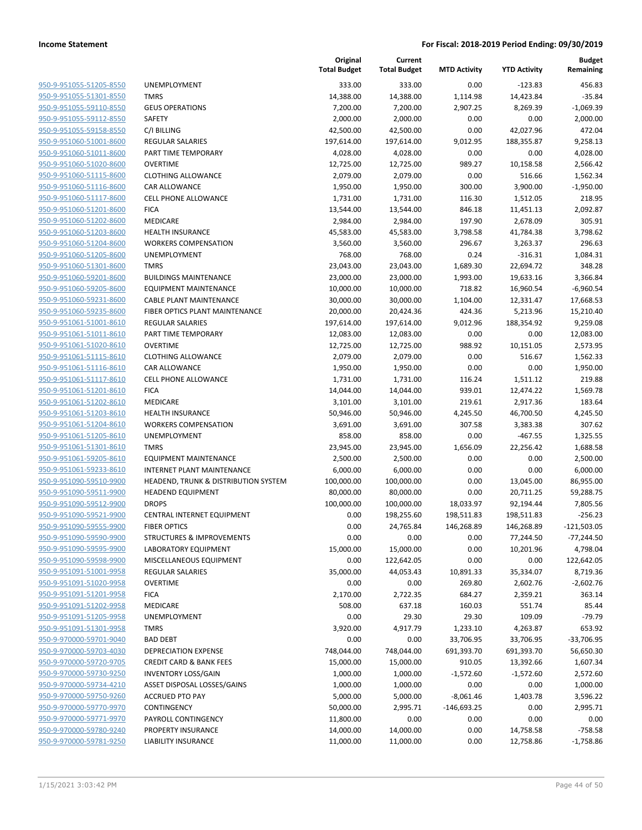| 950-9-951055-51205-8550                            |
|----------------------------------------------------|
| 950-9-951055-51301-8550                            |
| 950-9-951055-59110-8550                            |
| 950-9-951055-59112-8550                            |
| 950-9-951055-59158-8550                            |
| 950-9-951060-51001-8600                            |
| 950-9-951060-51011-8600                            |
| 950-9-951060-51020-8600                            |
| 950-9-951060-51115-8600                            |
| <u>950-9-951060-51116-8600</u>                     |
| 950-9-951060-51117-8600                            |
| 950-9-951060-51201-8600                            |
| 950-9-951060-51202-8600                            |
| 950-9-951060-51203-8600                            |
| <u>950-9-951060-51204-8600</u>                     |
| 950-9-951060-51205-8600                            |
| 950-9-951060-51301-8600                            |
| 950-9-951060-59201-8600                            |
| 950-9-951060-59205-8600                            |
| <u>950-9-951060-59231-8600</u>                     |
| 950-9-951060-59235-8600                            |
| 950-9-951061-51001-8610                            |
| 950-9-951061-51011-8610                            |
| 950-9-951061-51020-8610                            |
| <u>950-9-951061-51115-8610</u>                     |
| 950-9-951061-51116-8610                            |
| 950-9-951061-51117-8610                            |
| 950-9-951061-51201-8610                            |
| 950-9-951061-51202-8610                            |
| <u>950-9-951061-51203-8610</u>                     |
| 950-9-951061-51204-8610                            |
| 950-9-951061-51205-8610                            |
| 950-9-951061-51301-8610                            |
| 950-9-951061-59205-8610                            |
| <u>950-9-951061-59233-8610</u>                     |
| 950-9-951090-59510-9900                            |
| 950-9-951090-59511-9900                            |
| 950-9-951090-59512-9900                            |
| 950-9-951090-59521-9900                            |
| 950-9-951090-59555-9900                            |
| 950-9-951090-59590-9900                            |
|                                                    |
| 950-9-951090-59595-9900<br>950-9-951090-59598-9900 |
|                                                    |
| 950-9-951091-51001-9958                            |
| <u>950-9-951091-51020-9958</u>                     |
| 950-9-951091-51201-9958                            |
| 950-9-951091-51202-9958                            |
| 950-9-951091-51205-9958                            |
| 950-9-951091-51301-9958                            |
| <u>950-9-970000-59701-9040</u>                     |
| <u>950-9-970000-59703-4030</u>                     |
| 950-9-970000-59720-9705                            |
| 950-9-970000-59730-9250                            |
| 950-9-970000-59734-4210                            |
| <u>950-9-970000-59750-9260</u>                     |
| <u>950-9-970000-59770-9970</u>                     |
| 950-9-970000-59771-9970                            |
| <u>950-9-970000-59780-9240</u>                     |
| 950-9-970000-59781-9250                            |

|                                                    |                                              | Original<br><b>Total Budget</b> | Current<br><b>Total Budget</b> | <b>MTD Activity</b> | <b>YTD Activity</b>   | <b>Budget</b><br>Remaining |
|----------------------------------------------------|----------------------------------------------|---------------------------------|--------------------------------|---------------------|-----------------------|----------------------------|
| 950-9-951055-51205-8550                            | UNEMPLOYMENT                                 | 333.00                          | 333.00                         | 0.00                | $-123.83$             | 456.83                     |
| 950-9-951055-51301-8550                            | <b>TMRS</b>                                  | 14,388.00                       | 14,388.00                      | 1,114.98            | 14,423.84             | $-35.84$                   |
| 950-9-951055-59110-8550                            | <b>GEUS OPERATIONS</b>                       | 7,200.00                        | 7,200.00                       | 2,907.25            | 8,269.39              | $-1,069.39$                |
| 950-9-951055-59112-8550                            | SAFETY                                       | 2,000.00                        | 2,000.00                       | 0.00                | 0.00                  | 2,000.00                   |
| 950-9-951055-59158-8550                            | C/I BILLING                                  | 42,500.00                       | 42,500.00                      | 0.00                | 42,027.96             | 472.04                     |
| 950-9-951060-51001-8600                            | REGULAR SALARIES                             | 197,614.00                      | 197,614.00                     | 9,012.95            | 188,355.87            | 9,258.13                   |
| 950-9-951060-51011-8600                            | PART TIME TEMPORARY                          | 4,028.00                        | 4,028.00                       | 0.00                | 0.00                  | 4,028.00                   |
| 950-9-951060-51020-8600                            | <b>OVERTIME</b>                              | 12,725.00                       | 12,725.00                      | 989.27              | 10,158.58             | 2,566.42                   |
| 950-9-951060-51115-8600                            | <b>CLOTHING ALLOWANCE</b>                    | 2,079.00                        | 2,079.00                       | 0.00                | 516.66                | 1,562.34                   |
| 950-9-951060-51116-8600                            | CAR ALLOWANCE                                | 1,950.00                        | 1,950.00                       | 300.00              | 3,900.00              | $-1,950.00$                |
| 950-9-951060-51117-8600                            | <b>CELL PHONE ALLOWANCE</b>                  | 1,731.00                        | 1,731.00                       | 116.30              | 1,512.05              | 218.95                     |
| 950-9-951060-51201-8600                            | <b>FICA</b>                                  | 13,544.00                       | 13,544.00                      | 846.18              | 11,451.13             | 2,092.87                   |
| 950-9-951060-51202-8600                            | MEDICARE                                     | 2,984.00                        | 2,984.00                       | 197.90              | 2,678.09              | 305.91                     |
| 950-9-951060-51203-8600                            | <b>HEALTH INSURANCE</b>                      | 45,583.00                       | 45,583.00                      | 3,798.58            | 41,784.38             | 3,798.62                   |
| 950-9-951060-51204-8600                            | <b>WORKERS COMPENSATION</b>                  | 3,560.00                        | 3,560.00                       | 296.67              | 3,263.37              | 296.63                     |
| 950-9-951060-51205-8600                            | UNEMPLOYMENT                                 | 768.00                          | 768.00                         | 0.24                | $-316.31$             | 1,084.31                   |
| 950-9-951060-51301-8600                            | <b>TMRS</b>                                  | 23,043.00                       | 23,043.00                      | 1,689.30            | 22,694.72             | 348.28                     |
| 950-9-951060-59201-8600                            | <b>BUILDINGS MAINTENANCE</b>                 | 23,000.00                       | 23,000.00                      | 1,993.00            | 19,633.16             | 3,366.84                   |
| 950-9-951060-59205-8600                            | <b>EQUIPMENT MAINTENANCE</b>                 | 10,000.00                       | 10,000.00                      | 718.82              | 16,960.54             | $-6,960.54$                |
| 950-9-951060-59231-8600                            | <b>CABLE PLANT MAINTENANCE</b>               | 30,000.00                       | 30,000.00                      | 1,104.00            | 12,331.47             | 17,668.53                  |
| 950-9-951060-59235-8600                            | FIBER OPTICS PLANT MAINTENANCE               | 20,000.00                       | 20,424.36                      | 424.36              | 5,213.96              | 15,210.40                  |
| 950-9-951061-51001-8610                            | <b>REGULAR SALARIES</b>                      | 197,614.00                      | 197,614.00                     | 9,012.96            | 188,354.92            | 9,259.08                   |
| 950-9-951061-51011-8610                            | PART TIME TEMPORARY                          | 12,083.00                       | 12,083.00                      | 0.00                | 0.00                  | 12,083.00                  |
| 950-9-951061-51020-8610<br>950-9-951061-51115-8610 | <b>OVERTIME</b><br><b>CLOTHING ALLOWANCE</b> | 12,725.00<br>2,079.00           | 12,725.00                      | 988.92              | 10,151.05             | 2,573.95                   |
| 950-9-951061-51116-8610                            |                                              | 1,950.00                        | 2,079.00                       | 0.00<br>0.00        | 516.67<br>0.00        | 1,562.33<br>1,950.00       |
| 950-9-951061-51117-8610                            | CAR ALLOWANCE<br><b>CELL PHONE ALLOWANCE</b> | 1,731.00                        | 1,950.00<br>1,731.00           | 116.24              |                       | 219.88                     |
| 950-9-951061-51201-8610                            | <b>FICA</b>                                  | 14,044.00                       | 14,044.00                      | 939.01              | 1,511.12<br>12,474.22 | 1,569.78                   |
| 950-9-951061-51202-8610                            | MEDICARE                                     | 3,101.00                        | 3,101.00                       | 219.61              | 2,917.36              | 183.64                     |
| 950-9-951061-51203-8610                            | <b>HEALTH INSURANCE</b>                      | 50,946.00                       | 50,946.00                      | 4,245.50            | 46,700.50             | 4,245.50                   |
| 950-9-951061-51204-8610                            | <b>WORKERS COMPENSATION</b>                  | 3,691.00                        | 3,691.00                       | 307.58              | 3,383.38              | 307.62                     |
| 950-9-951061-51205-8610                            | UNEMPLOYMENT                                 | 858.00                          | 858.00                         | 0.00                | $-467.55$             | 1,325.55                   |
| 950-9-951061-51301-8610                            | <b>TMRS</b>                                  | 23,945.00                       | 23,945.00                      | 1,656.09            | 22,256.42             | 1,688.58                   |
| 950-9-951061-59205-8610                            | <b>EQUIPMENT MAINTENANCE</b>                 | 2,500.00                        | 2,500.00                       | 0.00                | 0.00                  | 2,500.00                   |
| 950-9-951061-59233-8610                            | <b>INTERNET PLANT MAINTENANCE</b>            | 6,000.00                        | 6,000.00                       | 0.00                | 0.00                  | 6,000.00                   |
| 950-9-951090-59510-9900                            | HEADEND, TRUNK & DISTRIBUTION SYSTEM         | 100,000.00                      | 100,000.00                     | 0.00                | 13,045.00             | 86,955.00                  |
| 950-9-951090-59511-9900                            | <b>HEADEND EQUIPMENT</b>                     | 80,000.00                       | 80,000.00                      | 0.00                | 20,711.25             | 59,288.75                  |
| 950-9-951090-59512-9900                            | <b>DROPS</b>                                 | 100,000.00                      | 100,000.00                     | 18,033.97           | 92,194.44             | 7,805.56                   |
| 950-9-951090-59521-9900                            | CENTRAL INTERNET EQUIPMENT                   | 0.00                            | 198,255.60                     | 198,511.83          | 198,511.83            | $-256.23$                  |
| 950-9-951090-59555-9900                            | <b>FIBER OPTICS</b>                          | 0.00                            | 24,765.84                      | 146,268.89          | 146,268.89            | $-121,503.05$              |
| 950-9-951090-59590-9900                            | STRUCTURES & IMPROVEMENTS                    | 0.00                            | 0.00                           | 0.00                | 77,244.50             | $-77,244.50$               |
| 950-9-951090-59595-9900                            | LABORATORY EQUIPMENT                         | 15,000.00                       | 15,000.00                      | 0.00                | 10,201.96             | 4,798.04                   |
| 950-9-951090-59598-9900                            | MISCELLANEOUS EQUIPMENT                      | 0.00                            | 122,642.05                     | 0.00                | 0.00                  | 122,642.05                 |
| 950-9-951091-51001-9958                            | <b>REGULAR SALARIES</b>                      | 35,000.00                       | 44,053.43                      | 10,891.33           | 35,334.07             | 8,719.36                   |
| 950-9-951091-51020-9958                            | <b>OVERTIME</b>                              | 0.00                            | 0.00                           | 269.80              | 2,602.76              | $-2,602.76$                |
| 950-9-951091-51201-9958                            | <b>FICA</b>                                  | 2,170.00                        | 2,722.35                       | 684.27              | 2,359.21              | 363.14                     |
| 950-9-951091-51202-9958                            | MEDICARE                                     | 508.00                          | 637.18                         | 160.03              | 551.74                | 85.44                      |
| 950-9-951091-51205-9958                            | UNEMPLOYMENT                                 | 0.00                            | 29.30                          | 29.30               | 109.09                | $-79.79$                   |
| 950-9-951091-51301-9958                            | <b>TMRS</b>                                  | 3,920.00                        | 4,917.79                       | 1,233.10            | 4,263.87              | 653.92                     |
| 950-9-970000-59701-9040                            | <b>BAD DEBT</b>                              | 0.00                            | 0.00                           | 33,706.95           | 33,706.95             | $-33,706.95$               |
| 950-9-970000-59703-4030                            | DEPRECIATION EXPENSE                         | 748,044.00                      | 748,044.00                     | 691,393.70          | 691,393.70            | 56,650.30                  |
| 950-9-970000-59720-9705                            | <b>CREDIT CARD &amp; BANK FEES</b>           | 15,000.00                       | 15,000.00                      | 910.05              | 13,392.66             | 1,607.34                   |
| 950-9-970000-59730-9250                            | <b>INVENTORY LOSS/GAIN</b>                   | 1,000.00                        | 1,000.00                       | $-1,572.60$         | $-1,572.60$           | 2,572.60                   |
| 950-9-970000-59734-4210                            | ASSET DISPOSAL LOSSES/GAINS                  | 1,000.00                        | 1,000.00                       | 0.00                | 0.00                  | 1,000.00                   |
| 950-9-970000-59750-9260                            | <b>ACCRUED PTO PAY</b>                       | 5,000.00                        | 5,000.00                       | $-8,061.46$         | 1,403.78              | 3,596.22                   |
| 950-9-970000-59770-9970                            | CONTINGENCY                                  | 50,000.00                       | 2,995.71                       | $-146,693.25$       | 0.00                  | 2,995.71                   |
| 950-9-970000-59771-9970                            | PAYROLL CONTINGENCY                          | 11,800.00                       | 0.00                           | 0.00                | 0.00                  | 0.00                       |
| 950-9-970000-59780-9240                            | PROPERTY INSURANCE                           | 14,000.00                       | 14,000.00                      | 0.00                | 14,758.58             | $-758.58$                  |
| 950-9-970000-59781-9250                            | LIABILITY INSURANCE                          | 11,000.00                       | 11,000.00                      | 0.00                | 12,758.86             | $-1,758.86$                |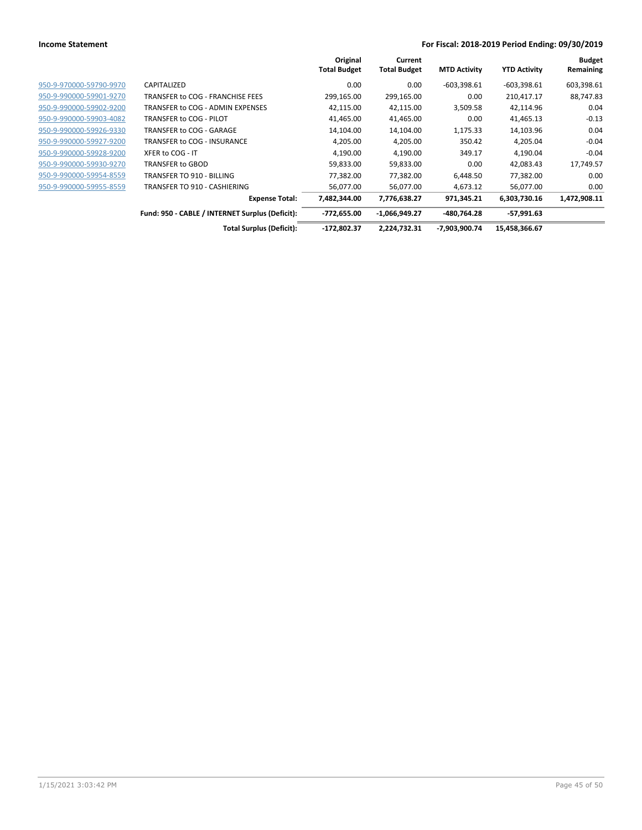|                         |                                                 | Original<br><b>Total Budget</b> | Current<br><b>Total Budget</b> | <b>MTD Activity</b> | <b>YTD Activity</b> | <b>Budget</b><br>Remaining |
|-------------------------|-------------------------------------------------|---------------------------------|--------------------------------|---------------------|---------------------|----------------------------|
| 950-9-970000-59790-9970 | CAPITALIZED                                     | 0.00                            | 0.00                           | $-603,398.61$       | $-603,398.61$       | 603,398.61                 |
| 950-9-990000-59901-9270 | TRANSFER to COG - FRANCHISE FEES                | 299,165.00                      | 299,165.00                     | 0.00                | 210,417.17          | 88,747.83                  |
| 950-9-990000-59902-9200 | TRANSFER to COG - ADMIN EXPENSES                | 42,115.00                       | 42,115.00                      | 3,509.58            | 42,114.96           | 0.04                       |
| 950-9-990000-59903-4082 | TRANSFER to COG - PILOT                         | 41,465.00                       | 41,465.00                      | 0.00                | 41,465.13           | $-0.13$                    |
| 950-9-990000-59926-9330 | TRANSFER to COG - GARAGE                        | 14,104.00                       | 14,104.00                      | 1,175.33            | 14,103.96           | 0.04                       |
| 950-9-990000-59927-9200 | TRANSFER to COG - INSURANCE                     | 4,205.00                        | 4,205.00                       | 350.42              | 4,205.04            | $-0.04$                    |
| 950-9-990000-59928-9200 | XFER to COG - IT                                | 4,190.00                        | 4,190.00                       | 349.17              | 4,190.04            | $-0.04$                    |
| 950-9-990000-59930-9270 | TRANSFER to GBOD                                | 59,833.00                       | 59,833.00                      | 0.00                | 42,083.43           | 17,749.57                  |
| 950-9-990000-59954-8559 | TRANSFER TO 910 - BILLING                       | 77,382.00                       | 77,382.00                      | 6,448.50            | 77,382.00           | 0.00                       |
| 950-9-990000-59955-8559 | TRANSFER TO 910 - CASHIERING                    | 56,077.00                       | 56,077.00                      | 4,673.12            | 56,077.00           | 0.00                       |
|                         | <b>Expense Total:</b>                           | 7,482,344.00                    | 7,776,638.27                   | 971,345.21          | 6,303,730.16        | 1,472,908.11               |
|                         | Fund: 950 - CABLE / INTERNET Surplus (Deficit): | $-772,655.00$                   | $-1,066,949.27$                | -480,764.28         | $-57,991.63$        |                            |
|                         | <b>Total Surplus (Deficit):</b>                 | $-172,802.37$                   | 2,224,732.31                   | -7,903,900.74       | 15,458,366.67       |                            |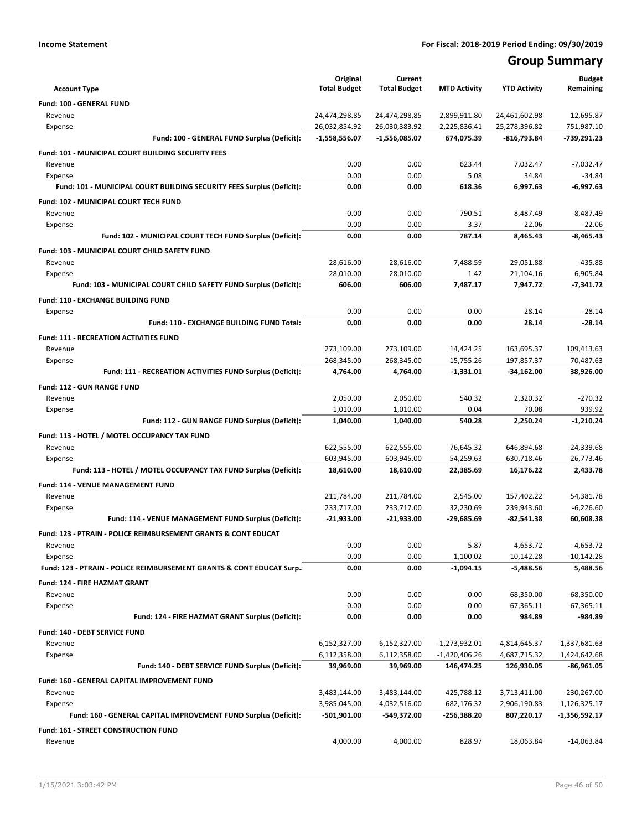## **Group Summary**

|                                                                           | Original<br><b>Total Budget</b> | Current<br><b>Total Budget</b> | <b>MTD Activity</b> | <b>YTD Activity</b> | <b>Budget</b><br>Remaining |
|---------------------------------------------------------------------------|---------------------------------|--------------------------------|---------------------|---------------------|----------------------------|
| <b>Account Type</b>                                                       |                                 |                                |                     |                     |                            |
| <b>Fund: 100 - GENERAL FUND</b><br>Revenue                                | 24,474,298.85                   | 24,474,298.85                  | 2,899,911.80        | 24,461,602.98       | 12,695.87                  |
| Expense                                                                   | 26,032,854.92                   | 26,030,383.92                  | 2,225,836.41        | 25,278,396.82       | 751,987.10                 |
| Fund: 100 - GENERAL FUND Surplus (Deficit):                               | $-1,558,556.07$                 | -1,556,085.07                  | 674,075.39          | $-816,793.84$       | -739,291.23                |
| Fund: 101 - MUNICIPAL COURT BUILDING SECURITY FEES                        |                                 |                                |                     |                     |                            |
| Revenue                                                                   | 0.00                            | 0.00                           | 623.44              | 7,032.47            | $-7,032.47$                |
| Expense                                                                   | 0.00                            | 0.00                           | 5.08                | 34.84               | -34.84                     |
| Fund: 101 - MUNICIPAL COURT BUILDING SECURITY FEES Surplus (Deficit):     | 0.00                            | 0.00                           | 618.36              | 6,997.63            | $-6,997.63$                |
| Fund: 102 - MUNICIPAL COURT TECH FUND                                     |                                 |                                |                     |                     |                            |
| Revenue                                                                   | 0.00                            | 0.00                           | 790.51              | 8,487.49            | $-8,487.49$                |
| Expense                                                                   | 0.00                            | 0.00                           | 3.37                | 22.06               | $-22.06$                   |
| Fund: 102 - MUNICIPAL COURT TECH FUND Surplus (Deficit):                  | 0.00                            | 0.00                           | 787.14              | 8,465.43            | $-8,465.43$                |
| Fund: 103 - MUNICIPAL COURT CHILD SAFETY FUND                             |                                 |                                |                     |                     |                            |
| Revenue                                                                   | 28,616.00                       | 28,616.00                      | 7,488.59            | 29,051.88           | $-435.88$                  |
| Expense                                                                   | 28,010.00                       | 28,010.00                      | 1.42                | 21,104.16           | 6,905.84                   |
| Fund: 103 - MUNICIPAL COURT CHILD SAFETY FUND Surplus (Deficit):          | 606.00                          | 606.00                         | 7,487.17            | 7,947.72            | $-7,341.72$                |
| <b>Fund: 110 - EXCHANGE BUILDING FUND</b>                                 |                                 |                                |                     |                     |                            |
| Expense                                                                   | 0.00                            | 0.00                           | 0.00                | 28.14               | $-28.14$                   |
| Fund: 110 - EXCHANGE BUILDING FUND Total:                                 | 0.00                            | 0.00                           | 0.00                | 28.14               | $-28.14$                   |
| <b>Fund: 111 - RECREATION ACTIVITIES FUND</b>                             |                                 |                                |                     |                     |                            |
| Revenue                                                                   | 273,109.00                      | 273,109.00                     | 14,424.25           | 163,695.37          | 109,413.63                 |
| Expense                                                                   | 268,345.00                      | 268,345.00                     | 15,755.26           | 197,857.37          | 70,487.63                  |
| Fund: 111 - RECREATION ACTIVITIES FUND Surplus (Deficit):                 | 4,764.00                        | 4.764.00                       | $-1,331.01$         | $-34,162.00$        | 38.926.00                  |
| <b>Fund: 112 - GUN RANGE FUND</b>                                         |                                 |                                |                     |                     |                            |
| Revenue                                                                   | 2,050.00                        | 2,050.00                       | 540.32              | 2,320.32            | $-270.32$                  |
| Expense                                                                   | 1,010.00                        | 1,010.00                       | 0.04                | 70.08               | 939.92                     |
| Fund: 112 - GUN RANGE FUND Surplus (Deficit):                             | 1,040.00                        | 1,040.00                       | 540.28              | 2,250.24            | -1,210.24                  |
| Fund: 113 - HOTEL / MOTEL OCCUPANCY TAX FUND                              |                                 |                                |                     |                     |                            |
| Revenue                                                                   | 622,555.00                      | 622,555.00                     | 76,645.32           | 646,894.68          | -24,339.68                 |
| Expense                                                                   | 603,945.00                      | 603,945.00                     | 54,259.63           | 630,718.46          | $-26,773.46$               |
| Fund: 113 - HOTEL / MOTEL OCCUPANCY TAX FUND Surplus (Deficit):           | 18,610.00                       | 18,610.00                      | 22,385.69           | 16,176.22           | 2,433.78                   |
| Fund: 114 - VENUE MANAGEMENT FUND                                         |                                 |                                |                     |                     |                            |
| Revenue                                                                   | 211,784.00                      | 211,784.00                     | 2,545.00            | 157,402.22          | 54,381.78                  |
| Expense                                                                   | 233,717.00                      | 233,717.00                     | 32,230.69           | 239,943.60          | $-6,226.60$                |
| Fund: 114 - VENUE MANAGEMENT FUND Surplus (Deficit):                      | -21,933.00                      | -21,933.00                     | -29,685.69          | -82,541.38          | 60,608.38                  |
| <b>Fund: 123 - PTRAIN - POLICE REIMBURSEMENT GRANTS &amp; CONT EDUCAT</b> |                                 |                                |                     |                     |                            |
| Revenue                                                                   | 0.00                            | 0.00                           | 5.87                | 4,653.72            | $-4,653.72$                |
| Expense                                                                   | 0.00                            | 0.00                           | 1,100.02            | 10,142.28           | $-10,142.28$               |
| Fund: 123 - PTRAIN - POLICE REIMBURSEMENT GRANTS & CONT EDUCAT Surp       | 0.00                            | 0.00                           | $-1,094.15$         | $-5,488.56$         | 5,488.56                   |
| <b>Fund: 124 - FIRE HAZMAT GRANT</b>                                      |                                 |                                |                     |                     |                            |
| Revenue                                                                   | 0.00                            | 0.00                           | 0.00                | 68,350.00           | -68,350.00                 |
| Expense                                                                   | 0.00                            | 0.00                           | 0.00                | 67,365.11           | $-67,365.11$               |
| Fund: 124 - FIRE HAZMAT GRANT Surplus (Deficit):                          | 0.00                            | 0.00                           | 0.00                | 984.89              | $-984.89$                  |
| Fund: 140 - DEBT SERVICE FUND                                             |                                 |                                |                     |                     |                            |
| Revenue                                                                   | 6,152,327.00                    | 6,152,327.00                   | $-1,273,932.01$     | 4,814,645.37        | 1,337,681.63               |
| Expense                                                                   | 6,112,358.00                    | 6,112,358.00                   | $-1,420,406.26$     | 4,687,715.32        | 1,424,642.68               |
| Fund: 140 - DEBT SERVICE FUND Surplus (Deficit):                          | 39,969.00                       | 39,969.00                      | 146,474.25          | 126,930.05          | -86,961.05                 |
| Fund: 160 - GENERAL CAPITAL IMPROVEMENT FUND                              |                                 |                                |                     |                     |                            |
| Revenue                                                                   | 3,483,144.00                    | 3,483,144.00                   | 425,788.12          | 3,713,411.00        | $-230,267.00$              |
| Expense                                                                   | 3,985,045.00                    | 4,032,516.00                   | 682,176.32          | 2,906,190.83        | 1,126,325.17               |
| Fund: 160 - GENERAL CAPITAL IMPROVEMENT FUND Surplus (Deficit):           | -501,901.00                     | -549,372.00                    | $-256,388.20$       | 807,220.17          | -1,356,592.17              |
| Fund: 161 - STREET CONSTRUCTION FUND                                      |                                 |                                |                     |                     |                            |
| Revenue                                                                   | 4,000.00                        | 4,000.00                       | 828.97              | 18,063.84           | $-14,063.84$               |
|                                                                           |                                 |                                |                     |                     |                            |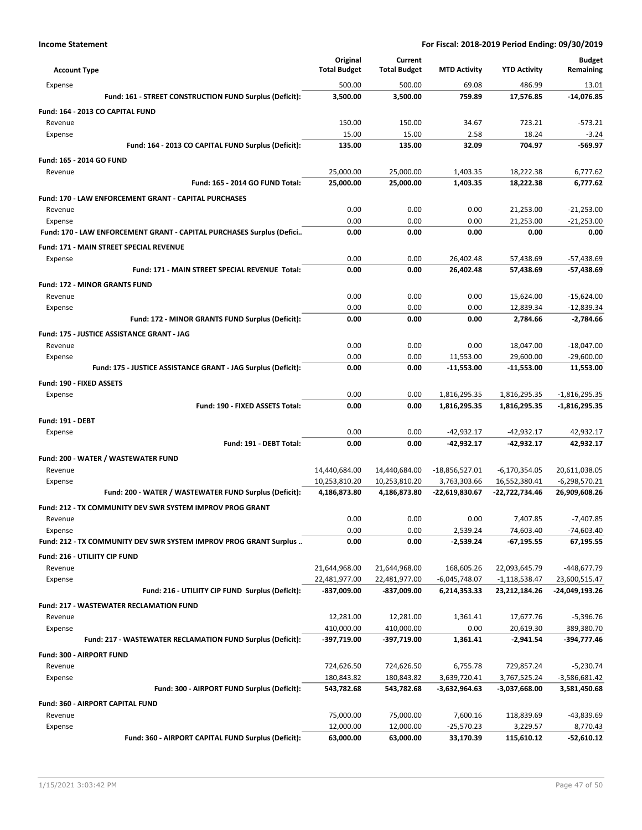|                                                                              | Original               | Current                |                         |                            | <b>Budget</b>           |
|------------------------------------------------------------------------------|------------------------|------------------------|-------------------------|----------------------------|-------------------------|
| <b>Account Type</b>                                                          | <b>Total Budget</b>    | <b>Total Budget</b>    | <b>MTD Activity</b>     | <b>YTD Activity</b>        | Remaining               |
| Expense                                                                      | 500.00                 | 500.00                 | 69.08                   | 486.99                     | 13.01                   |
| Fund: 161 - STREET CONSTRUCTION FUND Surplus (Deficit):                      | 3,500.00               | 3,500.00               | 759.89                  | 17,576.85                  | $-14,076.85$            |
| Fund: 164 - 2013 CO CAPITAL FUND                                             |                        |                        |                         |                            |                         |
| Revenue                                                                      | 150.00                 | 150.00                 | 34.67                   | 723.21                     | $-573.21$               |
| Expense                                                                      | 15.00<br>135.00        | 15.00<br>135.00        | 2.58<br>32.09           | 18.24<br>704.97            | $-3.24$<br>$-569.97$    |
| Fund: 164 - 2013 CO CAPITAL FUND Surplus (Deficit):                          |                        |                        |                         |                            |                         |
| Fund: 165 - 2014 GO FUND                                                     |                        |                        |                         |                            |                         |
| Revenue<br>Fund: 165 - 2014 GO FUND Total:                                   | 25,000.00<br>25,000.00 | 25,000.00<br>25,000.00 | 1,403.35<br>1,403.35    | 18,222.38<br>18,222.38     | 6.777.62<br>6,777.62    |
|                                                                              |                        |                        |                         |                            |                         |
| Fund: 170 - LAW ENFORCEMENT GRANT - CAPITAL PURCHASES<br>Revenue             | 0.00                   | 0.00                   | 0.00                    | 21,253.00                  | $-21,253.00$            |
| Expense                                                                      | 0.00                   | 0.00                   | 0.00                    | 21,253.00                  | $-21,253.00$            |
| Fund: 170 - LAW ENFORCEMENT GRANT - CAPITAL PURCHASES Surplus (Defici        | 0.00                   | 0.00                   | 0.00                    | 0.00                       | 0.00                    |
| Fund: 171 - MAIN STREET SPECIAL REVENUE                                      |                        |                        |                         |                            |                         |
| Expense                                                                      | 0.00                   | 0.00                   | 26,402.48               | 57,438.69                  | $-57,438.69$            |
| Fund: 171 - MAIN STREET SPECIAL REVENUE Total:                               | 0.00                   | 0.00                   | 26,402.48               | 57,438.69                  | $-57,438.69$            |
| <b>Fund: 172 - MINOR GRANTS FUND</b>                                         |                        |                        |                         |                            |                         |
| Revenue                                                                      | 0.00                   | 0.00                   | 0.00                    | 15,624.00                  | $-15,624.00$            |
| Expense                                                                      | 0.00                   | 0.00                   | 0.00                    | 12,839.34                  | $-12,839.34$            |
| Fund: 172 - MINOR GRANTS FUND Surplus (Deficit):                             | 0.00                   | 0.00                   | 0.00                    | 2,784.66                   | $-2,784.66$             |
| Fund: 175 - JUSTICE ASSISTANCE GRANT - JAG                                   |                        |                        |                         |                            |                         |
| Revenue                                                                      | 0.00                   | 0.00                   | 0.00                    | 18,047.00                  | $-18,047.00$            |
| Expense                                                                      | 0.00                   | 0.00                   | 11,553.00               | 29,600.00                  | $-29,600.00$            |
| Fund: 175 - JUSTICE ASSISTANCE GRANT - JAG Surplus (Deficit):                | 0.00                   | 0.00                   | $-11,553.00$            | $-11,553.00$               | 11,553.00               |
| Fund: 190 - FIXED ASSETS                                                     |                        |                        |                         |                            |                         |
| Expense                                                                      | 0.00                   | 0.00                   | 1,816,295.35            | 1,816,295.35               | $-1,816,295.35$         |
| Fund: 190 - FIXED ASSETS Total:                                              | 0.00                   | 0.00                   | 1,816,295.35            | 1,816,295.35               | -1,816,295.35           |
| <b>Fund: 191 - DEBT</b>                                                      |                        |                        |                         |                            |                         |
| Expense                                                                      | 0.00                   | 0.00                   | $-42,932.17$            | $-42,932.17$               | 42,932.17               |
| Fund: 191 - DEBT Total:                                                      | 0.00                   | 0.00                   | -42,932.17              | -42,932.17                 | 42,932.17               |
| Fund: 200 - WATER / WASTEWATER FUND                                          |                        |                        |                         |                            |                         |
| Revenue                                                                      | 14,440,684.00          | 14,440,684.00          | $-18,856,527.01$        | $-6,170,354.05$            | 20,611,038.05           |
| Expense                                                                      | 10,253,810.20          | 10,253,810.20          | 3,763,303.66            | 16,552,380.41              | $-6,298,570.21$         |
| Fund: 200 - WATER / WASTEWATER FUND Surplus (Deficit):                       | 4,186,873.80           | 4,186,873.80           | -22,619,830.67          | -22,722,734.46             | 26,909,608.26           |
| <b>Fund: 212 - TX COMMUNITY DEV SWR SYSTEM IMPROV PROG GRANT</b>             |                        |                        |                         |                            |                         |
| Revenue                                                                      | 0.00<br>0.00           | 0.00<br>0.00           | 0.00                    | 7,407.85                   | $-7,407.85$             |
| Expense<br>Fund: 212 - TX COMMUNITY DEV SWR SYSTEM IMPROV PROG GRANT Surplus | 0.00                   | 0.00                   | 2,539.24<br>$-2,539.24$ | 74,603.40<br>$-67, 195.55$ | -74,603.40<br>67,195.55 |
|                                                                              |                        |                        |                         |                            |                         |
| Fund: 216 - UTILIITY CIP FUND<br>Revenue                                     | 21,644,968.00          | 21,644,968.00          | 168,605.26              | 22,093,645.79              | -448,677.79             |
| Expense                                                                      | 22,481,977.00          | 22,481,977.00          | $-6,045,748.07$         | -1,118,538.47              | 23,600,515.47           |
| Fund: 216 - UTILIITY CIP FUND Surplus (Deficit):                             | -837,009.00            | $-837,009.00$          | 6,214,353.33            | 23,212,184.26              | -24,049,193.26          |
| <b>Fund: 217 - WASTEWATER RECLAMATION FUND</b>                               |                        |                        |                         |                            |                         |
| Revenue                                                                      | 12,281.00              | 12,281.00              | 1,361.41                | 17,677.76                  | $-5,396.76$             |
| Expense                                                                      | 410,000.00             | 410,000.00             | 0.00                    | 20,619.30                  | 389,380.70              |
| Fund: 217 - WASTEWATER RECLAMATION FUND Surplus (Deficit):                   | -397,719.00            | -397,719.00            | 1,361.41                | -2,941.54                  | -394,777.46             |
| Fund: 300 - AIRPORT FUND                                                     |                        |                        |                         |                            |                         |
| Revenue                                                                      | 724,626.50             | 724,626.50             | 6,755.78                | 729,857.24                 | $-5,230.74$             |
| Expense                                                                      | 180,843.82             | 180,843.82             | 3,639,720.41            | 3,767,525.24               | $-3,586,681.42$         |
| Fund: 300 - AIRPORT FUND Surplus (Deficit):                                  | 543,782.68             | 543,782.68             | -3,632,964.63           | -3,037,668.00              | 3,581,450.68            |
| Fund: 360 - AIRPORT CAPITAL FUND                                             |                        |                        |                         |                            |                         |
| Revenue                                                                      | 75,000.00              | 75,000.00              | 7,600.16                | 118,839.69                 | -43,839.69              |
| Expense                                                                      | 12,000.00              | 12,000.00              | $-25,570.23$            | 3,229.57                   | 8,770.43                |
| Fund: 360 - AIRPORT CAPITAL FUND Surplus (Deficit):                          | 63,000.00              | 63,000.00              | 33,170.39               | 115,610.12                 | $-52,610.12$            |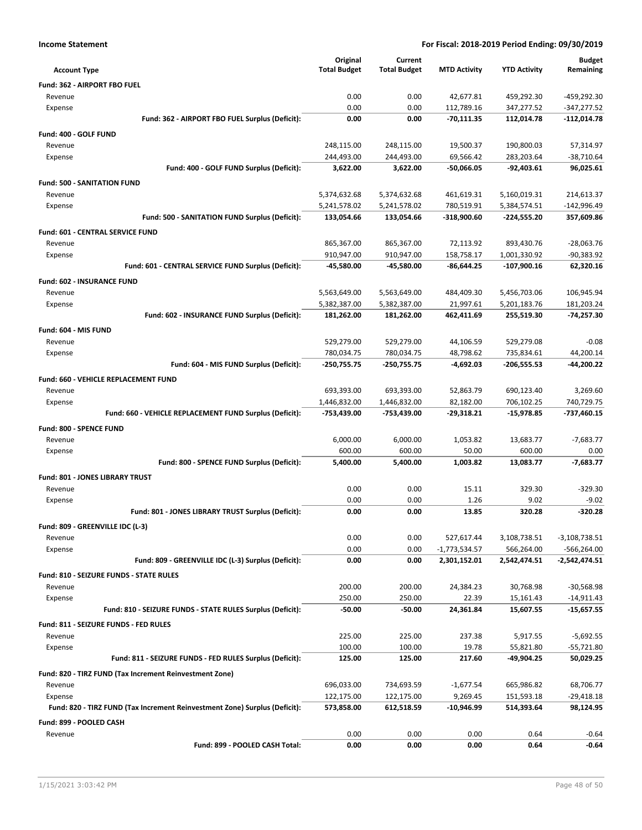| <b>Income Statement</b>                                                               | For Fiscal: 2018-2019 Period Ending: 09/30/2019 |                              |                          |                               |                           |
|---------------------------------------------------------------------------------------|-------------------------------------------------|------------------------------|--------------------------|-------------------------------|---------------------------|
|                                                                                       | Original                                        | Current                      |                          |                               | <b>Budget</b>             |
| <b>Account Type</b>                                                                   | <b>Total Budget</b>                             | <b>Total Budget</b>          | <b>MTD Activity</b>      | <b>YTD Activity</b>           | Remaining                 |
| Fund: 362 - AIRPORT FBO FUEL                                                          |                                                 |                              |                          |                               |                           |
| Revenue                                                                               | 0.00                                            | 0.00                         | 42,677.81                | 459,292.30                    | -459,292.30               |
| Expense                                                                               | 0.00                                            | 0.00                         | 112,789.16               | 347,277.52                    | $-347,277.52$             |
| Fund: 362 - AIRPORT FBO FUEL Surplus (Deficit):                                       | 0.00                                            | 0.00                         | -70,111.35               | 112,014.78                    | $-112,014.78$             |
| Fund: 400 - GOLF FUND                                                                 |                                                 |                              |                          |                               |                           |
| Revenue                                                                               | 248,115.00                                      | 248,115.00                   | 19,500.37                | 190,800.03                    | 57,314.97                 |
| Expense                                                                               | 244,493.00                                      | 244,493.00                   | 69,566.42                | 283,203.64                    | $-38,710.64$              |
| Fund: 400 - GOLF FUND Surplus (Deficit):                                              | 3,622.00                                        | 3,622.00                     | -50,066.05               | -92,403.61                    | 96,025.61                 |
| <b>Fund: 500 - SANITATION FUND</b>                                                    |                                                 |                              |                          |                               |                           |
| Revenue                                                                               | 5,374,632.68                                    | 5,374,632.68                 | 461,619.31               | 5,160,019.31                  | 214,613.37                |
| Expense                                                                               | 5,241,578.02                                    | 5,241,578.02                 | 780,519.91               | 5,384,574.51                  | -142,996.49               |
| Fund: 500 - SANITATION FUND Surplus (Deficit):                                        | 133,054.66                                      | 133,054.66                   | -318,900.60              | -224,555.20                   | 357,609.86                |
| Fund: 601 - CENTRAL SERVICE FUND                                                      |                                                 |                              |                          |                               |                           |
| Revenue                                                                               | 865,367.00                                      | 865,367.00                   | 72,113.92                | 893,430.76                    | $-28,063.76$              |
| Expense<br>Fund: 601 - CENTRAL SERVICE FUND Surplus (Deficit):                        | 910,947.00<br>-45,580.00                        | 910,947.00<br>-45,580.00     | 158,758.17<br>-86,644.25 | 1,001,330.92<br>$-107,900.16$ | $-90,383.92$<br>62,320.16 |
|                                                                                       |                                                 |                              |                          |                               |                           |
| Fund: 602 - INSURANCE FUND                                                            |                                                 |                              |                          |                               |                           |
| Revenue                                                                               | 5,563,649.00<br>5,382,387.00                    | 5,563,649.00<br>5,382,387.00 | 484,409.30<br>21,997.61  | 5,456,703.06<br>5,201,183.76  | 106,945.94<br>181,203.24  |
| Expense<br>Fund: 602 - INSURANCE FUND Surplus (Deficit):                              | 181,262.00                                      | 181,262.00                   | 462,411.69               | 255,519.30                    | -74,257.30                |
|                                                                                       |                                                 |                              |                          |                               |                           |
| Fund: 604 - MIS FUND<br>Revenue                                                       | 529,279.00                                      | 529,279.00                   | 44,106.59                | 529,279.08                    | $-0.08$                   |
| Expense                                                                               | 780,034.75                                      | 780,034.75                   | 48,798.62                | 735,834.61                    | 44,200.14                 |
| Fund: 604 - MIS FUND Surplus (Deficit):                                               | -250,755.75                                     | -250,755.75                  | $-4,692.03$              | $-206,555.53$                 | -44,200.22                |
| Fund: 660 - VEHICLE REPLACEMENT FUND                                                  |                                                 |                              |                          |                               |                           |
| Revenue                                                                               | 693,393.00                                      | 693,393.00                   | 52,863.79                | 690,123.40                    | 3,269.60                  |
| Expense                                                                               | 1,446,832.00                                    | 1,446,832.00                 | 82,182.00                | 706,102.25                    | 740,729.75                |
| Fund: 660 - VEHICLE REPLACEMENT FUND Surplus (Deficit):                               | -753,439.00                                     | -753,439.00                  | -29,318.21               | $-15,978.85$                  | -737,460.15               |
| Fund: 800 - SPENCE FUND                                                               |                                                 |                              |                          |                               |                           |
| Revenue                                                                               | 6,000.00                                        | 6,000.00                     | 1,053.82                 | 13,683.77                     | $-7,683.77$               |
| Expense                                                                               | 600.00                                          | 600.00                       | 50.00                    | 600.00                        | 0.00                      |
| Fund: 800 - SPENCE FUND Surplus (Deficit):                                            | 5,400.00                                        | 5,400.00                     | 1,003.82                 | 13,083.77                     | $-7,683.77$               |
| <b>Fund: 801 - JONES LIBRARY TRUST</b>                                                |                                                 |                              |                          |                               |                           |
| Revenue                                                                               | 0.00                                            | 0.00                         | 15.11                    | 329.30                        | $-329.30$                 |
| Expense                                                                               | 0.00                                            | 0.00                         | 1.26                     | 9.02                          | $-9.02$                   |
| Fund: 801 - JONES LIBRARY TRUST Surplus (Deficit):                                    | 0.00                                            | 0.00                         | 13.85                    | 320.28                        | $-320.28$                 |
| Fund: 809 - GREENVILLE IDC (L-3)                                                      |                                                 |                              |                          |                               |                           |
| Revenue                                                                               | 0.00                                            | 0.00                         | 527,617.44               | 3,108,738.51                  | $-3,108,738.51$           |
| Expense                                                                               | 0.00                                            | 0.00                         | $-1,773,534.57$          | 566,264.00                    | -566,264.00               |
| Fund: 809 - GREENVILLE IDC (L-3) Surplus (Deficit):                                   | 0.00                                            | 0.00                         | 2,301,152.01             | 2,542,474.51                  | $-2,542,474.51$           |
| <b>Fund: 810 - SEIZURE FUNDS - STATE RULES</b>                                        |                                                 |                              |                          |                               |                           |
| Revenue                                                                               | 200.00                                          | 200.00                       | 24,384.23                | 30,768.98                     | $-30,568.98$              |
| Expense                                                                               | 250.00                                          | 250.00                       | 22.39                    | 15,161.43                     | $-14,911.43$              |
| Fund: 810 - SEIZURE FUNDS - STATE RULES Surplus (Deficit):                            | $-50.00$                                        | $-50.00$                     | 24,361.84                | 15,607.55                     | $-15,657.55$              |
| Fund: 811 - SEIZURE FUNDS - FED RULES                                                 |                                                 |                              |                          |                               |                           |
| Revenue                                                                               | 225.00                                          | 225.00                       | 237.38                   | 5,917.55                      | $-5,692.55$               |
| Expense                                                                               | 100.00                                          | 100.00                       | 19.78                    | 55,821.80                     | $-55,721.80$              |
| Fund: 811 - SEIZURE FUNDS - FED RULES Surplus (Deficit):                              | 125.00                                          | 125.00                       | 217.60                   | -49,904.25                    | 50,029.25                 |
| Fund: 820 - TIRZ FUND (Tax Increment Reinvestment Zone)                               |                                                 |                              |                          |                               |                           |
| Revenue                                                                               | 696,033.00                                      | 734,693.59                   | $-1,677.54$              | 665,986.82                    | 68,706.77                 |
| Expense<br>Fund: 820 - TIRZ FUND (Tax Increment Reinvestment Zone) Surplus (Deficit): | 122,175.00                                      | 122,175.00                   | 9,269.45                 | 151,593.18                    | -29,418.18                |
|                                                                                       | 573,858.00                                      | 612,518.59                   | $-10,946.99$             | 514,393.64                    | 98,124.95                 |
| Fund: 899 - POOLED CASH                                                               |                                                 |                              |                          |                               |                           |
| Revenue<br>Fund: 899 - POOLED CASH Total:                                             | 0.00<br>0.00                                    | 0.00<br>0.00                 | 0.00<br>0.00             | 0.64<br>0.64                  | $-0.64$<br>$-0.64$        |
|                                                                                       |                                                 |                              |                          |                               |                           |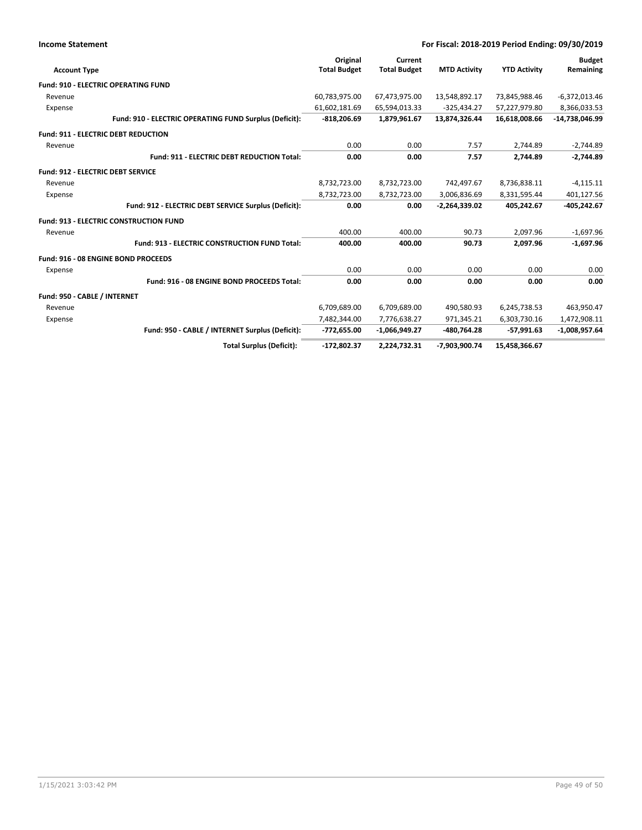| <b>Income Statement</b>                                | For Fiscal: 2018-2019 Period Ending: 09/30/2019 |                                |                     |                     |                            |
|--------------------------------------------------------|-------------------------------------------------|--------------------------------|---------------------|---------------------|----------------------------|
| <b>Account Type</b>                                    | Original<br><b>Total Budget</b>                 | Current<br><b>Total Budget</b> | <b>MTD Activity</b> | <b>YTD Activity</b> | <b>Budget</b><br>Remaining |
| <b>Fund: 910 - ELECTRIC OPERATING FUND</b>             |                                                 |                                |                     |                     |                            |
| Revenue                                                | 60,783,975.00                                   | 67,473,975.00                  | 13,548,892.17       | 73,845,988.46       | $-6,372,013.46$            |
| Expense                                                | 61,602,181.69                                   | 65,594,013.33                  | $-325,434.27$       | 57,227,979.80       | 8,366,033.53               |
| Fund: 910 - ELECTRIC OPERATING FUND Surplus (Deficit): | $-818,206.69$                                   | 1,879,961.67                   | 13,874,326.44       | 16,618,008.66       | -14,738,046.99             |
| <b>Fund: 911 - ELECTRIC DEBT REDUCTION</b>             |                                                 |                                |                     |                     |                            |
| Revenue                                                | 0.00                                            | 0.00                           | 7.57                | 2,744.89            | $-2,744.89$                |
| Fund: 911 - ELECTRIC DEBT REDUCTION Total:             | 0.00                                            | 0.00                           | 7.57                | 2.744.89            | $-2,744.89$                |
| <b>Fund: 912 - ELECTRIC DEBT SERVICE</b>               |                                                 |                                |                     |                     |                            |
| Revenue                                                | 8,732,723.00                                    | 8,732,723.00                   | 742,497.67          | 8,736,838.11        | $-4,115.11$                |
| Expense                                                | 8,732,723.00                                    | 8,732,723.00                   | 3,006,836.69        | 8,331,595.44        | 401,127.56                 |
| Fund: 912 - ELECTRIC DEBT SERVICE Surplus (Deficit):   | 0.00                                            | 0.00                           | $-2,264,339.02$     | 405,242.67          | $-405,242.67$              |
| <b>Fund: 913 - ELECTRIC CONSTRUCTION FUND</b>          |                                                 |                                |                     |                     |                            |
| Revenue                                                | 400.00                                          | 400.00                         | 90.73               | 2,097.96            | $-1,697.96$                |
| Fund: 913 - ELECTRIC CONSTRUCTION FUND Total:          | 400.00                                          | 400.00                         | 90.73               | 2,097.96            | $-1,697.96$                |
| Fund: 916 - 08 ENGINE BOND PROCEEDS                    |                                                 |                                |                     |                     |                            |
| Expense                                                | 0.00                                            | 0.00                           | 0.00                | 0.00                | 0.00                       |
| Fund: 916 - 08 ENGINE BOND PROCEEDS Total:             | 0.00                                            | 0.00                           | 0.00                | 0.00                | 0.00                       |
| Fund: 950 - CABLE / INTERNET                           |                                                 |                                |                     |                     |                            |
| Revenue                                                | 6,709,689.00                                    | 6,709,689.00                   | 490,580.93          | 6,245,738.53        | 463,950.47                 |
| Expense                                                | 7,482,344.00                                    | 7,776,638.27                   | 971,345.21          | 6,303,730.16        | 1,472,908.11               |
| Fund: 950 - CABLE / INTERNET Surplus (Deficit):        | $-772,655.00$                                   | $-1,066,949.27$                | -480,764.28         | $-57.991.63$        | -1,008,957.64              |
| <b>Total Surplus (Deficit):</b>                        | $-172,802.37$                                   | 2,224,732.31                   | -7,903,900.74       | 15,458,366.67       |                            |